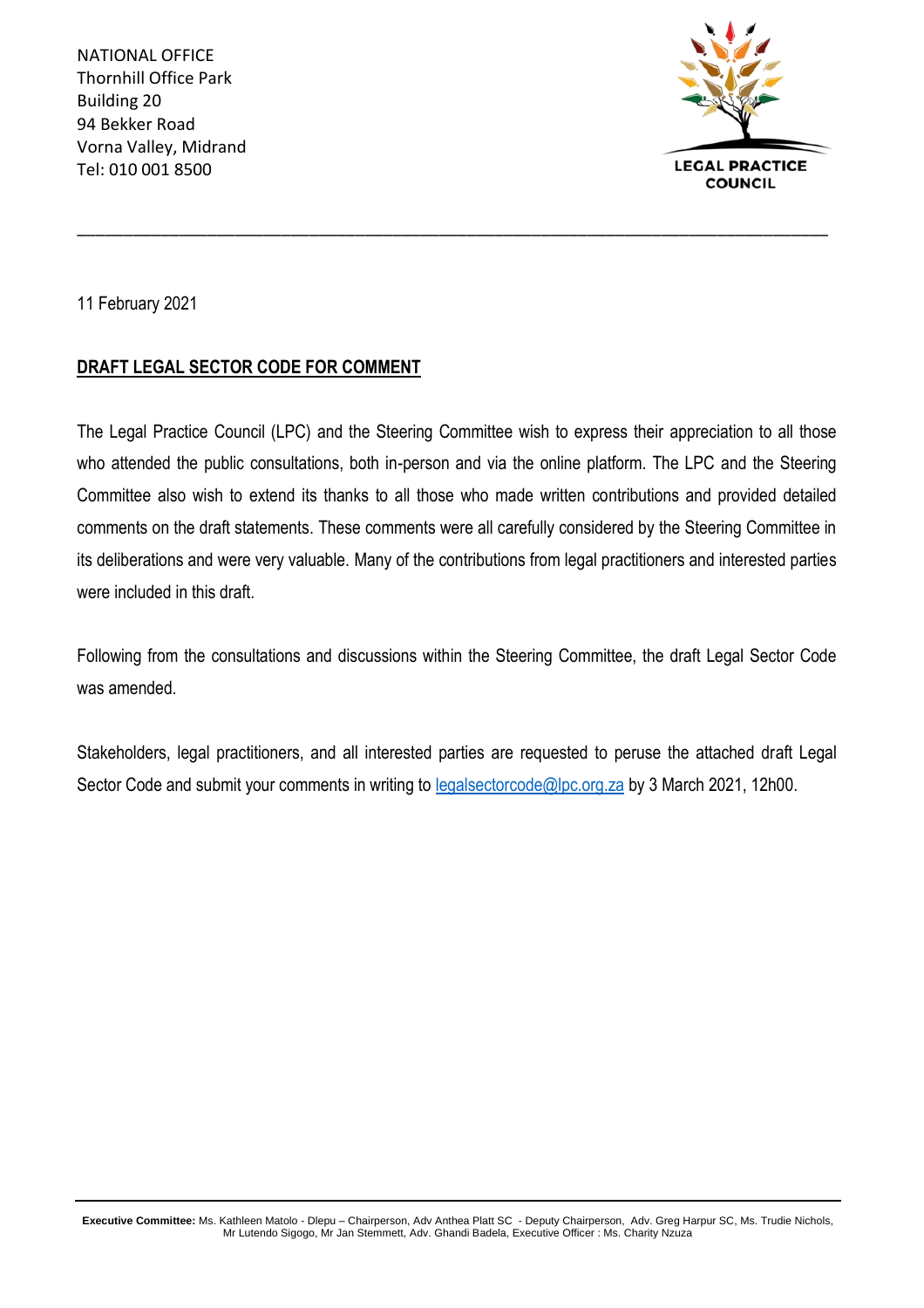NATIONAL OFFICE Thornhill Office Park Building 20 94 Bekker Road Vorna Valley, Midrand Tel: 010 001 8500



11 February 2021

#### **DRAFT LEGAL SECTOR CODE FOR COMMENT**

The Legal Practice Council (LPC) and the Steering Committee wish to express their appreciation to all those who attended the public consultations, both in-person and via the online platform. The LPC and the Steering Committee also wish to extend its thanks to all those who made written contributions and provided detailed comments on the draft statements. These comments were all carefully considered by the Steering Committee in its deliberations and were very valuable. Many of the contributions from legal practitioners and interested parties were included in this draft.

\_\_\_\_\_\_\_\_\_\_\_\_\_\_\_\_\_\_\_\_\_\_\_\_\_\_\_\_\_\_\_\_\_\_\_\_\_\_\_\_\_\_\_\_\_\_\_\_\_\_\_\_\_\_\_\_\_\_\_\_\_\_\_\_\_\_\_\_\_\_\_\_\_\_\_\_\_\_\_\_\_

Following from the consultations and discussions within the Steering Committee, the draft Legal Sector Code was amended.

Stakeholders, legal practitioners, and all interested parties are requested to peruse the attached draft Legal Sector Code and submit your comments in writing to **legalsectorcode@lpc.org.za** by 3 March 2021, 12h00.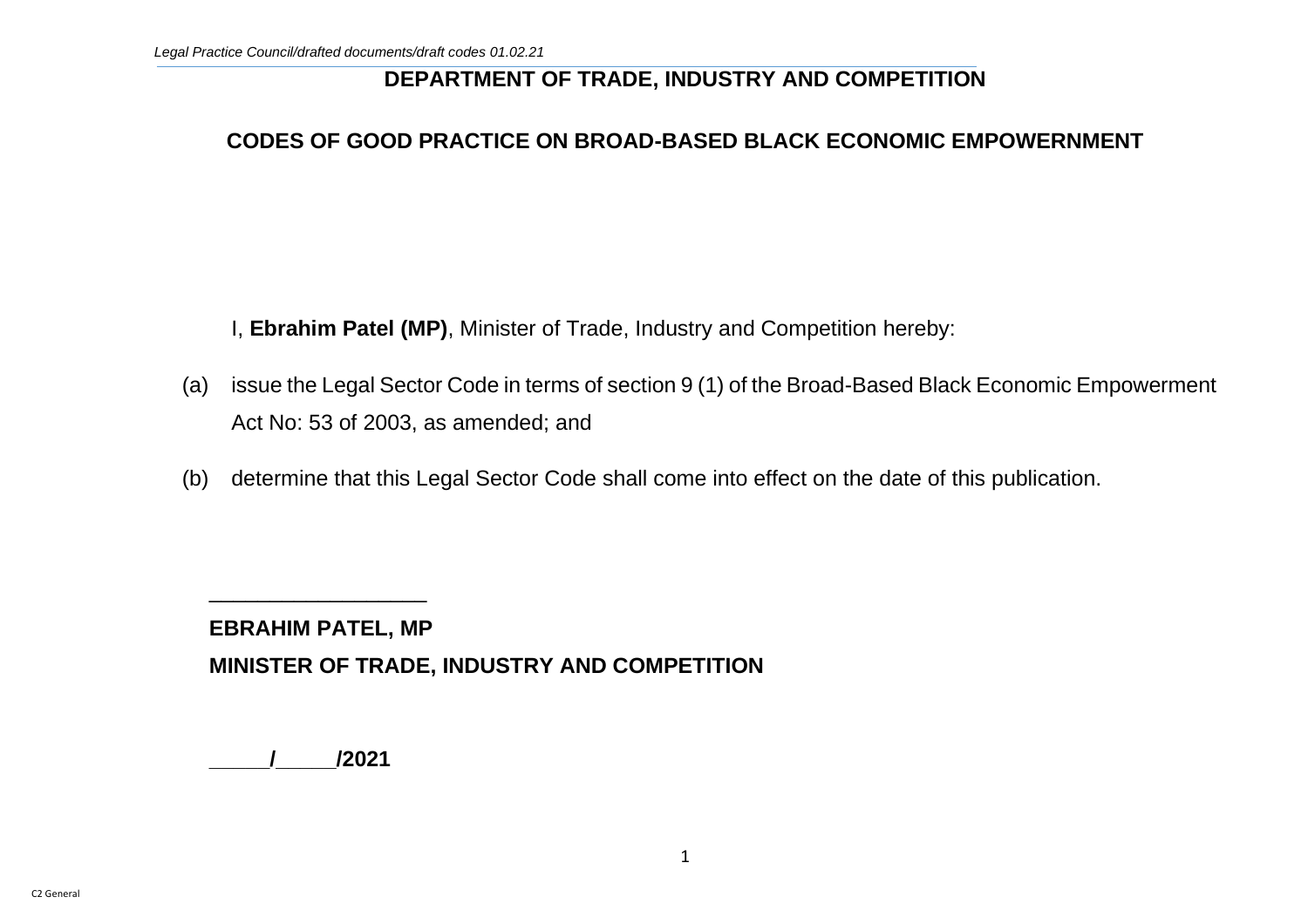#### **DEPARTMENT OF TRADE, INDUSTRY AND COMPETITION**

#### **CODES OF GOOD PRACTICE ON BROAD-BASED BLACK ECONOMIC EMPOWERNMENT**

I, **Ebrahim Patel (MP)**, Minister of Trade, Industry and Competition hereby:

- (a) issue the Legal Sector Code in terms of section 9 (1) of the Broad-Based Black Economic Empowerment Act No: 53 of 2003, as amended; and
- (b) determine that this Legal Sector Code shall come into effect on the date of this publication.

**EBRAHIM PATEL, MP MINISTER OF TRADE, INDUSTRY AND COMPETITION** 

**\_\_\_\_\_/\_\_\_\_\_/2021**

\_\_\_\_\_\_\_\_\_\_\_\_\_\_\_\_\_\_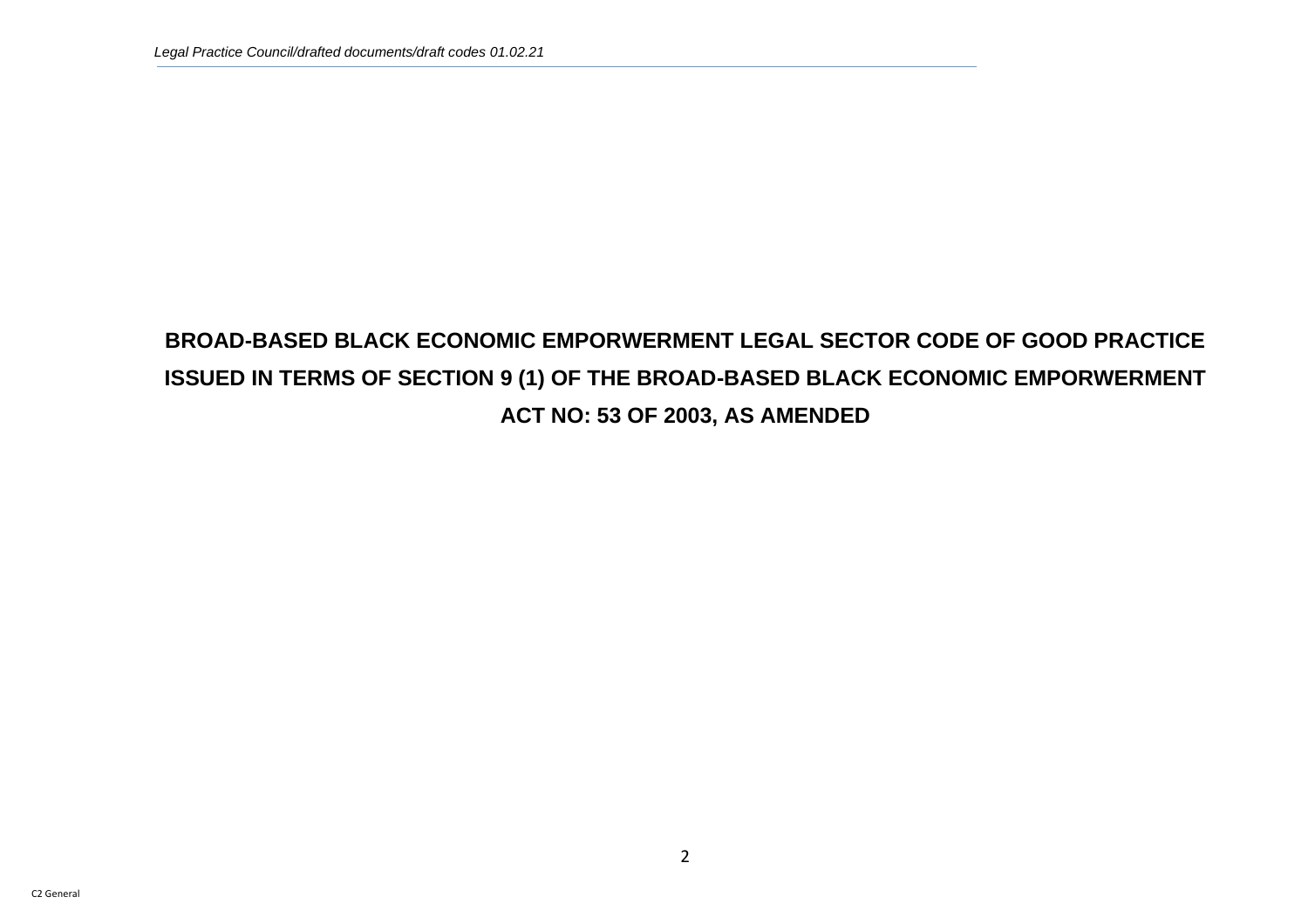# **BROAD-BASED BLACK ECONOMIC EMPORWERMENT LEGAL SECTOR CODE OF GOOD PRACTICE ISSUED IN TERMS OF SECTION 9 (1) OF THE BROAD-BASED BLACK ECONOMIC EMPORWERMENT ACT NO: 53 OF 2003, AS AMENDED**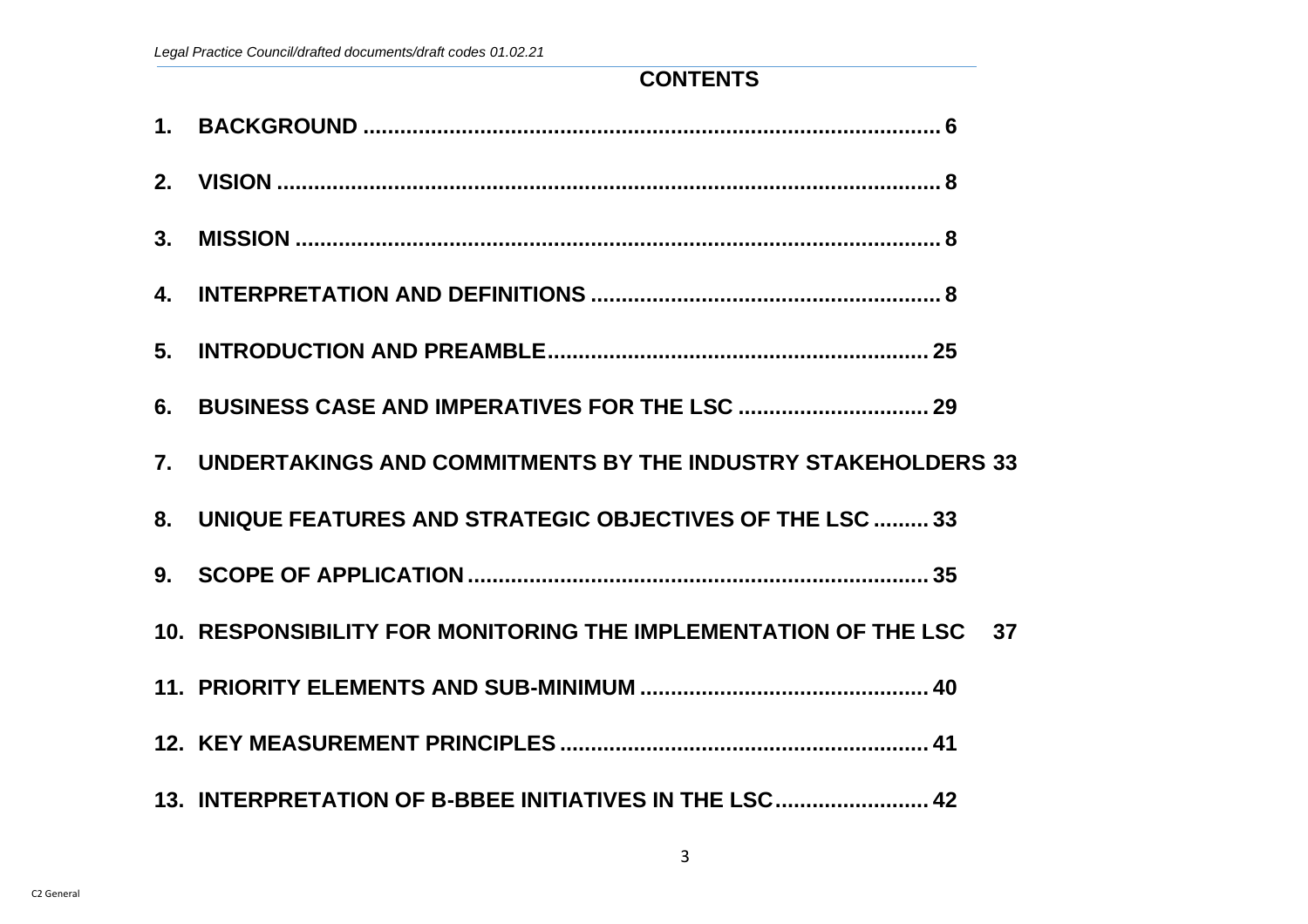# **CONTENTS**

3

| 7. UNDERTAKINGS AND COMMITMENTS BY THE INDUSTRY STAKEHOLDERS 33    |  |
|--------------------------------------------------------------------|--|
| 8. UNIQUE FEATURES AND STRATEGIC OBJECTIVES OF THE LSC  33         |  |
|                                                                    |  |
| 10. RESPONSIBILITY FOR MONITORING THE IMPLEMENTATION OF THE LSC 37 |  |
|                                                                    |  |
|                                                                    |  |
| 13. INTERPRETATION OF B-BBEE INITIATIVES IN THE LSC 42             |  |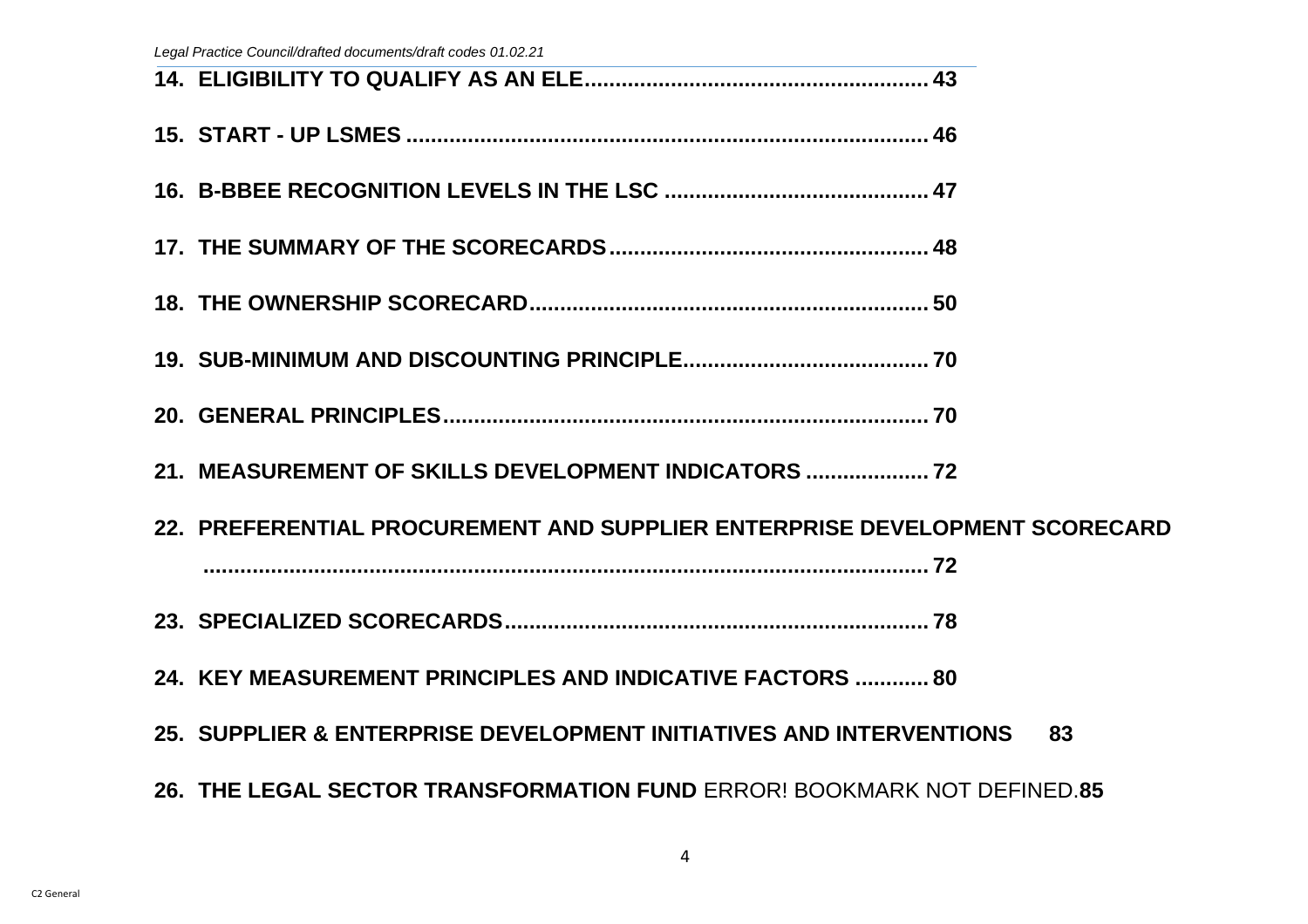*Legal Practice Council/drafted documents/draft codes 01.02.21*

| 21. MEASUREMENT OF SKILLS DEVELOPMENT INDICATORS                           |    |
|----------------------------------------------------------------------------|----|
| 22. PREFERENTIAL PROCUREMENT AND SUPPLIER ENTERPRISE DEVELOPMENT SCORECARD |    |
|                                                                            |    |
|                                                                            |    |
| 24. KEY MEASUREMENT PRINCIPLES AND INDICATIVE FACTORS  80                  |    |
| 25. SUPPLIER & ENTERPRISE DEVELOPMENT INITIATIVES AND INTERVENTIONS        | 83 |
| 26. THE LEGAL SECTOR TRANSFORMATION FUND ERROR! BOOKMARK NOT DEFINED.85    |    |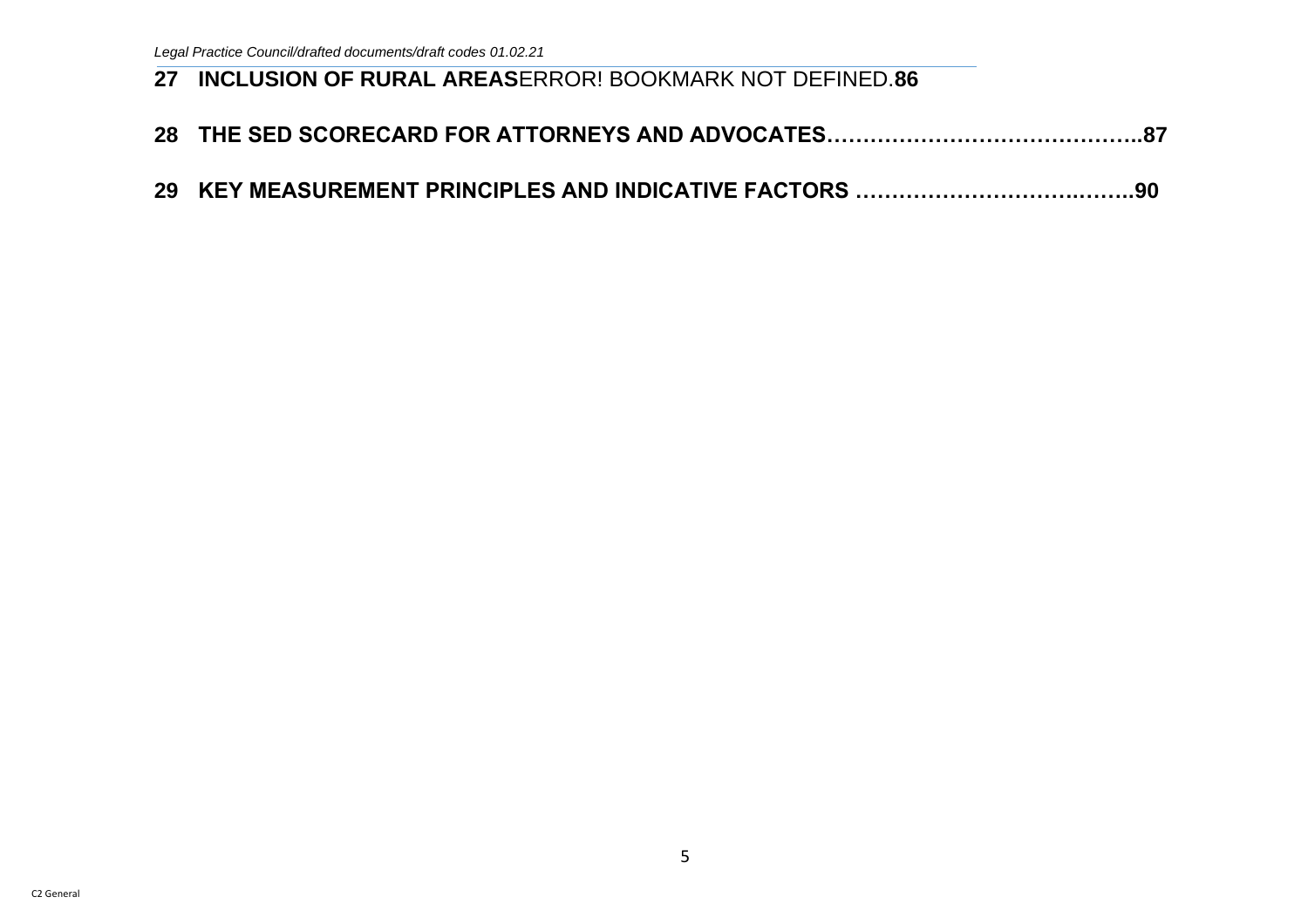## **27 INCLUSION OF RURAL AREAS**ERROR! BOOKMARK NOT DEFINED.**86**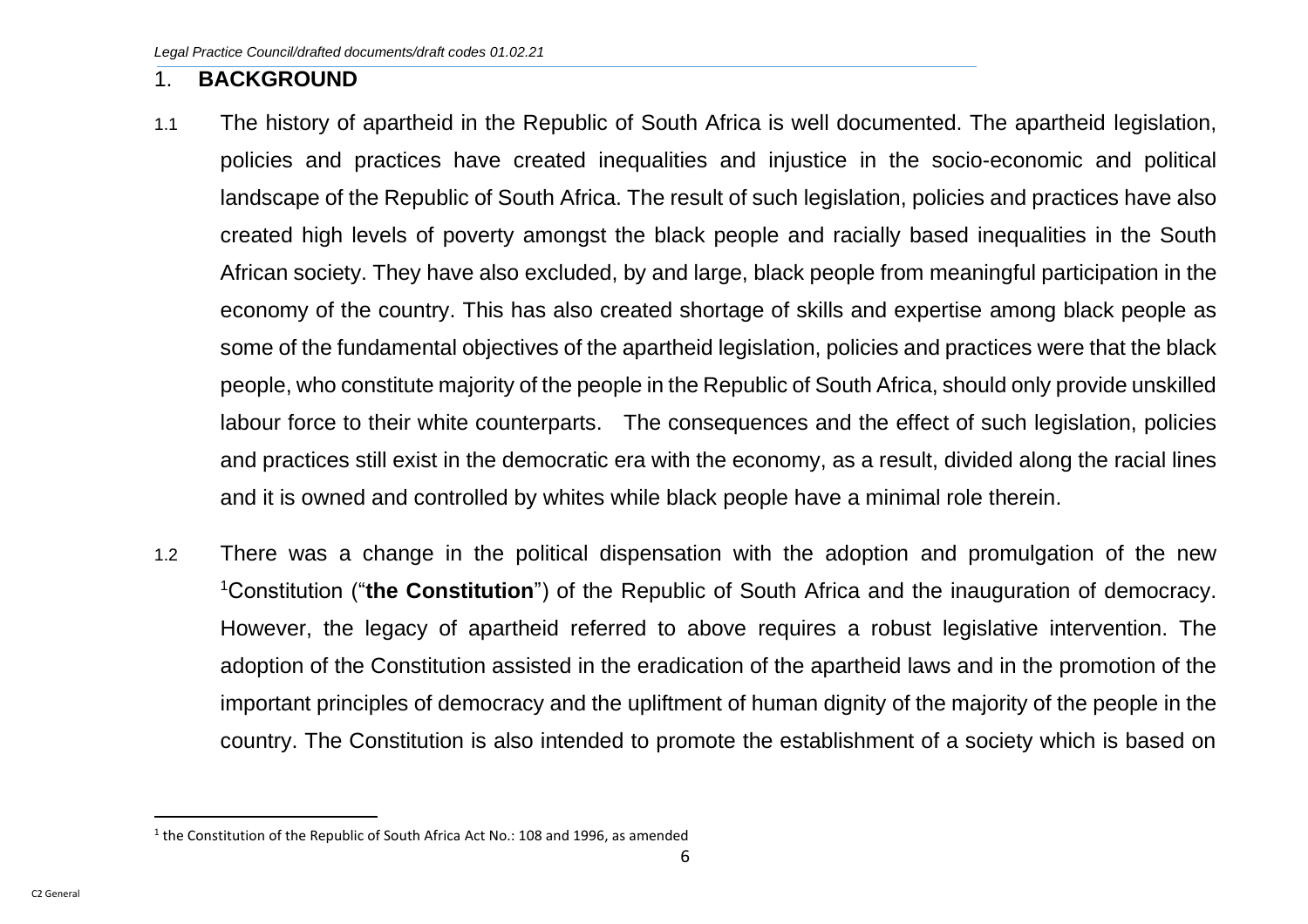#### <span id="page-6-0"></span>1. **BACKGROUND**

- 1.1 The history of apartheid in the Republic of South Africa is well documented. The apartheid legislation, policies and practices have created inequalities and injustice in the socio-economic and political landscape of the Republic of South Africa. The result of such legislation, policies and practices have also created high levels of poverty amongst the black people and racially based inequalities in the South African society. They have also excluded, by and large, black people from meaningful participation in the economy of the country. This has also created shortage of skills and expertise among black people as some of the fundamental objectives of the apartheid legislation, policies and practices were that the black people, who constitute majority of the people in the Republic of South Africa, should only provide unskilled labour force to their white counterparts. The consequences and the effect of such legislation, policies and practices still exist in the democratic era with the economy, as a result, divided along the racial lines and it is owned and controlled by whites while black people have a minimal role therein.
- 1.2 There was a change in the political dispensation with the adoption and promulgation of the new <sup>1</sup>Constitution ("**the Constitution**") of the Republic of South Africa and the inauguration of democracy. However, the legacy of apartheid referred to above requires a robust legislative intervention. The adoption of the Constitution assisted in the eradication of the apartheid laws and in the promotion of the important principles of democracy and the upliftment of human dignity of the majority of the people in the country. The Constitution is also intended to promote the establishment of a society which is based on

 $1$  the Constitution of the Republic of South Africa Act No.: 108 and 1996, as amended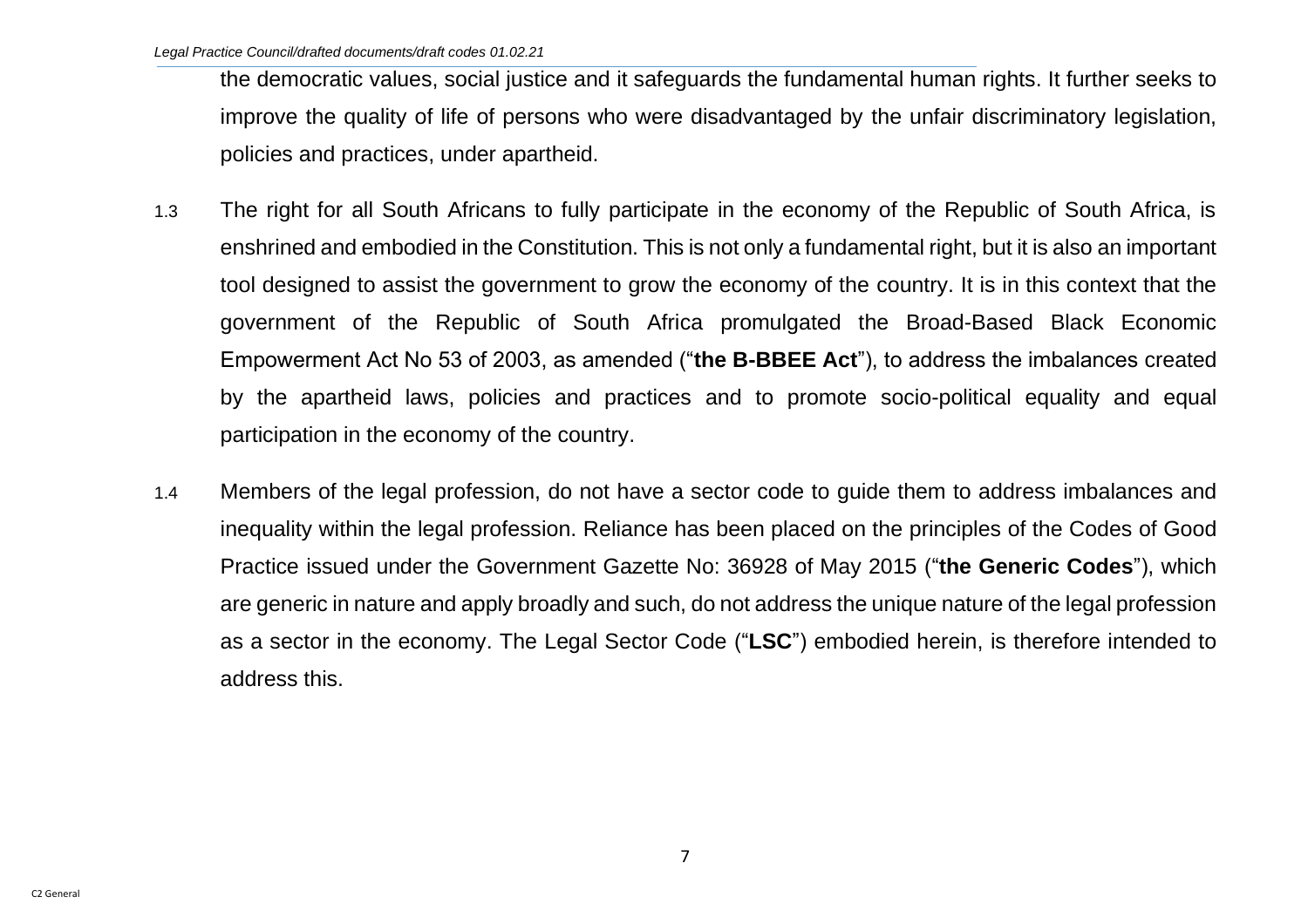the democratic values, social justice and it safeguards the fundamental human rights. It further seeks to improve the quality of life of persons who were disadvantaged by the unfair discriminatory legislation, policies and practices, under apartheid.

- 1.3 The right for all South Africans to fully participate in the economy of the Republic of South Africa, is enshrined and embodied in the Constitution. This is not only a fundamental right, but it is also an important tool designed to assist the government to grow the economy of the country. It is in this context that the government of the Republic of South Africa promulgated the Broad-Based Black Economic Empowerment Act No 53 of 2003, as amended ("**the B-BBEE Act**"), to address the imbalances created by the apartheid laws, policies and practices and to promote socio-political equality and equal participation in the economy of the country.
- 1.4 Members of the legal profession, do not have a sector code to guide them to address imbalances and inequality within the legal profession. Reliance has been placed on the principles of the Codes of Good Practice issued under the Government Gazette No: 36928 of May 2015 ("**the Generic Codes**"), which are generic in nature and apply broadly and such, do not address the unique nature of the legal profession as a sector in the economy. The Legal Sector Code ("**LSC**") embodied herein, is therefore intended to address this.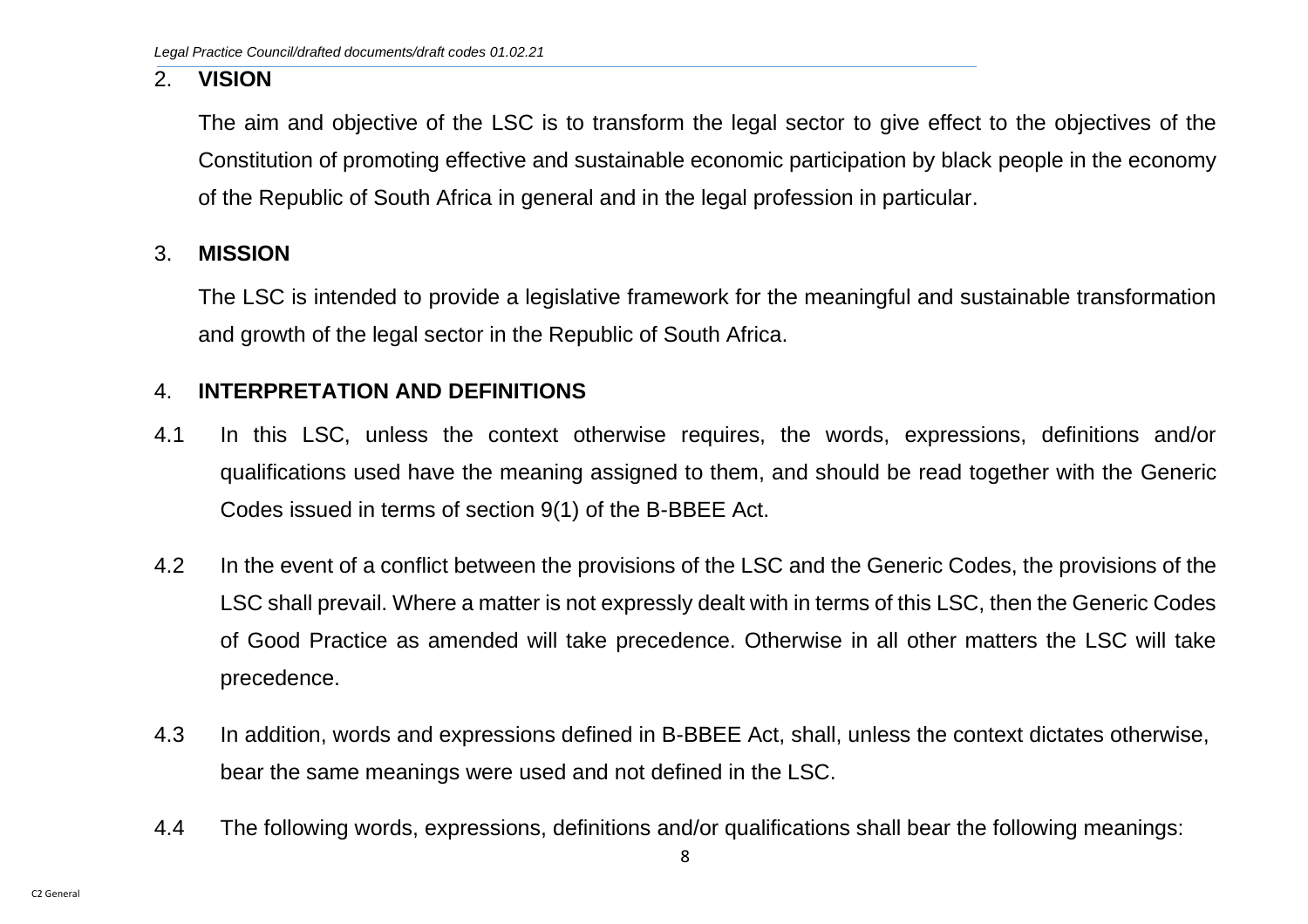#### <span id="page-8-0"></span>2. **VISION**

The aim and objective of the LSC is to transform the legal sector to give effect to the objectives of the Constitution of promoting effective and sustainable economic participation by black people in the economy of the Republic of South Africa in general and in the legal profession in particular.

#### <span id="page-8-1"></span>3. **MISSION**

The LSC is intended to provide a legislative framework for the meaningful and sustainable transformation and growth of the legal sector in the Republic of South Africa.

#### <span id="page-8-2"></span>4. **INTERPRETATION AND DEFINITIONS**

- 4.1 In this LSC, unless the context otherwise requires, the words, expressions, definitions and/or qualifications used have the meaning assigned to them, and should be read together with the Generic Codes issued in terms of section 9(1) of the B-BBEE Act.
- 4.2 In the event of a conflict between the provisions of the LSC and the Generic Codes, the provisions of the LSC shall prevail. Where a matter is not expressly dealt with in terms of this LSC, then the Generic Codes of Good Practice as amended will take precedence. Otherwise in all other matters the LSC will take precedence.
- 4.3 In addition, words and expressions defined in B-BBEE Act, shall, unless the context dictates otherwise, bear the same meanings were used and not defined in the LSC.
- 4.4 The following words, expressions, definitions and/or qualifications shall bear the following meanings: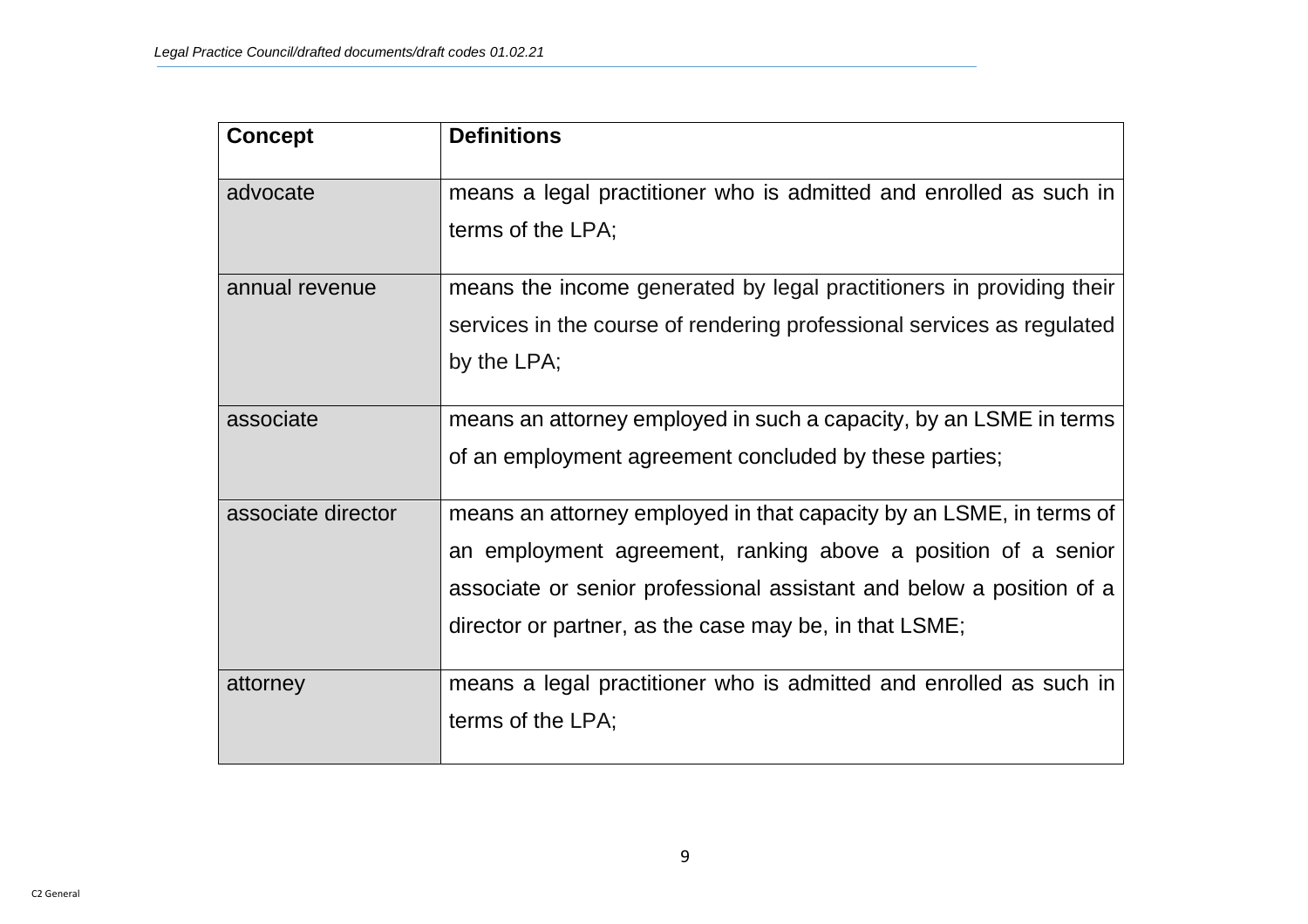| <b>Concept</b>     | <b>Definitions</b>                                                     |
|--------------------|------------------------------------------------------------------------|
| advocate           | means a legal practitioner who is admitted and enrolled as such in     |
|                    | terms of the LPA;                                                      |
| annual revenue     | means the income generated by legal practitioners in providing their   |
|                    | services in the course of rendering professional services as regulated |
|                    | by the LPA;                                                            |
| associate          | means an attorney employed in such a capacity, by an LSME in terms     |
|                    | of an employment agreement concluded by these parties;                 |
| associate director | means an attorney employed in that capacity by an LSME, in terms of    |
|                    | an employment agreement, ranking above a position of a senior          |
|                    | associate or senior professional assistant and below a position of a   |
|                    | director or partner, as the case may be, in that LSME;                 |
| attorney           | means a legal practitioner who is admitted and enrolled as such in     |
|                    | terms of the LPA;                                                      |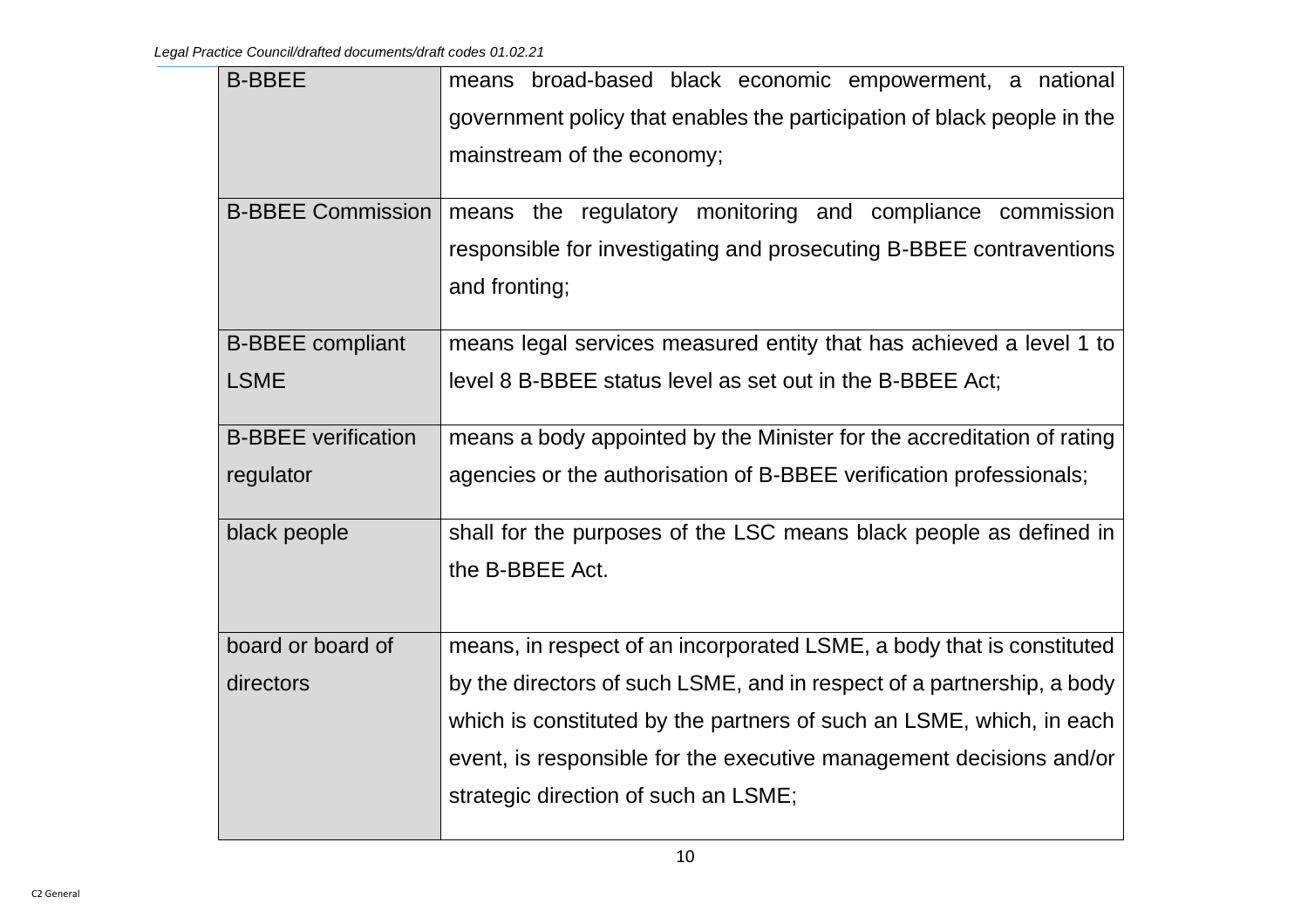| <b>B-BBEE</b>              | means broad-based black economic empowerment, a national                |
|----------------------------|-------------------------------------------------------------------------|
|                            | government policy that enables the participation of black people in the |
|                            | mainstream of the economy;                                              |
|                            |                                                                         |
| <b>B-BBEE Commission</b>   | means the regulatory monitoring and compliance commission               |
|                            | responsible for investigating and prosecuting B-BBEE contraventions     |
|                            | and fronting;                                                           |
|                            |                                                                         |
| <b>B-BBEE</b> compliant    | means legal services measured entity that has achieved a level 1 to     |
| <b>LSME</b>                | level 8 B-BBEE status level as set out in the B-BBEE Act;               |
| <b>B-BBEE</b> verification | means a body appointed by the Minister for the accreditation of rating  |
| regulator                  | agencies or the authorisation of B-BBEE verification professionals;     |
| black people               | shall for the purposes of the LSC means black people as defined in      |
|                            | the B-BBEE Act.                                                         |
|                            |                                                                         |
| board or board of          | means, in respect of an incorporated LSME, a body that is constituted   |
| directors                  | by the directors of such LSME, and in respect of a partnership, a body  |
|                            | which is constituted by the partners of such an LSME, which, in each    |
|                            | event, is responsible for the executive management decisions and/or     |
|                            | strategic direction of such an LSME;                                    |
|                            |                                                                         |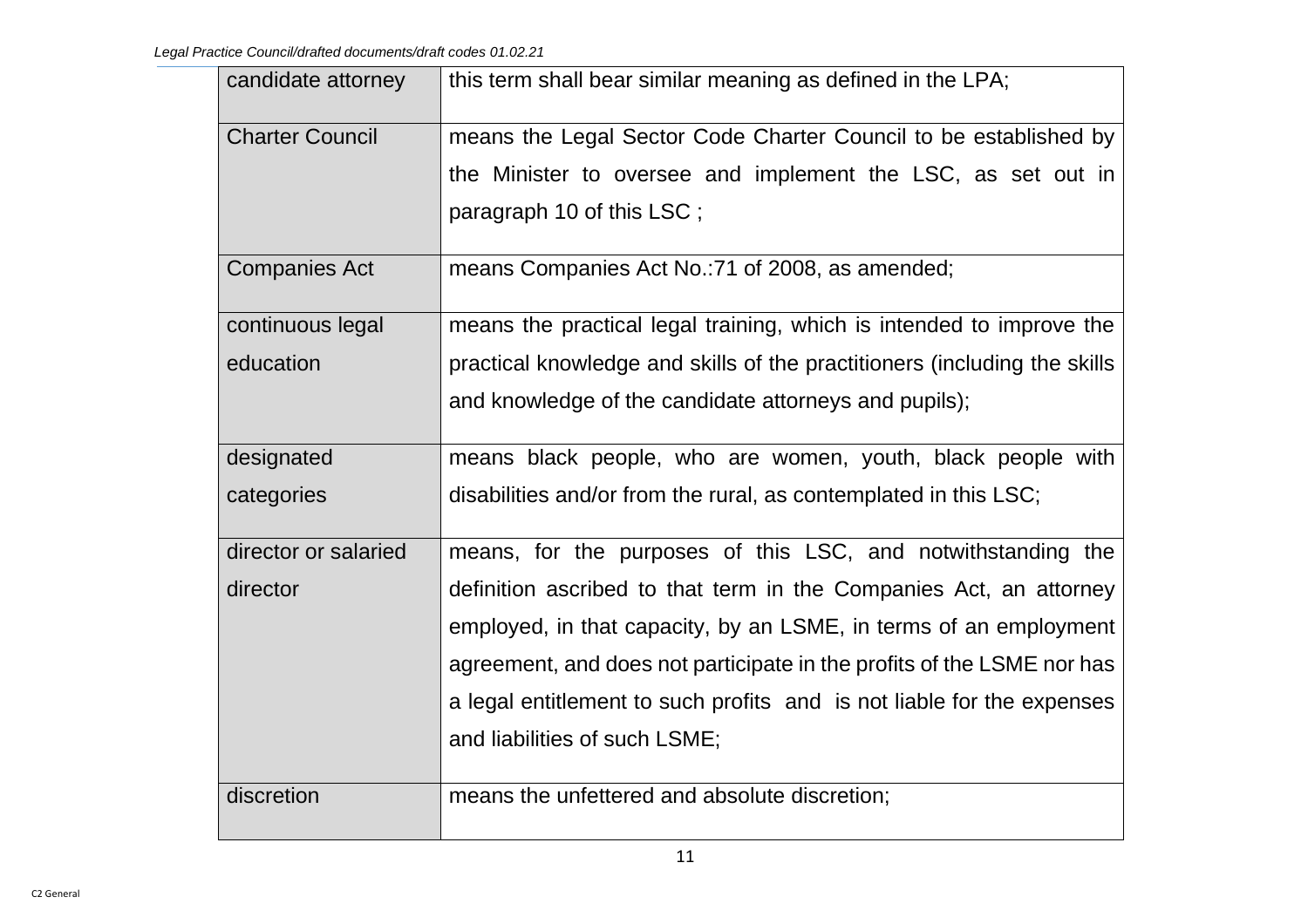| candidate attorney     | this term shall bear similar meaning as defined in the LPA;               |
|------------------------|---------------------------------------------------------------------------|
| <b>Charter Council</b> | means the Legal Sector Code Charter Council to be established by          |
|                        | the Minister to oversee and implement the LSC, as set out in              |
|                        | paragraph 10 of this LSC;                                                 |
| <b>Companies Act</b>   | means Companies Act No.: 71 of 2008, as amended;                          |
| continuous legal       | means the practical legal training, which is intended to improve the      |
| education              | practical knowledge and skills of the practitioners (including the skills |
|                        | and knowledge of the candidate attorneys and pupils);                     |
| designated             | means black people, who are women, youth, black people with               |
| categories             | disabilities and/or from the rural, as contemplated in this LSC;          |
| director or salaried   | means, for the purposes of this LSC, and notwithstanding the              |
| director               | definition ascribed to that term in the Companies Act, an attorney        |
|                        | employed, in that capacity, by an LSME, in terms of an employment         |
|                        | agreement, and does not participate in the profits of the LSME nor has    |
|                        | a legal entitlement to such profits and is not liable for the expenses    |
|                        | and liabilities of such LSME;                                             |
| discretion             | means the unfettered and absolute discretion;                             |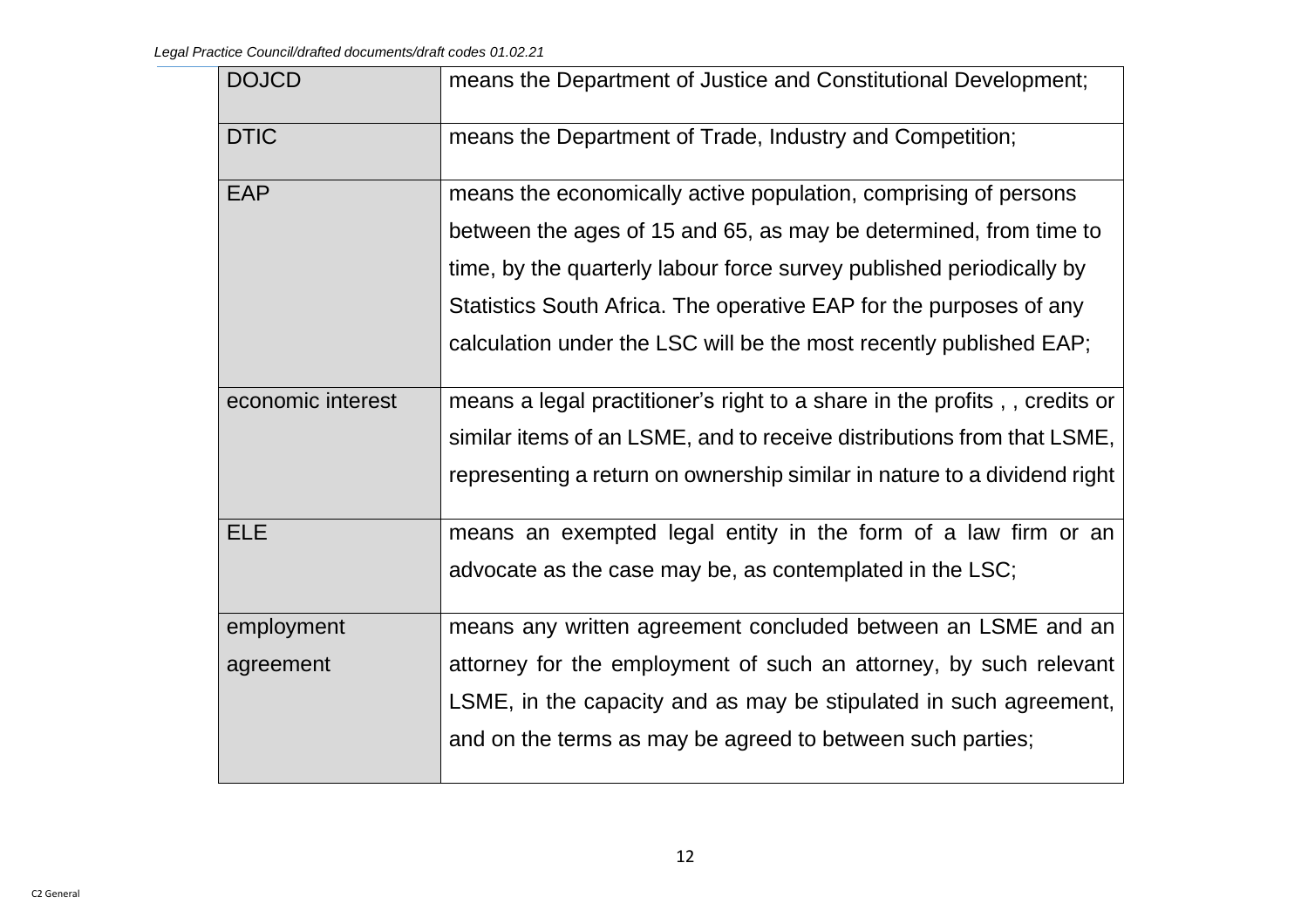| <b>DOJCD</b>      | means the Department of Justice and Constitutional Development;          |
|-------------------|--------------------------------------------------------------------------|
| <b>DTIC</b>       | means the Department of Trade, Industry and Competition;                 |
| <b>EAP</b>        | means the economically active population, comprising of persons          |
|                   | between the ages of 15 and 65, as may be determined, from time to        |
|                   | time, by the quarterly labour force survey published periodically by     |
|                   | Statistics South Africa. The operative EAP for the purposes of any       |
|                   | calculation under the LSC will be the most recently published EAP;       |
| economic interest | means a legal practitioner's right to a share in the profits, credits or |
|                   | similar items of an LSME, and to receive distributions from that LSME,   |
|                   | representing a return on ownership similar in nature to a dividend right |
| <b>ELE</b>        | means an exempted legal entity in the form of a law firm or an           |
|                   | advocate as the case may be, as contemplated in the LSC;                 |
| employment        | means any written agreement concluded between an LSME and an             |
| agreement         | attorney for the employment of such an attorney, by such relevant        |
|                   | LSME, in the capacity and as may be stipulated in such agreement,        |
|                   | and on the terms as may be agreed to between such parties;               |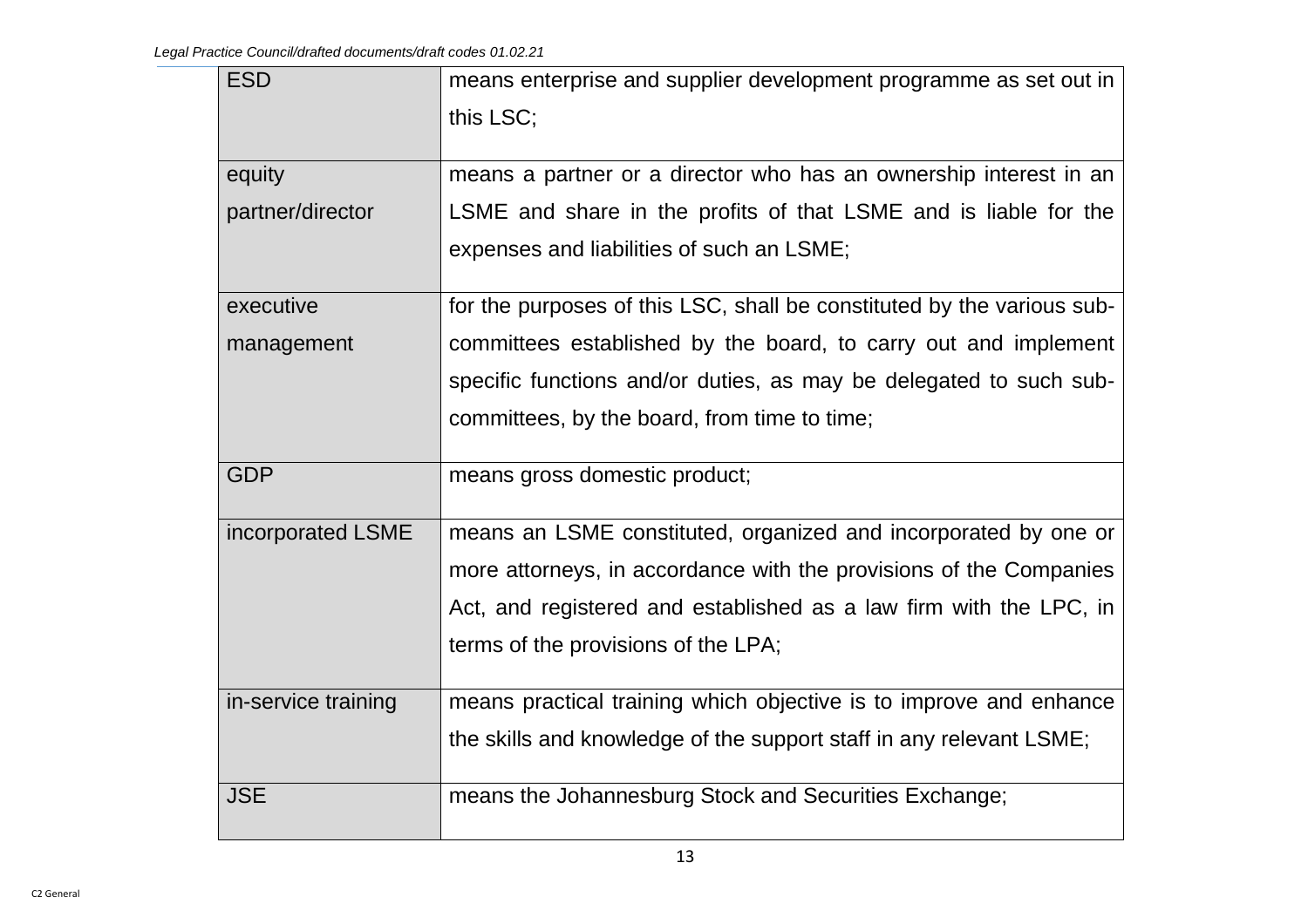| <b>ESD</b>          | means enterprise and supplier development programme as set out in      |
|---------------------|------------------------------------------------------------------------|
|                     | this LSC;                                                              |
| equity              | means a partner or a director who has an ownership interest in an      |
| partner/director    | LSME and share in the profits of that LSME and is liable for the       |
|                     | expenses and liabilities of such an LSME;                              |
| executive           | for the purposes of this LSC, shall be constituted by the various sub- |
| management          | committees established by the board, to carry out and implement        |
|                     | specific functions and/or duties, as may be delegated to such sub-     |
|                     | committees, by the board, from time to time;                           |
|                     |                                                                        |
| <b>GDP</b>          | means gross domestic product;                                          |
| incorporated LSME   | means an LSME constituted, organized and incorporated by one or        |
|                     | more attorneys, in accordance with the provisions of the Companies     |
|                     | Act, and registered and established as a law firm with the LPC, in     |
|                     | terms of the provisions of the LPA;                                    |
| in-service training | means practical training which objective is to improve and enhance     |
|                     | the skills and knowledge of the support staff in any relevant LSME;    |
| <b>JSE</b>          | means the Johannesburg Stock and Securities Exchange;                  |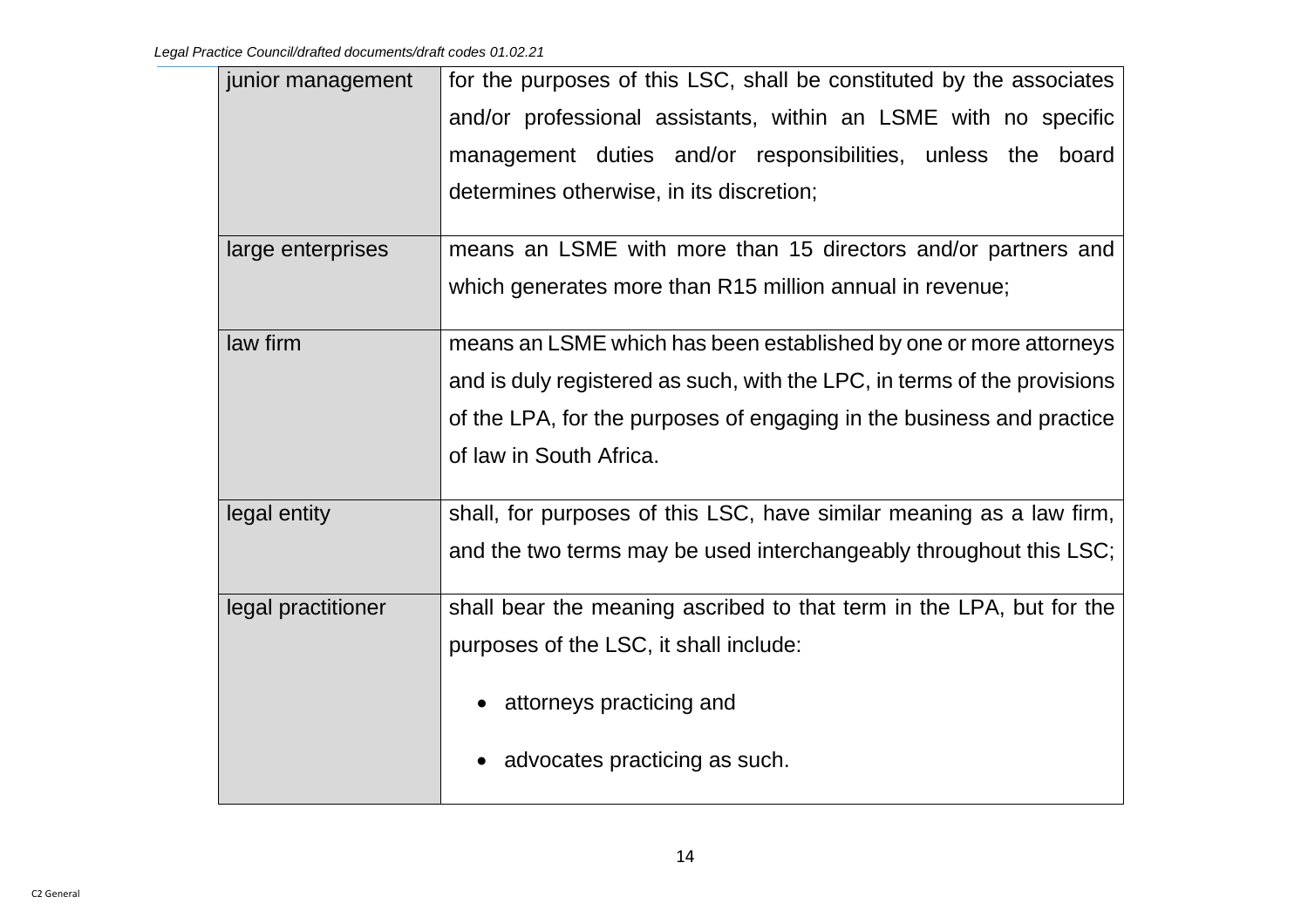| junior management  | for the purposes of this LSC, shall be constituted by the associates     |
|--------------------|--------------------------------------------------------------------------|
|                    | and/or professional assistants, within an LSME with no specific          |
|                    | management duties and/or responsibilities, unless the board              |
|                    | determines otherwise, in its discretion;                                 |
| large enterprises  | means an LSME with more than 15 directors and/or partners and            |
|                    | which generates more than R15 million annual in revenue;                 |
| law firm           | means an LSME which has been established by one or more attorneys        |
|                    | and is duly registered as such, with the LPC, in terms of the provisions |
|                    | of the LPA, for the purposes of engaging in the business and practice    |
|                    | of law in South Africa.                                                  |
| legal entity       | shall, for purposes of this LSC, have similar meaning as a law firm,     |
|                    | and the two terms may be used interchangeably throughout this LSC;       |
| legal practitioner | shall bear the meaning ascribed to that term in the LPA, but for the     |
|                    | purposes of the LSC, it shall include:                                   |
|                    | attorneys practicing and                                                 |
|                    | advocates practicing as such.                                            |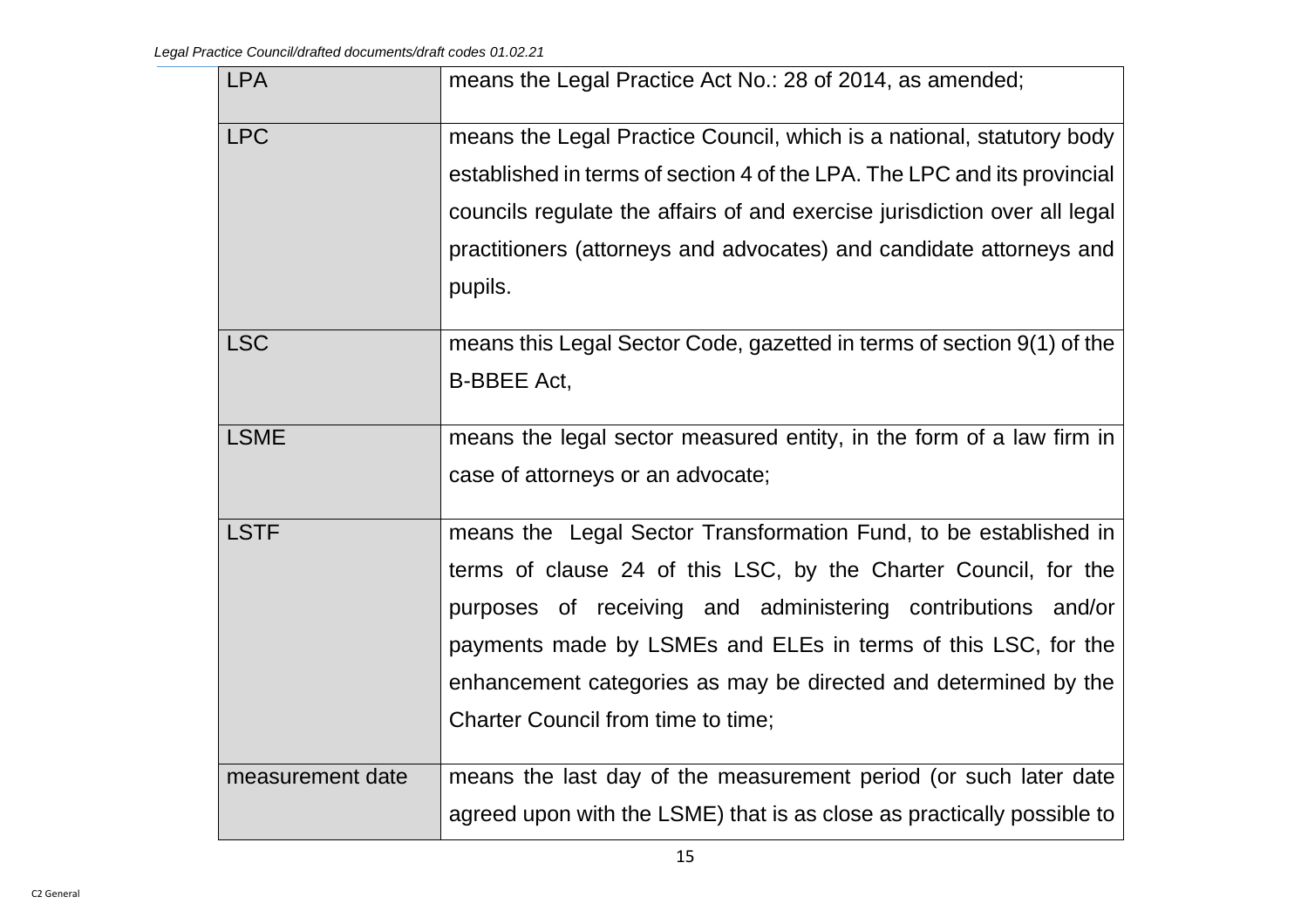| <b>LPA</b>       | means the Legal Practice Act No.: 28 of 2014, as amended;                 |
|------------------|---------------------------------------------------------------------------|
| <b>LPC</b>       | means the Legal Practice Council, which is a national, statutory body     |
|                  | established in terms of section 4 of the LPA. The LPC and its provincial  |
|                  | councils regulate the affairs of and exercise jurisdiction over all legal |
|                  | practitioners (attorneys and advocates) and candidate attorneys and       |
|                  | pupils.                                                                   |
| <b>LSC</b>       | means this Legal Sector Code, gazetted in terms of section 9(1) of the    |
|                  | <b>B-BBEE Act,</b>                                                        |
| <b>LSME</b>      |                                                                           |
|                  | means the legal sector measured entity, in the form of a law firm in      |
|                  | case of attorneys or an advocate;                                         |
| <b>LSTF</b>      | means the Legal Sector Transformation Fund, to be established in          |
|                  | terms of clause 24 of this LSC, by the Charter Council, for the           |
|                  | purposes of receiving and administering contributions and/or              |
|                  | payments made by LSMEs and ELEs in terms of this LSC, for the             |
|                  | enhancement categories as may be directed and determined by the           |
|                  | Charter Council from time to time;                                        |
| measurement date | means the last day of the measurement period (or such later date          |
|                  |                                                                           |
|                  | agreed upon with the LSME) that is as close as practically possible to    |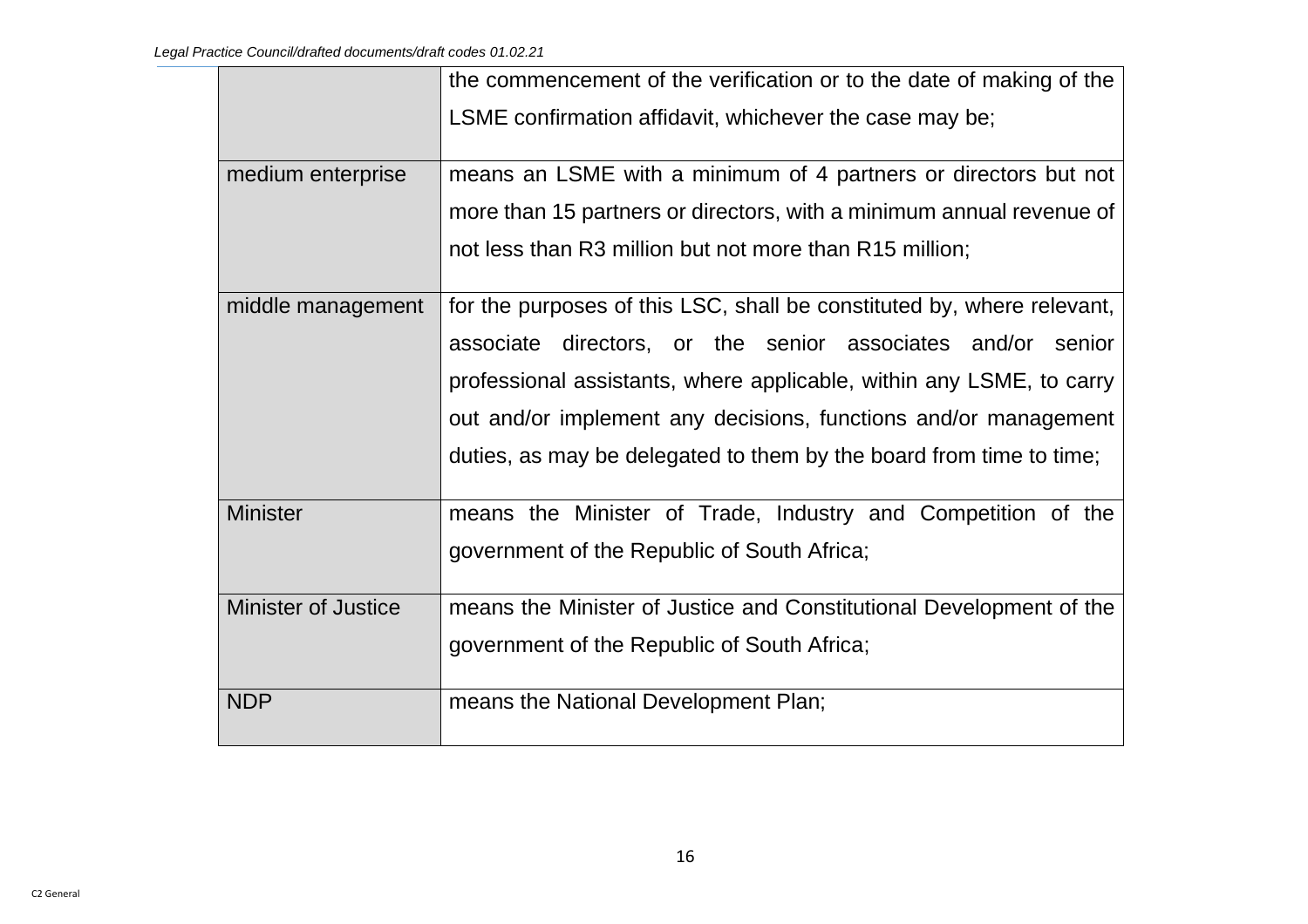|                            | the commencement of the verification or to the date of making of the   |
|----------------------------|------------------------------------------------------------------------|
|                            | LSME confirmation affidavit, whichever the case may be;                |
| medium enterprise          | means an LSME with a minimum of 4 partners or directors but not        |
|                            | more than 15 partners or directors, with a minimum annual revenue of   |
|                            | not less than R3 million but not more than R15 million;                |
| middle management          | for the purposes of this LSC, shall be constituted by, where relevant, |
|                            | associate directors, or the senior associates and/or senior            |
|                            | professional assistants, where applicable, within any LSME, to carry   |
|                            | out and/or implement any decisions, functions and/or management        |
|                            | duties, as may be delegated to them by the board from time to time;    |
| <b>Minister</b>            | means the Minister of Trade, Industry and Competition of the           |
|                            | government of the Republic of South Africa;                            |
| <b>Minister of Justice</b> | means the Minister of Justice and Constitutional Development of the    |
|                            | government of the Republic of South Africa;                            |
| <b>NDP</b>                 | means the National Development Plan;                                   |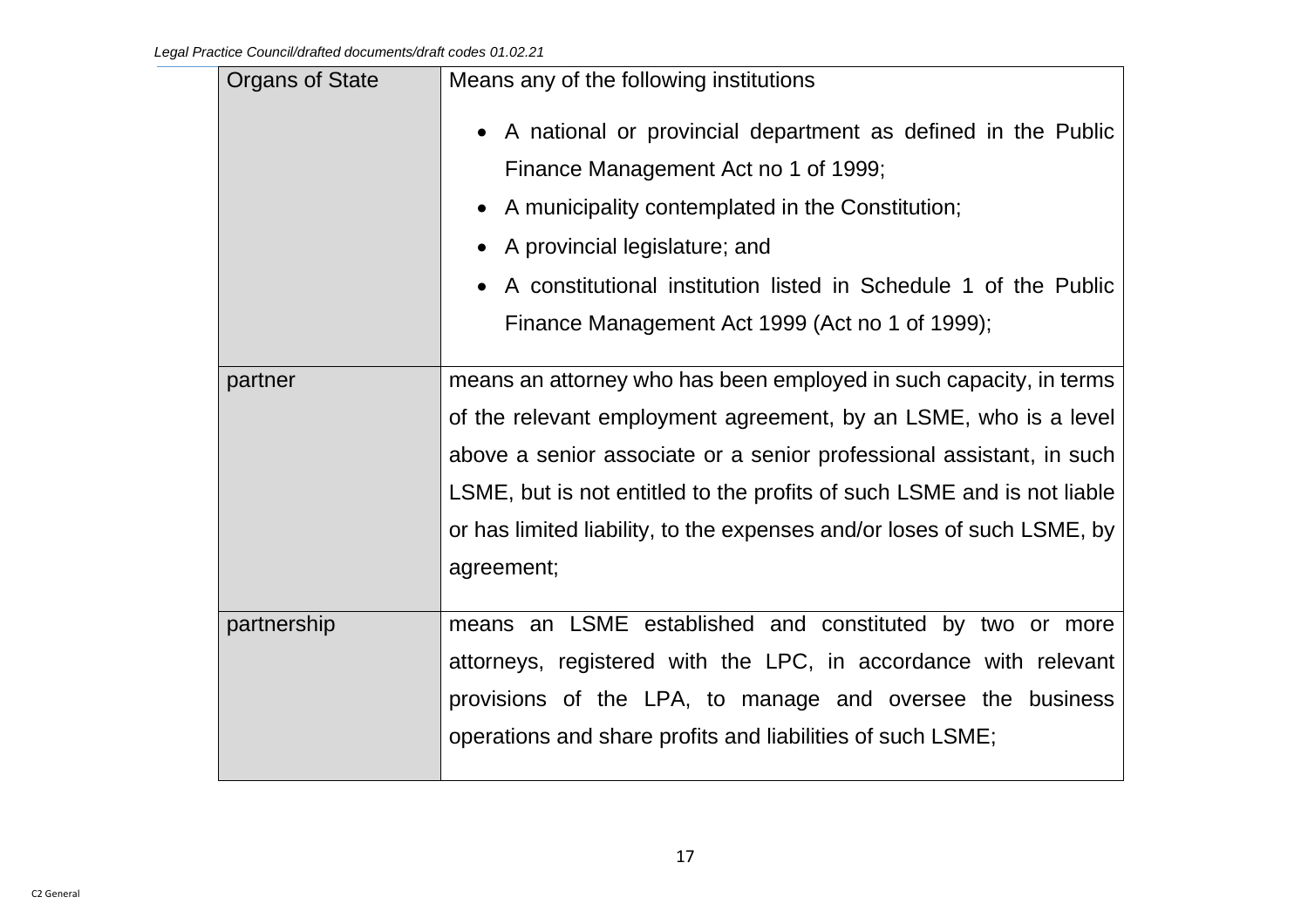| Organs of State | Means any of the following institutions                                                                                                                                                                                                                                                                                                                                            |
|-----------------|------------------------------------------------------------------------------------------------------------------------------------------------------------------------------------------------------------------------------------------------------------------------------------------------------------------------------------------------------------------------------------|
|                 | A national or provincial department as defined in the Public<br>Finance Management Act no 1 of 1999;<br>A municipality contemplated in the Constitution;<br>A provincial legislature; and<br>A constitutional institution listed in Schedule 1 of the Public<br>Finance Management Act 1999 (Act no 1 of 1999);                                                                    |
| partner         | means an attorney who has been employed in such capacity, in terms<br>of the relevant employment agreement, by an LSME, who is a level<br>above a senior associate or a senior professional assistant, in such<br>LSME, but is not entitled to the profits of such LSME and is not liable<br>or has limited liability, to the expenses and/or loses of such LSME, by<br>agreement; |
| partnership     | means an LSME established and constituted by two or more<br>attorneys, registered with the LPC, in accordance with relevant<br>provisions of the LPA, to manage and oversee the business<br>operations and share profits and liabilities of such LSME;                                                                                                                             |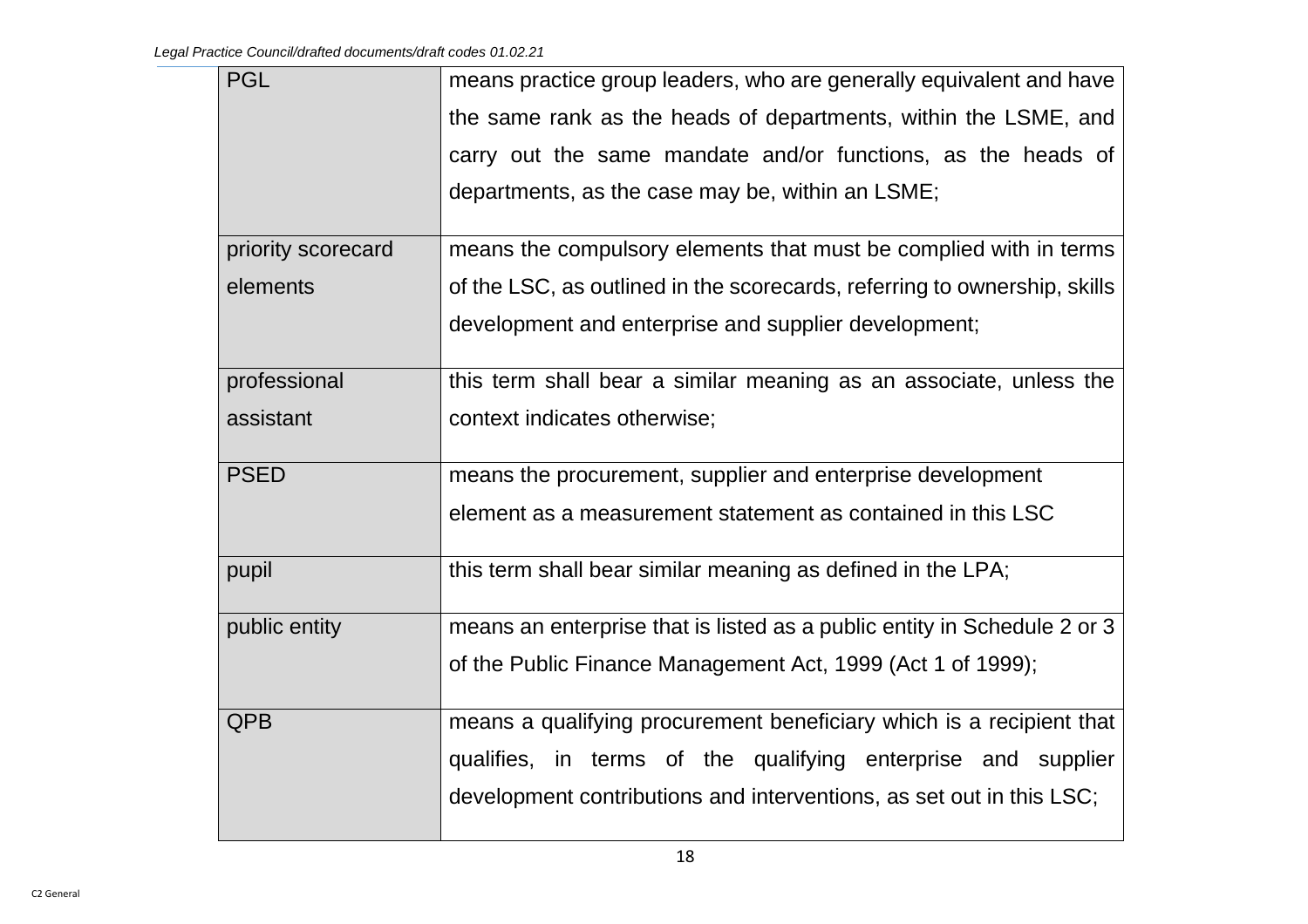| <b>PGL</b>         | means practice group leaders, who are generally equivalent and have       |
|--------------------|---------------------------------------------------------------------------|
|                    | the same rank as the heads of departments, within the LSME, and           |
|                    | carry out the same mandate and/or functions, as the heads of              |
|                    | departments, as the case may be, within an LSME;                          |
| priority scorecard | means the compulsory elements that must be complied with in terms         |
| elements           | of the LSC, as outlined in the scorecards, referring to ownership, skills |
|                    | development and enterprise and supplier development;                      |
| professional       | this term shall bear a similar meaning as an associate, unless the        |
| assistant          | context indicates otherwise;                                              |
| <b>PSED</b>        | means the procurement, supplier and enterprise development                |
|                    | element as a measurement statement as contained in this LSC               |
| pupil              | this term shall bear similar meaning as defined in the LPA;               |
| public entity      | means an enterprise that is listed as a public entity in Schedule 2 or 3  |
|                    | of the Public Finance Management Act, 1999 (Act 1 of 1999);               |
| <b>QPB</b>         | means a qualifying procurement beneficiary which is a recipient that      |
|                    | qualifies, in terms of the qualifying enterprise and supplier             |
|                    | development contributions and interventions, as set out in this LSC;      |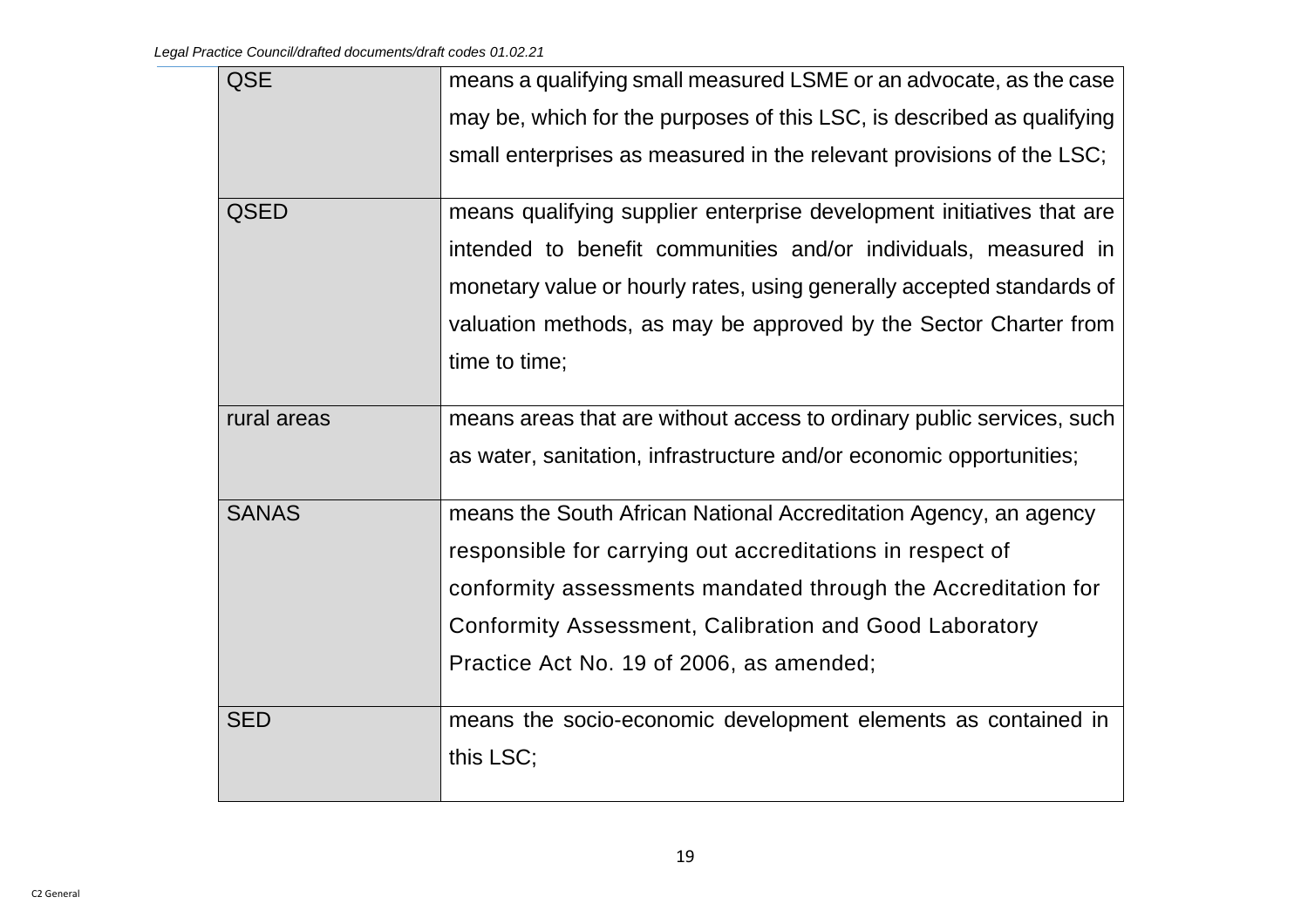| <b>QSE</b>   | means a qualifying small measured LSME or an advocate, as the case     |
|--------------|------------------------------------------------------------------------|
|              | may be, which for the purposes of this LSC, is described as qualifying |
|              | small enterprises as measured in the relevant provisions of the LSC;   |
| <b>QSED</b>  | means qualifying supplier enterprise development initiatives that are  |
|              | intended to benefit communities and/or individuals, measured in        |
|              | monetary value or hourly rates, using generally accepted standards of  |
|              | valuation methods, as may be approved by the Sector Charter from       |
|              | time to time;                                                          |
|              |                                                                        |
| rural areas  | means areas that are without access to ordinary public services, such  |
|              | as water, sanitation, infrastructure and/or economic opportunities;    |
| <b>SANAS</b> | means the South African National Accreditation Agency, an agency       |
|              | responsible for carrying out accreditations in respect of              |
|              | conformity assessments mandated through the Accreditation for          |
|              | Conformity Assessment, Calibration and Good Laboratory                 |
|              | Practice Act No. 19 of 2006, as amended;                               |
| <b>SED</b>   | means the socio-economic development elements as contained in          |
|              | this LSC;                                                              |
|              |                                                                        |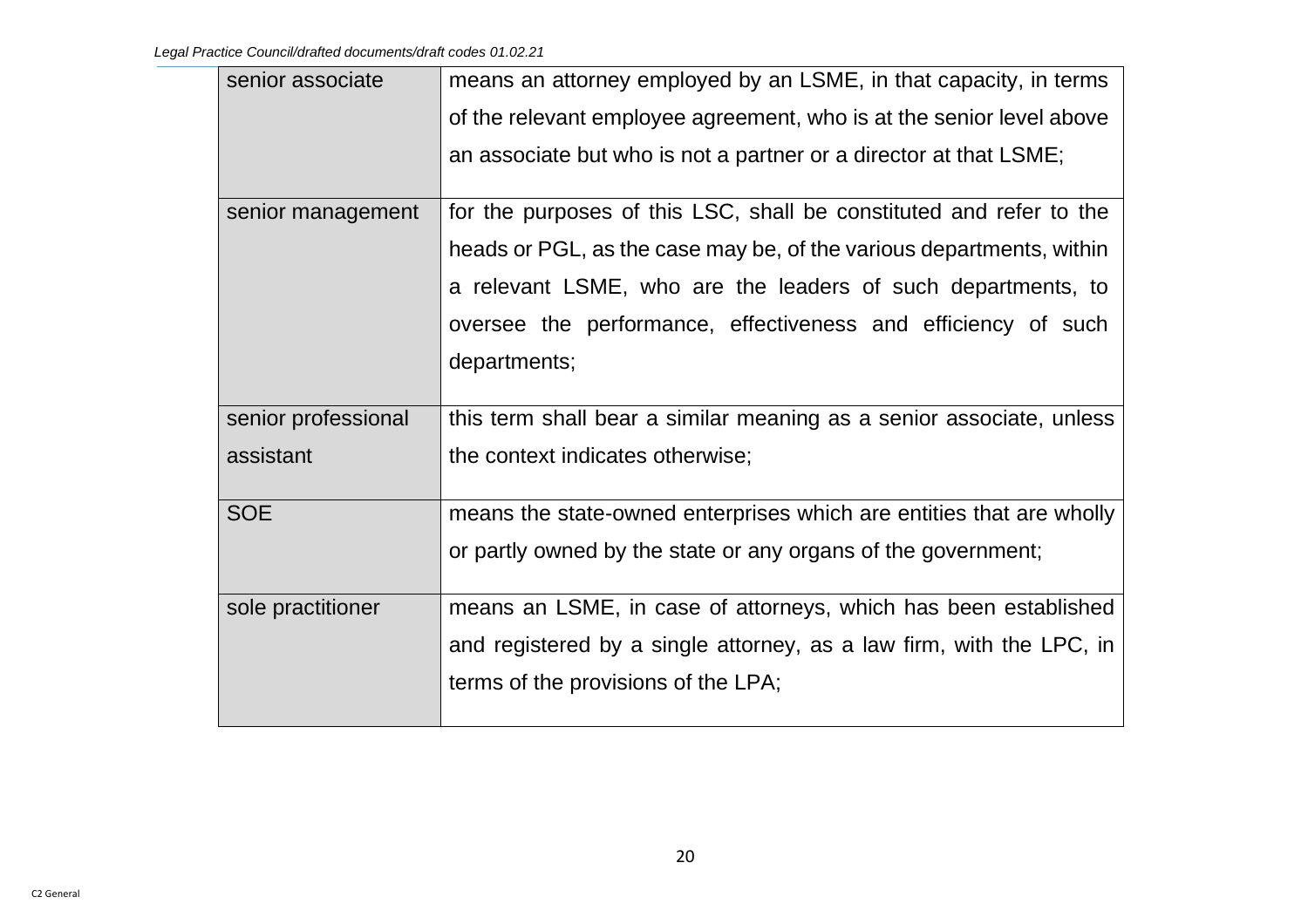| senior associate    | means an attorney employed by an LSME, in that capacity, in terms    |
|---------------------|----------------------------------------------------------------------|
|                     | of the relevant employee agreement, who is at the senior level above |
|                     | an associate but who is not a partner or a director at that LSME;    |
| senior management   | for the purposes of this LSC, shall be constituted and refer to the  |
|                     | heads or PGL, as the case may be, of the various departments, within |
|                     | a relevant LSME, who are the leaders of such departments, to         |
|                     | oversee the performance, effectiveness and efficiency of such        |
|                     | departments;                                                         |
|                     |                                                                      |
| senior professional | this term shall bear a similar meaning as a senior associate, unless |
| assistant           | the context indicates otherwise;                                     |
|                     |                                                                      |
| <b>SOE</b>          | means the state-owned enterprises which are entities that are wholly |
|                     | or partly owned by the state or any organs of the government;        |
| sole practitioner   | means an LSME, in case of attorneys, which has been established      |
|                     | and registered by a single attorney, as a law firm, with the LPC, in |
|                     | terms of the provisions of the LPA;                                  |
|                     |                                                                      |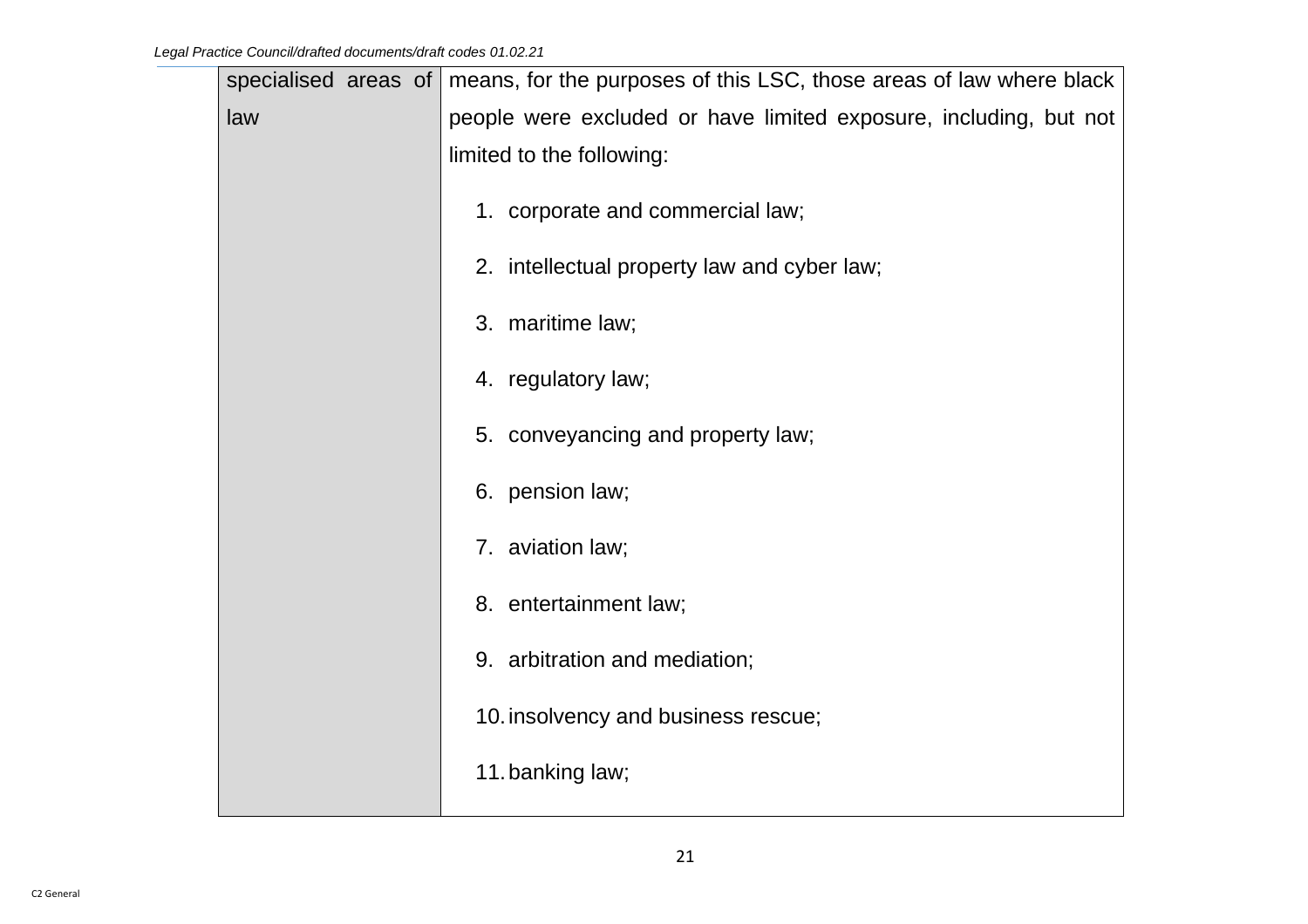| specialised areas of | means, for the purposes of this LSC, those areas of law where black |
|----------------------|---------------------------------------------------------------------|
| law                  | people were excluded or have limited exposure, including, but not   |
|                      | limited to the following:                                           |
|                      | 1. corporate and commercial law;                                    |
|                      | 2. intellectual property law and cyber law;                         |
|                      | 3. maritime law;                                                    |
|                      | 4. regulatory law;                                                  |
|                      | 5. conveyancing and property law;                                   |
|                      | 6. pension law;                                                     |
|                      | 7. aviation law;                                                    |
|                      | 8. entertainment law;                                               |
|                      | 9. arbitration and mediation;                                       |
|                      | 10. insolvency and business rescue;                                 |
|                      | 11. banking law;                                                    |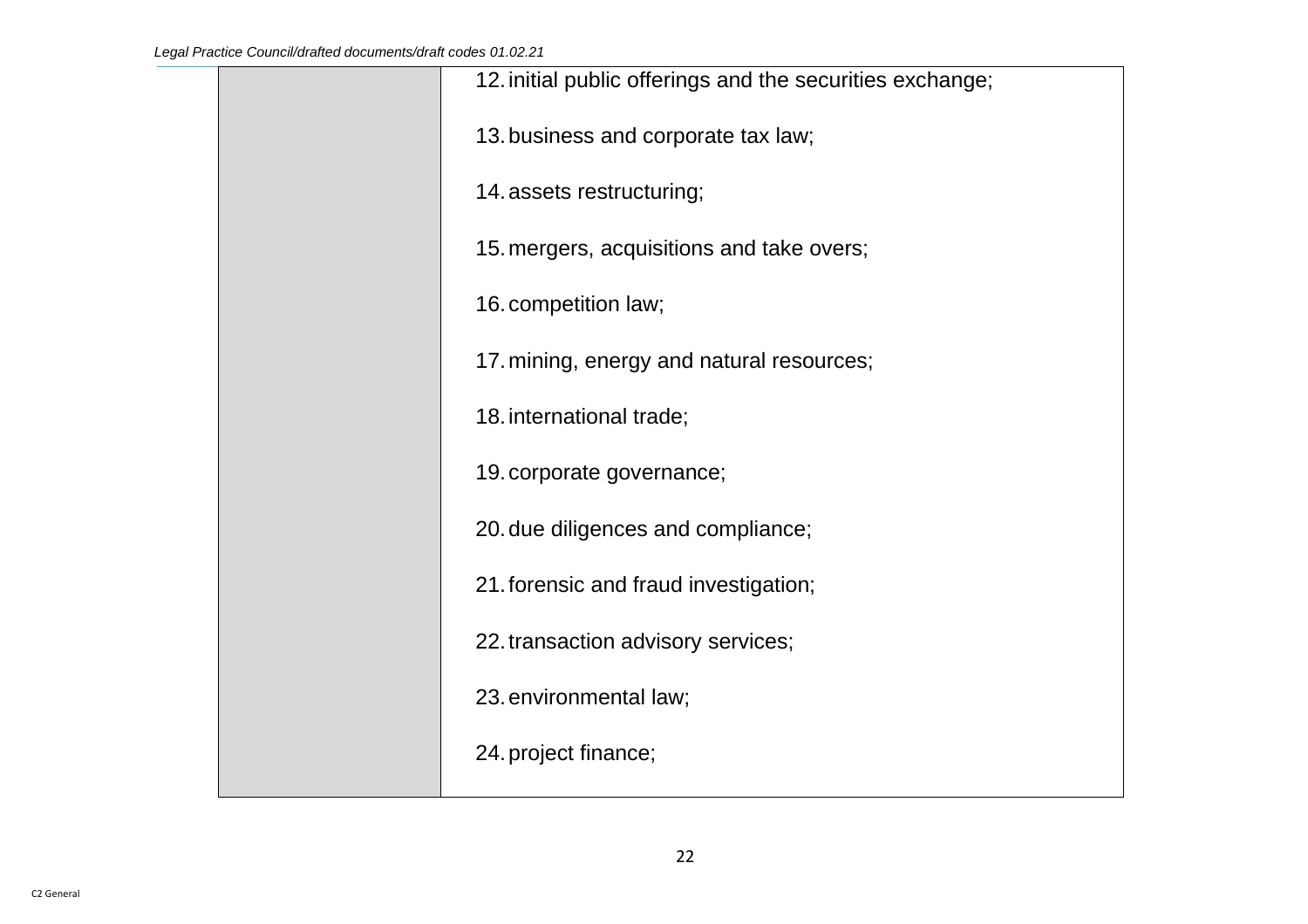| 12. initial public offerings and the securities exchange; |
|-----------------------------------------------------------|
| 13. business and corporate tax law;                       |
| 14. assets restructuring;                                 |
| 15. mergers, acquisitions and take overs;                 |
| 16. competition law;                                      |
| 17. mining, energy and natural resources;                 |
| 18. international trade;                                  |
| 19. corporate governance;                                 |
| 20. due diligences and compliance;                        |
| 21. forensic and fraud investigation;                     |
| 22. transaction advisory services;                        |
| 23. environmental law;                                    |
| 24. project finance;                                      |
|                                                           |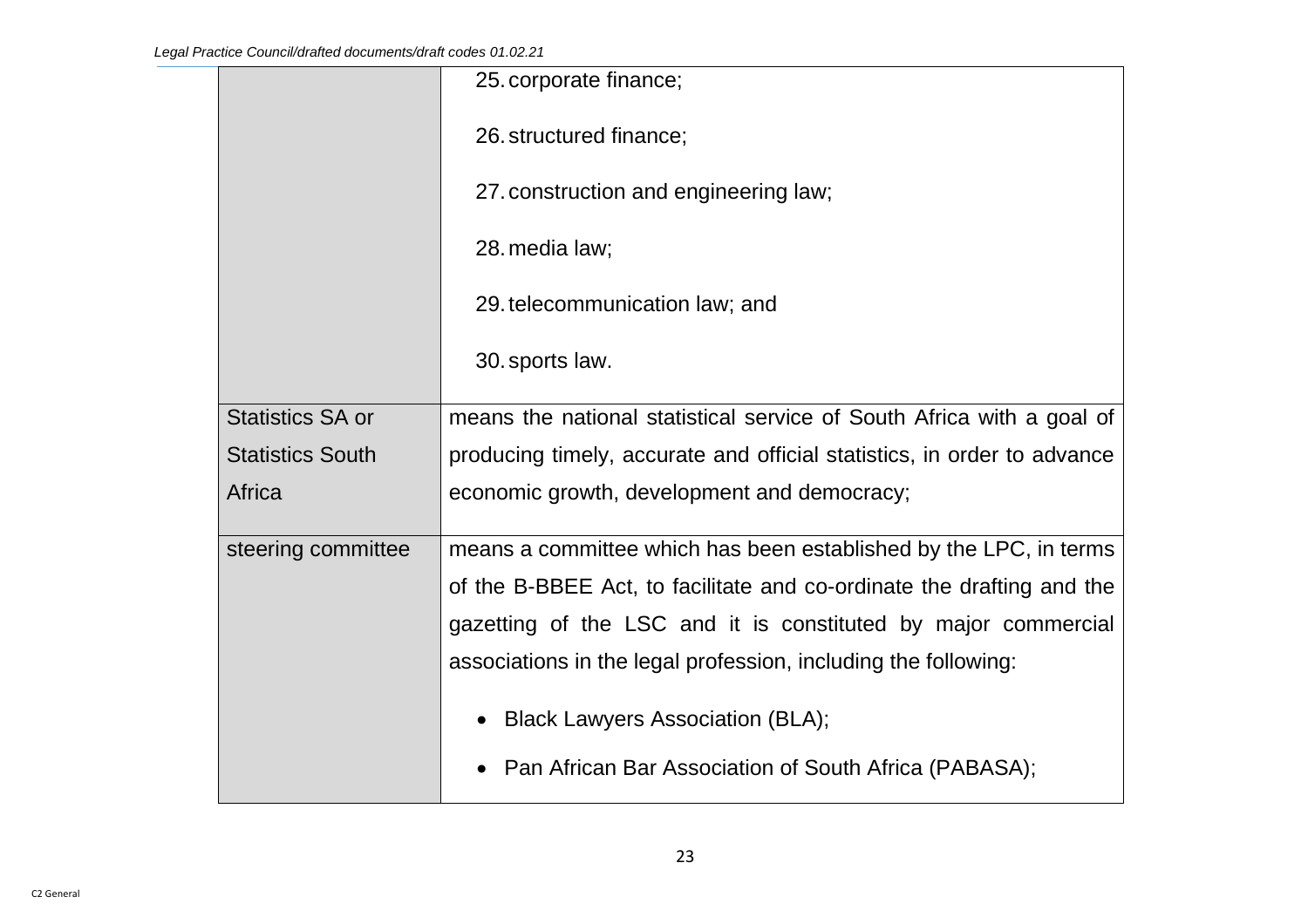|                         | 25. corporate finance;                                                  |
|-------------------------|-------------------------------------------------------------------------|
|                         | 26. structured finance;                                                 |
|                         | 27. construction and engineering law;                                   |
|                         | 28. media law;                                                          |
|                         | 29. telecommunication law; and                                          |
|                         | 30. sports law.                                                         |
| <b>Statistics SA or</b> | means the national statistical service of South Africa with a goal of   |
| <b>Statistics South</b> | producing timely, accurate and official statistics, in order to advance |
| Africa                  | economic growth, development and democracy;                             |
| steering committee      | means a committee which has been established by the LPC, in terms       |
|                         | of the B-BBEE Act, to facilitate and co-ordinate the drafting and the   |
|                         | gazetting of the LSC and it is constituted by major commercial          |
|                         | associations in the legal profession, including the following:          |
|                         | <b>Black Lawyers Association (BLA);</b>                                 |
|                         | Pan African Bar Association of South Africa (PABASA);                   |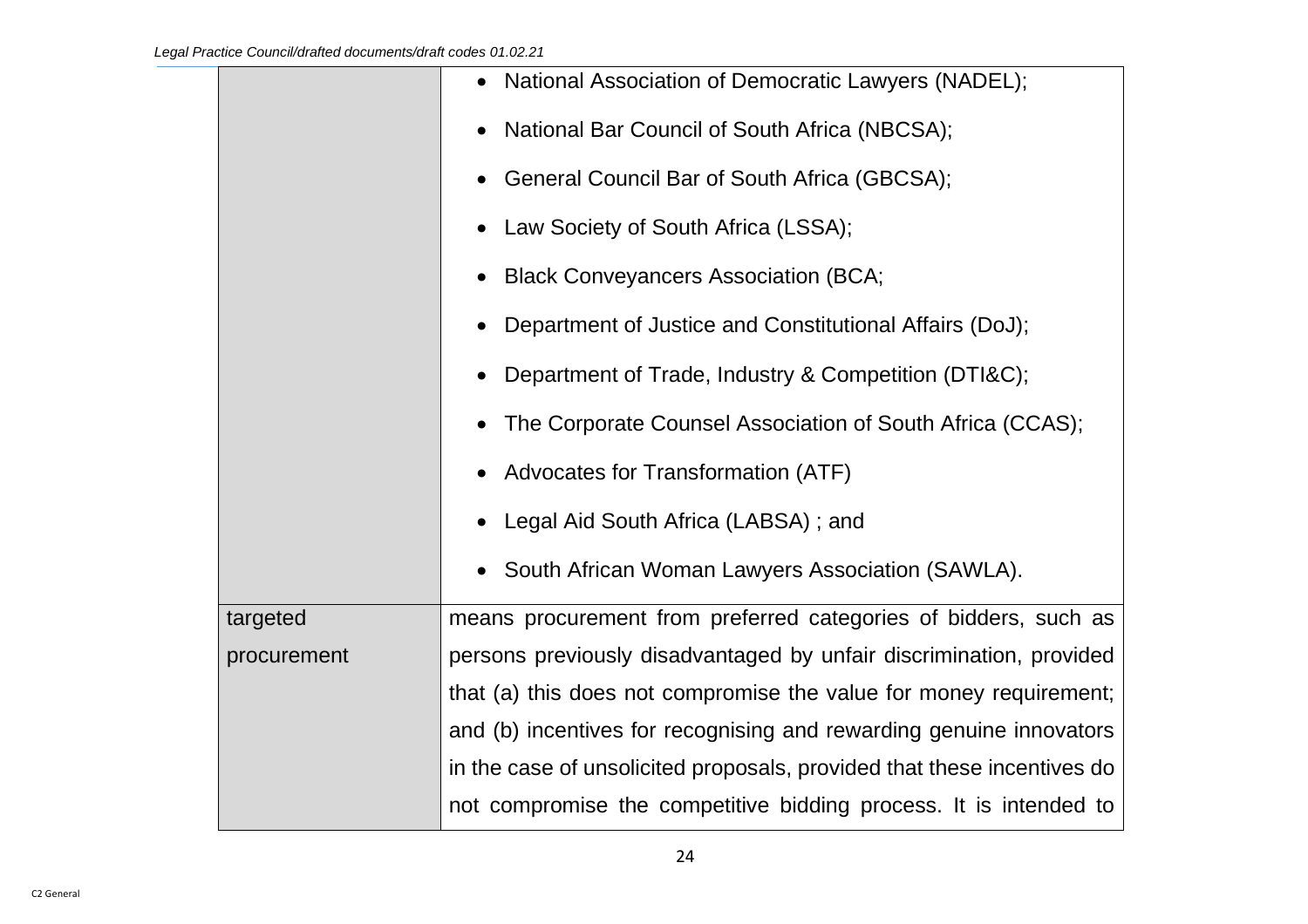|             | National Association of Democratic Lawyers (NADEL);                     |
|-------------|-------------------------------------------------------------------------|
|             | National Bar Council of South Africa (NBCSA);                           |
|             | General Council Bar of South Africa (GBCSA);                            |
|             | Law Society of South Africa (LSSA);                                     |
|             | <b>Black Conveyancers Association (BCA;</b>                             |
|             | Department of Justice and Constitutional Affairs (DoJ);                 |
|             | Department of Trade, Industry & Competition (DTI&C);                    |
|             | The Corporate Counsel Association of South Africa (CCAS);               |
|             | Advocates for Transformation (ATF)                                      |
|             | Legal Aid South Africa (LABSA); and                                     |
|             | South African Woman Lawyers Association (SAWLA).                        |
| targeted    | means procurement from preferred categories of bidders, such as         |
| procurement | persons previously disadvantaged by unfair discrimination, provided     |
|             | that (a) this does not compromise the value for money requirement;      |
|             | and (b) incentives for recognising and rewarding genuine innovators     |
|             | in the case of unsolicited proposals, provided that these incentives do |
|             | not compromise the competitive bidding process. It is intended to       |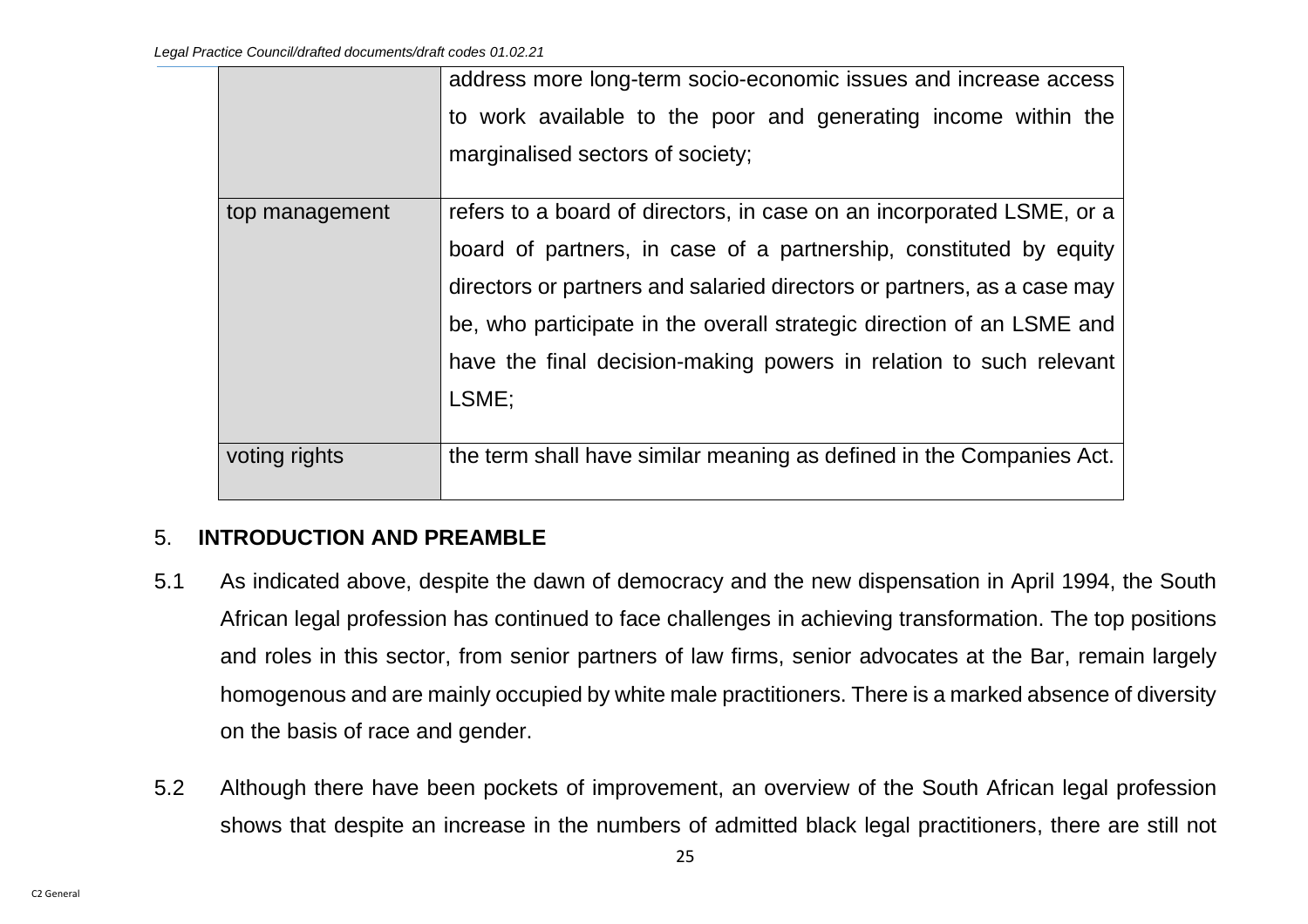|                | address more long-term socio-economic issues and increase access        |
|----------------|-------------------------------------------------------------------------|
|                | to work available to the poor and generating income within the          |
|                | marginalised sectors of society;                                        |
| top management | refers to a board of directors, in case on an incorporated LSME, or a   |
|                | board of partners, in case of a partnership, constituted by equity      |
|                | directors or partners and salaried directors or partners, as a case may |
|                | be, who participate in the overall strategic direction of an LSME and   |
|                | have the final decision-making powers in relation to such relevant      |
|                | LSME;                                                                   |
|                |                                                                         |
| voting rights  | the term shall have similar meaning as defined in the Companies Act.    |

#### <span id="page-25-0"></span>5. **INTRODUCTION AND PREAMBLE**

- 5.1 As indicated above, despite the dawn of democracy and the new dispensation in April 1994, the South African legal profession has continued to face challenges in achieving transformation. The top positions and roles in this sector, from senior partners of law firms, senior advocates at the Bar, remain largely homogenous and are mainly occupied by white male practitioners. There is a marked absence of diversity on the basis of race and gender.
- 5.2 Although there have been pockets of improvement, an overview of the South African legal profession shows that despite an increase in the numbers of admitted black legal practitioners, there are still not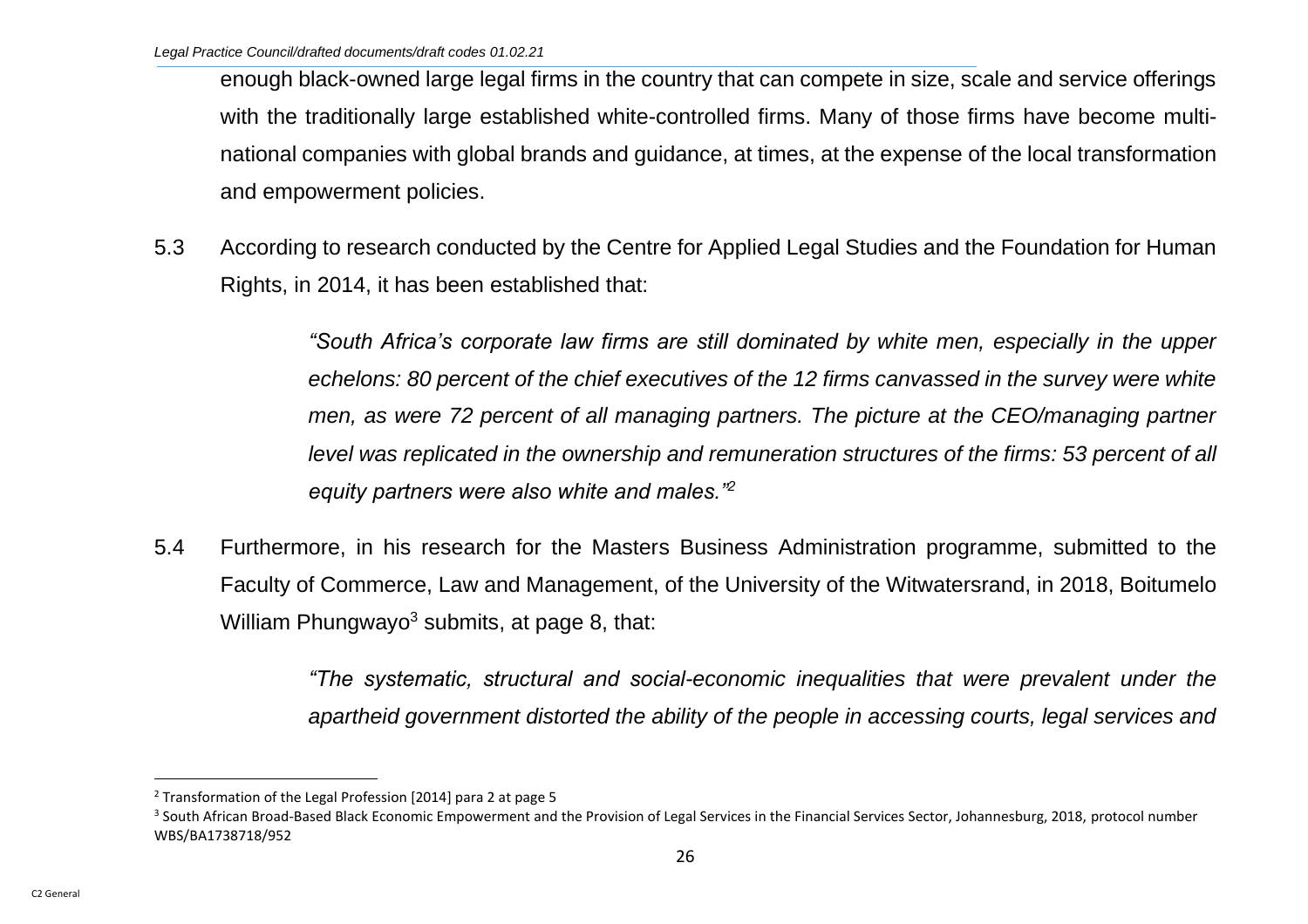enough black-owned large legal firms in the country that can compete in size, scale and service offerings with the traditionally large established white-controlled firms. Many of those firms have become multinational companies with global brands and guidance, at times, at the expense of the local transformation and empowerment policies.

5.3 According to research conducted by the Centre for Applied Legal Studies and the Foundation for Human Rights, in 2014, it has been established that:

> *"South Africa's corporate law firms are still dominated by white men, especially in the upper echelons: 80 percent of the chief executives of the 12 firms canvassed in the survey were white men, as were 72 percent of all managing partners. The picture at the CEO/managing partner level was replicated in the ownership and remuneration structures of the firms: 53 percent of all equity partners were also white and males."<sup>2</sup>*

5.4 Furthermore, in his research for the Masters Business Administration programme, submitted to the Faculty of Commerce, Law and Management, of the University of the Witwatersrand, in 2018, Boitumelo William Phungwayo<sup>3</sup> submits, at page 8, that:

> *"The systematic, structural and social-economic inequalities that were prevalent under the apartheid government distorted the ability of the people in accessing courts, legal services and*

<sup>2</sup> Transformation of the Legal Profession [2014] para 2 at page 5

<sup>&</sup>lt;sup>3</sup> South African Broad-Based Black Economic Empowerment and the Provision of Legal Services in the Financial Services Sector, Johannesburg, 2018, protocol number WBS/BA1738718/952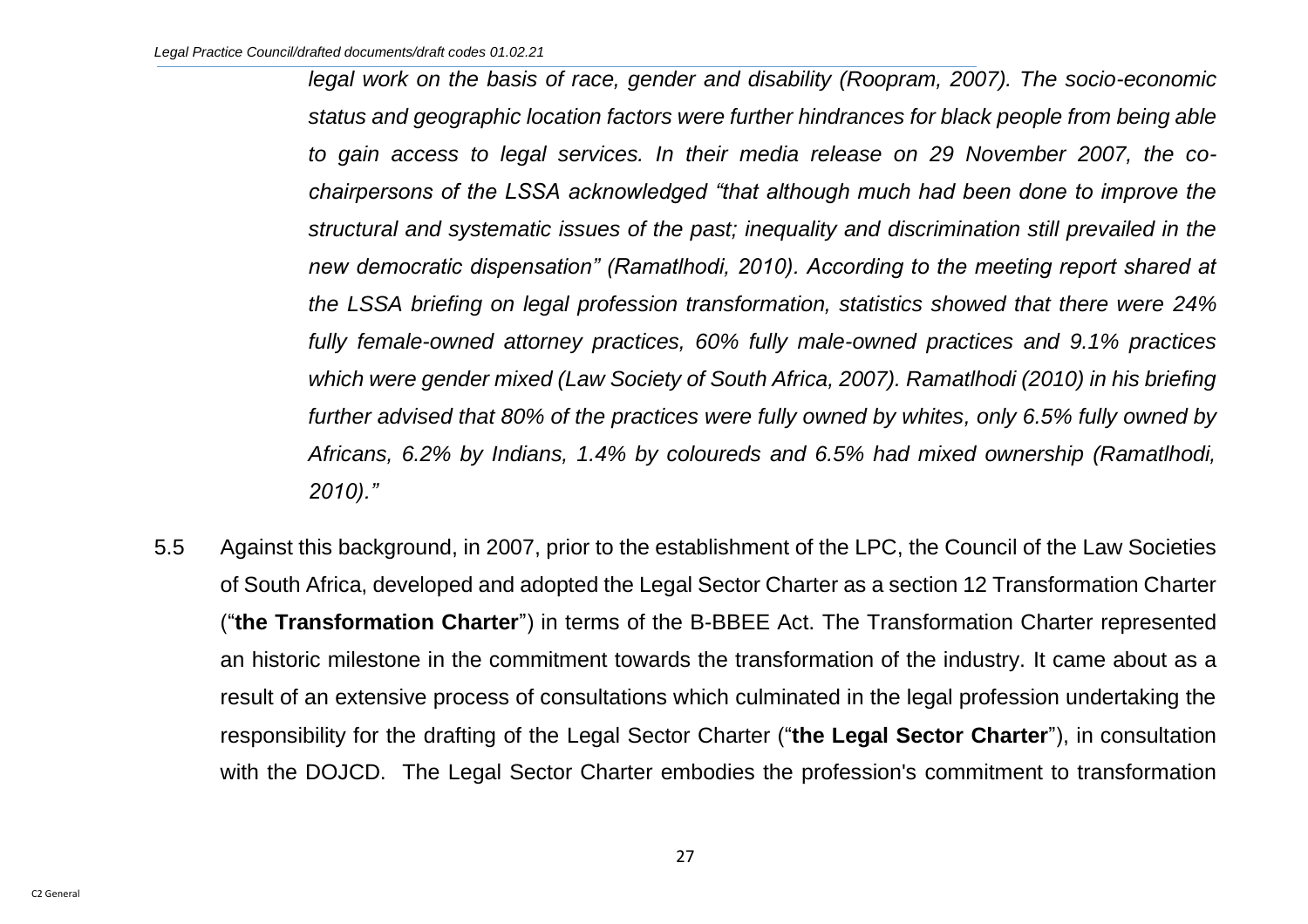*legal work on the basis of race, gender and disability (Roopram, 2007). The socio-economic status and geographic location factors were further hindrances for black people from being able to gain access to legal services. In their media release on 29 November 2007, the cochairpersons of the LSSA acknowledged "that although much had been done to improve the structural and systematic issues of the past; inequality and discrimination still prevailed in the new democratic dispensation" (Ramatlhodi, 2010). According to the meeting report shared at the LSSA briefing on legal profession transformation, statistics showed that there were 24% fully female-owned attorney practices, 60% fully male-owned practices and 9.1% practices which were gender mixed (Law Society of South Africa, 2007). Ramatlhodi (2010) in his briefing further advised that 80% of the practices were fully owned by whites, only 6.5% fully owned by Africans, 6.2% by Indians, 1.4% by coloureds and 6.5% had mixed ownership (Ramatlhodi, 2010)."*

5.5 Against this background, in 2007, prior to the establishment of the LPC, the Council of the Law Societies of South Africa, developed and adopted the Legal Sector Charter as a section 12 Transformation Charter ("**the Transformation Charter**") in terms of the B-BBEE Act. The Transformation Charter represented an historic milestone in the commitment towards the transformation of the industry. It came about as a result of an extensive process of consultations which culminated in the legal profession undertaking the responsibility for the drafting of the Legal Sector Charter ("**the Legal Sector Charter**"), in consultation with the DOJCD. The Legal Sector Charter embodies the profession's commitment to transformation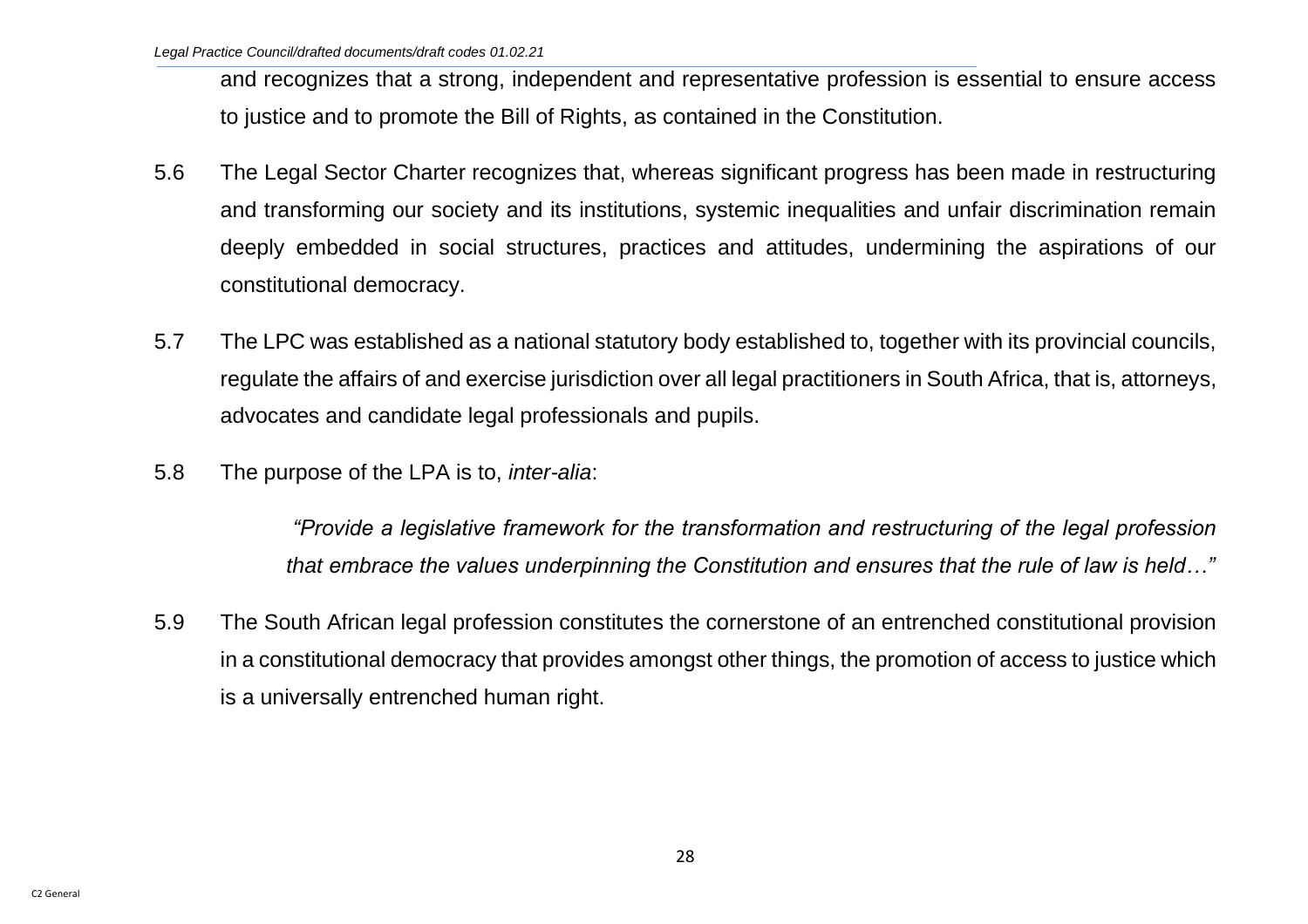and recognizes that a strong, independent and representative profession is essential to ensure access to justice and to promote the Bill of Rights, as contained in the Constitution.

- 5.6 The Legal Sector Charter recognizes that, whereas significant progress has been made in restructuring and transforming our society and its institutions, systemic inequalities and unfair discrimination remain deeply embedded in social structures, practices and attitudes, undermining the aspirations of our constitutional democracy.
- 5.7 The LPC was established as a national statutory body established to, together with its provincial councils, regulate the affairs of and exercise jurisdiction over all legal practitioners in South Africa, that is, attorneys, advocates and candidate legal professionals and pupils.
- 5.8 The purpose of the LPA is to, *inter-alia*:

*"Provide a legislative framework for the transformation and restructuring of the legal profession that embrace the values underpinning the Constitution and ensures that the rule of law is held…"*

5.9 The South African legal profession constitutes the cornerstone of an entrenched constitutional provision in a constitutional democracy that provides amongst other things, the promotion of access to justice which is a universally entrenched human right.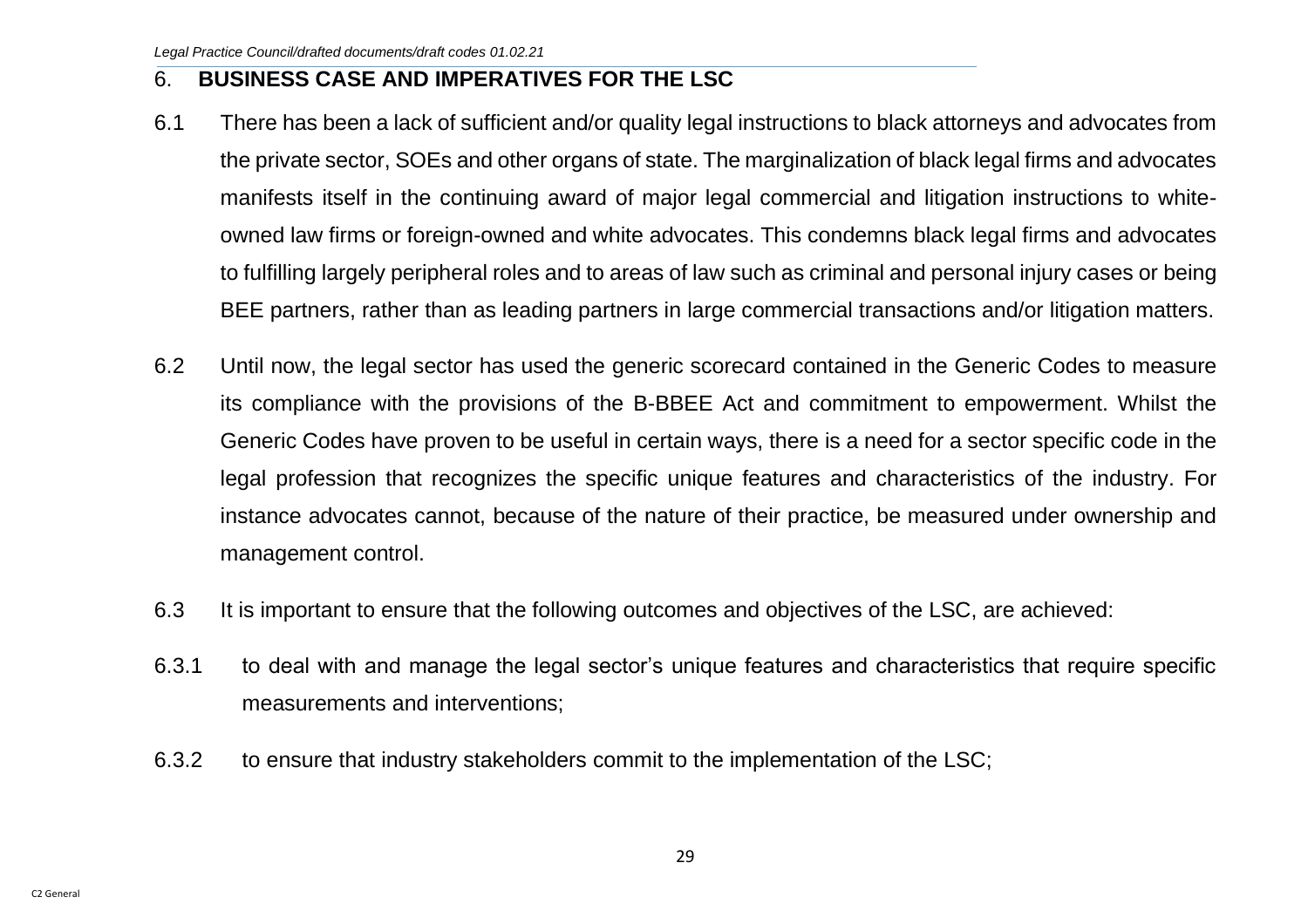## <span id="page-29-0"></span>6. **BUSINESS CASE AND IMPERATIVES FOR THE LSC**

- 6.1 There has been a lack of sufficient and/or quality legal instructions to black attorneys and advocates from the private sector, SOEs and other organs of state. The marginalization of black legal firms and advocates manifests itself in the continuing award of major legal commercial and litigation instructions to whiteowned law firms or foreign-owned and white advocates. This condemns black legal firms and advocates to fulfilling largely peripheral roles and to areas of law such as criminal and personal injury cases or being BEE partners, rather than as leading partners in large commercial transactions and/or litigation matters.
- 6.2 Until now, the legal sector has used the generic scorecard contained in the Generic Codes to measure its compliance with the provisions of the B-BBEE Act and commitment to empowerment. Whilst the Generic Codes have proven to be useful in certain ways, there is a need for a sector specific code in the legal profession that recognizes the specific unique features and characteristics of the industry. For instance advocates cannot, because of the nature of their practice, be measured under ownership and management control.
- 6.3 It is important to ensure that the following outcomes and objectives of the LSC, are achieved:
- 6.3.1 to deal with and manage the legal sector's unique features and characteristics that require specific measurements and interventions;
- 6.3.2 to ensure that industry stakeholders commit to the implementation of the LSC;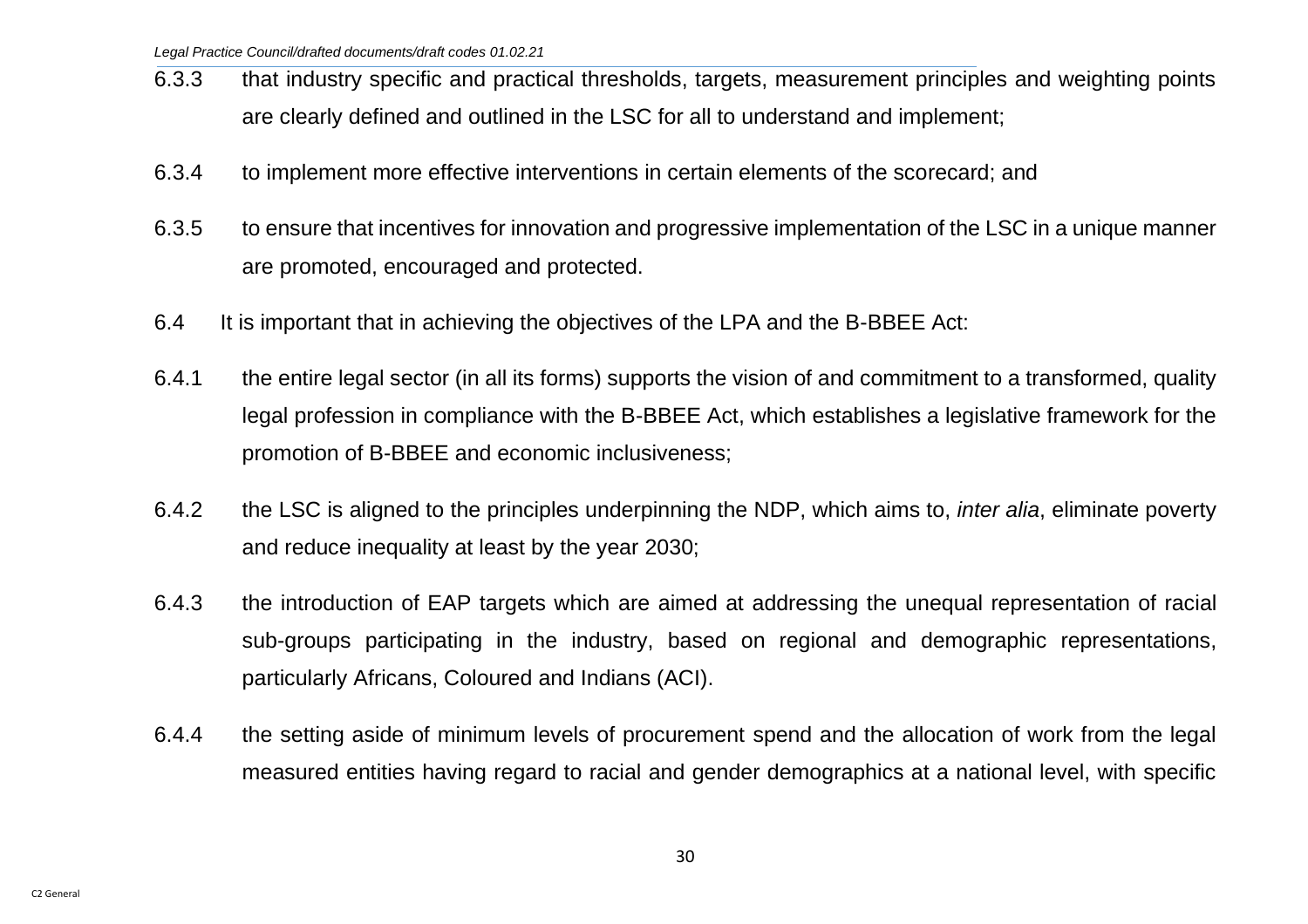- 6.3.3 that industry specific and practical thresholds, targets, measurement principles and weighting points are clearly defined and outlined in the LSC for all to understand and implement;
- 6.3.4 to implement more effective interventions in certain elements of the scorecard; and
- 6.3.5 to ensure that incentives for innovation and progressive implementation of the LSC in a unique manner are promoted, encouraged and protected.
- 6.4 It is important that in achieving the objectives of the LPA and the B-BBEE Act:
- 6.4.1 the entire legal sector (in all its forms) supports the vision of and commitment to a transformed, quality legal profession in compliance with the B-BBEE Act, which establishes a legislative framework for the promotion of B-BBEE and economic inclusiveness;
- 6.4.2 the LSC is aligned to the principles underpinning the NDP, which aims to, *inter alia*, eliminate poverty and reduce inequality at least by the year 2030;
- 6.4.3 the introduction of EAP targets which are aimed at addressing the unequal representation of racial sub-groups participating in the industry, based on regional and demographic representations, particularly Africans, Coloured and Indians (ACI).
- 6.4.4 the setting aside of minimum levels of procurement spend and the allocation of work from the legal measured entities having regard to racial and gender demographics at a national level, with specific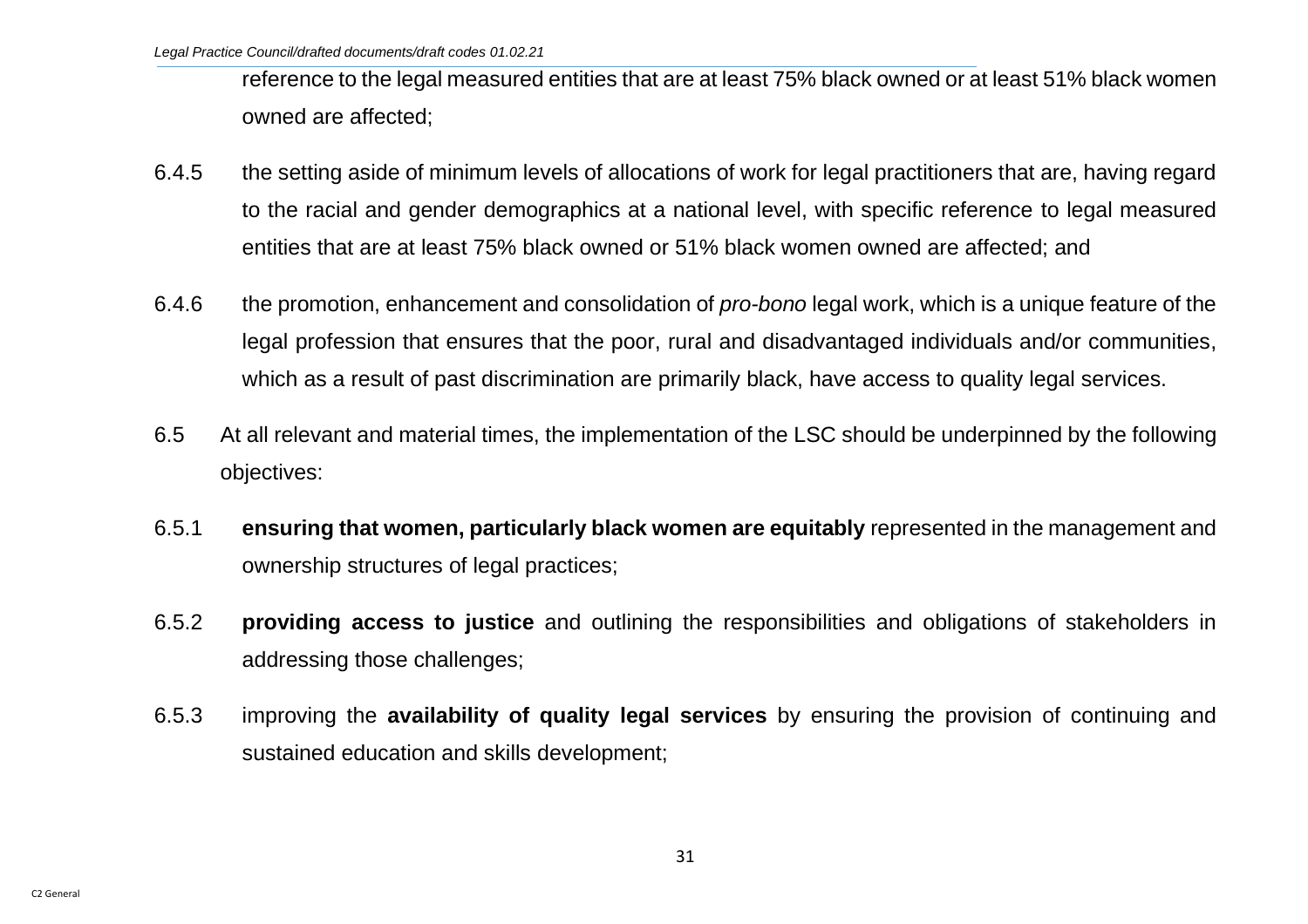reference to the legal measured entities that are at least 75% black owned or at least 51% black women owned are affected;

- 6.4.5 the setting aside of minimum levels of allocations of work for legal practitioners that are, having regard to the racial and gender demographics at a national level, with specific reference to legal measured entities that are at least 75% black owned or 51% black women owned are affected; and
- 6.4.6 the promotion, enhancement and consolidation of *pro-bono* legal work, which is a unique feature of the legal profession that ensures that the poor, rural and disadvantaged individuals and/or communities, which as a result of past discrimination are primarily black, have access to quality legal services.
- 6.5 At all relevant and material times, the implementation of the LSC should be underpinned by the following objectives:
- 6.5.1 **ensuring that women, particularly black women are equitably** represented in the management and ownership structures of legal practices;
- 6.5.2 **providing access to justice** and outlining the responsibilities and obligations of stakeholders in addressing those challenges;
- 6.5.3 improving the **availability of quality legal services** by ensuring the provision of continuing and sustained education and skills development;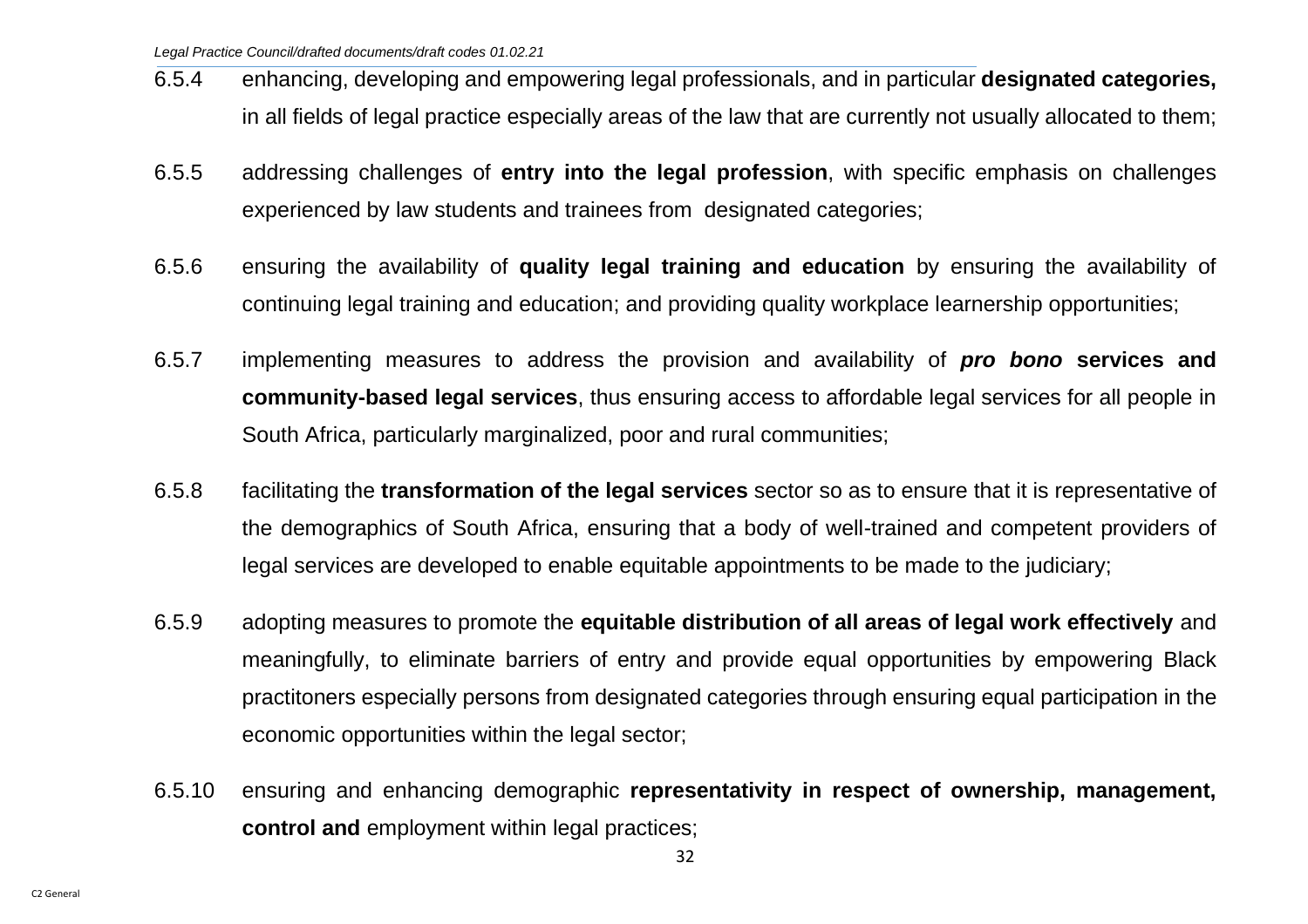- 6.5.4 enhancing, developing and empowering legal professionals, and in particular **designated categories,** in all fields of legal practice especially areas of the law that are currently not usually allocated to them;
- 6.5.5 addressing challenges of **entry into the legal profession**, with specific emphasis on challenges experienced by law students and trainees from designated categories;
- 6.5.6 ensuring the availability of **quality legal training and education** by ensuring the availability of continuing legal training and education; and providing quality workplace learnership opportunities;
- 6.5.7 implementing measures to address the provision and availability of *pro bono* **services and community-based legal services**, thus ensuring access to affordable legal services for all people in South Africa, particularly marginalized, poor and rural communities;
- 6.5.8 facilitating the **transformation of the legal services** sector so as to ensure that it is representative of the demographics of South Africa, ensuring that a body of well-trained and competent providers of legal services are developed to enable equitable appointments to be made to the judiciary;
- 6.5.9 adopting measures to promote the **equitable distribution of all areas of legal work effectively** and meaningfully, to eliminate barriers of entry and provide equal opportunities by empowering Black practitoners especially persons from designated categories through ensuring equal participation in the economic opportunities within the legal sector;
- 6.5.10 ensuring and enhancing demographic **representativity in respect of ownership, management, control and** employment within legal practices;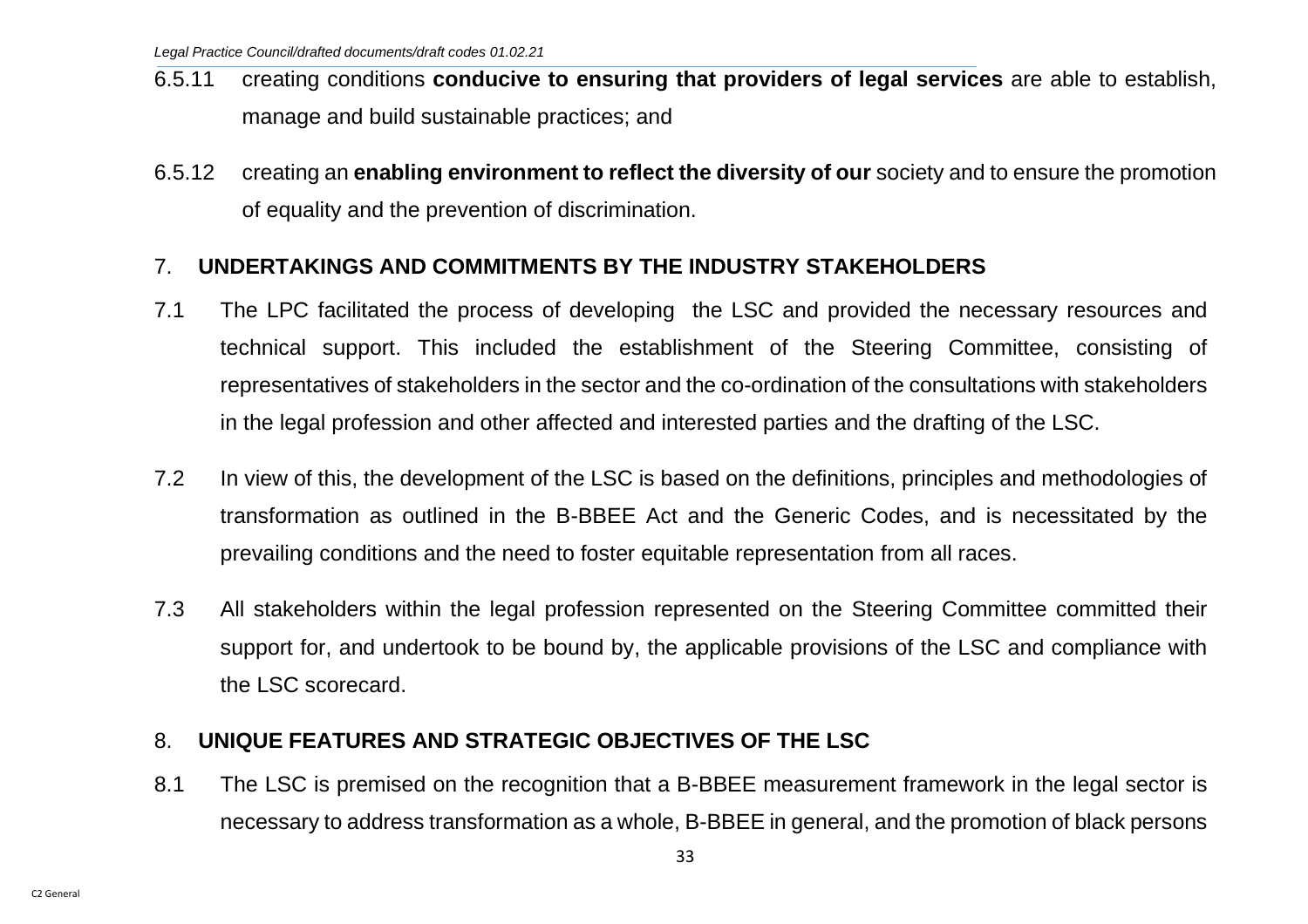- 6.5.11 creating conditions **conducive to ensuring that providers of legal services** are able to establish, manage and build sustainable practices; and
- 6.5.12 creating an **enabling environment to reflect the diversity of our** society and to ensure the promotion of equality and the prevention of discrimination.

## <span id="page-33-0"></span>7. **UNDERTAKINGS AND COMMITMENTS BY THE INDUSTRY STAKEHOLDERS**

- 7.1 The LPC facilitated the process of developing the LSC and provided the necessary resources and technical support. This included the establishment of the Steering Committee, consisting of representatives of stakeholders in the sector and the co-ordination of the consultations with stakeholders in the legal profession and other affected and interested parties and the drafting of the LSC.
- 7.2 In view of this, the development of the LSC is based on the definitions, principles and methodologies of transformation as outlined in the B-BBEE Act and the Generic Codes, and is necessitated by the prevailing conditions and the need to foster equitable representation from all races.
- 7.3 All stakeholders within the legal profession represented on the Steering Committee committed their support for, and undertook to be bound by, the applicable provisions of the LSC and compliance with the LSC scorecard.

## <span id="page-33-1"></span>8. **UNIQUE FEATURES AND STRATEGIC OBJECTIVES OF THE LSC**

8.1 The LSC is premised on the recognition that a B-BBEE measurement framework in the legal sector is necessary to address transformation as a whole, B-BBEE in general, and the promotion of black persons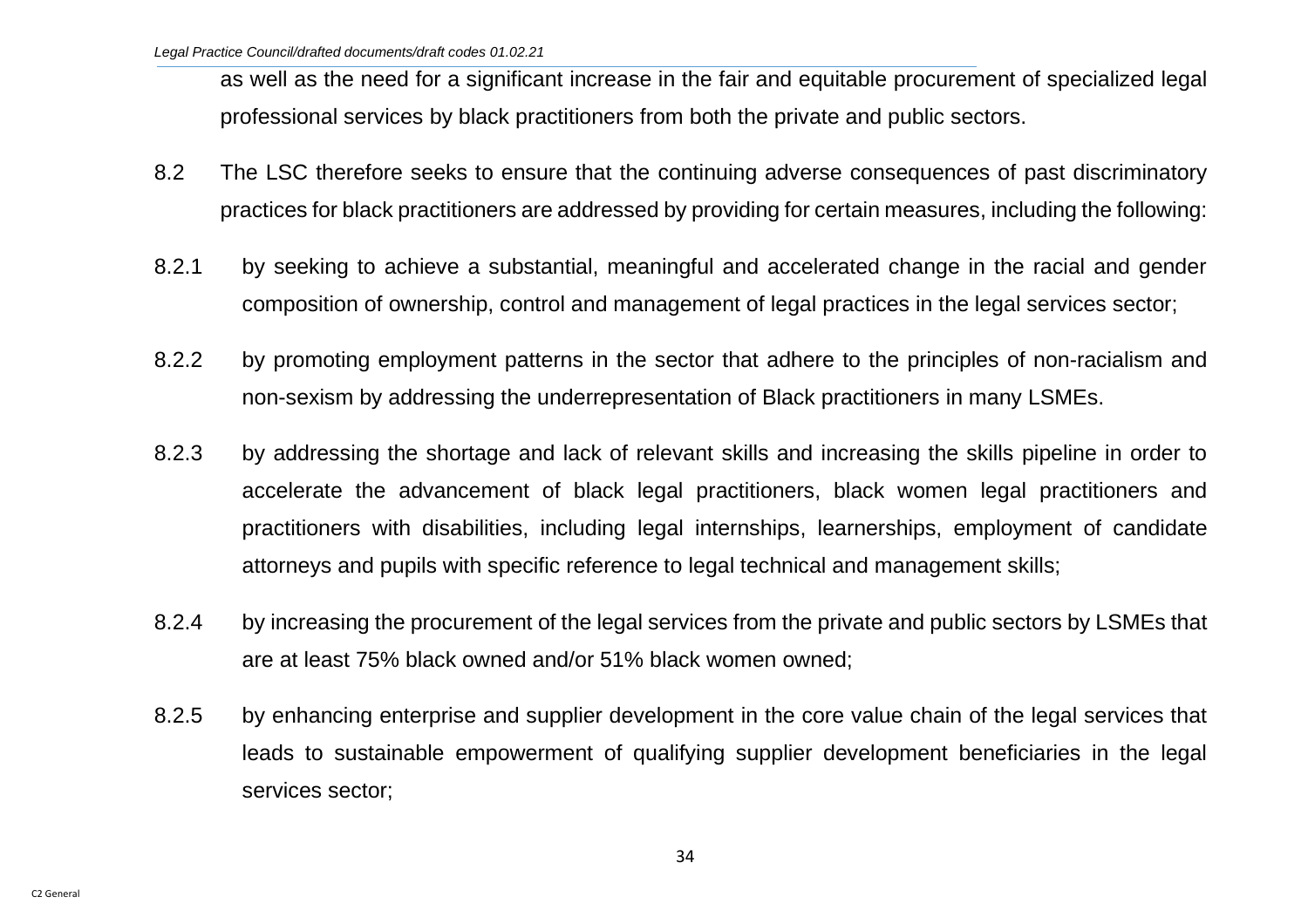as well as the need for a significant increase in the fair and equitable procurement of specialized legal professional services by black practitioners from both the private and public sectors.

- 8.2 The LSC therefore seeks to ensure that the continuing adverse consequences of past discriminatory practices for black practitioners are addressed by providing for certain measures, including the following:
- 8.2.1 by seeking to achieve a substantial, meaningful and accelerated change in the racial and gender composition of ownership, control and management of legal practices in the legal services sector;
- 8.2.2 by promoting employment patterns in the sector that adhere to the principles of non-racialism and non-sexism by addressing the underrepresentation of Black practitioners in many LSMEs.
- 8.2.3 by addressing the shortage and lack of relevant skills and increasing the skills pipeline in order to accelerate the advancement of black legal practitioners, black women legal practitioners and practitioners with disabilities, including legal internships, learnerships, employment of candidate attorneys and pupils with specific reference to legal technical and management skills;
- 8.2.4 by increasing the procurement of the legal services from the private and public sectors by LSMEs that are at least 75% black owned and/or 51% black women owned;
- 8.2.5 by enhancing enterprise and supplier development in the core value chain of the legal services that leads to sustainable empowerment of qualifying supplier development beneficiaries in the legal services sector;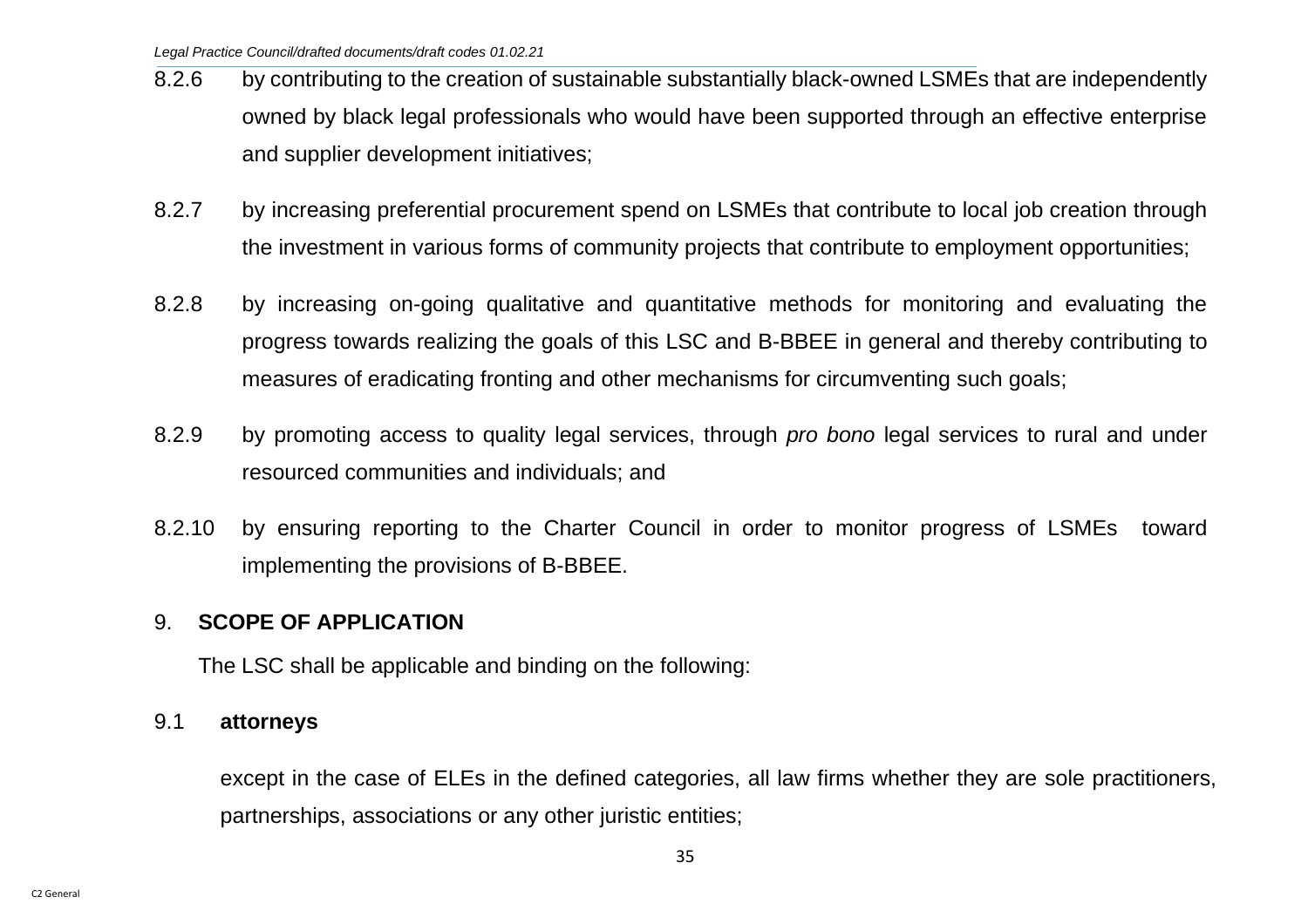- 8.2.6 by contributing to the creation of sustainable substantially black-owned LSMEs that are independently owned by black legal professionals who would have been supported through an effective enterprise and supplier development initiatives;
- 8.2.7 by increasing preferential procurement spend on LSMEs that contribute to local job creation through the investment in various forms of community projects that contribute to employment opportunities;
- 8.2.8 by increasing on-going qualitative and quantitative methods for monitoring and evaluating the progress towards realizing the goals of this LSC and B-BBEE in general and thereby contributing to measures of eradicating fronting and other mechanisms for circumventing such goals;
- 8.2.9 by promoting access to quality legal services, through *pro bono* legal services to rural and under resourced communities and individuals; and
- 8.2.10 by ensuring reporting to the Charter Council in order to monitor progress of LSMEs toward implementing the provisions of B-BBEE.

## <span id="page-35-0"></span>9. **SCOPE OF APPLICATION**

The LSC shall be applicable and binding on the following:

#### 9.1 **attorneys**

except in the case of ELEs in the defined categories, all law firms whether they are sole practitioners, partnerships, associations or any other juristic entities;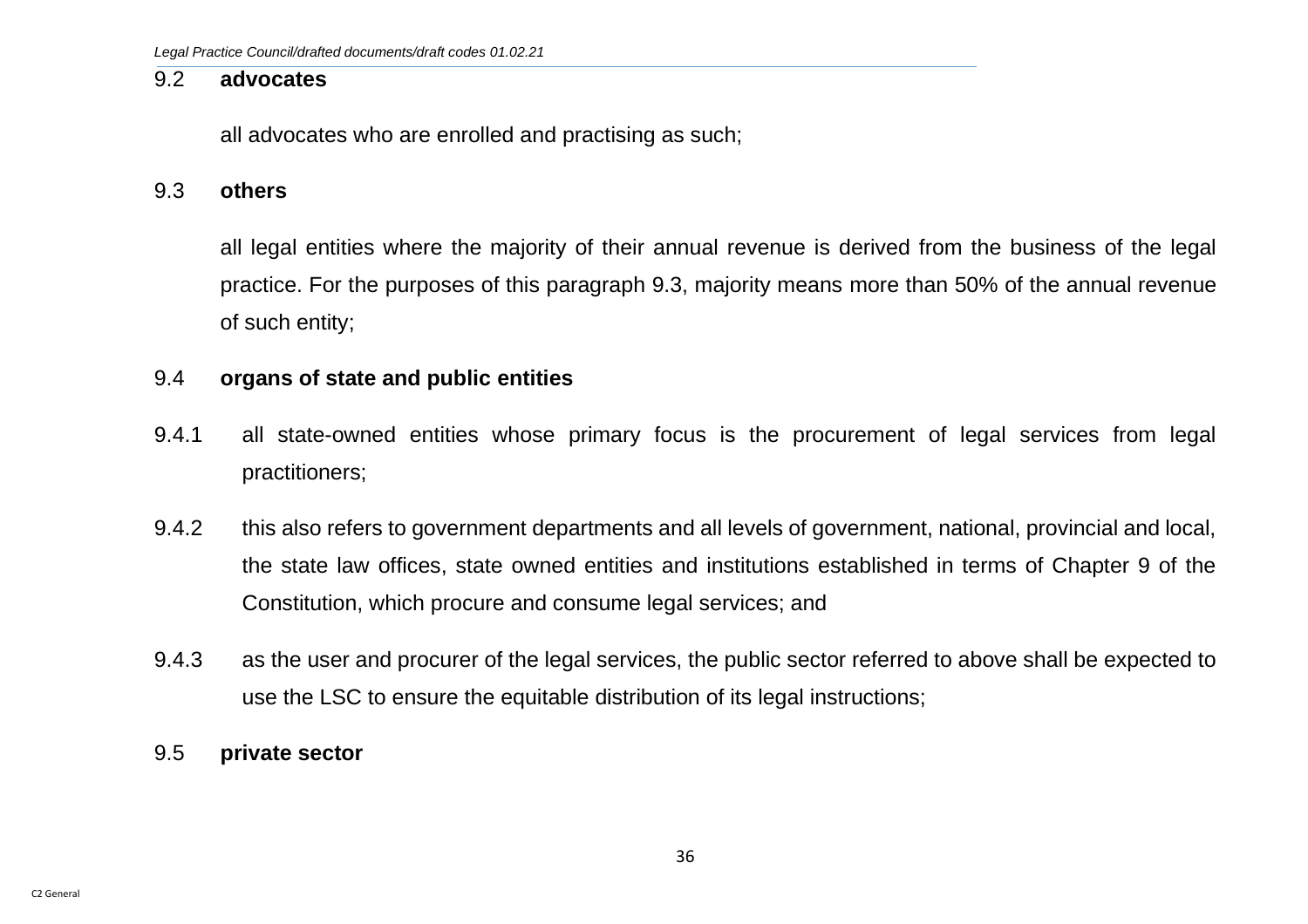#### 9.2 **advocates**

all advocates who are enrolled and practising as such;

#### 9.3 **others**

all legal entities where the majority of their annual revenue is derived from the business of the legal practice. For the purposes of this paragraph 9.3, majority means more than 50% of the annual revenue of such entity;

#### 9.4 **organs of state and public entities**

- 9.4.1 all state-owned entities whose primary focus is the procurement of legal services from legal practitioners;
- 9.4.2 this also refers to government departments and all levels of government, national, provincial and local, the state law offices, state owned entities and institutions established in terms of Chapter 9 of the Constitution, which procure and consume legal services; and
- 9.4.3 as the user and procurer of the legal services, the public sector referred to above shall be expected to use the LSC to ensure the equitable distribution of its legal instructions;
- 9.5 **private sector**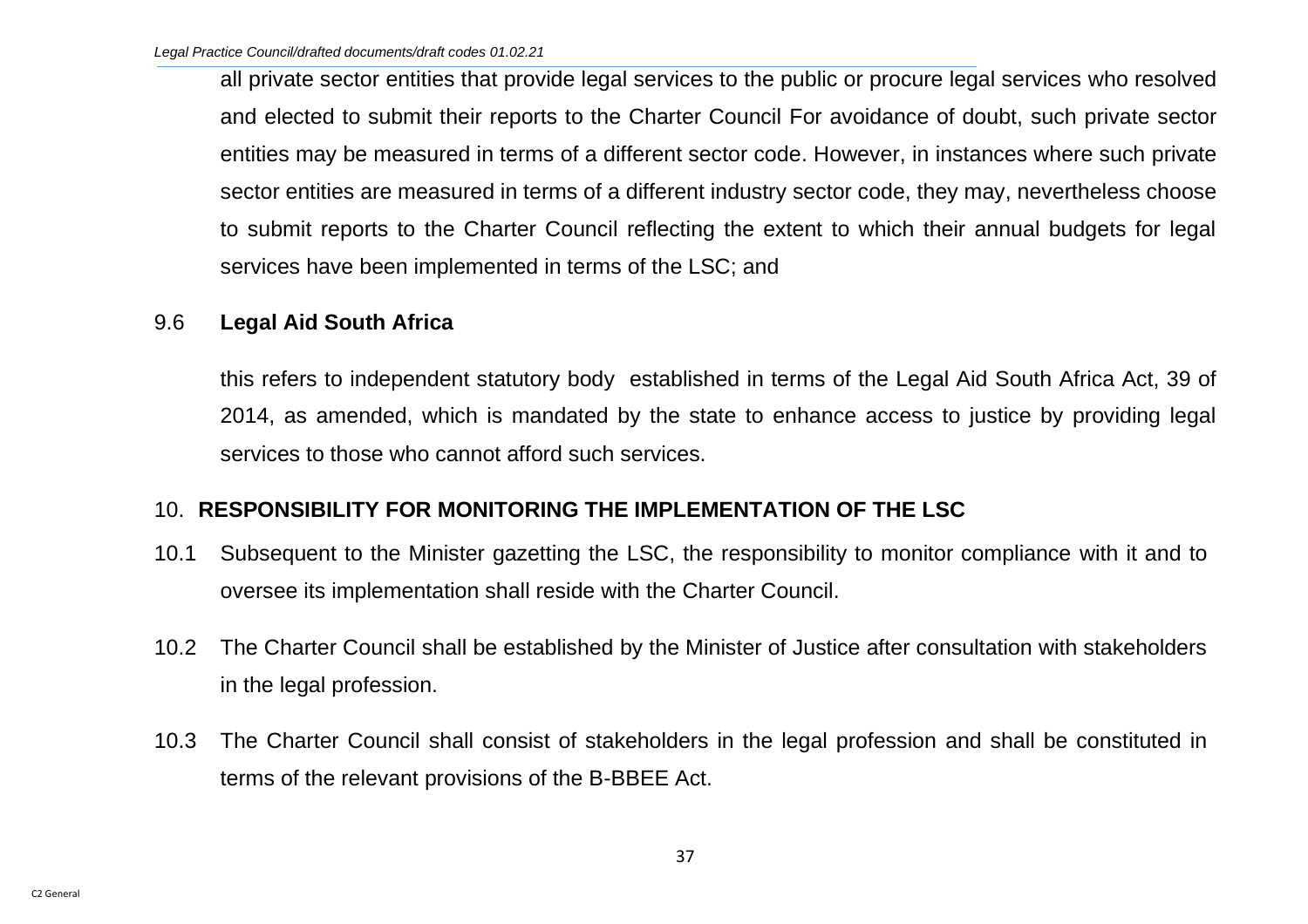all private sector entities that provide legal services to the public or procure legal services who resolved and elected to submit their reports to the Charter Council For avoidance of doubt, such private sector entities may be measured in terms of a different sector code. However, in instances where such private sector entities are measured in terms of a different industry sector code, they may, nevertheless choose to submit reports to the Charter Council reflecting the extent to which their annual budgets for legal services have been implemented in terms of the LSC; and

### 9.6 **Legal Aid South Africa**

this refers to independent statutory body established in terms of the Legal Aid South Africa Act, 39 of 2014, as amended, which is mandated by the state to enhance access to justice by providing legal services to those who cannot afford such services.

## 10. **RESPONSIBILITY FOR MONITORING THE IMPLEMENTATION OF THE LSC**

- 10.1 Subsequent to the Minister gazetting the LSC, the responsibility to monitor compliance with it and to oversee its implementation shall reside with the Charter Council.
- 10.2 The Charter Council shall be established by the Minister of Justice after consultation with stakeholders in the legal profession.
- 10.3 The Charter Council shall consist of stakeholders in the legal profession and shall be constituted in terms of the relevant provisions of the B-BBEE Act.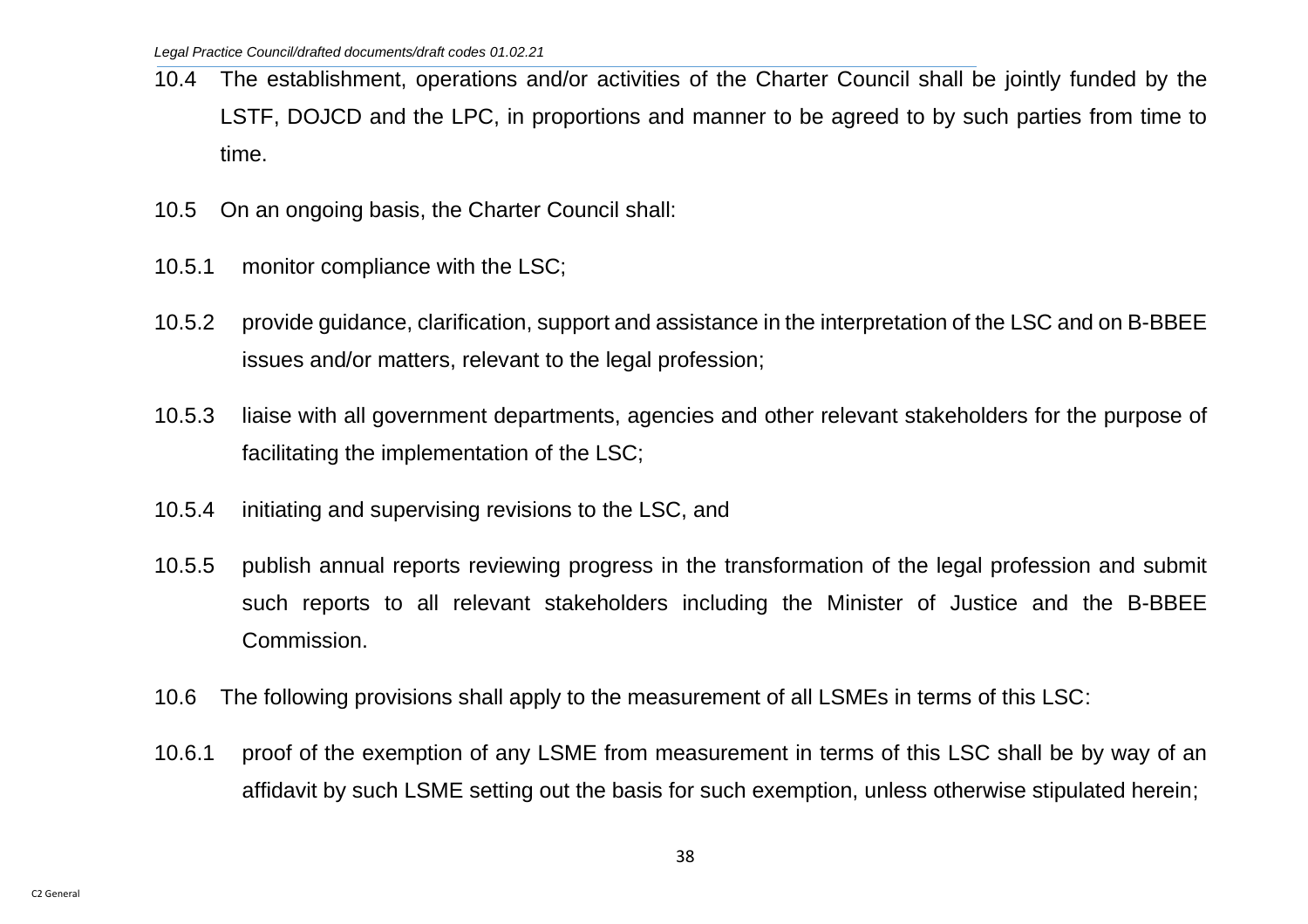- 10.4 The establishment, operations and/or activities of the Charter Council shall be jointly funded by the LSTF, DOJCD and the LPC, in proportions and manner to be agreed to by such parties from time to time.
- 10.5 On an ongoing basis, the Charter Council shall:
- 10.5.1 monitor compliance with the LSC;
- 10.5.2 provide guidance, clarification, support and assistance in the interpretation of the LSC and on B-BBEE issues and/or matters, relevant to the legal profession;
- 10.5.3 liaise with all government departments, agencies and other relevant stakeholders for the purpose of facilitating the implementation of the LSC;
- 10.5.4 initiating and supervising revisions to the LSC, and
- 10.5.5 publish annual reports reviewing progress in the transformation of the legal profession and submit such reports to all relevant stakeholders including the Minister of Justice and the B-BBEE Commission.
- 10.6 The following provisions shall apply to the measurement of all LSMEs in terms of this LSC:
- 10.6.1 proof of the exemption of any LSME from measurement in terms of this LSC shall be by way of an affidavit by such LSME setting out the basis for such exemption, unless otherwise stipulated herein;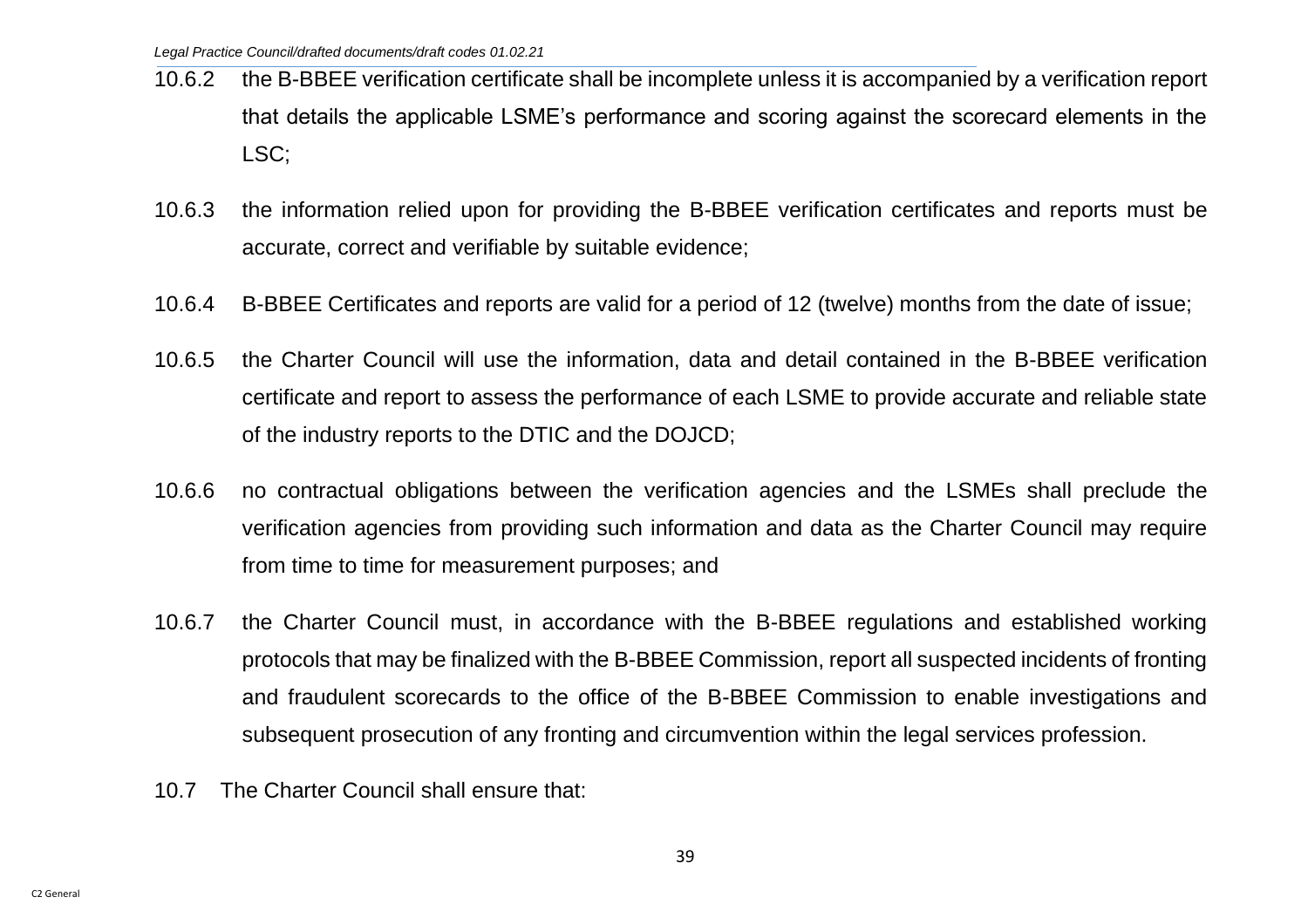- 10.6.2 the B-BBEE verification certificate shall be incomplete unless it is accompanied by a verification report that details the applicable LSME's performance and scoring against the scorecard elements in the LSC;
- 10.6.3 the information relied upon for providing the B-BBEE verification certificates and reports must be accurate, correct and verifiable by suitable evidence;
- 10.6.4 B-BBEE Certificates and reports are valid for a period of 12 (twelve) months from the date of issue;
- 10.6.5 the Charter Council will use the information, data and detail contained in the B-BBEE verification certificate and report to assess the performance of each LSME to provide accurate and reliable state of the industry reports to the DTIC and the DOJCD;
- 10.6.6 no contractual obligations between the verification agencies and the LSMEs shall preclude the verification agencies from providing such information and data as the Charter Council may require from time to time for measurement purposes; and
- 10.6.7 the Charter Council must, in accordance with the B-BBEE regulations and established working protocols that may be finalized with the B-BBEE Commission, report all suspected incidents of fronting and fraudulent scorecards to the office of the B-BBEE Commission to enable investigations and subsequent prosecution of any fronting and circumvention within the legal services profession.
- 10.7 The Charter Council shall ensure that: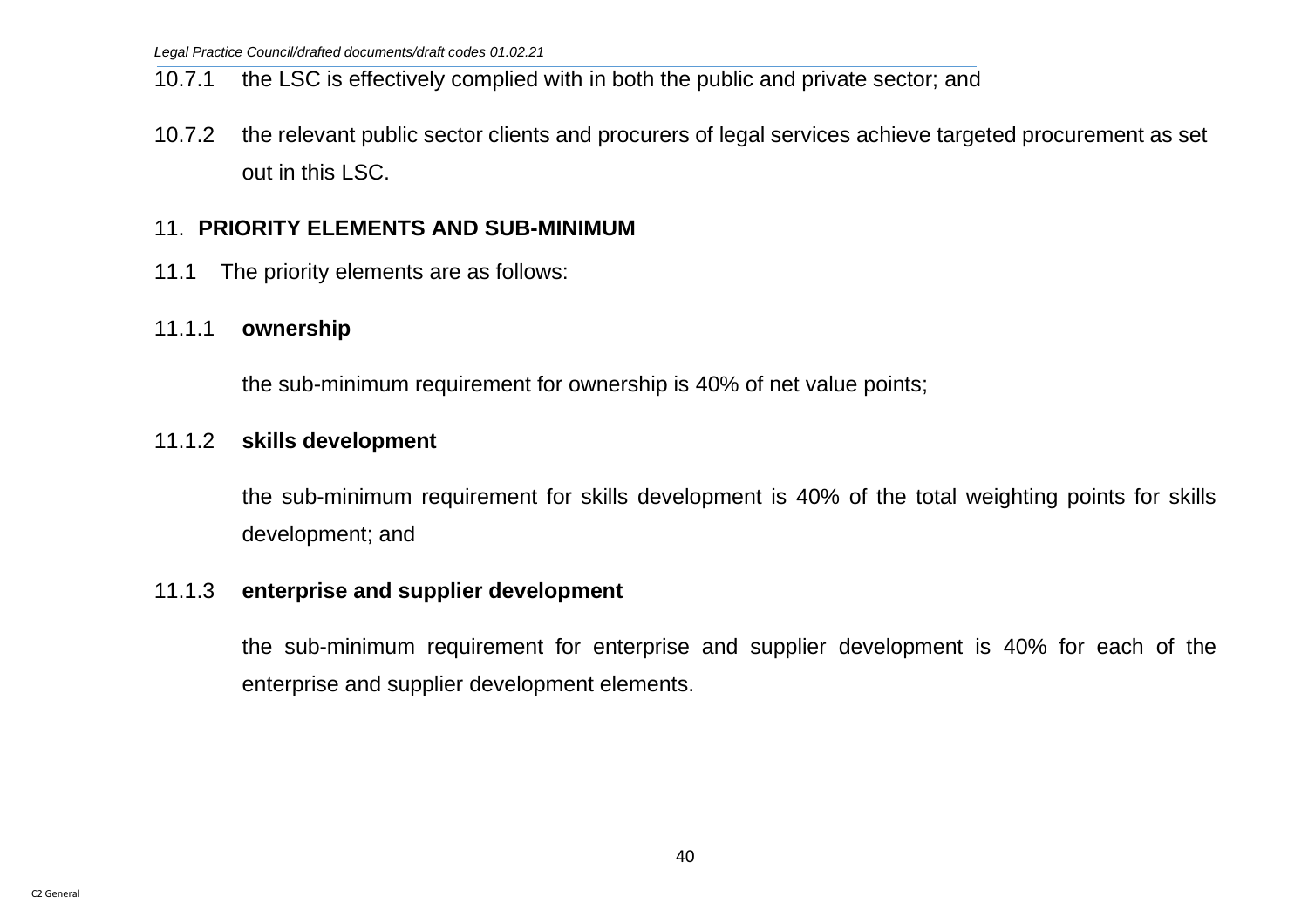## 10.7.1 the LSC is effectively complied with in both the public and private sector; and

10.7.2 the relevant public sector clients and procurers of legal services achieve targeted procurement as set out in this LSC.

## 11. **PRIORITY ELEMENTS AND SUB-MINIMUM**

11.1 The priority elements are as follows:

### 11.1.1 **ownership**

the sub-minimum requirement for ownership is 40% of net value points;

#### 11.1.2 **skills development**

the sub-minimum requirement for skills development is 40% of the total weighting points for skills development; and

#### 11.1.3 **enterprise and supplier development**

the sub-minimum requirement for enterprise and supplier development is 40% for each of the enterprise and supplier development elements.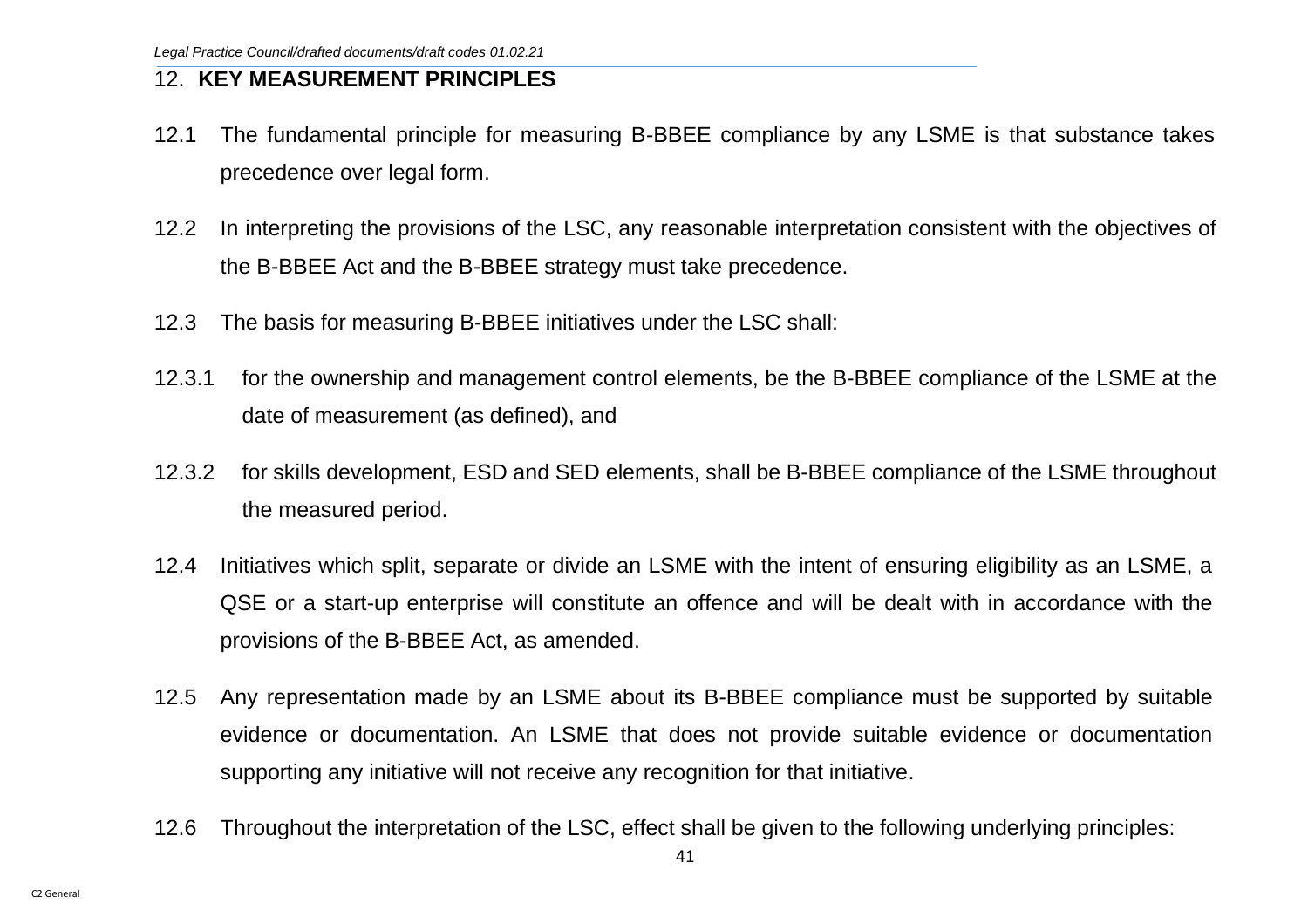### 12. **KEY MEASUREMENT PRINCIPLES**

- 12.1 The fundamental principle for measuring B-BBEE compliance by any LSME is that substance takes precedence over legal form.
- 12.2 In interpreting the provisions of the LSC, any reasonable interpretation consistent with the objectives of the B-BBEE Act and the B-BBEE strategy must take precedence.
- 12.3 The basis for measuring B-BBEE initiatives under the LSC shall:
- 12.3.1 for the ownership and management control elements, be the B-BBEE compliance of the LSME at the date of measurement (as defined), and
- 12.3.2 for skills development, ESD and SED elements, shall be B-BBEE compliance of the LSME throughout the measured period.
- 12.4 Initiatives which split, separate or divide an LSME with the intent of ensuring eligibility as an LSME, a QSE or a start-up enterprise will constitute an offence and will be dealt with in accordance with the provisions of the B-BBEE Act, as amended.
- 12.5 Any representation made by an LSME about its B-BBEE compliance must be supported by suitable evidence or documentation. An LSME that does not provide suitable evidence or documentation supporting any initiative will not receive any recognition for that initiative.
- 12.6 Throughout the interpretation of the LSC, effect shall be given to the following underlying principles: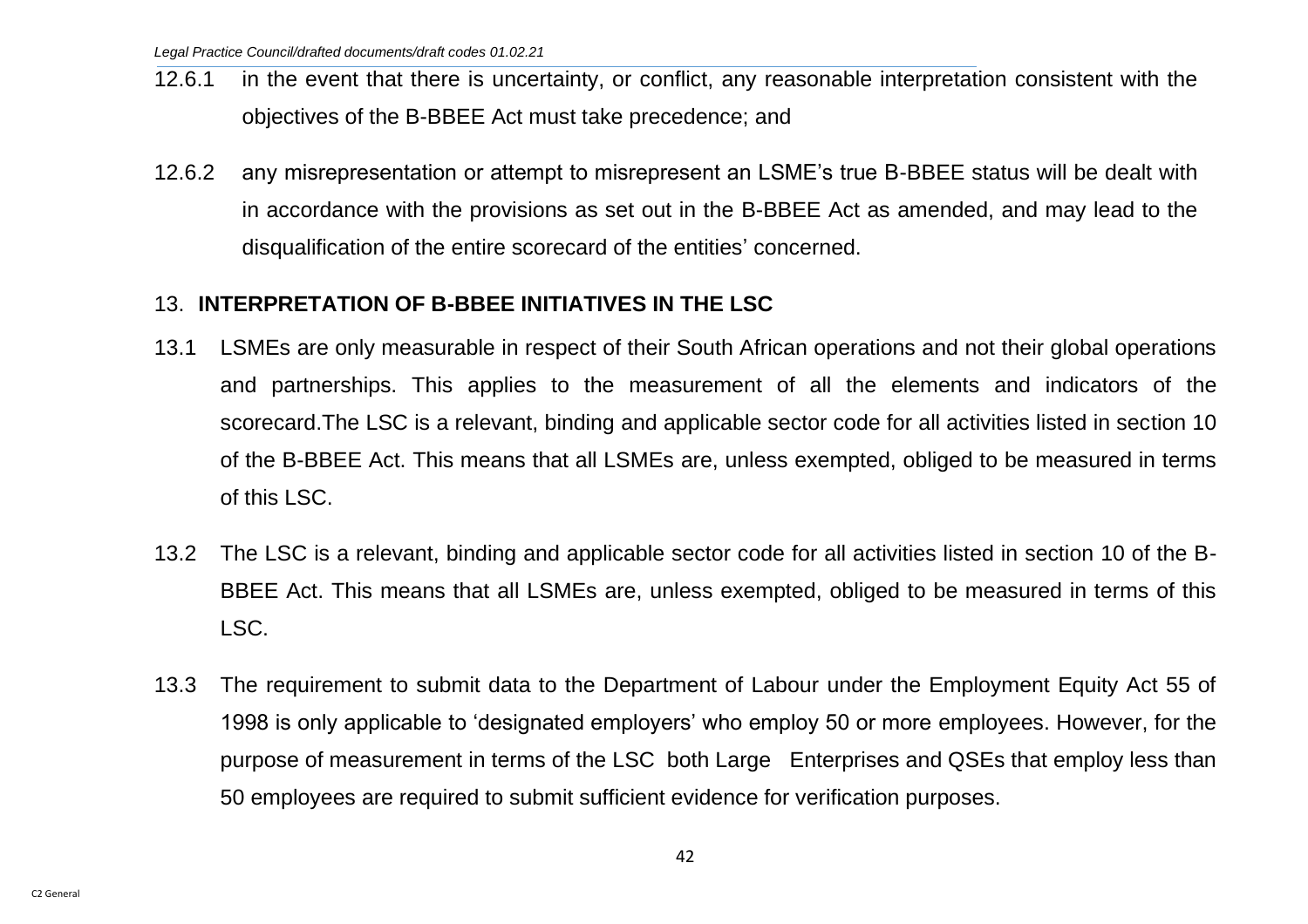- 12.6.1 in the event that there is uncertainty, or conflict, any reasonable interpretation consistent with the objectives of the B-BBEE Act must take precedence; and
- 12.6.2 any misrepresentation or attempt to misrepresent an LSME's true B-BBEE status will be dealt with in accordance with the provisions as set out in the B-BBEE Act as amended, and may lead to the disqualification of the entire scorecard of the entities' concerned.

## 13. **INTERPRETATION OF B-BBEE INITIATIVES IN THE LSC**

- 13.1 LSMEs are only measurable in respect of their South African operations and not their global operations and partnerships. This applies to the measurement of all the elements and indicators of the scorecard.The LSC is a relevant, binding and applicable sector code for all activities listed in section 10 of the B-BBEE Act. This means that all LSMEs are, unless exempted, obliged to be measured in terms of this LSC.
- 13.2 The LSC is a relevant, binding and applicable sector code for all activities listed in section 10 of the B-BBEE Act. This means that all LSMEs are, unless exempted, obliged to be measured in terms of this LSC.
- 13.3 The requirement to submit data to the Department of Labour under the Employment Equity Act 55 of 1998 is only applicable to 'designated employers' who employ 50 or more employees. However, for the purpose of measurement in terms of the LSC both Large Enterprises and QSEs that employ less than 50 employees are required to submit sufficient evidence for verification purposes.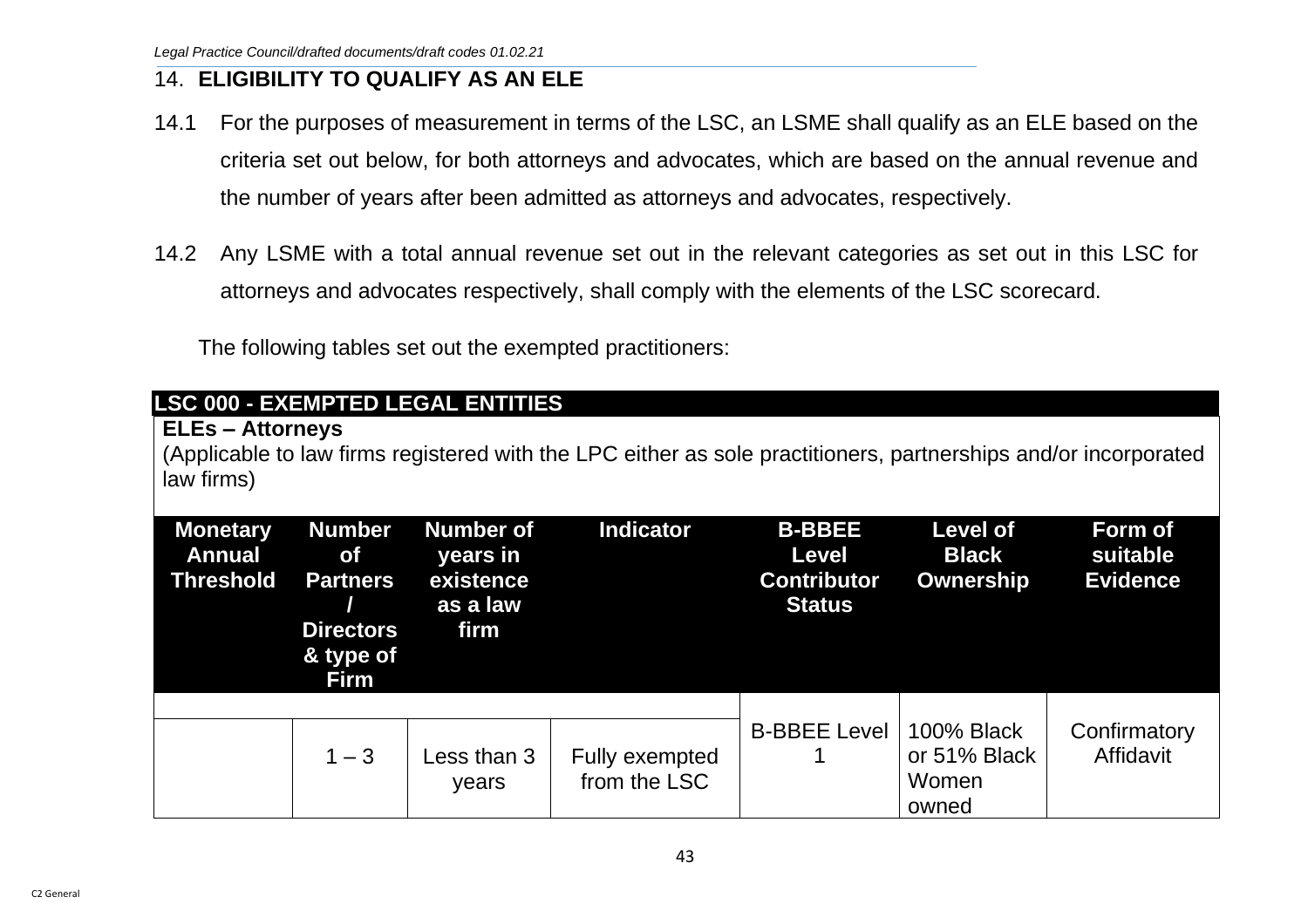## 14. **ELIGIBILITY TO QUALIFY AS AN ELE**

- 14.1 For the purposes of measurement in terms of the LSC, an LSME shall qualify as an ELE based on the criteria set out below, for both attorneys and advocates, which are based on the annual revenue and the number of years after been admitted as attorneys and advocates, respectively.
- 14.2 Any LSME with a total annual revenue set out in the relevant categories as set out in this LSC for attorneys and advocates respectively, shall comply with the elements of the LSC scorecard.

The following tables set out the exempted practitioners:

| <b>ELEs - Attorneys</b><br>law firms)                |                                                                                               | <b>LSC 000 - EXEMPTED LEGAL ENTITIES</b>                      | (Applicable to law firms registered with the LPC either as sole practitioners, partnerships and/or incorporated |                                                                      |                                                     |                                        |
|------------------------------------------------------|-----------------------------------------------------------------------------------------------|---------------------------------------------------------------|-----------------------------------------------------------------------------------------------------------------|----------------------------------------------------------------------|-----------------------------------------------------|----------------------------------------|
| <b>Monetary</b><br><b>Annual</b><br><b>Threshold</b> | <b>Number</b><br><b>of</b><br><b>Partners</b><br><b>Directors</b><br>& type of<br><b>Firm</b> | <b>Number of</b><br>years in<br>existence<br>as a law<br>firm | <b>Indicator</b>                                                                                                | <b>B-BBEE</b><br><b>Level</b><br><b>Contributor</b><br><b>Status</b> | <b>Level of</b><br><b>Black</b><br><b>Ownership</b> | Form of<br>suitable<br><b>Evidence</b> |
|                                                      | $1 - 3$                                                                                       | Less than 3<br>years                                          | Fully exempted<br>from the LSC                                                                                  | <b>B-BBEE Level</b>                                                  | <b>100% Black</b><br>or 51% Black<br>Women<br>owned | Confirmatory<br>Affidavit              |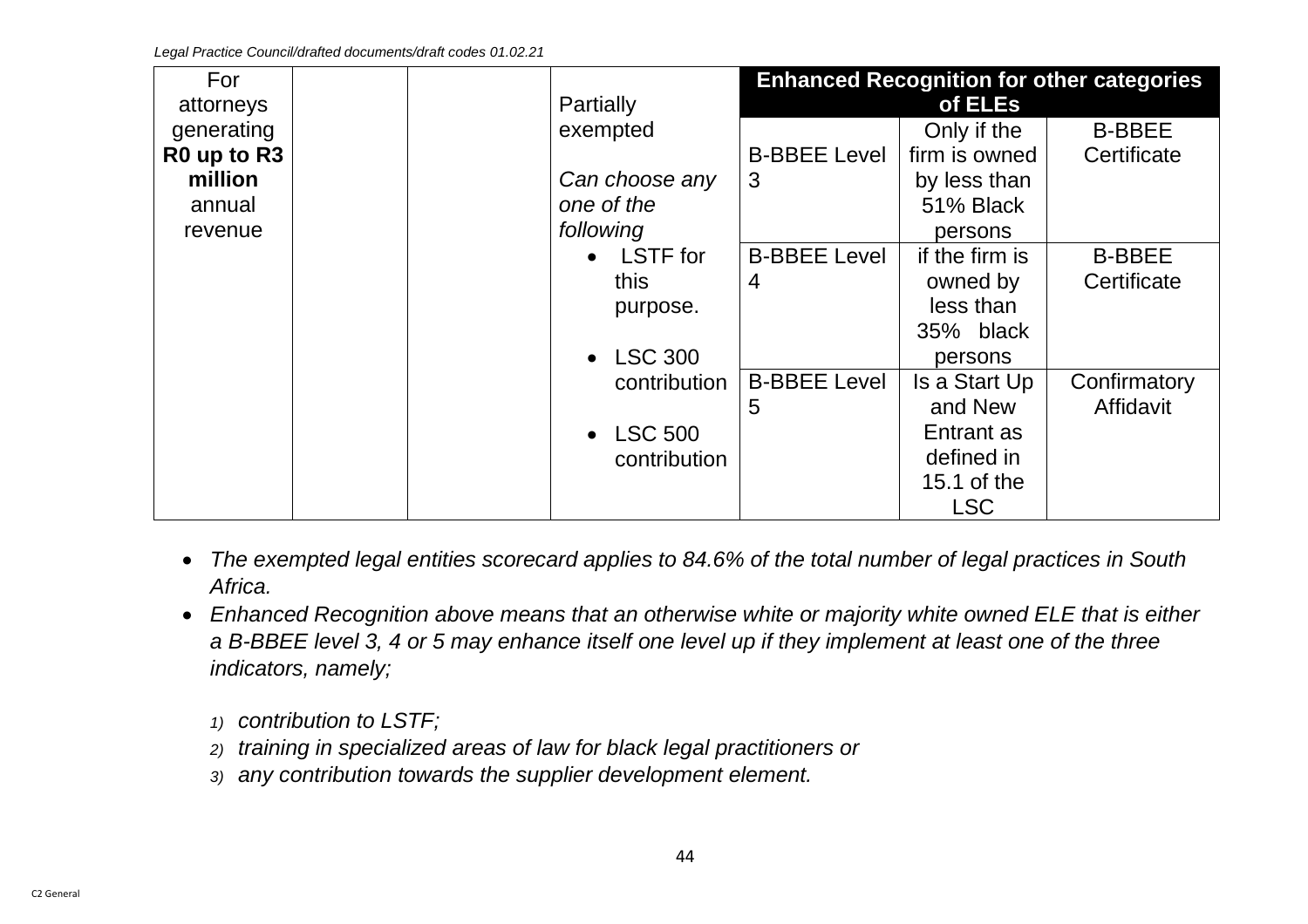| For         |  |           |                |                     |                | <b>Enhanced Recognition for other categories</b> |
|-------------|--|-----------|----------------|---------------------|----------------|--------------------------------------------------|
| attorneys   |  | Partially |                |                     | of ELEs        |                                                  |
| generating  |  |           | exempted       |                     | Only if the    | <b>B-BBEE</b>                                    |
| R0 up to R3 |  |           |                | <b>B-BBEE Level</b> | firm is owned  | Certificate                                      |
| million     |  |           | Can choose any | 3                   | by less than   |                                                  |
| annual      |  |           | one of the     |                     | 51% Black      |                                                  |
| revenue     |  | following |                |                     | persons        |                                                  |
|             |  |           | • LSTF for     | <b>B-BBEE Level</b> | if the firm is | <b>B-BBEE</b>                                    |
|             |  | this      |                | 4                   | owned by       | Certificate                                      |
|             |  |           | purpose.       |                     | less than      |                                                  |
|             |  |           |                |                     | 35% black      |                                                  |
|             |  |           | • LSC 300      |                     | persons        |                                                  |
|             |  |           | contribution   | <b>B-BBEE Level</b> | Is a Start Up  | Confirmatory                                     |
|             |  |           |                | 5                   | and New        | Affidavit                                        |
|             |  |           | • LSC 500      |                     | Entrant as     |                                                  |
|             |  |           | contribution   |                     | defined in     |                                                  |
|             |  |           |                |                     | 15.1 of the    |                                                  |
|             |  |           |                |                     | <b>LSC</b>     |                                                  |

- *The exempted legal entities scorecard applies to 84.6% of the total number of legal practices in South Africa.*
- *Enhanced Recognition above means that an otherwise white or majority white owned ELE that is either a B-BBEE level 3, 4 or 5 may enhance itself one level up if they implement at least one of the three indicators, namely;* 
	- *1) contribution to LSTF;*
	- *2) training in specialized areas of law for black legal practitioners or*
	- *3) any contribution towards the supplier development element.*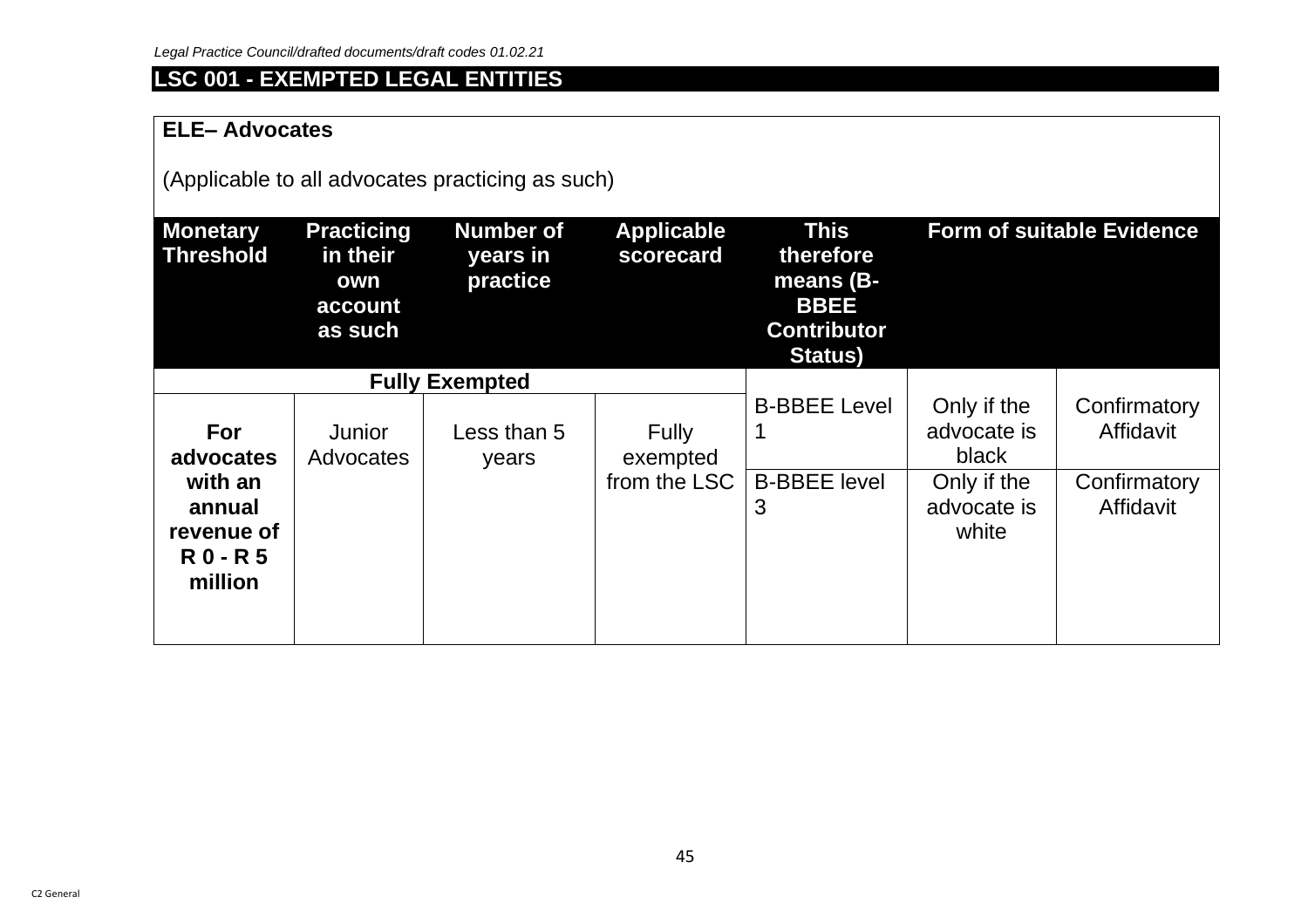# **LSC 001 - EXEMPTED LEGAL ENTITIES**

### **ELE– Advocates**

(Applicable to all advocates practicing as such)

| <b>Monetary</b><br>Threshold                            | <b>Practicing</b><br>in their<br>own<br>account<br>as such | <b>Number of</b><br>years in<br>practice | <b>Applicable</b><br>scorecard | <b>This</b><br>therefore<br>means (B-<br><b>BBEE</b><br><b>Contributor</b><br><b>Status</b> ) | <b>Form of suitable Evidence</b>    |                           |
|---------------------------------------------------------|------------------------------------------------------------|------------------------------------------|--------------------------------|-----------------------------------------------------------------------------------------------|-------------------------------------|---------------------------|
|                                                         |                                                            | <b>Fully Exempted</b>                    |                                |                                                                                               |                                     |                           |
| For<br>advocates                                        | <b>Junior</b><br>Advocates                                 | Less than 5<br>years                     | <b>Fully</b><br>exempted       | <b>B-BBEE Level</b>                                                                           | Only if the<br>advocate is<br>black | Confirmatory<br>Affidavit |
| with an<br>annual<br>revenue of<br>$R0 - R5$<br>million |                                                            |                                          | from the LSC                   | <b>B-BBEE level</b><br>3                                                                      | Only if the<br>advocate is<br>white | Confirmatory<br>Affidavit |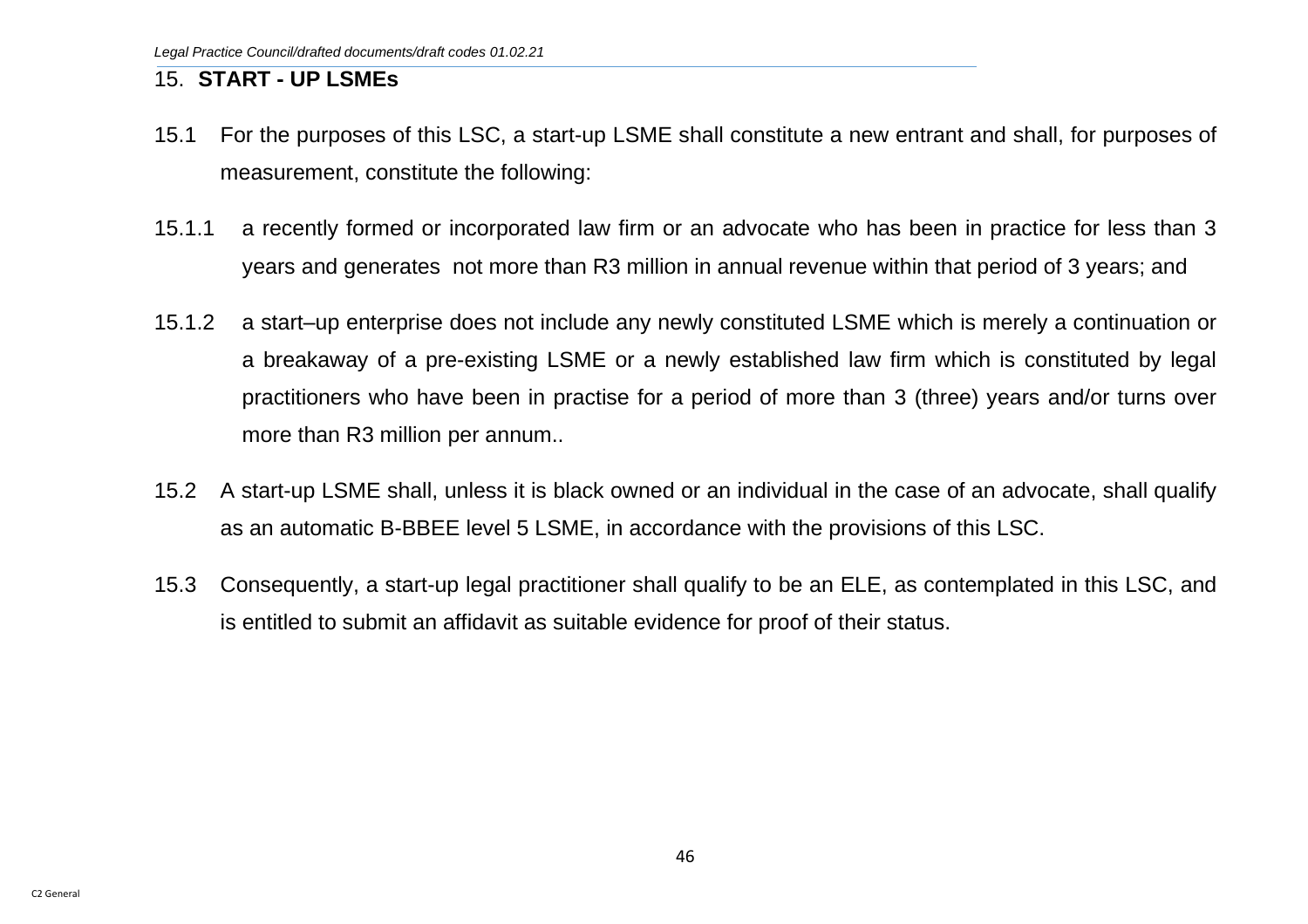## 15. **START - UP LSMEs**

- 15.1 For the purposes of this LSC, a start-up LSME shall constitute a new entrant and shall, for purposes of measurement, constitute the following:
- 15.1.1 a recently formed or incorporated law firm or an advocate who has been in practice for less than 3 years and generates not more than R3 million in annual revenue within that period of 3 years; and
- 15.1.2 a start–up enterprise does not include any newly constituted LSME which is merely a continuation or a breakaway of a pre-existing LSME or a newly established law firm which is constituted by legal practitioners who have been in practise for a period of more than 3 (three) years and/or turns over more than R3 million per annum..
- 15.2 A start-up LSME shall, unless it is black owned or an individual in the case of an advocate, shall qualify as an automatic B-BBEE level 5 LSME, in accordance with the provisions of this LSC.
- 15.3 Consequently, a start-up legal practitioner shall qualify to be an ELE, as contemplated in this LSC, and is entitled to submit an affidavit as suitable evidence for proof of their status.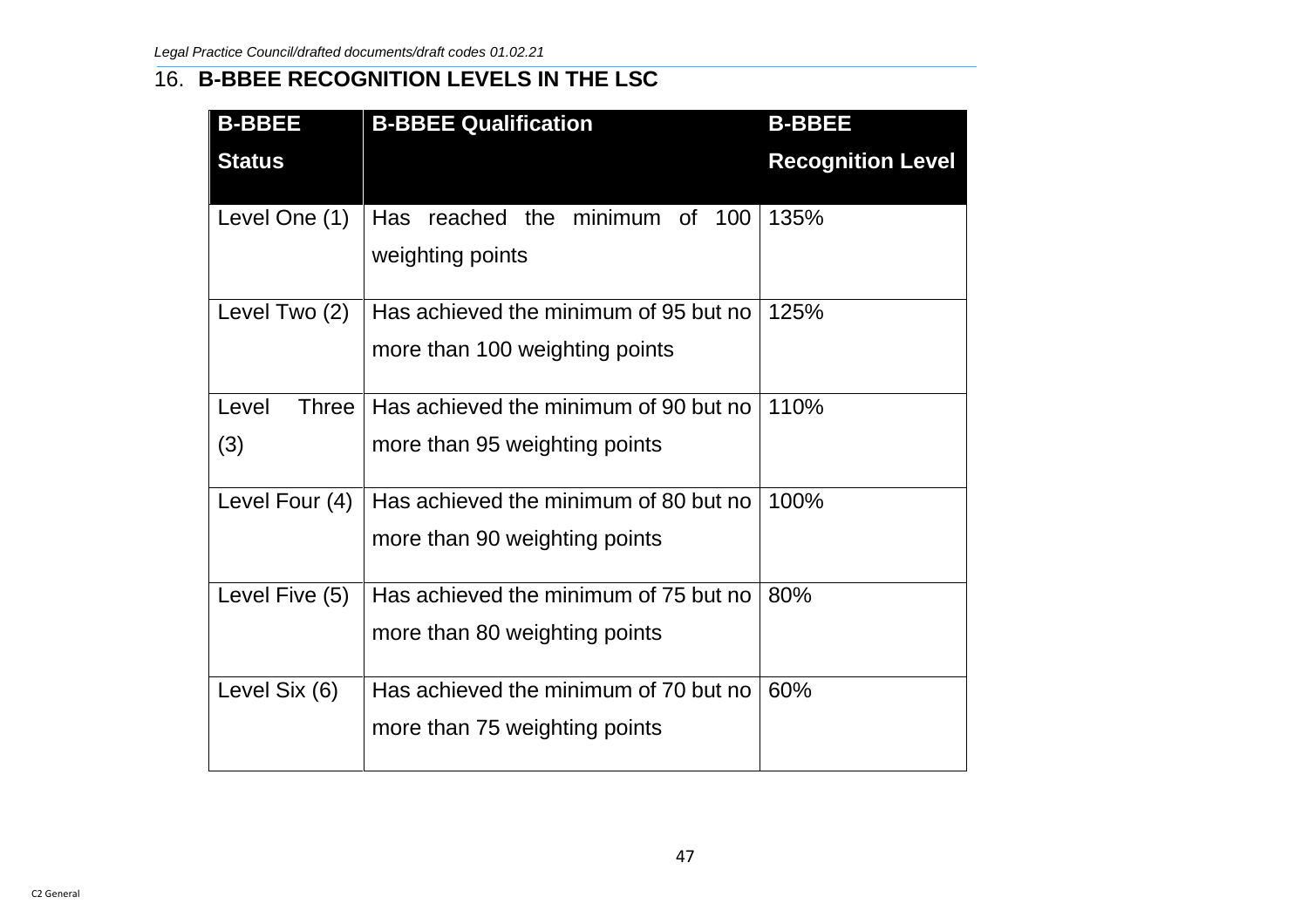## 16. **B-BBEE RECOGNITION LEVELS IN THE LSC**

| <b>B-BBEE</b>         | <b>B-BBEE Qualification</b>           | <b>B-BBEE</b>            |
|-----------------------|---------------------------------------|--------------------------|
| <b>Status</b>         |                                       | <b>Recognition Level</b> |
| Level One (1)         | Has reached the minimum of 100        | 135%                     |
|                       | weighting points                      |                          |
| Level Two (2)         | Has achieved the minimum of 95 but no | 125%                     |
|                       | more than 100 weighting points        |                          |
| Level<br><b>Three</b> | Has achieved the minimum of 90 but no | 110%                     |
| (3)                   | more than 95 weighting points         |                          |
| Level Four (4)        | Has achieved the minimum of 80 but no | 100%                     |
|                       | more than 90 weighting points         |                          |
| Level Five (5)        | Has achieved the minimum of 75 but no | 80%                      |
|                       | more than 80 weighting points         |                          |
| Level Six (6)         | Has achieved the minimum of 70 but no | 60%                      |
|                       | more than 75 weighting points         |                          |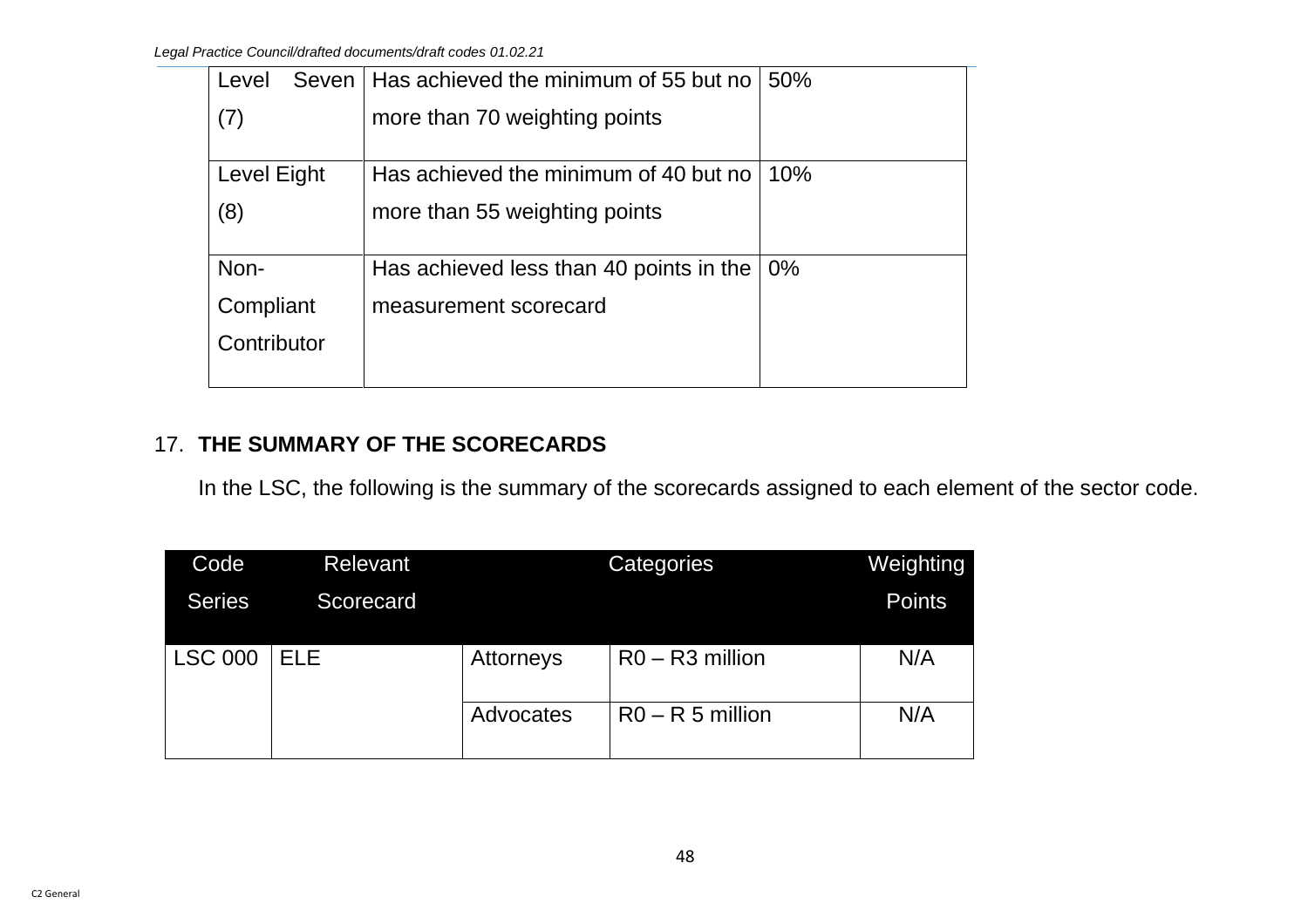| Seven<br>Level | Has achieved the minimum of 55 but no   | 50%   |
|----------------|-----------------------------------------|-------|
| (7)            | more than 70 weighting points           |       |
|                |                                         |       |
| Level Eight    | Has achieved the minimum of 40 but no   | 10%   |
| (8)            | more than 55 weighting points           |       |
|                |                                         |       |
| Non-           | Has achieved less than 40 points in the | $0\%$ |
| Compliant      | measurement scorecard                   |       |
| Contributor    |                                         |       |
|                |                                         |       |

## 17. **THE SUMMARY OF THE SCORECARDS**

In the LSC, the following is the summary of the scorecards assigned to each element of the sector code.

| Code           | <b>Relevant</b> |           | <b>Categories</b>  | <b>Weighting</b> |
|----------------|-----------------|-----------|--------------------|------------------|
| <b>Series</b>  | Scorecard       |           |                    | <b>Points</b>    |
|                |                 |           |                    |                  |
| <b>LSC 000</b> | <b>ELE</b>      | Attorneys | $R0 - R3$ million  | N/A              |
|                |                 |           |                    |                  |
|                |                 | Advocates | $R0 - R 5$ million | N/A              |
|                |                 |           |                    |                  |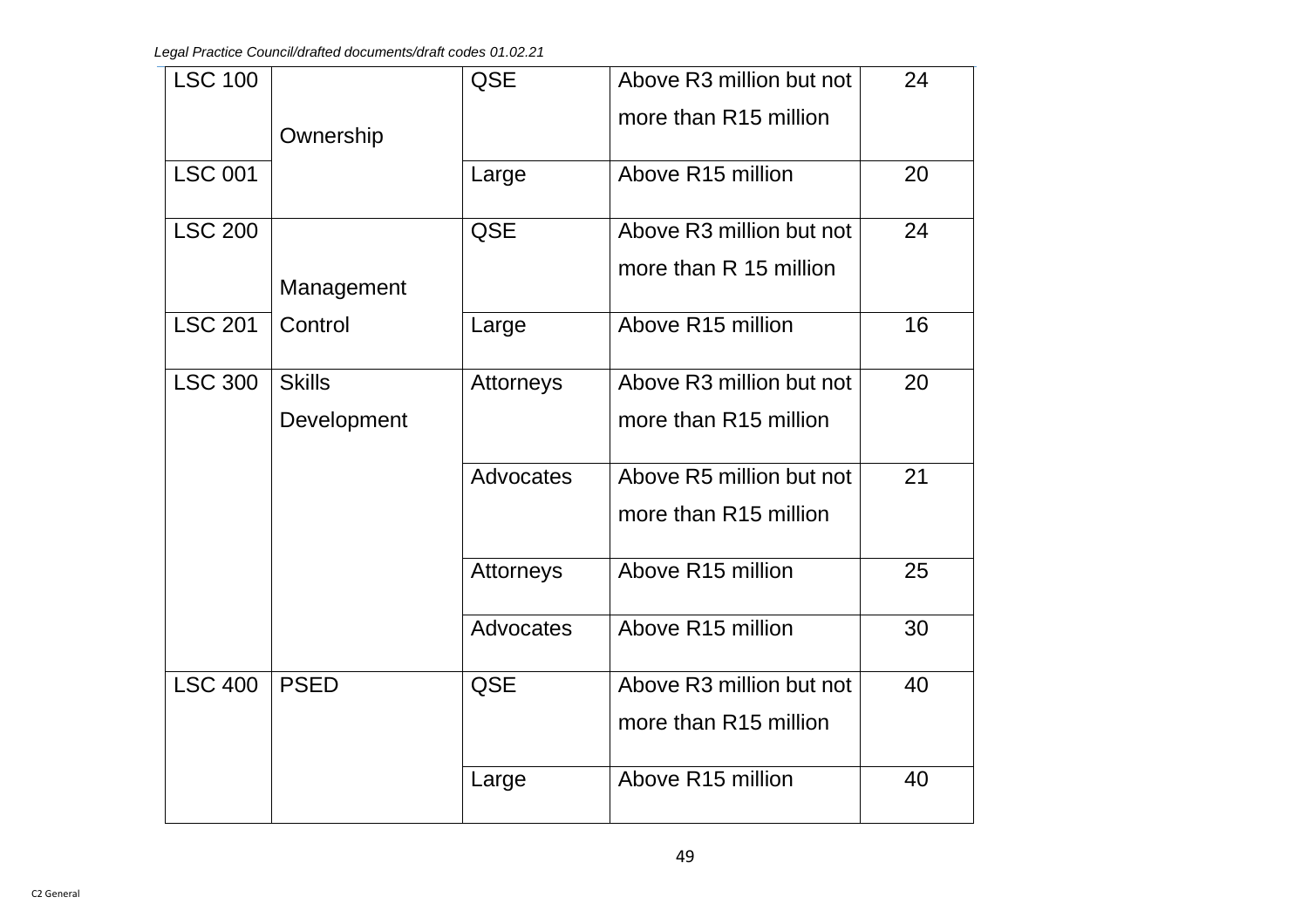| <b>LSC 100</b> |               | <b>QSE</b>       | Above R3 million but not | 24 |
|----------------|---------------|------------------|--------------------------|----|
|                | Ownership     |                  | more than R15 million    |    |
| <b>LSC 001</b> |               | Large            | Above R15 million        | 20 |
| <b>LSC 200</b> |               | QSE              | Above R3 million but not | 24 |
|                | Management    |                  | more than R 15 million   |    |
| <b>LSC 201</b> | Control       | Large            | Above R15 million        | 16 |
| <b>LSC 300</b> | <b>Skills</b> | Attorneys        | Above R3 million but not | 20 |
|                | Development   |                  | more than R15 million    |    |
|                |               | <b>Advocates</b> | Above R5 million but not | 21 |
|                |               |                  | more than R15 million    |    |
|                |               | Attorneys        | Above R15 million        | 25 |
|                |               | Advocates        | Above R15 million        | 30 |
| <b>LSC 400</b> | <b>PSED</b>   | <b>QSE</b>       | Above R3 million but not | 40 |
|                |               |                  | more than R15 million    |    |
|                |               | Large            | Above R15 million        | 40 |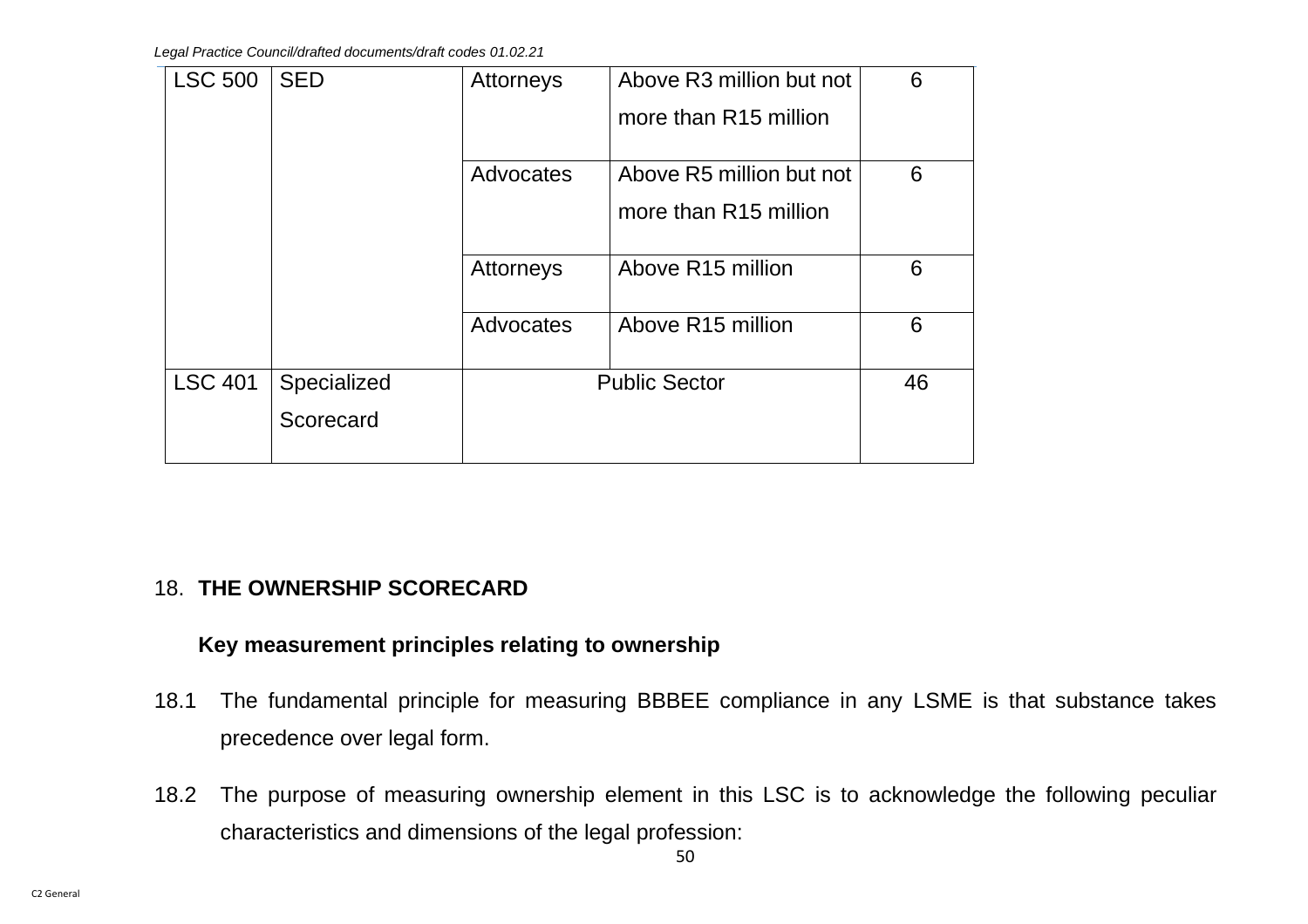| <b>LSC 500</b> | <b>SED</b>  | <b>Attorneys</b> | Above R3 million but not      | 6  |
|----------------|-------------|------------------|-------------------------------|----|
|                |             |                  | more than R15 million         |    |
|                |             |                  |                               |    |
|                |             | Advocates        | Above R5 million but not      | 6  |
|                |             |                  | more than R15 million         |    |
|                |             | Attorneys        | Above R15 million             | 6  |
|                |             | Advocates        | Above R <sub>15</sub> million | 6  |
| <b>LSC 401</b> | Specialized |                  | <b>Public Sector</b>          | 46 |
|                | Scorecard   |                  |                               |    |
|                |             |                  |                               |    |

## 18. **THE OWNERSHIP SCORECARD**

## **Key measurement principles relating to ownership**

- 18.1 The fundamental principle for measuring BBBEE compliance in any LSME is that substance takes precedence over legal form.
- 18.2 The purpose of measuring ownership element in this LSC is to acknowledge the following peculiar characteristics and dimensions of the legal profession: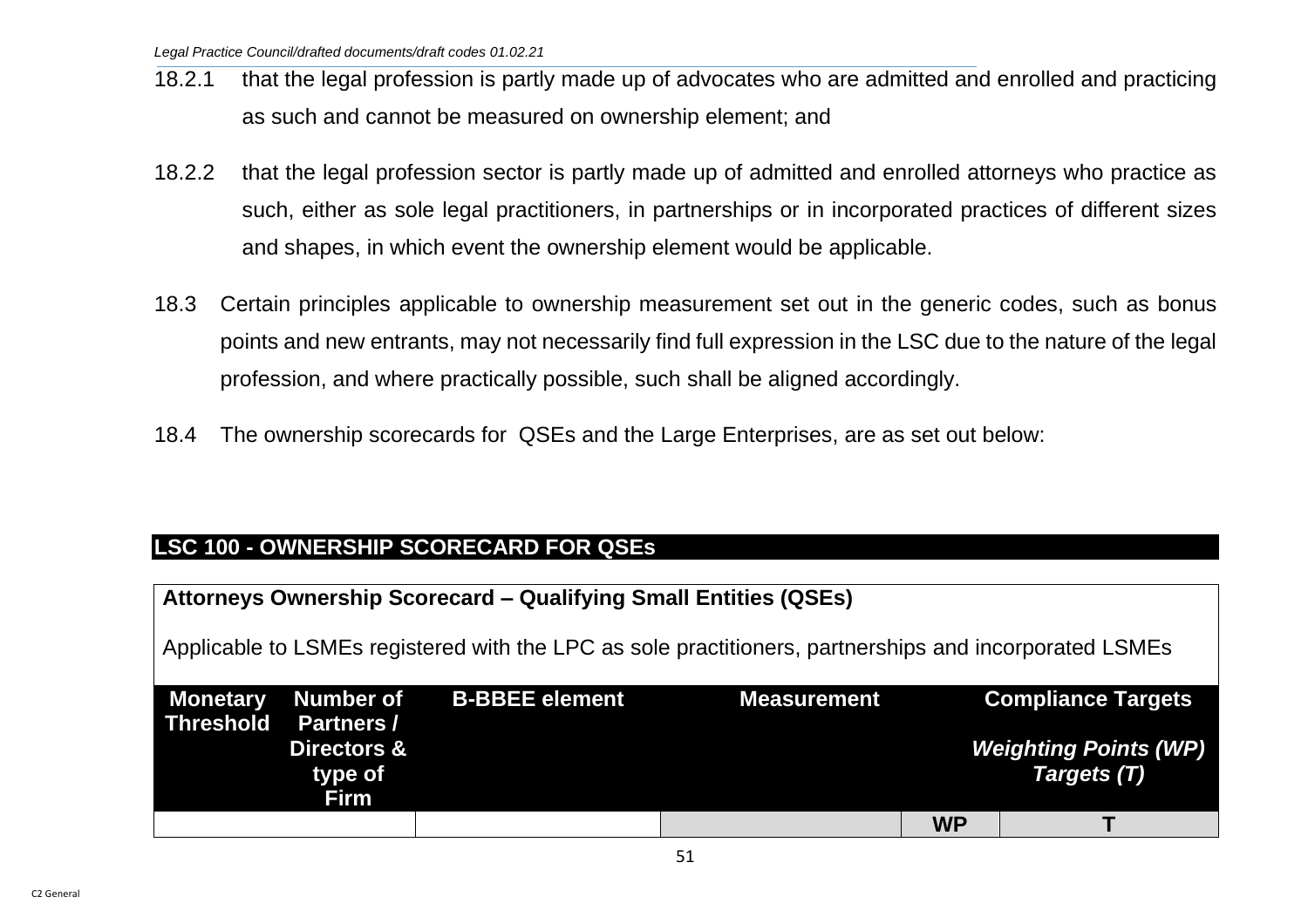- 18.2.1 that the legal profession is partly made up of advocates who are admitted and enrolled and practicing as such and cannot be measured on ownership element; and
- 18.2.2 that the legal profession sector is partly made up of admitted and enrolled attorneys who practice as such, either as sole legal practitioners, in partnerships or in incorporated practices of different sizes and shapes, in which event the ownership element would be applicable.
- 18.3 Certain principles applicable to ownership measurement set out in the generic codes, such as bonus points and new entrants, may not necessarily find full expression in the LSC due to the nature of the legal profession, and where practically possible, such shall be aligned accordingly.
- 18.4 The ownership scorecards for QSEs and the Large Enterprises, are as set out below:

## **LSC 100 - OWNERSHIP SCORECARD FOR QSEs**

| <b>Attorneys Ownership Scorecard – Qualifying Small Entities (QSEs)</b> |                                                                                                        |                       |                    |           |                                             |  |  |  |
|-------------------------------------------------------------------------|--------------------------------------------------------------------------------------------------------|-----------------------|--------------------|-----------|---------------------------------------------|--|--|--|
|                                                                         | Applicable to LSMEs registered with the LPC as sole practitioners, partnerships and incorporated LSMEs |                       |                    |           |                                             |  |  |  |
| <b>Monetary</b>                                                         | <b>Number of</b>                                                                                       | <b>B-BBEE element</b> | <b>Measurement</b> |           | <b>Compliance Targets</b>                   |  |  |  |
| <b>Threshold</b>                                                        | <b>Partners /</b>                                                                                      |                       |                    |           |                                             |  |  |  |
|                                                                         | <b>Directors &amp;</b><br>type of                                                                      |                       |                    |           | <b>Weighting Points (WP)</b><br>Targets (T) |  |  |  |
|                                                                         | Firm                                                                                                   |                       |                    |           |                                             |  |  |  |
|                                                                         |                                                                                                        |                       |                    | <b>WP</b> |                                             |  |  |  |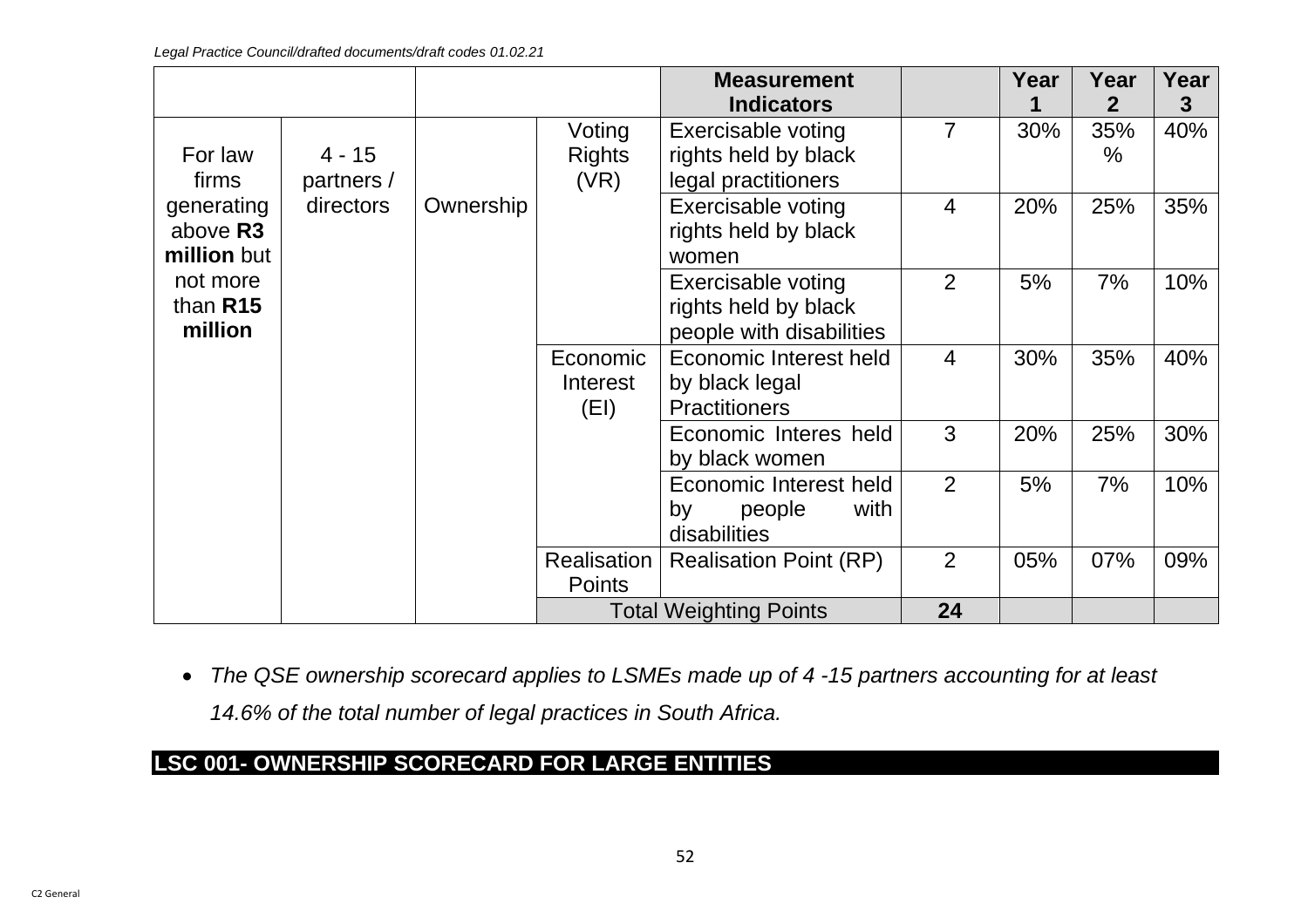|                                       |                        |           |                                 | <b>Measurement</b>                                                                     |                | Year | Year                      | Year     |
|---------------------------------------|------------------------|-----------|---------------------------------|----------------------------------------------------------------------------------------|----------------|------|---------------------------|----------|
| For law<br>firms                      | $4 - 15$<br>partners / |           | Voting<br><b>Rights</b><br>(VR) | <b>Indicators</b><br>Exercisable voting<br>rights held by black<br>legal practitioners | $\overline{7}$ | 30%  | 2<br>35%<br>$\frac{0}{0}$ | 3<br>40% |
| generating<br>above R3<br>million but | directors              | Ownership |                                 | Exercisable voting<br>rights held by black<br>women                                    | $\overline{4}$ | 20%  | 25%                       | 35%      |
| not more<br>than R15<br>million       |                        |           |                                 | Exercisable voting<br>rights held by black<br>people with disabilities                 | 2              | 5%   | 7%                        | 10%      |
|                                       |                        |           | Economic<br>Interest<br>(EI)    | Economic Interest held<br>by black legal<br><b>Practitioners</b>                       | $\overline{4}$ | 30%  | 35%                       | 40%      |
|                                       |                        |           |                                 | Economic Interes held<br>by black women                                                | 3              | 20%  | 25%                       | 30%      |
|                                       |                        |           |                                 | Economic Interest held<br>with<br>by<br>people<br>disabilities                         | 2              | 5%   | 7%                        | 10%      |
|                                       |                        |           | Realisation<br><b>Points</b>    | <b>Realisation Point (RP)</b>                                                          | 2              | 05%  | 07%                       | 09%      |
|                                       |                        |           |                                 | <b>Total Weighting Points</b>                                                          | 24             |      |                           |          |

• *The QSE ownership scorecard applies to LSMEs made up of 4 -15 partners accounting for at least* 

*14.6% of the total number of legal practices in South Africa.* 

# **LSC 001- OWNERSHIP SCORECARD FOR LARGE ENTITIES**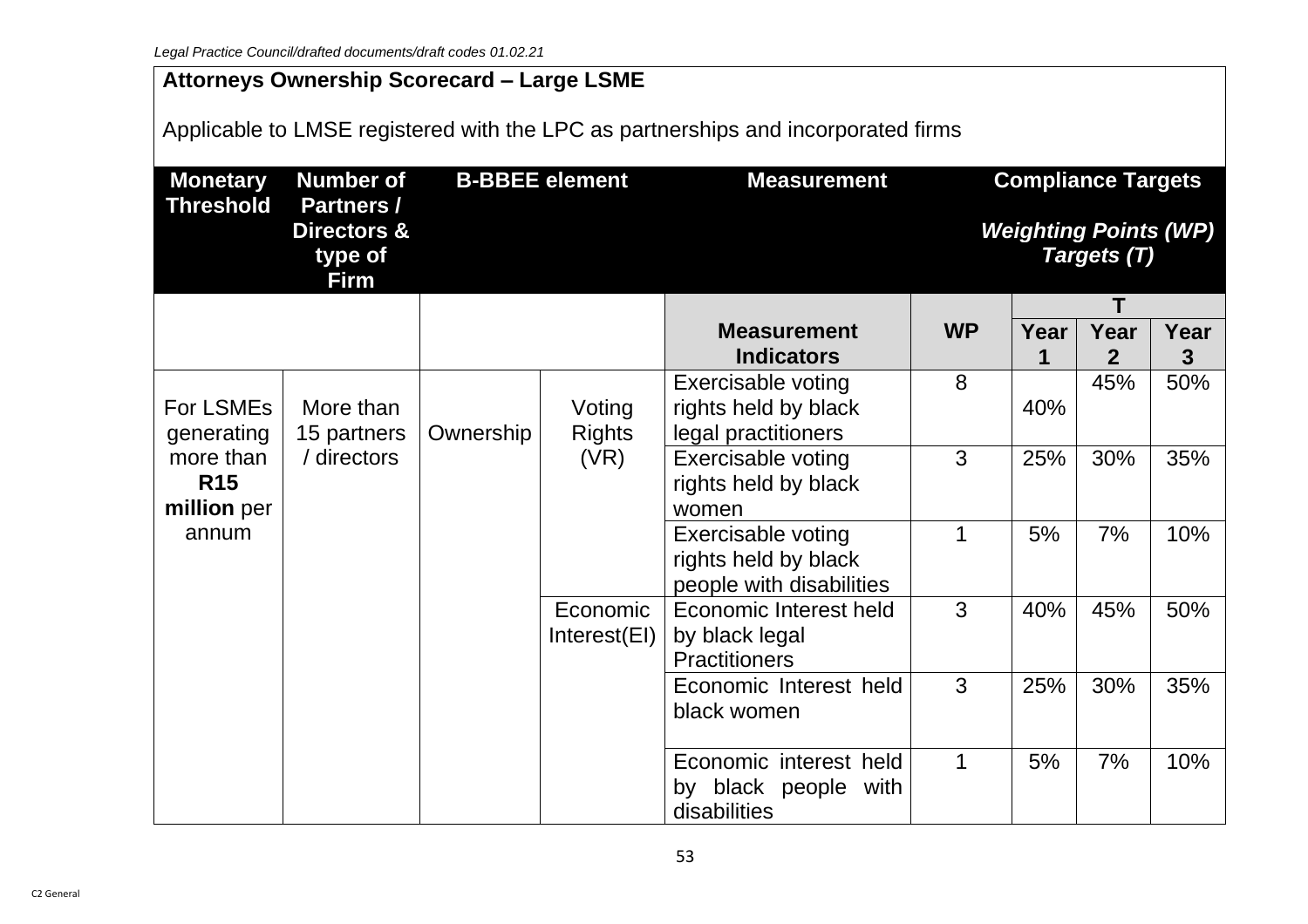# **Attorneys Ownership Scorecard – Large LSME**

Applicable to LMSE registered with the LPC as partnerships and incorporated firms

| <b>Monetary</b>                        | <b>Number of</b>                                           |           | <b>B-BBEE element</b>    | <b>Measurement</b>                                                     |           | <b>Compliance Targets</b>                   |                        |           |  |
|----------------------------------------|------------------------------------------------------------|-----------|--------------------------|------------------------------------------------------------------------|-----------|---------------------------------------------|------------------------|-----------|--|
| <b>Threshold</b>                       | <b>Partners /</b><br>Directors &<br>type of<br><b>Firm</b> |           |                          |                                                                        |           | <b>Weighting Points (WP)</b><br>Targets (T) |                        |           |  |
|                                        |                                                            |           |                          |                                                                        |           |                                             | Т                      |           |  |
|                                        |                                                            |           |                          | <b>Measurement</b><br><b>Indicators</b>                                | <b>WP</b> | Year<br>1                                   | Year<br>$\overline{2}$ | Year<br>3 |  |
| <b>For LSMEs</b><br>generating         | More than<br>15 partners                                   | Ownership | Voting<br><b>Rights</b>  | Exercisable voting<br>rights held by black<br>legal practitioners      | 8         | 40%                                         | 45%                    | 50%       |  |
| more than<br><b>R15</b><br>million per | / directors                                                |           | (VR)                     | <b>Exercisable voting</b><br>rights held by black<br>women             | 3         | 25%                                         | 30%                    | 35%       |  |
| annum                                  |                                                            |           |                          | Exercisable voting<br>rights held by black<br>people with disabilities | 1         | 5%                                          | 7%                     | 10%       |  |
|                                        |                                                            |           | Economic<br>Interest(EI) | Economic Interest held<br>by black legal<br><b>Practitioners</b>       | 3         | 40%                                         | 45%                    | 50%       |  |
|                                        |                                                            |           |                          | Economic Interest held<br>black women                                  | 3         | 25%                                         | 30%                    | 35%       |  |
|                                        |                                                            |           |                          | Economic interest held<br>by black people with<br>disabilities         | 1         | 5%                                          | 7%                     | 10%       |  |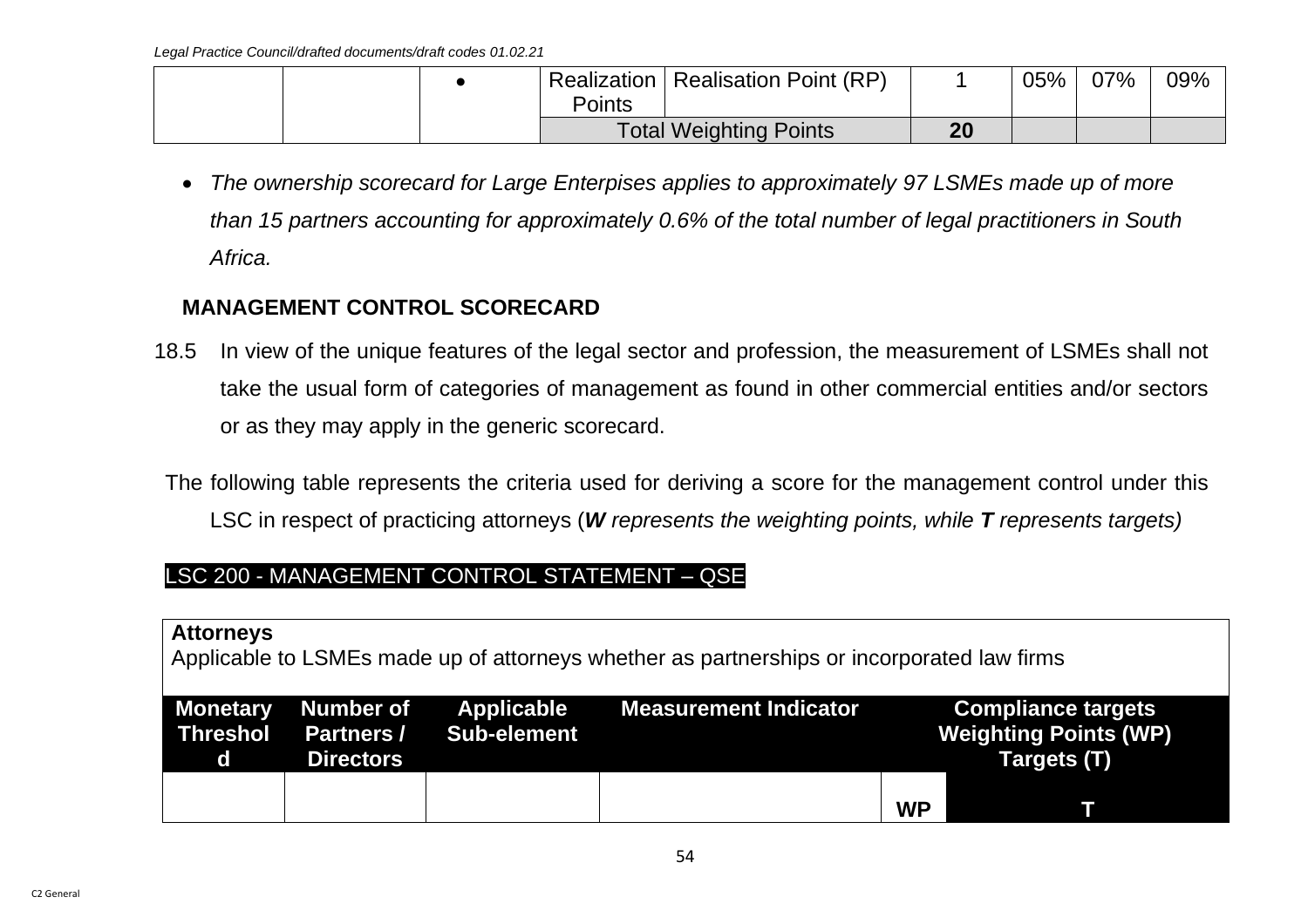|  |        | Realization   Realisation Point (RP) |    | 05% | 07% | 09% |
|--|--------|--------------------------------------|----|-----|-----|-----|
|  | Points |                                      |    |     |     |     |
|  |        | <b>Total Weighting Points</b>        | 20 |     |     |     |

• *The ownership scorecard for Large Enterpises applies to approximately 97 LSMEs made up of more than 15 partners accounting for approximately 0.6% of the total number of legal practitioners in South Africa.* 

### **MANAGEMENT CONTROL SCORECARD**

- 18.5 In view of the unique features of the legal sector and profession, the measurement of LSMEs shall not take the usual form of categories of management as found in other commercial entities and/or sectors or as they may apply in the generic scorecard.
- The following table represents the criteria used for deriving a score for the management control under this LSC in respect of practicing attorneys (*W represents the weighting points, while T represents targets)*

## LSC 200 - MANAGEMENT CONTROL STATEMENT – QSE

### **Attorneys**

Applicable to LSMEs made up of attorneys whether as partnerships or incorporated law firms

| $\mathbf d$ | <b>Directors</b> | Monetary Number of Applicable<br>Threshol Partners / Sub-element | Measurement Indicator |           | <b>Compliance targets</b><br><b>Weighting Points (WP)</b><br>Targets (T) |
|-------------|------------------|------------------------------------------------------------------|-----------------------|-----------|--------------------------------------------------------------------------|
|             |                  |                                                                  |                       | <b>WP</b> |                                                                          |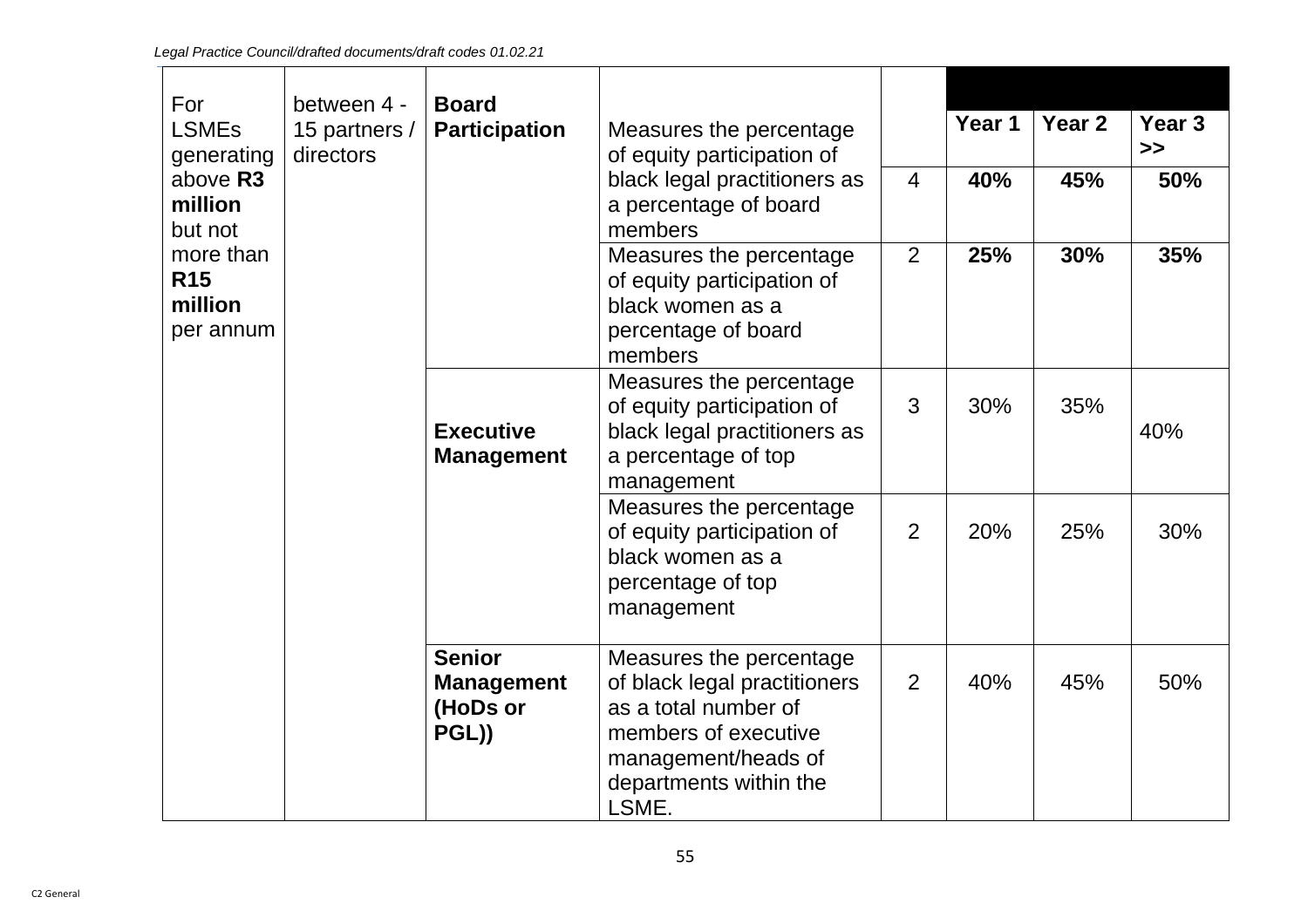| For<br><b>LSMEs</b><br>generating<br>above R3<br>million<br>but not | between 4 -<br>15 partners /<br>directors | <b>Board</b><br><b>Participation</b>                    | Measures the percentage<br>of equity participation of<br>black legal practitioners as<br>a percentage of board<br>members                                         | $\overline{4}$ | Year 1<br>40% | Year 2<br>45% | Year <sub>3</sub><br>$\boldsymbol{>}$<br>50% |
|---------------------------------------------------------------------|-------------------------------------------|---------------------------------------------------------|-------------------------------------------------------------------------------------------------------------------------------------------------------------------|----------------|---------------|---------------|----------------------------------------------|
| more than<br><b>R15</b><br>million<br>per annum                     |                                           |                                                         | Measures the percentage<br>of equity participation of<br>black women as a<br>percentage of board<br>members                                                       | 2              | 25%           | 30%           | 35%                                          |
|                                                                     |                                           | <b>Executive</b><br><b>Management</b>                   | Measures the percentage<br>of equity participation of<br>black legal practitioners as<br>a percentage of top<br>management                                        | 3              | 30%           | 35%           | 40%                                          |
|                                                                     |                                           |                                                         | Measures the percentage<br>of equity participation of<br>black women as a<br>percentage of top<br>management                                                      | $\overline{2}$ | 20%           | 25%           | 30%                                          |
|                                                                     |                                           | <b>Senior</b><br><b>Management</b><br>(HoDs or<br>PGL)) | Measures the percentage<br>of black legal practitioners<br>as a total number of<br>members of executive<br>management/heads of<br>departments within the<br>LSME. | $\overline{2}$ | 40%           | 45%           | 50%                                          |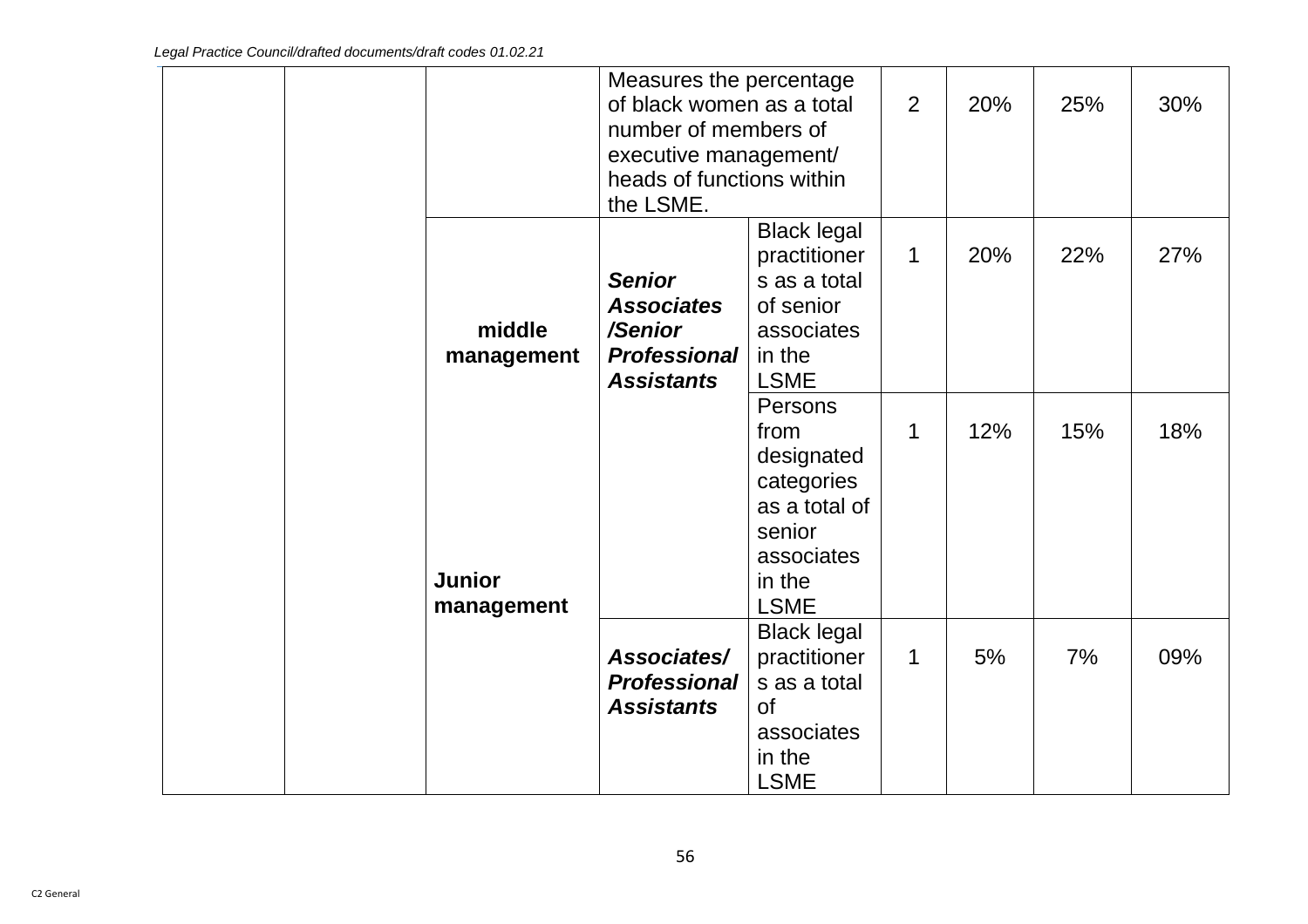|                             | Measures the percentage<br>of black women as a total<br>number of members of<br>executive management/<br>heads of functions within<br>the LSME. |                                                                                                               | 2 | 20% | 25% | 30% |
|-----------------------------|-------------------------------------------------------------------------------------------------------------------------------------------------|---------------------------------------------------------------------------------------------------------------|---|-----|-----|-----|
| middle<br>management        | <b>Senior</b><br><b>Associates</b><br>/Senior<br><b>Professional</b><br><b>Assistants</b>                                                       | <b>Black legal</b><br>practitioner<br>s as a total<br>of senior<br>associates<br>in the<br><b>LSME</b>        | 1 | 20% | 22% | 27% |
| <b>Junior</b><br>management |                                                                                                                                                 | Persons<br>from<br>designated<br>categories<br>as a total of<br>senior<br>associates<br>in the<br><b>LSME</b> | 1 | 12% | 15% | 18% |
|                             | Associates/<br><b>Professional</b><br><b>Assistants</b>                                                                                         | <b>Black legal</b><br>practitioner<br>s as a total<br><b>of</b><br>associates<br>in the<br><b>LSME</b>        | 1 | 5%  | 7%  | 09% |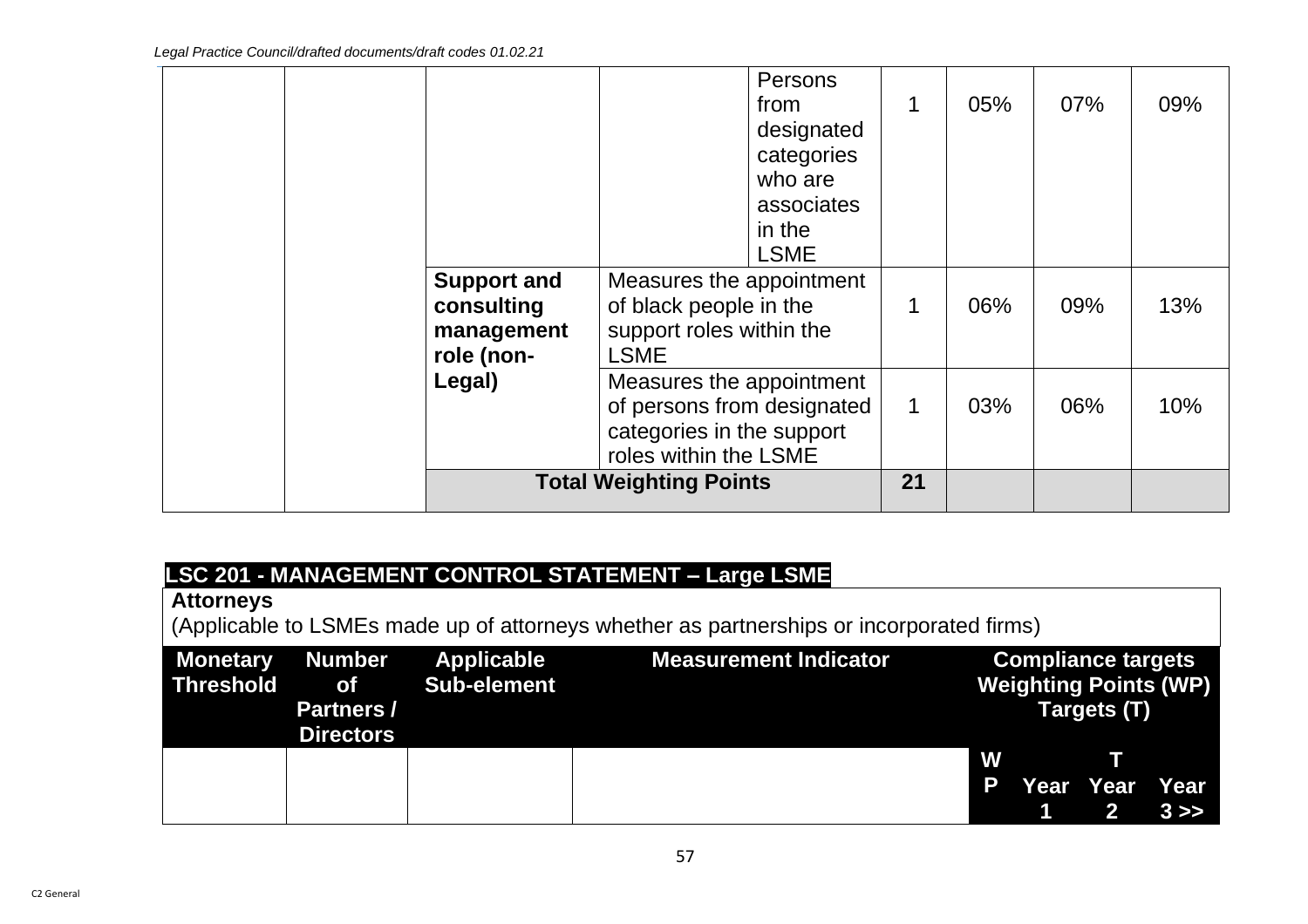|  |                                                                                                              |                                                                                               | <b>Persons</b><br>from<br>designated<br>categories<br>who are<br>associates<br>in the<br><b>LSME</b> | 1   | 05% | 07% | 09% |
|--|--------------------------------------------------------------------------------------------------------------|-----------------------------------------------------------------------------------------------|------------------------------------------------------------------------------------------------------|-----|-----|-----|-----|
|  | <b>Support and</b><br>consulting<br>management<br>role (non-                                                 | Measures the appointment<br>of black people in the<br>support roles within the<br><b>LSME</b> |                                                                                                      | 1   | 06% | 09% | 13% |
|  | Measures the appointment<br>of persons from designated<br>categories in the support<br>roles within the LSME |                                                                                               | 1                                                                                                    | 03% | 06% | 10% |     |
|  |                                                                                                              | <b>Total Weighting Points</b>                                                                 |                                                                                                      | 21  |     |     |     |

# **LSC 201 - MANAGEMENT CONTROL STATEMENT – Large LSME**

# **Attorneys**

(Applicable to LSMEs made up of attorneys whether as partnerships or incorporated firms)

| <b>Partners /</b> | <b>Monetary Number Applicable</b><br>Threshold of Sub-element | <b>Measurement Indicator</b> | <b>Compliance targets</b><br><b>Weighting Points (WP)</b><br>Targets (T) |  |                   |  |
|-------------------|---------------------------------------------------------------|------------------------------|--------------------------------------------------------------------------|--|-------------------|--|
| <b>Directors</b>  |                                                               |                              |                                                                          |  |                   |  |
|                   |                                                               |                              | W                                                                        |  |                   |  |
|                   |                                                               |                              | P                                                                        |  | Year Year Year    |  |
|                   |                                                               |                              |                                                                          |  | $1 \t 2 \t 3 \gg$ |  |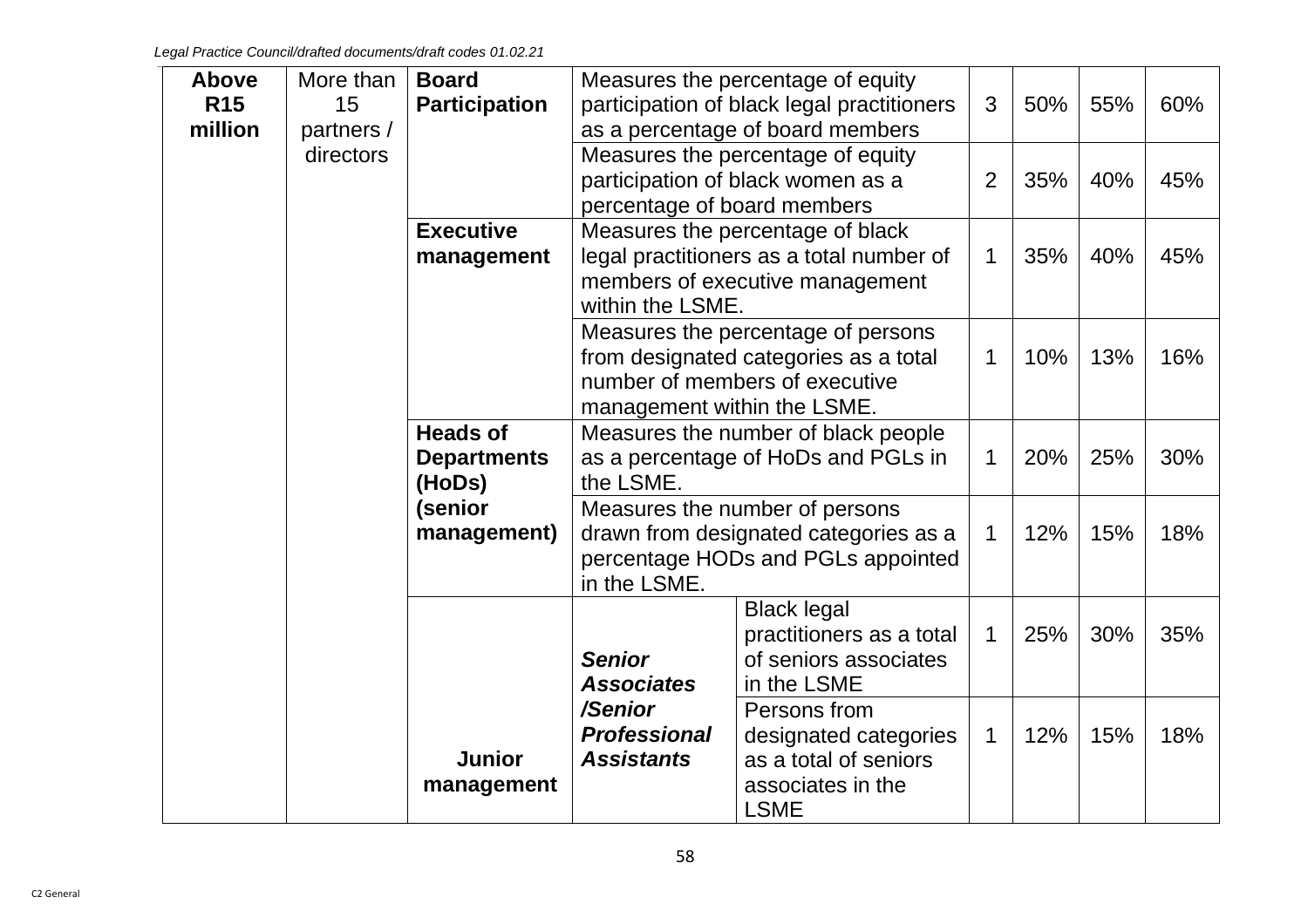| <b>Above</b> | More than  | <b>Board</b>         | Measures the percentage of equity          |                                            |                |     |     |     |
|--------------|------------|----------------------|--------------------------------------------|--------------------------------------------|----------------|-----|-----|-----|
| <b>R15</b>   | 15         | <b>Participation</b> |                                            | participation of black legal practitioners | 3              | 50% | 55% | 60% |
| million      | partners / |                      |                                            | as a percentage of board members           |                |     |     |     |
|              | directors  |                      |                                            | Measures the percentage of equity          |                |     |     |     |
|              |            |                      | participation of black women as a          |                                            | $\overline{2}$ | 35% | 40% | 45% |
|              |            |                      | percentage of board members                |                                            |                |     |     |     |
|              |            | <b>Executive</b>     |                                            | Measures the percentage of black           |                |     |     |     |
|              |            | management           |                                            | legal practitioners as a total number of   | $\mathbf 1$    | 35% | 40% | 45% |
|              |            |                      | members of executive management            |                                            |                |     |     |     |
|              |            |                      | within the LSME.                           |                                            |                |     |     |     |
|              |            |                      | Measures the percentage of persons         |                                            |                |     |     |     |
|              |            |                      | from designated categories as a total      |                                            |                | 10% | 13% | 16% |
|              |            |                      | number of members of executive             |                                            |                |     |     |     |
|              |            |                      | management within the LSME.                |                                            |                |     |     |     |
|              |            | <b>Heads of</b>      | Measures the number of black people        |                                            |                |     |     |     |
|              |            | <b>Departments</b>   |                                            | as a percentage of HoDs and PGLs in        | 1              | 20% | 25% | 30% |
|              |            | (HoDs)               | the LSME.                                  |                                            |                |     |     |     |
|              |            | (senior              |                                            | Measures the number of persons             |                |     |     |     |
|              |            | management)          |                                            | drawn from designated categories as a      | $\mathbf 1$    | 12% | 15% | 18% |
|              |            |                      |                                            | percentage HODs and PGLs appointed         |                |     |     |     |
|              |            |                      | in the LSME.                               |                                            |                |     |     |     |
|              |            |                      |                                            | <b>Black legal</b>                         |                |     |     |     |
|              |            |                      |                                            | practitioners as a total                   | $\mathbf 1$    | 25% | 30% | 35% |
|              |            |                      | <b>Senior</b>                              | of seniors associates                      |                |     |     |     |
|              |            |                      | <b>Associates</b>                          | in the LSME                                |                |     |     |     |
|              |            |                      | /Senior                                    | Persons from                               |                |     |     |     |
|              |            |                      | <b>Professional</b>                        | designated categories                      | $\mathbf 1$    | 12% | 15% | 18% |
|              |            | <b>Junior</b>        | <b>Assistants</b><br>as a total of seniors |                                            |                |     |     |     |
|              |            | management           |                                            | associates in the                          |                |     |     |     |
|              |            |                      |                                            | <b>LSME</b>                                |                |     |     |     |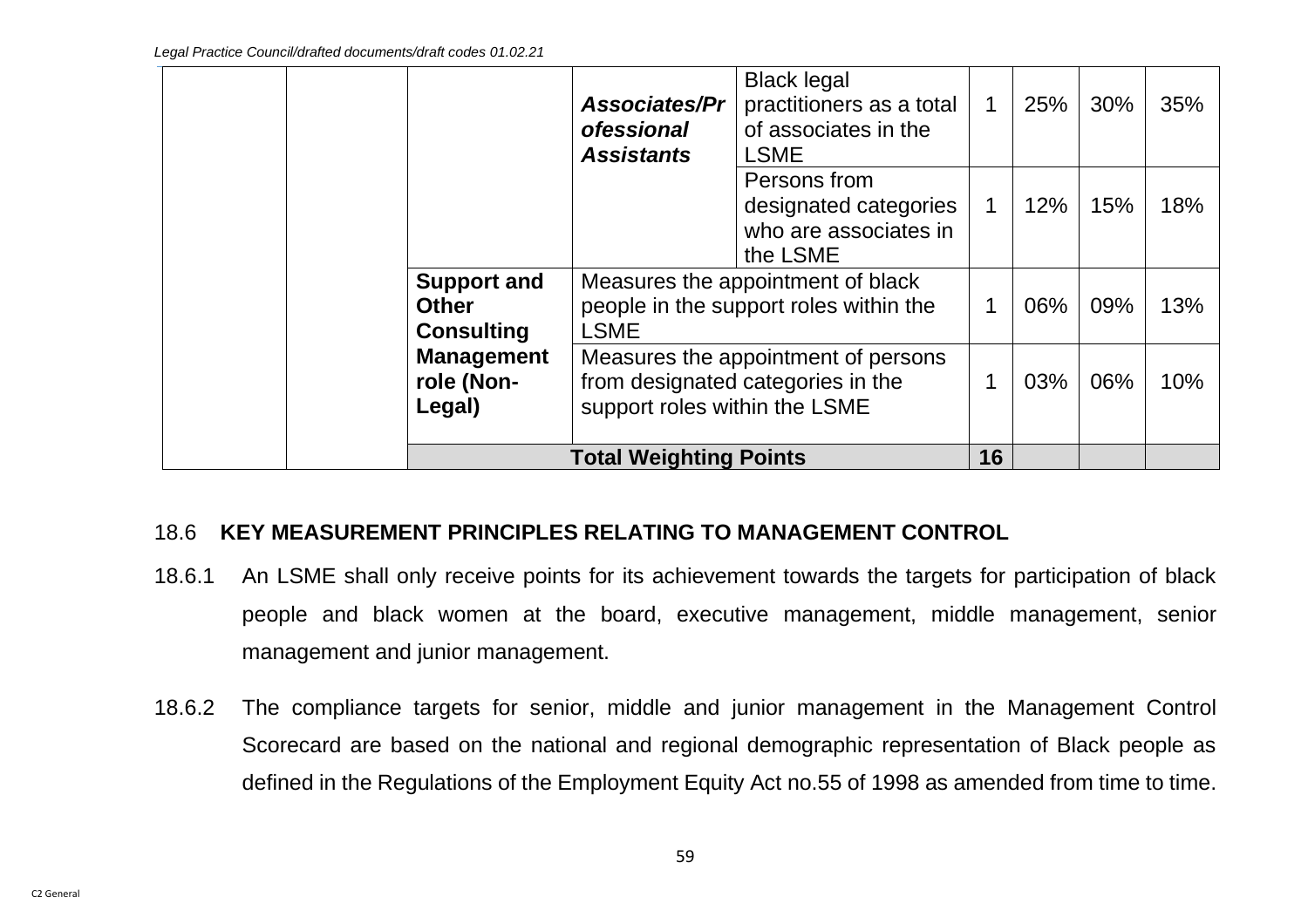|                                                         | <b>Associates/Pr</b><br><b>ofessional</b><br><b>Assistants</b>                                            | <b>Black legal</b><br>practitioners as a total<br>of associates in the<br><b>LSME</b> | $\mathbf 1$ | 25% | 30% | 35% |
|---------------------------------------------------------|-----------------------------------------------------------------------------------------------------------|---------------------------------------------------------------------------------------|-------------|-----|-----|-----|
|                                                         |                                                                                                           | Persons from<br>designated categories<br>who are associates in<br>the LSME            |             | 12% | 15% | 18% |
| <b>Support and</b><br><b>Other</b><br><b>Consulting</b> | Measures the appointment of black<br>people in the support roles within the<br><b>LSME</b>                |                                                                                       |             | 06% | 09% | 13% |
| <b>Management</b><br>role (Non-<br>Legal)               | Measures the appointment of persons<br>from designated categories in the<br>support roles within the LSME |                                                                                       | 1           | 03% | 06% | 10% |
|                                                         | <b>Total Weighting Points</b>                                                                             |                                                                                       | 16          |     |     |     |

### 18.6 **KEY MEASUREMENT PRINCIPLES RELATING TO MANAGEMENT CONTROL**

- 18.6.1 An LSME shall only receive points for its achievement towards the targets for participation of black people and black women at the board, executive management, middle management, senior management and junior management.
- 18.6.2 The compliance targets for senior, middle and junior management in the Management Control Scorecard are based on the national and regional demographic representation of Black people as defined in the Regulations of the Employment Equity Act no.55 of 1998 as amended from time to time.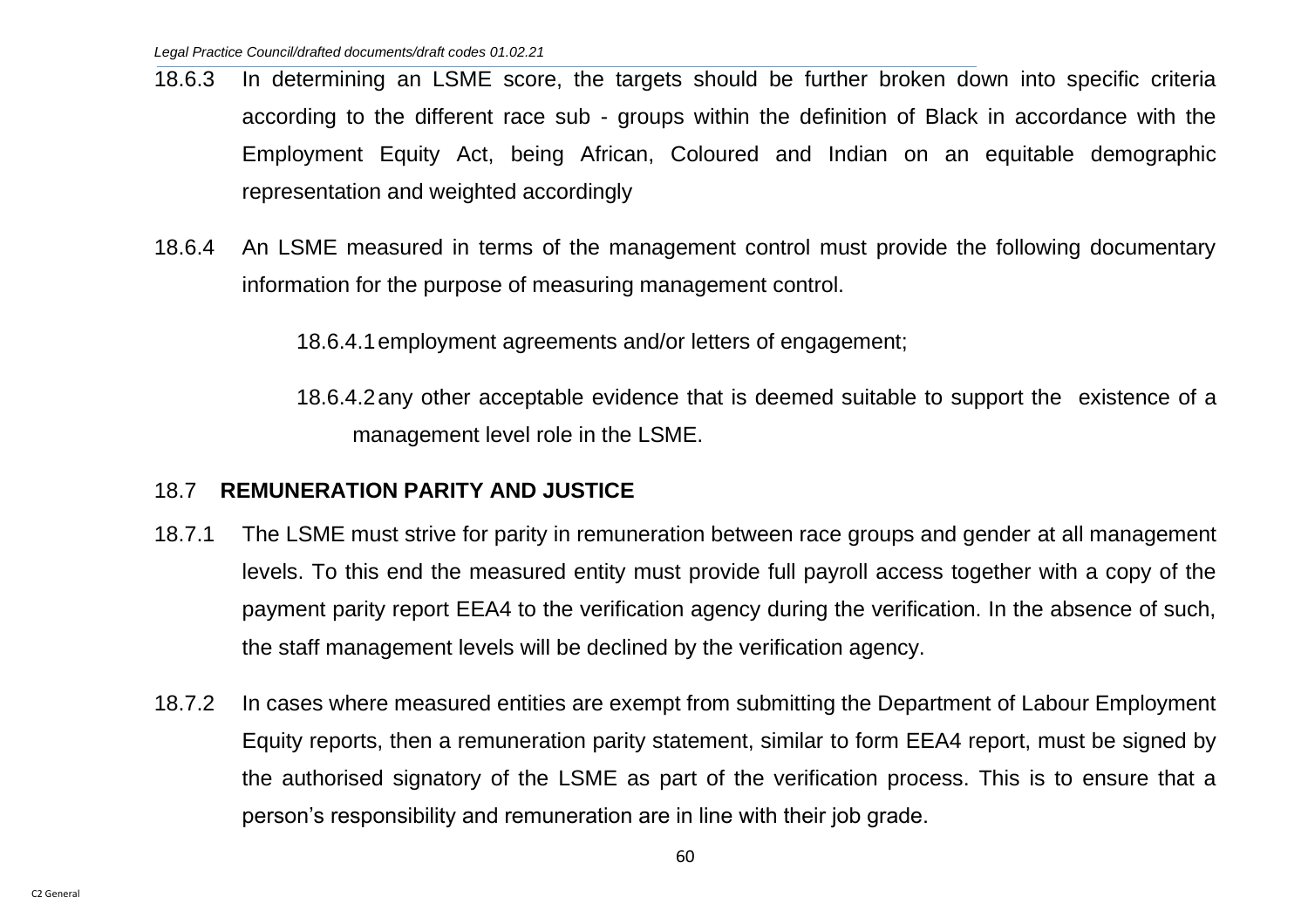- 18.6.3 In determining an LSME score, the targets should be further broken down into specific criteria according to the different race sub - groups within the definition of Black in accordance with the Employment Equity Act, being African, Coloured and Indian on an equitable demographic representation and weighted accordingly
- 18.6.4 An LSME measured in terms of the management control must provide the following documentary information for the purpose of measuring management control.

18.6.4.1employment agreements and/or letters of engagement;

18.6.4.2any other acceptable evidence that is deemed suitable to support the existence of a management level role in the LSME.

## 18.7 **REMUNERATION PARITY AND JUSTICE**

- 18.7.1 The LSME must strive for parity in remuneration between race groups and gender at all management levels. To this end the measured entity must provide full payroll access together with a copy of the payment parity report EEA4 to the verification agency during the verification. In the absence of such, the staff management levels will be declined by the verification agency.
- 18.7.2 In cases where measured entities are exempt from submitting the Department of Labour Employment Equity reports, then a remuneration parity statement, similar to form EEA4 report, must be signed by the authorised signatory of the LSME as part of the verification process. This is to ensure that a person's responsibility and remuneration are in line with their job grade.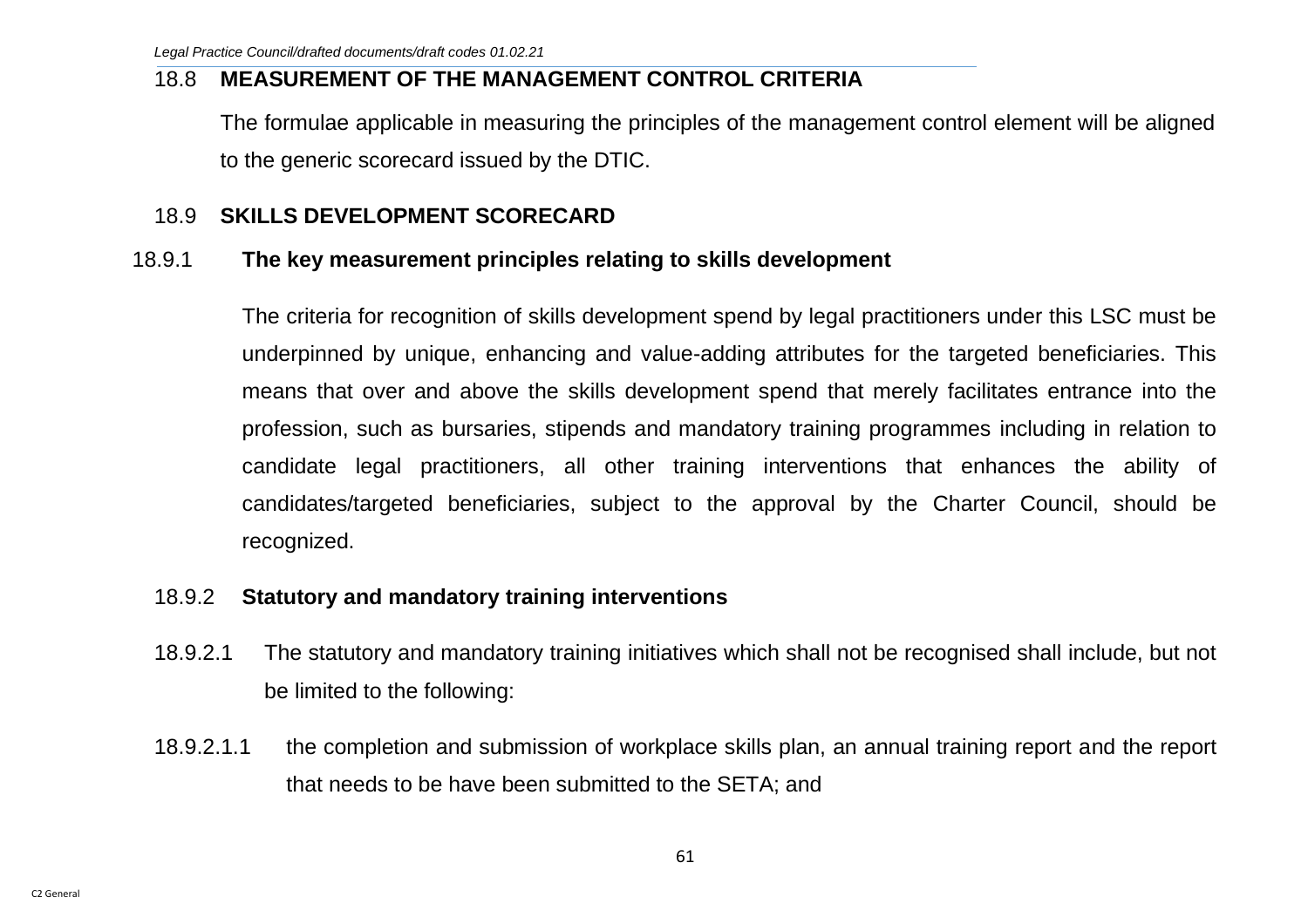### 18.8 **MEASUREMENT OF THE MANAGEMENT CONTROL CRITERIA**

The formulae applicable in measuring the principles of the management control element will be aligned to the generic scorecard issued by the DTIC.

## 18.9 **SKILLS DEVELOPMENT SCORECARD**

### 18.9.1 **The key measurement principles relating to skills development**

The criteria for recognition of skills development spend by legal practitioners under this LSC must be underpinned by unique, enhancing and value-adding attributes for the targeted beneficiaries. This means that over and above the skills development spend that merely facilitates entrance into the profession, such as bursaries, stipends and mandatory training programmes including in relation to candidate legal practitioners, all other training interventions that enhances the ability of candidates/targeted beneficiaries, subject to the approval by the Charter Council, should be recognized.

## 18.9.2 **Statutory and mandatory training interventions**

- 18.9.2.1 The statutory and mandatory training initiatives which shall not be recognised shall include, but not be limited to the following:
- 18.9.2.1.1 the completion and submission of workplace skills plan, an annual training report and the report that needs to be have been submitted to the SETA; and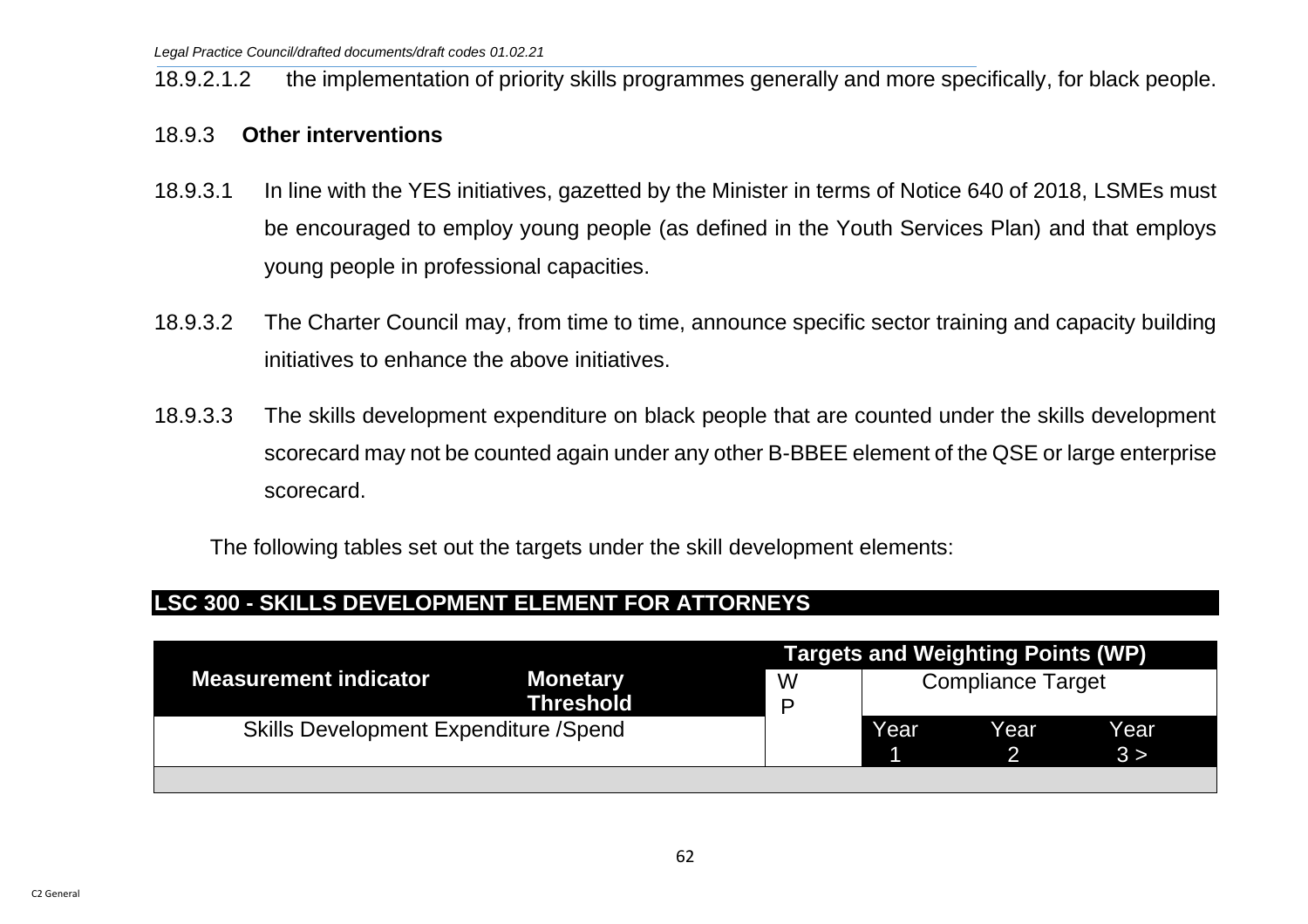18.9.2.1.2 the implementation of priority skills programmes generally and more specifically, for black people.

#### 18.9.3 **Other interventions**

- 18.9.3.1 In line with the YES initiatives, gazetted by the Minister in terms of Notice 640 of 2018, LSMEs must be encouraged to employ young people (as defined in the Youth Services Plan) and that employs young people in professional capacities.
- 18.9.3.2 The Charter Council may, from time to time, announce specific sector training and capacity building initiatives to enhance the above initiatives.
- 18.9.3.3 The skills development expenditure on black people that are counted under the skills development scorecard may not be counted again under any other B-BBEE element of the QSE or large enterprise scorecard.

The following tables set out the targets under the skill development elements:

### **LSC 300 - SKILLS DEVELOPMENT ELEMENT FOR ATTORNEYS**

|                                              | <b>Targets and Weighting Points (WP)</b> |        |                          |      |              |  |  |
|----------------------------------------------|------------------------------------------|--------|--------------------------|------|--------------|--|--|
| <b>Measurement indicator</b>                 | <b>Monetary</b><br><b>Threshold</b>      | W<br>P | <b>Compliance Target</b> |      |              |  |  |
| <b>Skills Development Expenditure /Spend</b> |                                          |        | Year                     | Year | Year<br>.3 > |  |  |
|                                              |                                          |        |                          |      |              |  |  |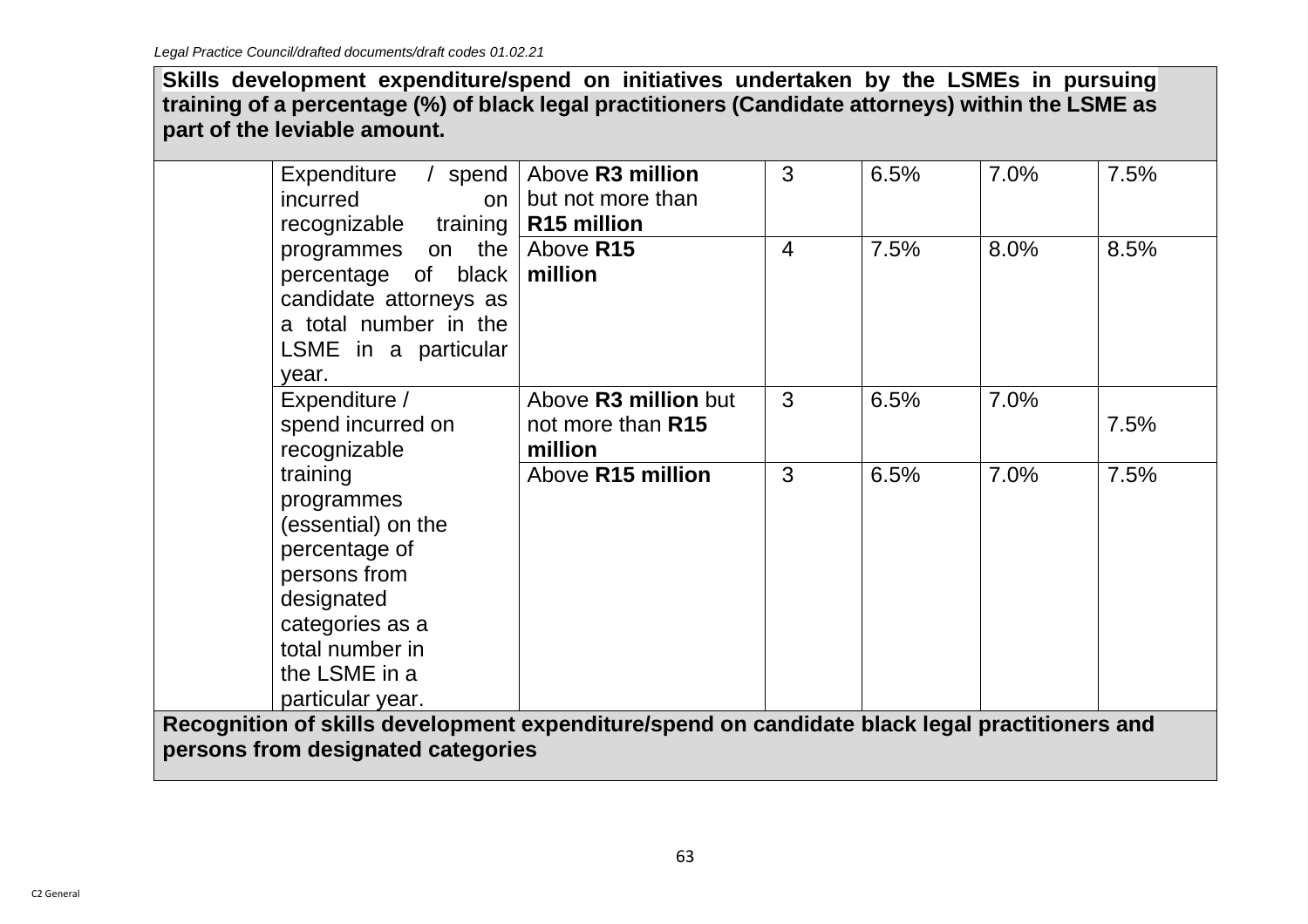**Skills development expenditure/spend on initiatives undertaken by the LSMEs in pursuing training of a percentage (%) of black legal practitioners (Candidate attorneys) within the LSME as part of the leviable amount.**

| Expenditure<br>incurred<br>on<br>recognizable training                                                                                                                 | / spend   Above R3 million<br>but not more than<br>R <sub>15</sub> million | 3              | 6.5% | 7.0% | 7.5% |  |  |  |
|------------------------------------------------------------------------------------------------------------------------------------------------------------------------|----------------------------------------------------------------------------|----------------|------|------|------|--|--|--|
| the $ $<br>programmes on<br>percentage of black<br>candidate attorneys as<br>a total number in the<br>LSME in a particular<br>year.                                    | Above R15<br>million                                                       | $\overline{4}$ | 7.5% | 8.0% | 8.5% |  |  |  |
| Expenditure /<br>spend incurred on<br>recognizable                                                                                                                     | Above R3 million but<br>not more than R15<br>million                       | 3              | 6.5% | 7.0% | 7.5% |  |  |  |
| training<br>programmes<br>(essential) on the<br>percentage of<br>persons from<br>designated<br>categories as a<br>total number in<br>the LSME in a<br>particular year. | Above R15 million                                                          | 3              | 6.5% | 7.0% | 7.5% |  |  |  |
| Recognition of skills development expenditure/spend on candidate black legal practitioners and<br>persons from designated categories                                   |                                                                            |                |      |      |      |  |  |  |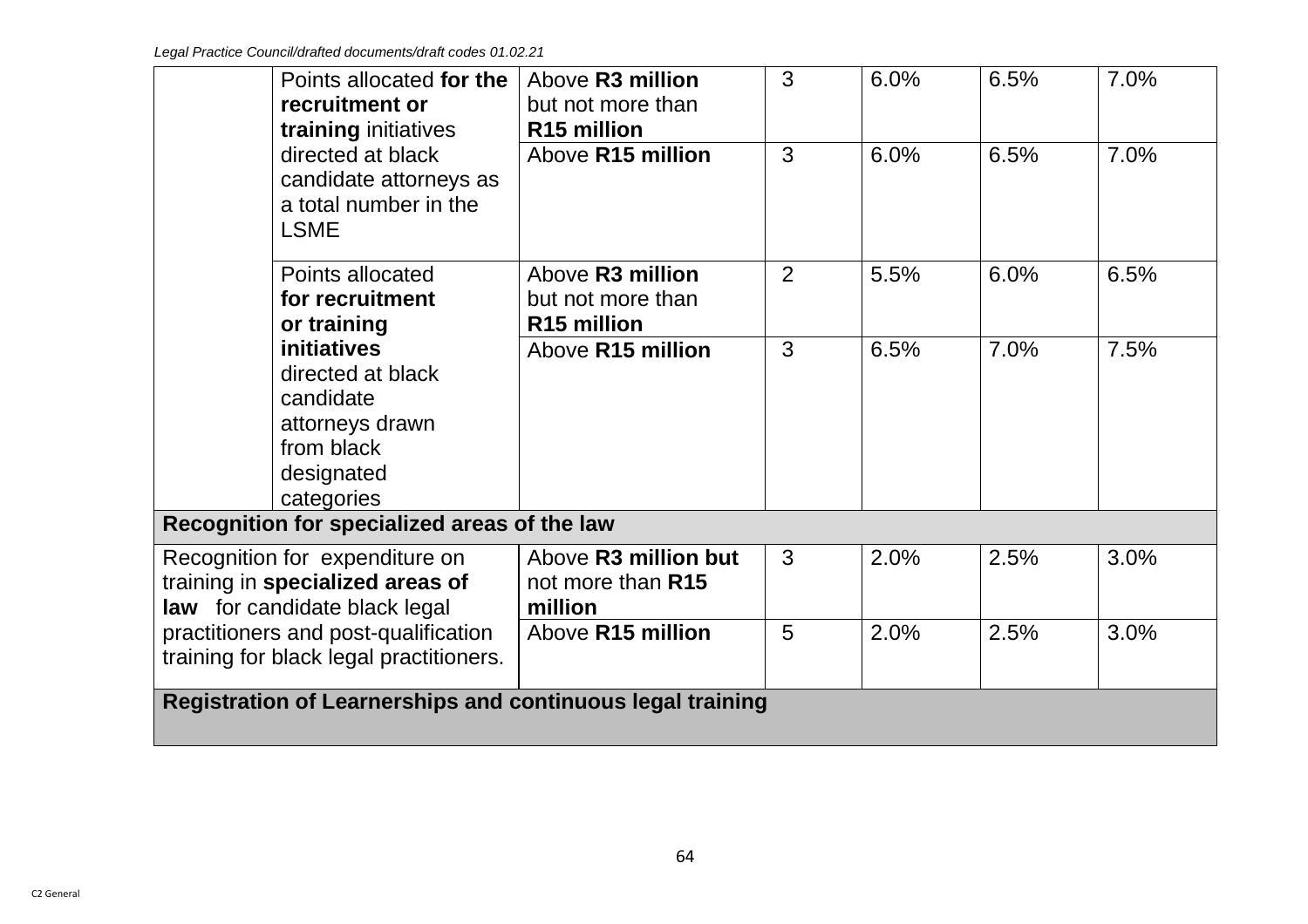| Points allocated for the<br>recruitment or<br>training initiatives                                                | Above R <sub>3</sub> million<br>but not more than<br>R <sub>15</sub> million | 3 | 6.0% | 6.5% | 7.0% |  |  |  |  |
|-------------------------------------------------------------------------------------------------------------------|------------------------------------------------------------------------------|---|------|------|------|--|--|--|--|
| directed at black<br>candidate attorneys as<br>a total number in the<br><b>LSME</b>                               | Above R15 million                                                            | 3 | 6.0% | 6.5% | 7.0% |  |  |  |  |
| Points allocated<br>for recruitment<br>or training                                                                | Above R3 million<br>but not more than<br>R <sub>15</sub> million             | 2 | 5.5% | 6.0% | 6.5% |  |  |  |  |
| <i>initiatives</i><br>directed at black<br>candidate<br>attorneys drawn<br>from black<br>designated<br>categories | Above R15 million                                                            | 3 | 6.5% | 7.0% | 7.5% |  |  |  |  |
| Recognition for specialized areas of the law                                                                      |                                                                              |   |      |      |      |  |  |  |  |
| Recognition for expenditure on<br>training in specialized areas of<br>law for candidate black legal               | Above R3 million but<br>not more than R15<br>million                         | 3 | 2.0% | 2.5% | 3.0% |  |  |  |  |
| practitioners and post-qualification<br>training for black legal practitioners.                                   | Above R15 million                                                            | 5 | 2.0% | 2.5% | 3.0% |  |  |  |  |
|                                                                                                                   | <b>Registration of Learnerships and continuous legal training</b>            |   |      |      |      |  |  |  |  |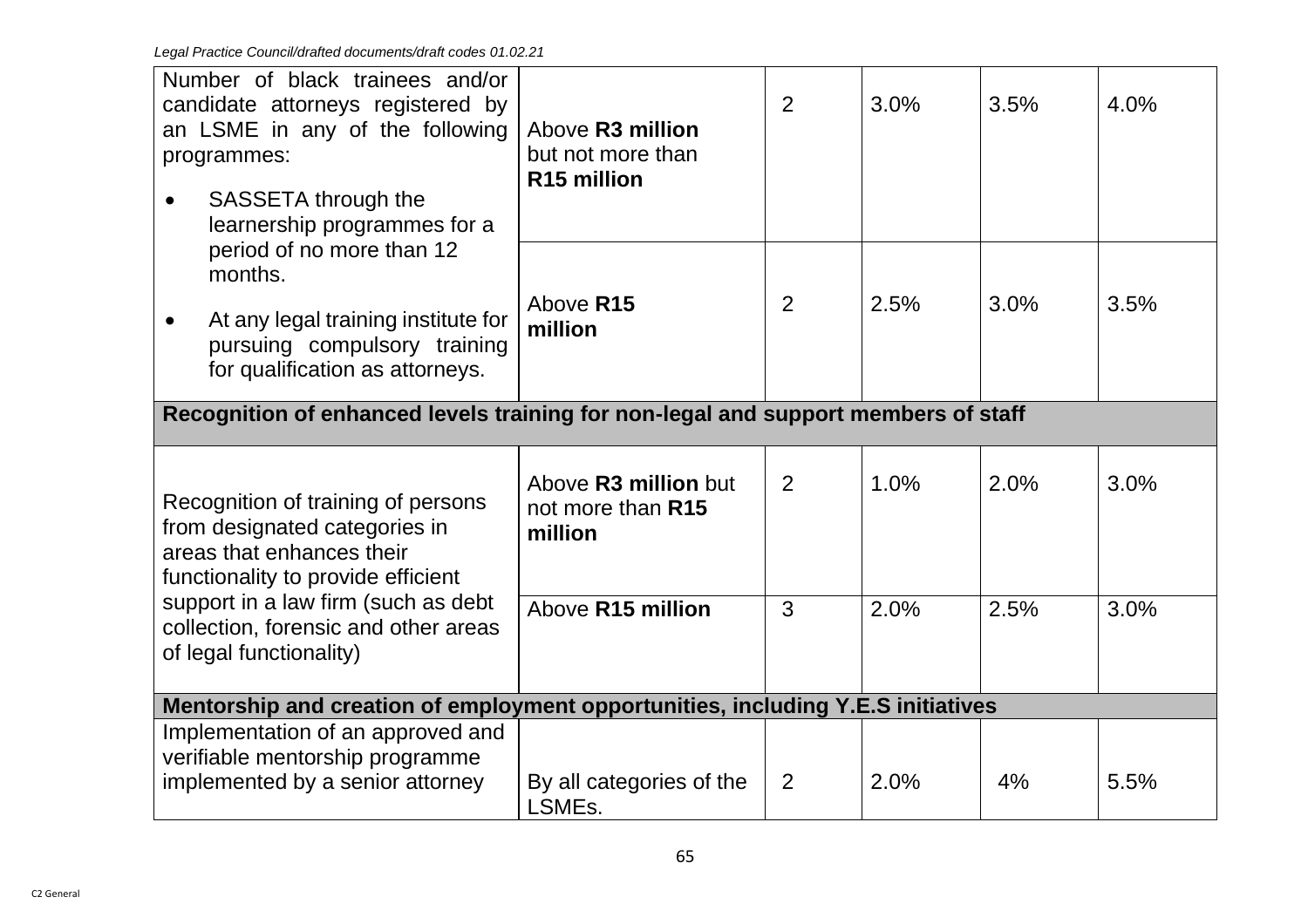| Number of black trainees and/or<br>candidate attorneys registered by<br>an LSME in any of the following<br>programmes:                 | Above R3 million<br>but not more than<br>R <sub>15</sub> million                 | 2 | 3.0% | 3.5% | 4.0% |  |  |  |
|----------------------------------------------------------------------------------------------------------------------------------------|----------------------------------------------------------------------------------|---|------|------|------|--|--|--|
| SASSETA through the<br>$\bullet$<br>learnership programmes for a                                                                       |                                                                                  |   |      |      |      |  |  |  |
| period of no more than 12<br>months.                                                                                                   | Above R15                                                                        | 2 | 2.5% | 3.0% | 3.5% |  |  |  |
| At any legal training institute for<br>pursuing compulsory training<br>for qualification as attorneys.                                 | million                                                                          |   |      |      |      |  |  |  |
| Recognition of enhanced levels training for non-legal and support members of staff                                                     |                                                                                  |   |      |      |      |  |  |  |
| Recognition of training of persons<br>from designated categories in<br>areas that enhances their<br>functionality to provide efficient | Above R <sub>3</sub> million but<br>not more than R15<br>million                 | 2 | 1.0% | 2.0% | 3.0% |  |  |  |
| support in a law firm (such as debt<br>collection, forensic and other areas<br>of legal functionality)                                 | Above R15 million                                                                | 3 | 2.0% | 2.5% | 3.0% |  |  |  |
|                                                                                                                                        | Mentorship and creation of employment opportunities, including Y.E.S initiatives |   |      |      |      |  |  |  |
| Implementation of an approved and<br>verifiable mentorship programme<br>implemented by a senior attorney                               | By all categories of the<br>LSMEs.                                               | 2 | 2.0% | 4%   | 5.5% |  |  |  |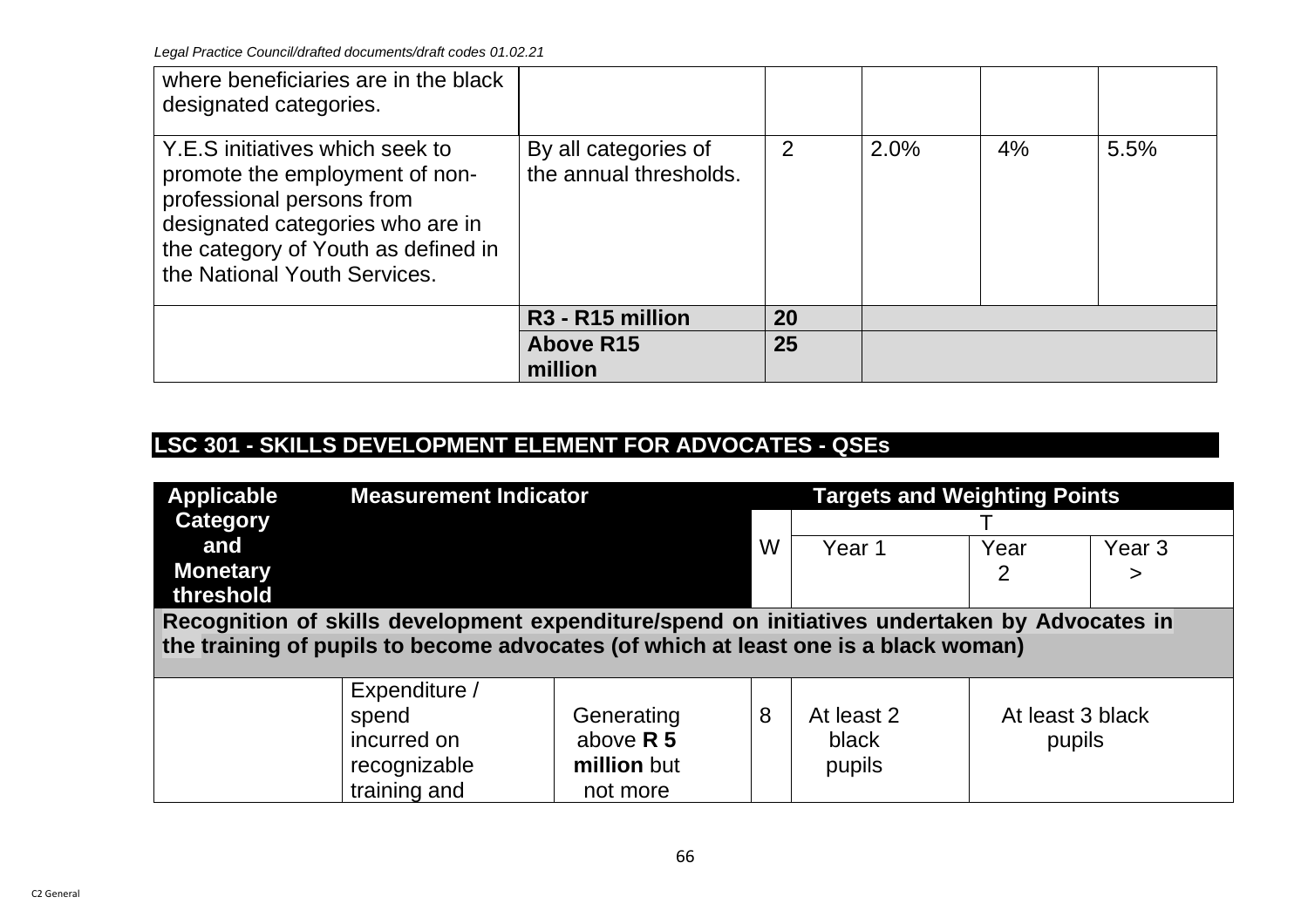| where beneficiaries are in the black<br>designated categories.                                                                                                                                            |                                                |                |      |    |      |
|-----------------------------------------------------------------------------------------------------------------------------------------------------------------------------------------------------------|------------------------------------------------|----------------|------|----|------|
| Y.E.S initiatives which seek to<br>promote the employment of non-<br>professional persons from<br>designated categories who are in<br>the category of Youth as defined in<br>the National Youth Services. | By all categories of<br>the annual thresholds. | $\overline{2}$ | 2.0% | 4% | 5.5% |
|                                                                                                                                                                                                           | R <sub>3</sub> - R <sub>15</sub> million       | 20             |      |    |      |
|                                                                                                                                                                                                           | <b>Above R15</b><br>million                    | 25             |      |    |      |

# **LSC 301 - SKILLS DEVELOPMENT ELEMENT FOR ADVOCATES - QSEs**

| <b>Applicable</b><br>Category<br>and<br><b>Monetary</b><br>threshold                                                                                                                 | <b>Measurement Indicator</b>                                          |                                                      | W | <b>Targets and Weighting Points</b><br>Year 1 | Year<br>2                  | Year <sub>3</sub><br>> |  |
|--------------------------------------------------------------------------------------------------------------------------------------------------------------------------------------|-----------------------------------------------------------------------|------------------------------------------------------|---|-----------------------------------------------|----------------------------|------------------------|--|
| Recognition of skills development expenditure/spend on initiatives undertaken by Advocates in<br>the training of pupils to become advocates (of which at least one is a black woman) |                                                                       |                                                      |   |                                               |                            |                        |  |
|                                                                                                                                                                                      | Expenditure /<br>spend<br>incurred on<br>recognizable<br>training and | Generating<br>above $R$ 5<br>million but<br>not more | 8 | At least 2<br>black<br>pupils                 | At least 3 black<br>pupils |                        |  |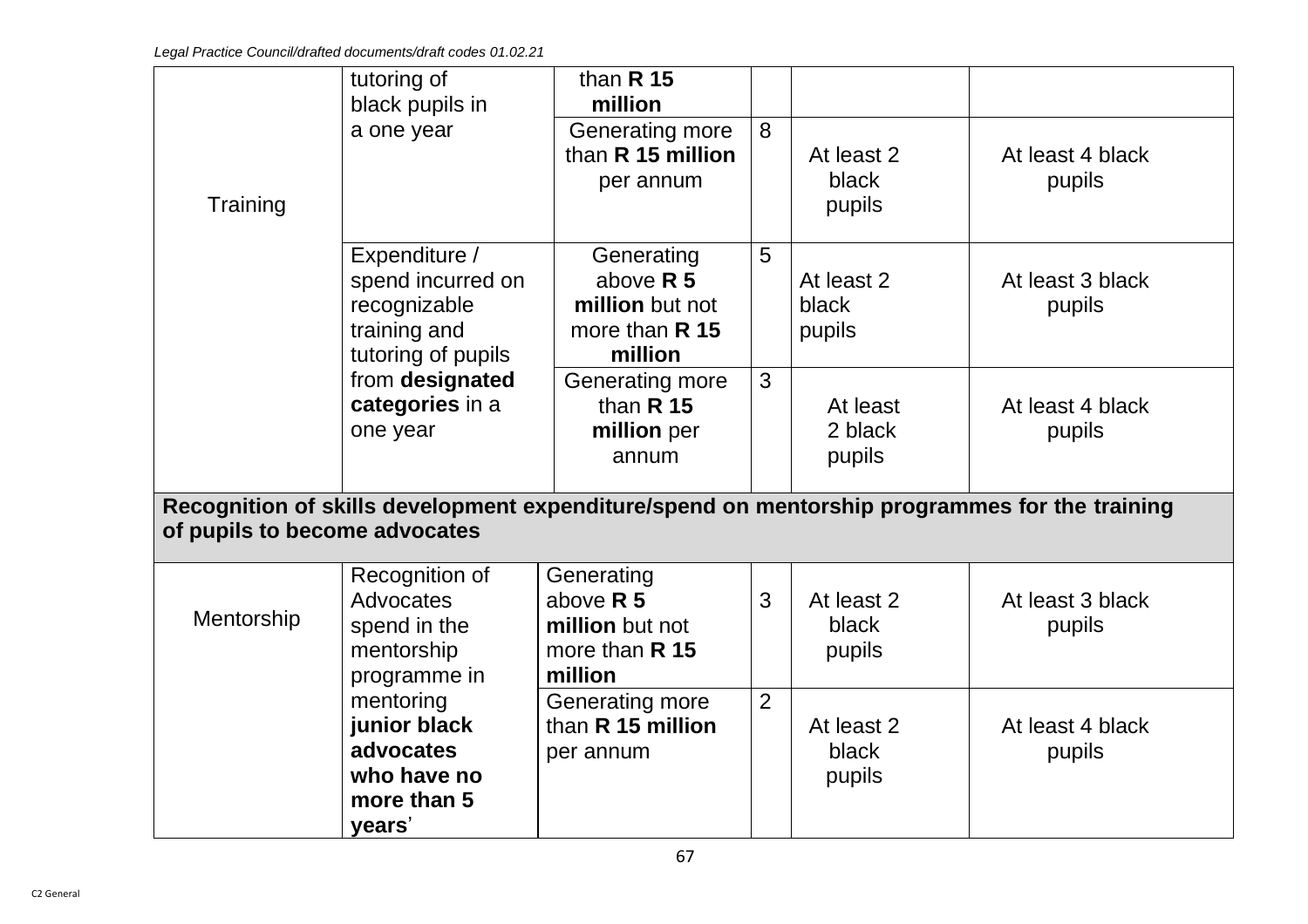|                               | tutoring of        | than $R$ 15       |                |            |                                                                                               |
|-------------------------------|--------------------|-------------------|----------------|------------|-----------------------------------------------------------------------------------------------|
|                               | black pupils in    | million           |                |            |                                                                                               |
|                               | a one year         | Generating more   | 8              |            |                                                                                               |
|                               |                    | than R 15 million |                | At least 2 | At least 4 black                                                                              |
|                               |                    | per annum         |                | black      | pupils                                                                                        |
| Training                      |                    |                   |                | pupils     |                                                                                               |
|                               |                    |                   |                |            |                                                                                               |
|                               | Expenditure /      | Generating        | 5              |            |                                                                                               |
|                               | spend incurred on  | above $R$ 5       |                | At least 2 | At least 3 black                                                                              |
|                               | recognizable       | million but not   |                | black      | pupils                                                                                        |
|                               | training and       | more than R 15    |                | pupils     |                                                                                               |
|                               | tutoring of pupils | million           |                |            |                                                                                               |
|                               | from designated    | Generating more   | 3              |            |                                                                                               |
|                               | categories in a    | than $R$ 15       |                | At least   | At least 4 black                                                                              |
|                               | one year           | million per       |                | 2 black    | pupils                                                                                        |
|                               |                    | annum             |                | pupils     |                                                                                               |
|                               |                    |                   |                |            |                                                                                               |
|                               |                    |                   |                |            | Recognition of skills development expenditure/spend on mentorship programmes for the training |
| of pupils to become advocates |                    |                   |                |            |                                                                                               |
|                               | Recognition of     | Generating        |                |            |                                                                                               |
|                               | Advocates          | above $R$ 5       | 3              | At least 2 | At least 3 black                                                                              |
| Mentorship                    | spend in the       | million but not   |                | black      | pupils                                                                                        |
|                               | mentorship         | more than R 15    |                | pupils     |                                                                                               |
|                               | programme in       | million           |                |            |                                                                                               |
|                               | mentoring          | Generating more   | $\overline{2}$ |            |                                                                                               |
|                               | junior black       | than R 15 million |                | At least 2 | At least 4 black                                                                              |
|                               | advocates          | per annum         |                | black      | pupils                                                                                        |
|                               | who have no        |                   |                | pupils     |                                                                                               |
|                               | more than 5        |                   |                |            |                                                                                               |
|                               | years'             |                   |                |            |                                                                                               |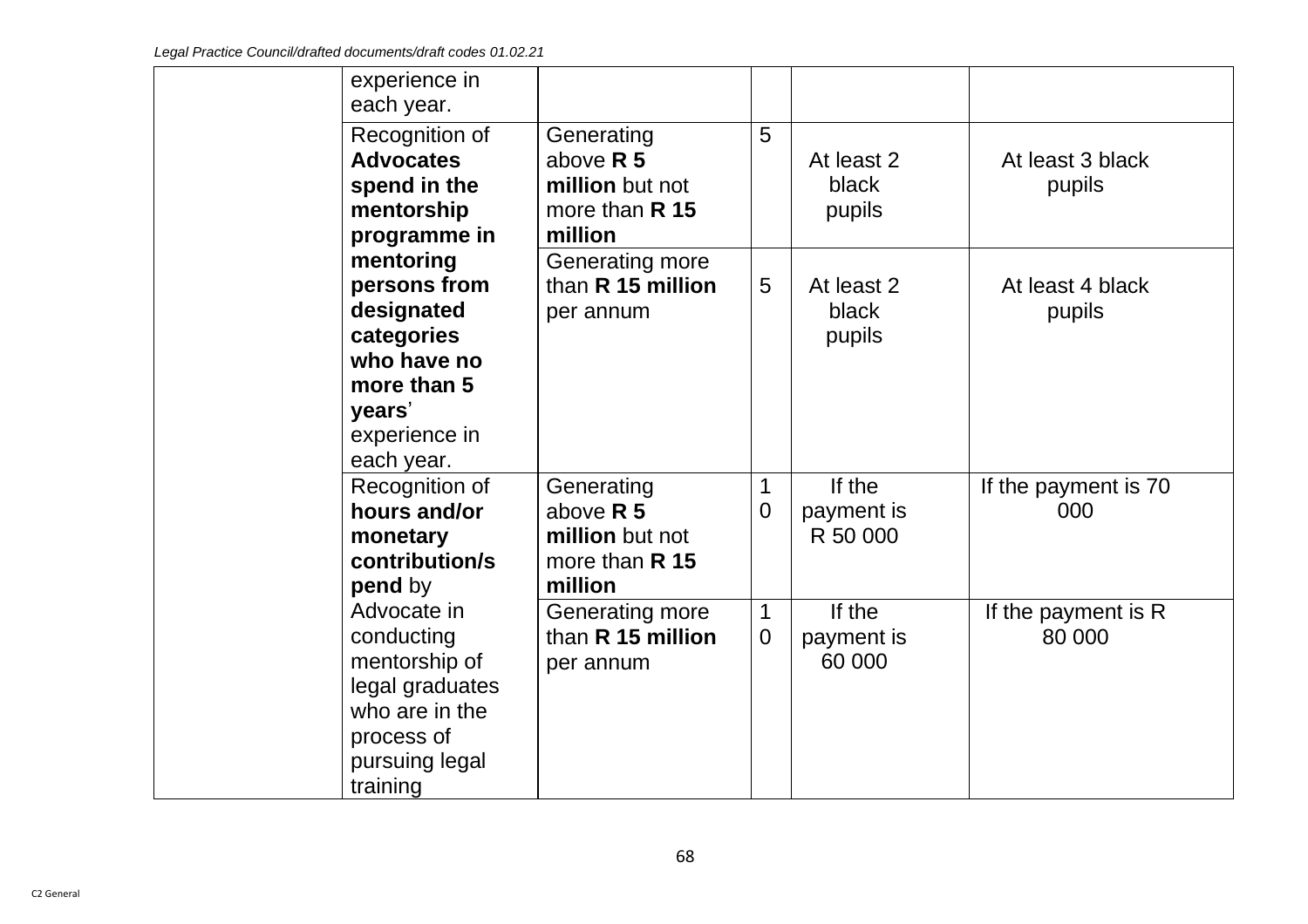|  | experience in<br>each year.                                                                                                  |                                                                             |                               |                                  |                               |
|--|------------------------------------------------------------------------------------------------------------------------------|-----------------------------------------------------------------------------|-------------------------------|----------------------------------|-------------------------------|
|  | Recognition of<br><b>Advocates</b><br>spend in the<br>mentorship<br>programme in                                             | Generating<br>above $R$ 5<br>million but not<br>more than $R$ 15<br>million | 5                             | At least 2<br>black<br>pupils    | At least 3 black<br>pupils    |
|  | mentoring<br>persons from<br>designated<br>categories<br>who have no<br>more than 5<br>years'<br>experience in<br>each year. | Generating more<br>than R 15 million<br>per annum                           | 5                             | At least 2<br>black<br>pupils    | At least 4 black<br>pupils    |
|  | Recognition of<br>hours and/or<br>monetary<br>contribution/s<br>pend by                                                      | Generating<br>above $R$ 5<br>million but not<br>more than $R$ 15<br>million | 1<br>0                        | If the<br>payment is<br>R 50 000 | If the payment is 70<br>000   |
|  | Advocate in<br>conducting<br>mentorship of<br>legal graduates<br>who are in the<br>process of<br>pursuing legal<br>training  | Generating more<br>than R 15 million<br>per annum                           | $\mathbf 1$<br>$\overline{0}$ | If the<br>payment is<br>60 000   | If the payment is R<br>80 000 |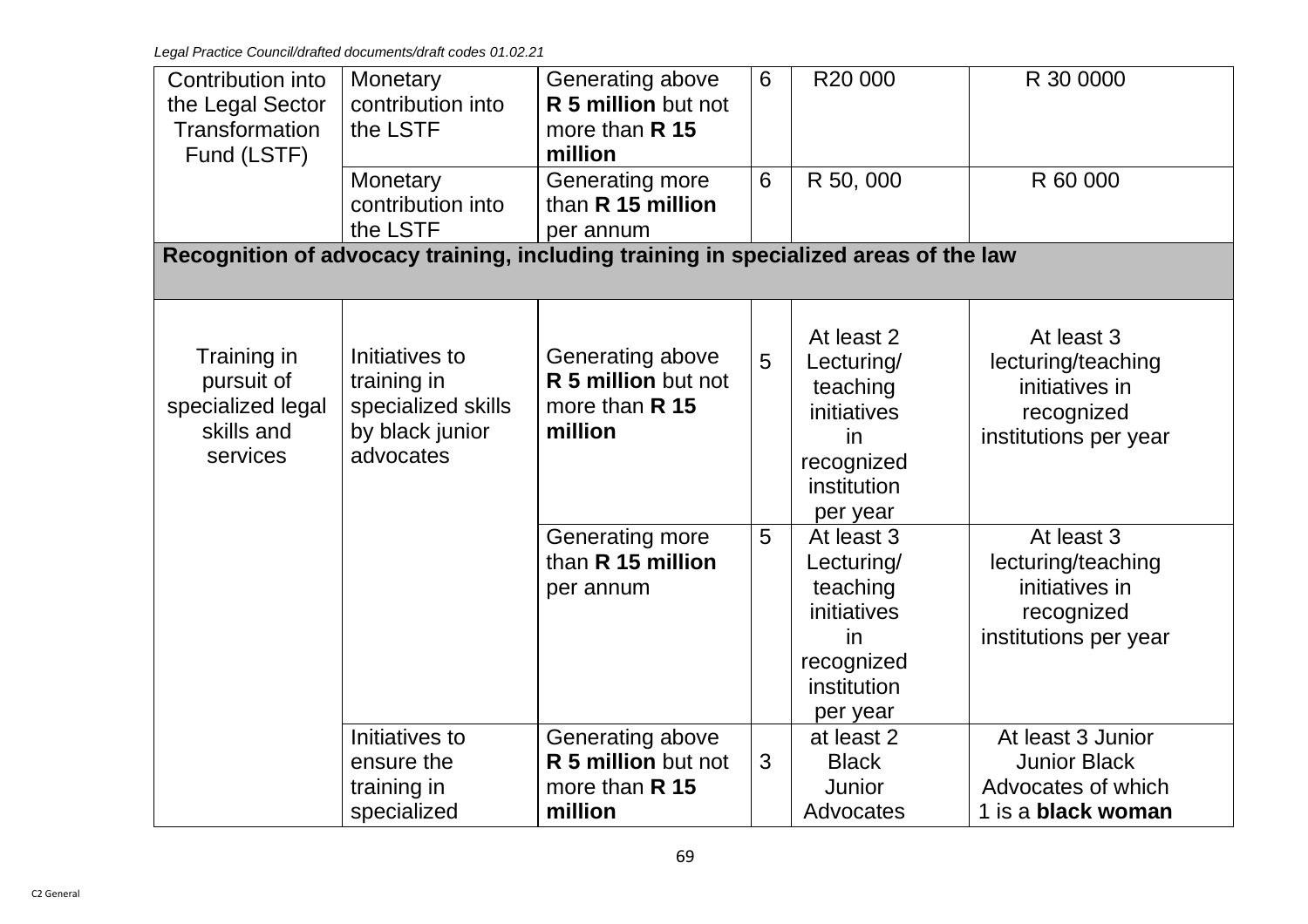| Contribution into<br>the Legal Sector<br><b>Transformation</b><br>Fund (LSTF)                                 | Monetary<br>contribution into<br>the LSTF<br>Monetary<br>contribution into          | Generating above<br>R 5 million but not<br>more than R 15<br>million<br>Generating more<br>than R 15 million | 6<br>6 | R20 000<br>R 50, 000                                                                               | R 30 0000<br>R 60 000                                                                       |  |  |
|---------------------------------------------------------------------------------------------------------------|-------------------------------------------------------------------------------------|--------------------------------------------------------------------------------------------------------------|--------|----------------------------------------------------------------------------------------------------|---------------------------------------------------------------------------------------------|--|--|
| the LSTF<br>per annum<br>Recognition of advocacy training, including training in specialized areas of the law |                                                                                     |                                                                                                              |        |                                                                                                    |                                                                                             |  |  |
| Training in<br>pursuit of<br>specialized legal<br>skills and<br>services                                      | Initiatives to<br>training in<br>specialized skills<br>by black junior<br>advocates | Generating above<br>R 5 million but not<br>more than R 15<br>million                                         | 5      | At least 2<br>Lecturing/<br>teaching<br>initiatives<br>in<br>recognized<br>institution<br>per year | At least 3<br>lecturing/teaching<br>initiatives in<br>recognized<br>institutions per year   |  |  |
|                                                                                                               |                                                                                     | Generating more<br>than R 15 million<br>per annum                                                            | 5      | At least 3<br>Lecturing/<br>teaching<br>initiatives<br>in<br>recognized<br>institution<br>per year | At least 3<br>lecturing/teaching<br>initiatives in<br>recognized<br>institutions per year   |  |  |
|                                                                                                               | Initiatives to<br>ensure the<br>training in<br>specialized                          | Generating above<br>R 5 million but not<br>more than R 15<br>million                                         | 3      | at least 2<br><b>Black</b><br>Junior<br>Advocates                                                  | At least 3 Junior<br><b>Junior Black</b><br>Advocates of which<br>1 is a <b>black woman</b> |  |  |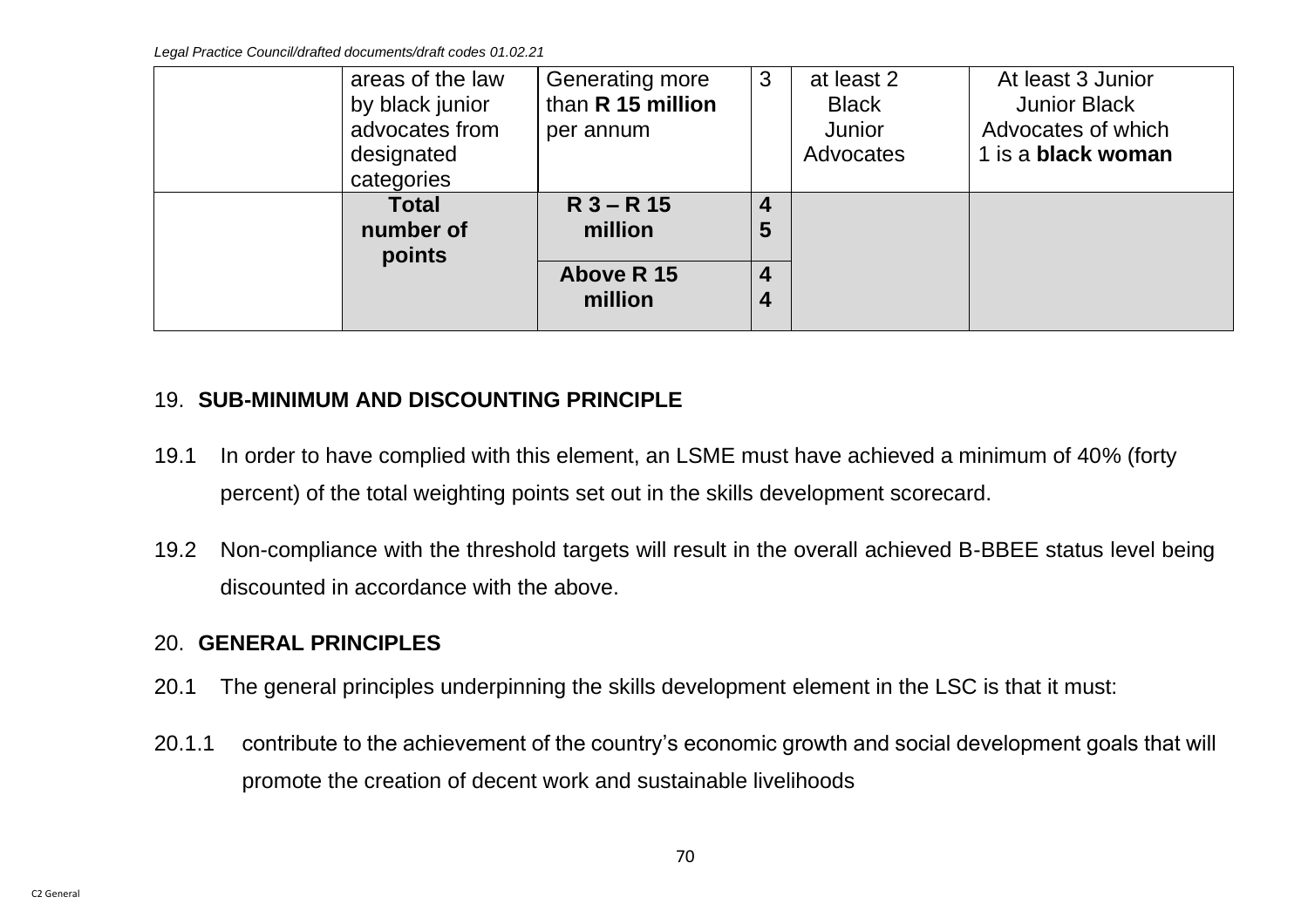*Legal Practice Council/drafted documents/draft codes 01.02.21*

| areas of the law<br>by black junior<br>advocates from<br>designated<br>categories | Generating more<br>than R 15 million<br>per annum | 3                                      | at least 2<br><b>Black</b><br>Junior<br>Advocates | At least 3 Junior<br><b>Junior Black</b><br>Advocates of which<br>1 is a <b>black woman</b> |
|-----------------------------------------------------------------------------------|---------------------------------------------------|----------------------------------------|---------------------------------------------------|---------------------------------------------------------------------------------------------|
| <b>Total</b><br>number of<br>points                                               | $R$ 3 – R 15<br>million<br>Above R 15<br>million  | 4<br>5<br>$\overline{\mathbf{4}}$<br>4 |                                                   |                                                                                             |

## 19. **SUB-MINIMUM AND DISCOUNTING PRINCIPLE**

- 19.1 In order to have complied with this element, an LSME must have achieved a minimum of 40% (forty percent) of the total weighting points set out in the skills development scorecard.
- 19.2 Non-compliance with the threshold targets will result in the overall achieved B-BBEE status level being discounted in accordance with the above.

## 20. **GENERAL PRINCIPLES**

- 20.1 The general principles underpinning the skills development element in the LSC is that it must:
- 20.1.1 contribute to the achievement of the country's economic growth and social development goals that will promote the creation of decent work and sustainable livelihoods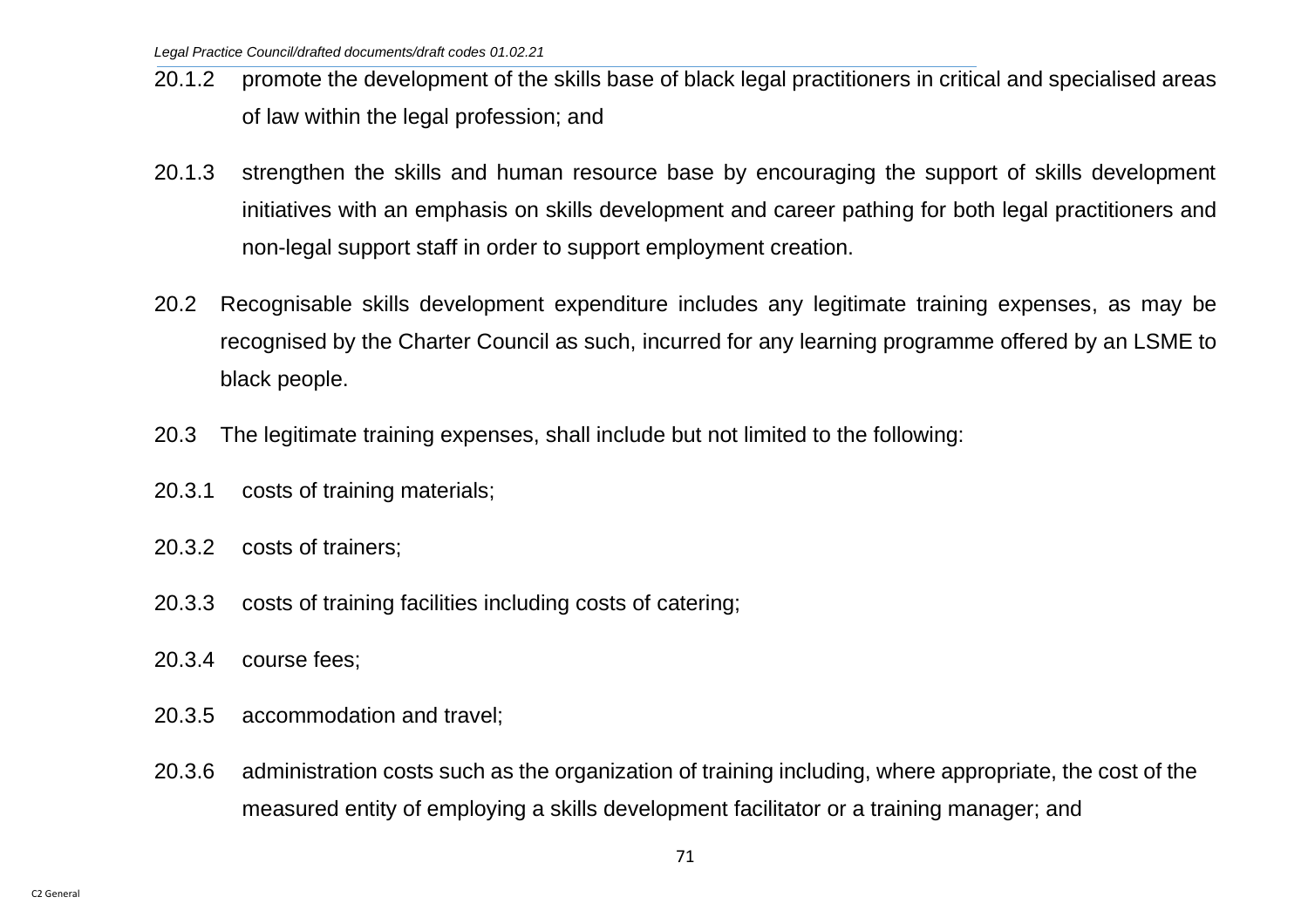- 20.1.2 promote the development of the skills base of black legal practitioners in critical and specialised areas of law within the legal profession; and
- 20.1.3 strengthen the skills and human resource base by encouraging the support of skills development initiatives with an emphasis on skills development and career pathing for both legal practitioners and non-legal support staff in order to support employment creation.
- 20.2 Recognisable skills development expenditure includes any legitimate training expenses, as may be recognised by the Charter Council as such, incurred for any learning programme offered by an LSME to black people.
- 20.3 The legitimate training expenses, shall include but not limited to the following:
- 20.3.1 costs of training materials;
- 20.3.2 costs of trainers;
- 20.3.3 costs of training facilities including costs of catering;
- 20.3.4 course fees;
- 20.3.5 accommodation and travel;
- 20.3.6 administration costs such as the organization of training including, where appropriate, the cost of the measured entity of employing a skills development facilitator or a training manager; and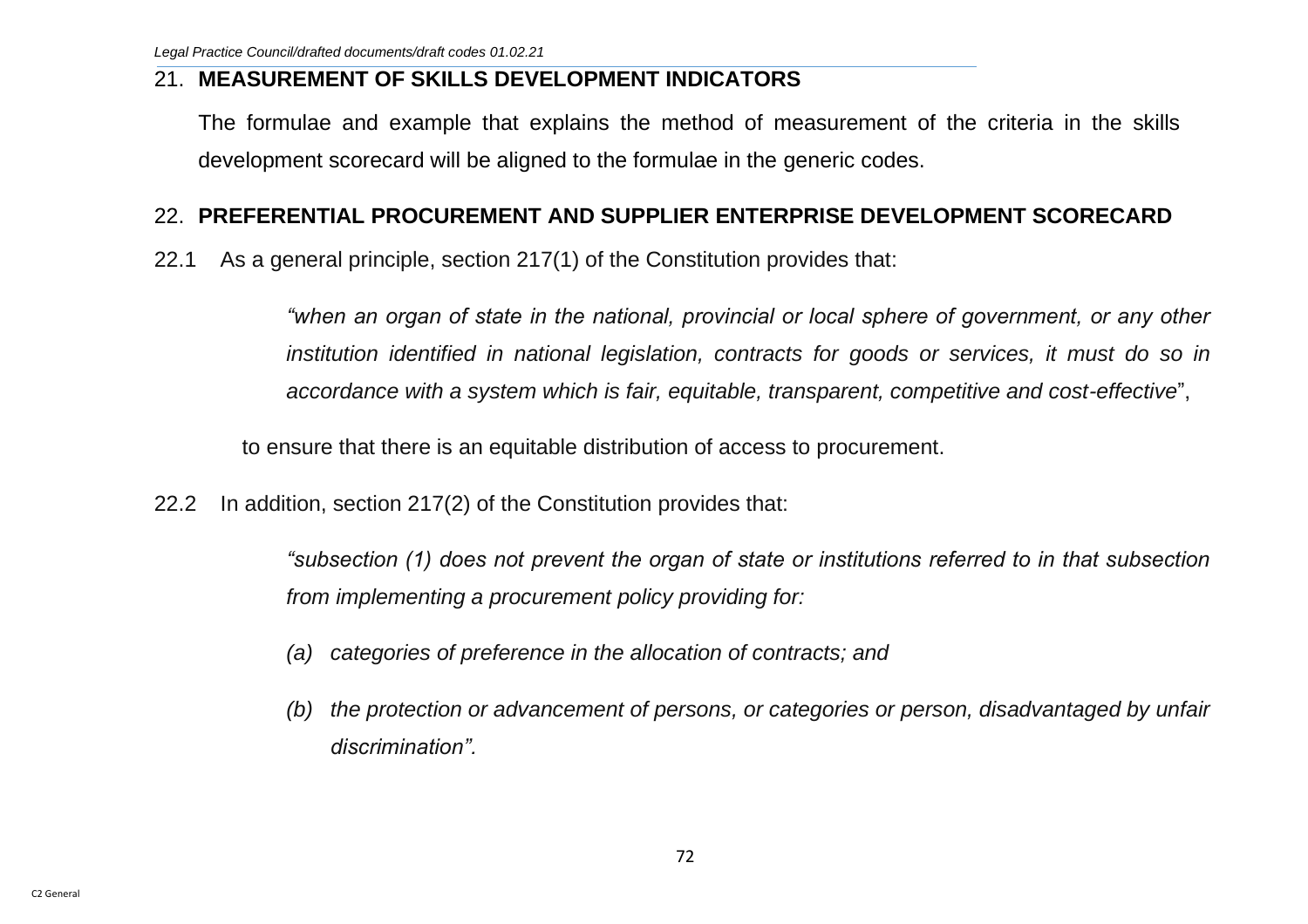#### 21. **MEASUREMENT OF SKILLS DEVELOPMENT INDICATORS**

The formulae and example that explains the method of measurement of the criteria in the skills development scorecard will be aligned to the formulae in the generic codes.

### 22. **PREFERENTIAL PROCUREMENT AND SUPPLIER ENTERPRISE DEVELOPMENT SCORECARD**

22.1 As a general principle, section 217(1) of the Constitution provides that:

*"when an organ of state in the national, provincial or local sphere of government, or any other institution identified in national legislation, contracts for goods or services, it must do so in accordance with a system which is fair, equitable, transparent, competitive and cost-effective*",

to ensure that there is an equitable distribution of access to procurement.

22.2 In addition, section 217(2) of the Constitution provides that:

*"subsection (1) does not prevent the organ of state or institutions referred to in that subsection from implementing a procurement policy providing for:* 

- *(a) categories of preference in the allocation of contracts; and*
- *(b) the protection or advancement of persons, or categories or person, disadvantaged by unfair discrimination".*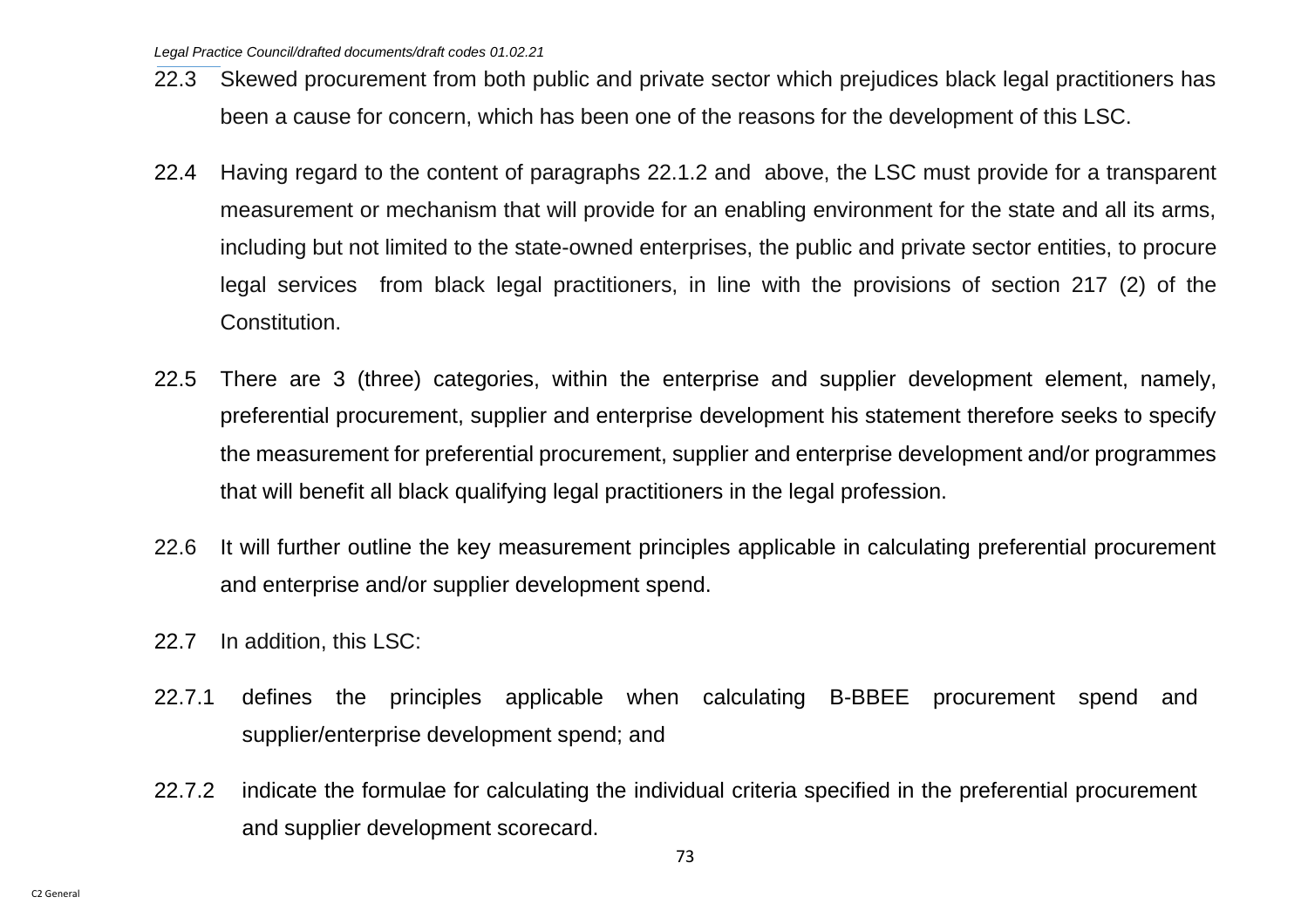- 22.3 Skewed procurement from both public and private sector which prejudices black legal practitioners has been a cause for concern, which has been one of the reasons for the development of this LSC.
- 22.4 Having regard to the content of paragraphs 22.1.2 and above, the LSC must provide for a transparent measurement or mechanism that will provide for an enabling environment for the state and all its arms, including but not limited to the state-owned enterprises, the public and private sector entities, to procure legal services from black legal practitioners, in line with the provisions of section 217 (2) of the Constitution.
- 22.5 There are 3 (three) categories, within the enterprise and supplier development element, namely, preferential procurement, supplier and enterprise development his statement therefore seeks to specify the measurement for preferential procurement, supplier and enterprise development and/or programmes that will benefit all black qualifying legal practitioners in the legal profession.
- 22.6 It will further outline the key measurement principles applicable in calculating preferential procurement and enterprise and/or supplier development spend.
- 22.7 In addition, this LSC:
- 22.7.1 defines the principles applicable when calculating B-BBEE procurement spend and supplier/enterprise development spend; and
- 22.7.2 indicate the formulae for calculating the individual criteria specified in the preferential procurement and supplier development scorecard.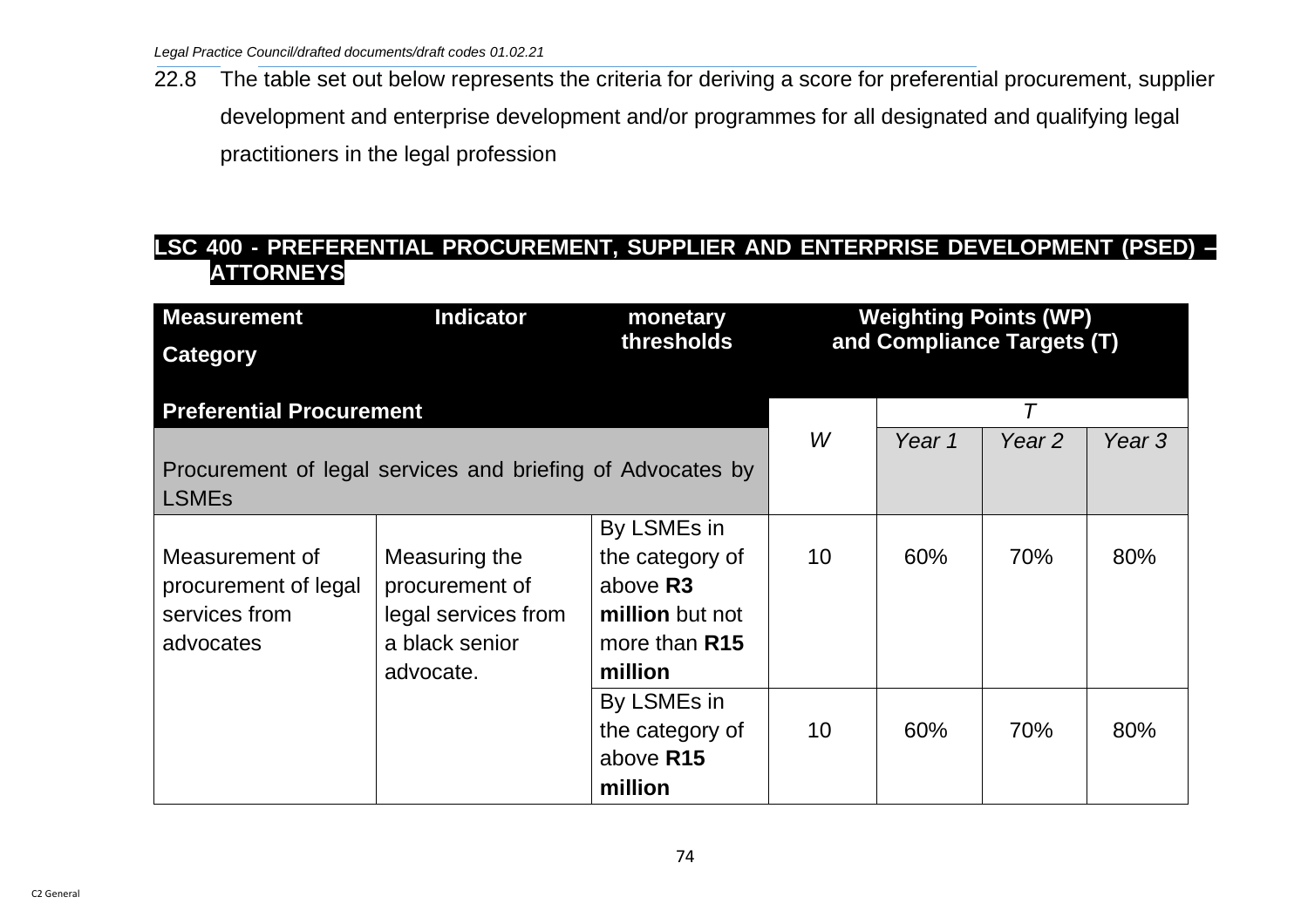22.8 The table set out below represents the criteria for deriving a score for preferential procurement, supplier development and enterprise development and/or programmes for all designated and qualifying legal practitioners in the legal profession

# **LSC 400 - PREFERENTIAL PROCUREMENT, SUPPLIER AND ENTERPRISE DEVELOPMENT (PSED) – ATTORNEYS**

| <b>Measurement</b>                                         | Indicator           | monetary        | <b>Weighting Points (WP)</b><br>and Compliance Targets (T) |        |                   |        |
|------------------------------------------------------------|---------------------|-----------------|------------------------------------------------------------|--------|-------------------|--------|
| <b>Category</b>                                            |                     | thresholds      |                                                            |        |                   |        |
|                                                            |                     |                 |                                                            |        |                   |        |
| <b>Preferential Procurement</b>                            |                     |                 |                                                            |        |                   |        |
|                                                            |                     |                 | W                                                          | Year 1 | Year <sub>2</sub> | Year 3 |
| Procurement of legal services and briefing of Advocates by |                     |                 |                                                            |        |                   |        |
| <b>LSMEs</b>                                               |                     |                 |                                                            |        |                   |        |
|                                                            |                     | By LSMEs in     |                                                            |        |                   |        |
| Measurement of                                             | Measuring the       | the category of | 10                                                         | 60%    | 70%               | 80%    |
| procurement of legal                                       | procurement of      | above R3        |                                                            |        |                   |        |
| services from                                              | legal services from | million but not |                                                            |        |                   |        |
| advocates                                                  | a black senior      | more than R15   |                                                            |        |                   |        |
|                                                            | advocate.           | million         |                                                            |        |                   |        |
|                                                            |                     | By LSMEs in     |                                                            |        |                   |        |
|                                                            |                     | the category of | 10                                                         | 60%    | 70%               | 80%    |
|                                                            |                     | above R15       |                                                            |        |                   |        |
|                                                            |                     | million         |                                                            |        |                   |        |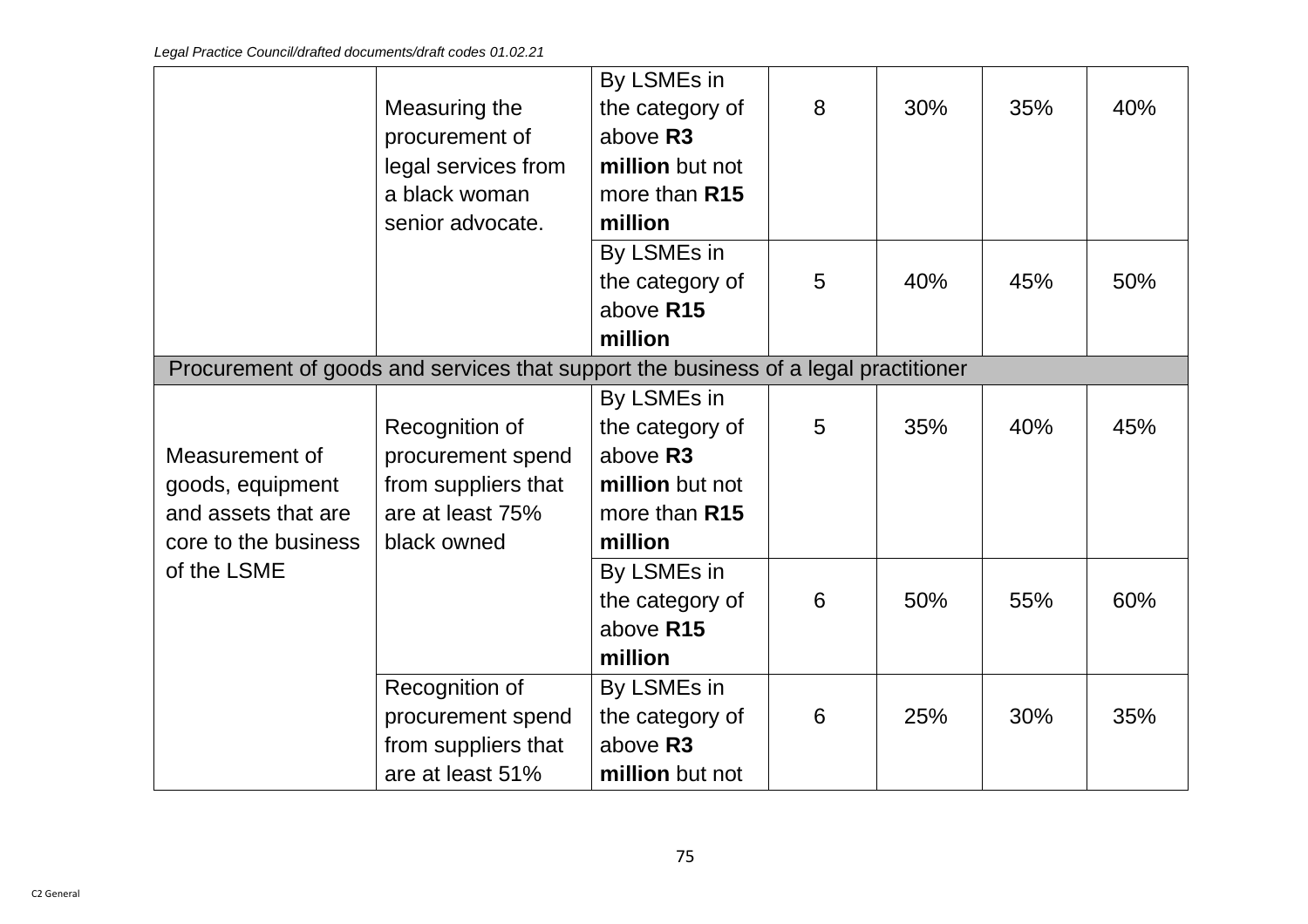|                      |                                                                                     | By LSMEs in     |   |     |     |     |
|----------------------|-------------------------------------------------------------------------------------|-----------------|---|-----|-----|-----|
|                      | Measuring the                                                                       | the category of | 8 | 30% | 35% | 40% |
|                      | procurement of                                                                      | above R3        |   |     |     |     |
|                      | legal services from                                                                 | million but not |   |     |     |     |
|                      | a black woman                                                                       | more than R15   |   |     |     |     |
|                      | senior advocate.                                                                    | million         |   |     |     |     |
|                      |                                                                                     | By LSMEs in     |   |     |     |     |
|                      |                                                                                     | the category of | 5 | 40% | 45% | 50% |
|                      |                                                                                     | above R15       |   |     |     |     |
|                      |                                                                                     | million         |   |     |     |     |
|                      | Procurement of goods and services that support the business of a legal practitioner |                 |   |     |     |     |
|                      |                                                                                     | By LSMEs in     |   |     |     |     |
|                      | Recognition of                                                                      | the category of | 5 | 35% | 40% | 45% |
| Measurement of       | procurement spend                                                                   | above R3        |   |     |     |     |
| goods, equipment     | from suppliers that                                                                 | million but not |   |     |     |     |
| and assets that are  | are at least 75%                                                                    | more than R15   |   |     |     |     |
| core to the business | black owned                                                                         | million         |   |     |     |     |
| of the LSME          |                                                                                     | By LSMEs in     |   |     |     |     |
|                      |                                                                                     | the category of | 6 | 50% | 55% | 60% |
|                      |                                                                                     | above R15       |   |     |     |     |
|                      |                                                                                     | million         |   |     |     |     |
|                      | Recognition of                                                                      | By LSMEs in     |   |     |     |     |
|                      | procurement spend                                                                   | the category of | 6 | 25% | 30% | 35% |
|                      | from suppliers that                                                                 | above R3        |   |     |     |     |
|                      | are at least 51%                                                                    | million but not |   |     |     |     |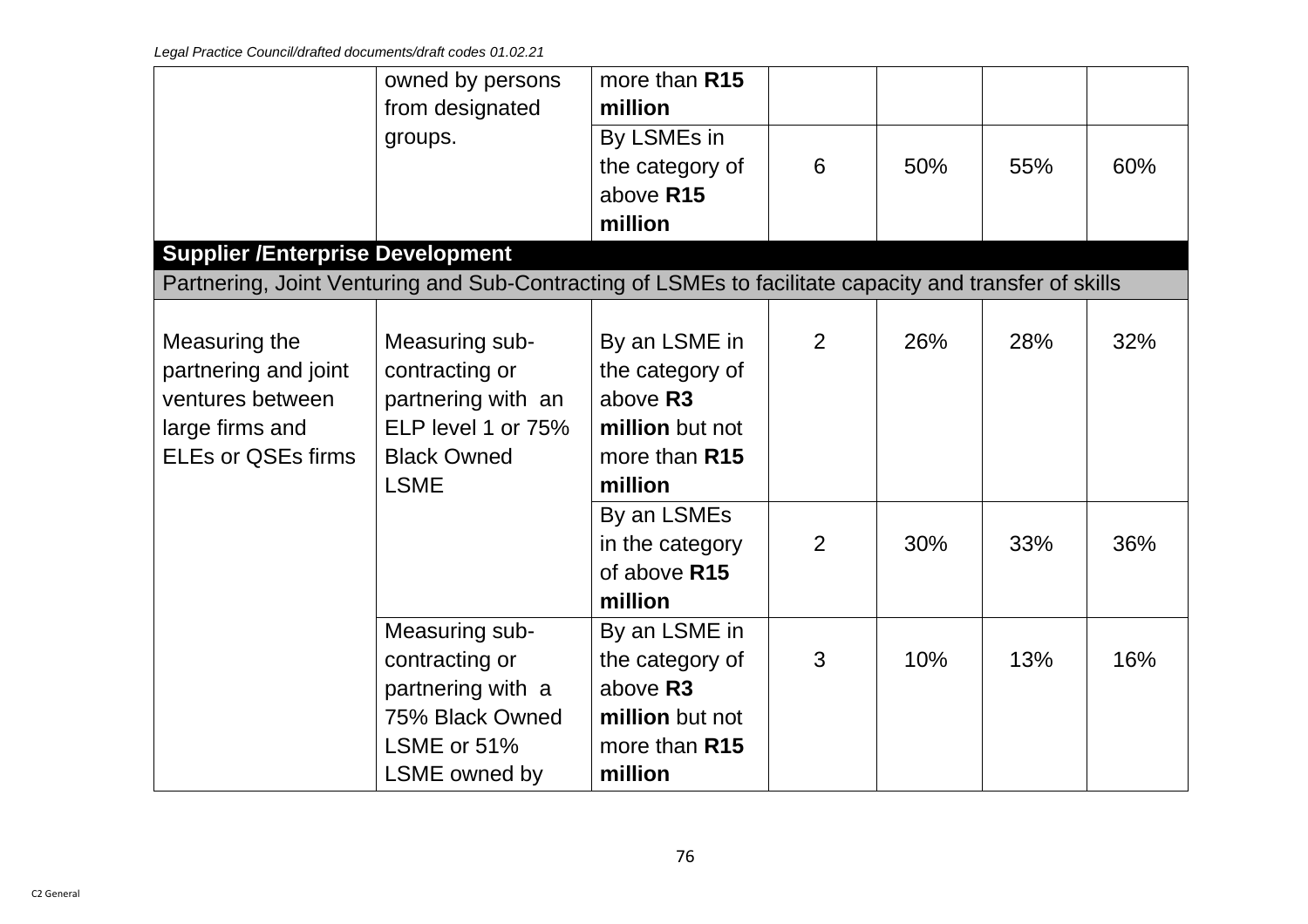|                                                                                                           | owned by persons<br>from designated                                                                               | more than R15<br>million                                                                                                      |                     |            |            |            |
|-----------------------------------------------------------------------------------------------------------|-------------------------------------------------------------------------------------------------------------------|-------------------------------------------------------------------------------------------------------------------------------|---------------------|------------|------------|------------|
|                                                                                                           | groups.                                                                                                           | By LSMEs in<br>the category of<br>above R15                                                                                   | 6                   | 50%        | 55%        | 60%        |
| <b>Supplier /Enterprise Development</b>                                                                   |                                                                                                                   | million                                                                                                                       |                     |            |            |            |
|                                                                                                           | Partnering, Joint Venturing and Sub-Contracting of LSMEs to facilitate capacity and transfer of skills            |                                                                                                                               |                     |            |            |            |
| Measuring the<br>partnering and joint<br>ventures between<br>large firms and<br><b>ELEs or QSEs firms</b> | Measuring sub-<br>contracting or<br>partnering with an<br>ELP level 1 or 75%<br><b>Black Owned</b><br><b>LSME</b> | By an LSME in<br>the category of<br>above R3<br>million but not<br>more than R15<br>million<br>By an LSMEs<br>in the category | 2<br>$\overline{2}$ | 26%<br>30% | 28%<br>33% | 32%<br>36% |
|                                                                                                           |                                                                                                                   | of above R15<br>million                                                                                                       |                     |            |            |            |
|                                                                                                           | Measuring sub-<br>contracting or<br>partnering with a<br>75% Black Owned<br>LSME or 51%<br>LSME owned by          | By an LSME in<br>the category of<br>above R3<br>million but not<br>more than R15<br>million                                   | 3                   | 10%        | 13%        | 16%        |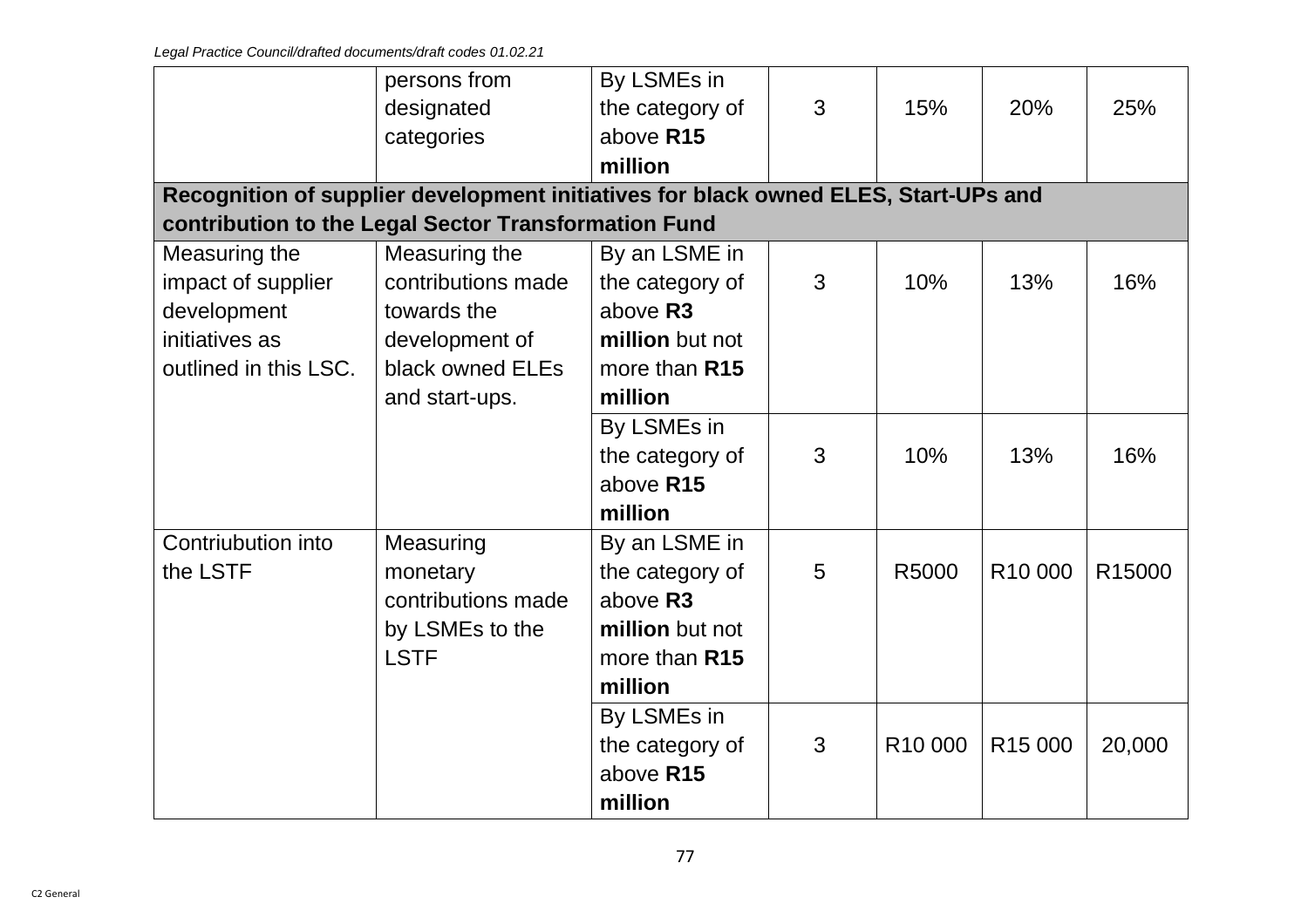|                       | persons from                                                                        | By LSMEs in     |   |                     |                     |                    |
|-----------------------|-------------------------------------------------------------------------------------|-----------------|---|---------------------|---------------------|--------------------|
|                       | designated                                                                          | the category of | 3 | 15%                 | 20%                 | 25%                |
|                       | categories                                                                          | above R15       |   |                     |                     |                    |
|                       |                                                                                     | million         |   |                     |                     |                    |
|                       | Recognition of supplier development initiatives for black owned ELES, Start-UPs and |                 |   |                     |                     |                    |
|                       | contribution to the Legal Sector Transformation Fund                                |                 |   |                     |                     |                    |
| Measuring the         | Measuring the                                                                       | By an LSME in   |   |                     |                     |                    |
| impact of supplier    | contributions made                                                                  | the category of | 3 | 10%                 | 13%                 | 16%                |
| development           | towards the                                                                         | above R3        |   |                     |                     |                    |
| initiatives as        | development of                                                                      | million but not |   |                     |                     |                    |
| outlined in this LSC. | black owned ELEs                                                                    | more than R15   |   |                     |                     |                    |
|                       | and start-ups.                                                                      | million         |   |                     |                     |                    |
|                       |                                                                                     | By LSMEs in     |   |                     |                     |                    |
|                       |                                                                                     | the category of | 3 | 10%                 | 13%                 | 16%                |
|                       |                                                                                     | above R15       |   |                     |                     |                    |
|                       |                                                                                     | million         |   |                     |                     |                    |
| Contriubution into    | Measuring                                                                           | By an LSME in   |   |                     |                     |                    |
| the LSTF              | monetary                                                                            | the category of | 5 | R5000               | R <sub>10</sub> 000 | R <sub>15000</sub> |
|                       | contributions made                                                                  | above R3        |   |                     |                     |                    |
|                       | by LSMEs to the                                                                     | million but not |   |                     |                     |                    |
|                       | <b>LSTF</b>                                                                         | more than R15   |   |                     |                     |                    |
|                       |                                                                                     | million         |   |                     |                     |                    |
|                       |                                                                                     | By LSMEs in     |   |                     |                     |                    |
|                       |                                                                                     | the category of | 3 | R <sub>10</sub> 000 | R <sub>15</sub> 000 | 20,000             |
|                       |                                                                                     | above R15       |   |                     |                     |                    |
|                       |                                                                                     | million         |   |                     |                     |                    |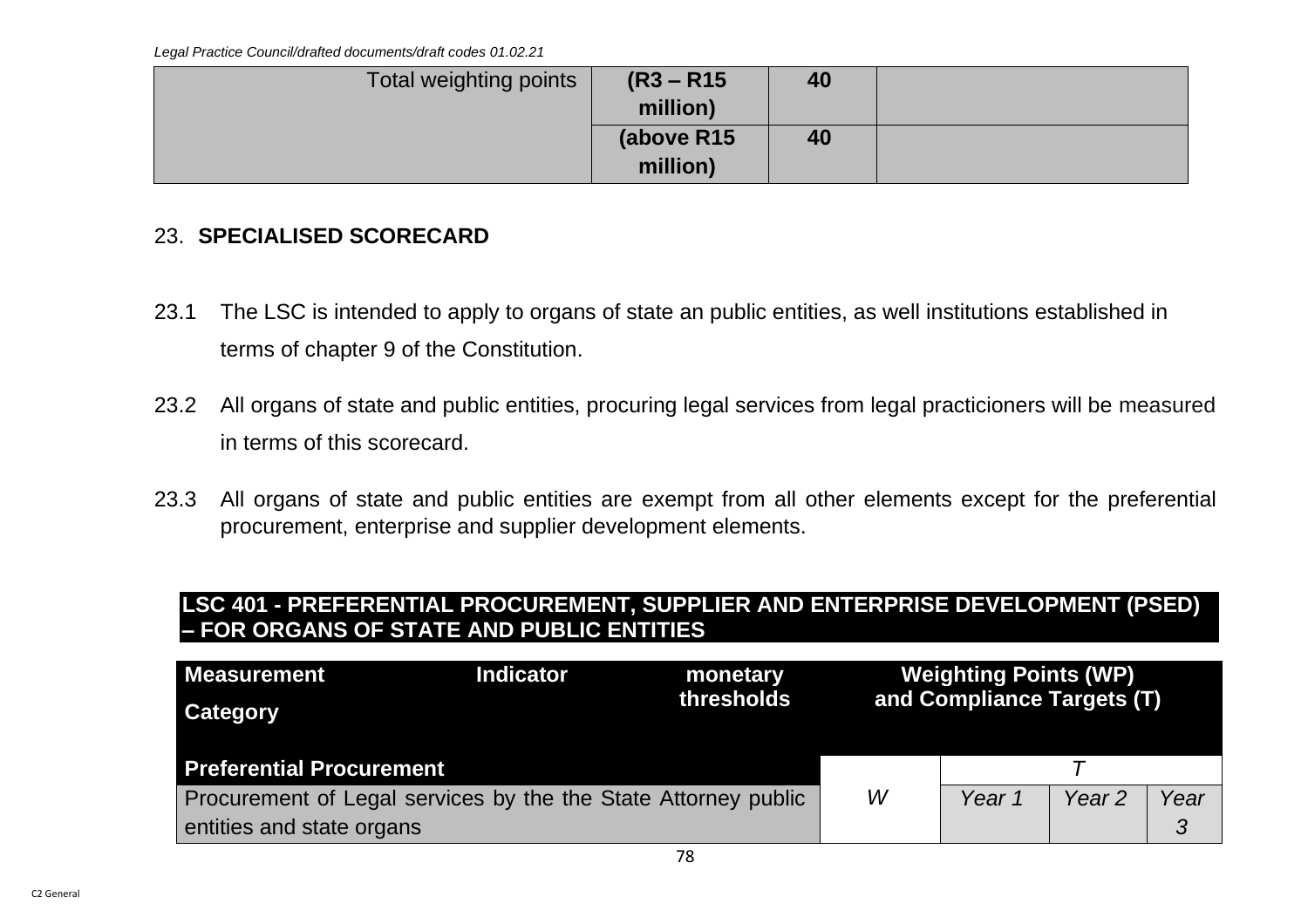| Total weighting points | $(R3 - R15)$ | 40 |  |
|------------------------|--------------|----|--|
|                        | million)     |    |  |
|                        | (above R15   | 40 |  |
|                        | million)     |    |  |

### 23. **SPECIALISED SCORECARD**

- 23.1 The LSC is intended to apply to organs of state an public entities, as well institutions established in terms of chapter 9 of the Constitution.
- 23.2 All organs of state and public entities, procuring legal services from legal practicioners will be measured in terms of this scorecard.
- 23.3 All organs of state and public entities are exempt from all other elements except for the preferential procurement, enterprise and supplier development elements.

### **LSC 401 - PREFERENTIAL PROCUREMENT, SUPPLIER AND ENTERPRISE DEVELOPMENT (PSED) – FOR ORGANS OF STATE AND PUBLIC ENTITIES**

| <b>Measurement</b><br><b>Category</b>                          | <b>Indicator</b> | monetary<br>thresholds |   | <b>Weighting Points (WP)</b><br>and Compliance Targets (T) |                   |      |
|----------------------------------------------------------------|------------------|------------------------|---|------------------------------------------------------------|-------------------|------|
| <b>Preferential Procurement</b>                                |                  |                        |   |                                                            |                   |      |
| Procurement of Legal services by the the State Attorney public |                  |                        | W | Year 1                                                     | Year <sub>2</sub> | Year |
| entities and state organs                                      |                  |                        |   |                                                            |                   |      |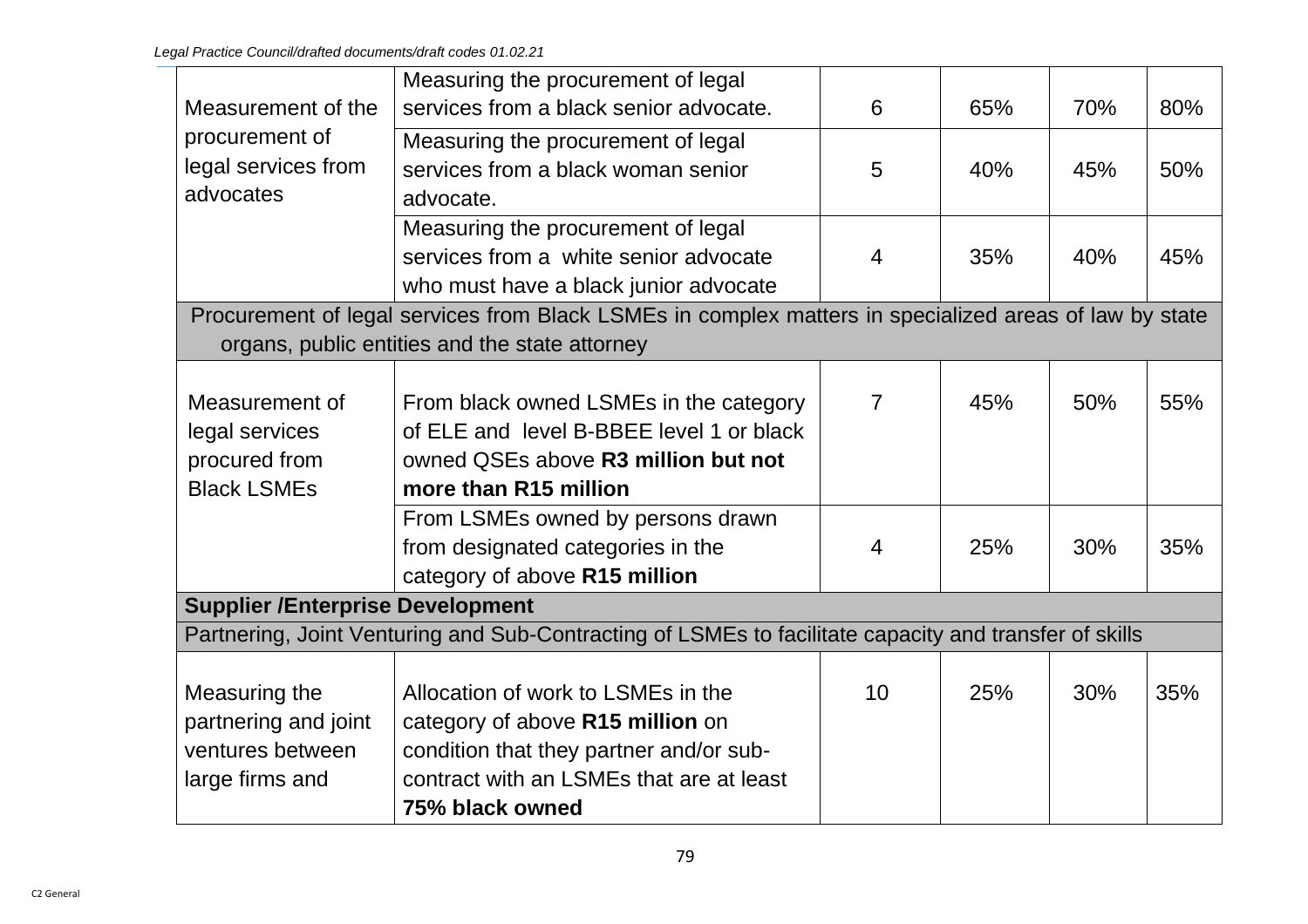|                                         | Measuring the procurement of legal                                                                     |                |     |     |     |  |
|-----------------------------------------|--------------------------------------------------------------------------------------------------------|----------------|-----|-----|-----|--|
| Measurement of the                      | services from a black senior advocate.                                                                 | 6              | 65% | 70% | 80% |  |
| procurement of                          | Measuring the procurement of legal                                                                     |                |     |     |     |  |
| legal services from                     | services from a black woman senior                                                                     | 5              | 40% | 45% | 50% |  |
| advocates                               | advocate.                                                                                              |                |     |     |     |  |
|                                         | Measuring the procurement of legal                                                                     |                |     |     |     |  |
|                                         | services from a white senior advocate                                                                  | $\overline{4}$ | 35% | 40% | 45% |  |
|                                         | who must have a black junior advocate                                                                  |                |     |     |     |  |
|                                         | Procurement of legal services from Black LSMEs in complex matters in specialized areas of law by state |                |     |     |     |  |
|                                         | organs, public entities and the state attorney                                                         |                |     |     |     |  |
|                                         |                                                                                                        |                |     |     |     |  |
| Measurement of                          | From black owned LSMEs in the category                                                                 | $\overline{7}$ | 45% | 50% | 55% |  |
| legal services                          | of ELE and level B-BBEE level 1 or black                                                               |                |     |     |     |  |
| procured from                           | owned QSEs above R3 million but not                                                                    |                |     |     |     |  |
| <b>Black LSMEs</b>                      | more than R15 million                                                                                  |                |     |     |     |  |
|                                         | From LSMEs owned by persons drawn                                                                      |                |     |     |     |  |
|                                         | from designated categories in the                                                                      | $\overline{4}$ | 25% | 30% | 35% |  |
|                                         | category of above R15 million                                                                          |                |     |     |     |  |
| <b>Supplier /Enterprise Development</b> |                                                                                                        |                |     |     |     |  |
|                                         | Partnering, Joint Venturing and Sub-Contracting of LSMEs to facilitate capacity and transfer of skills |                |     |     |     |  |
|                                         |                                                                                                        |                |     |     |     |  |
| Measuring the                           | Allocation of work to LSMEs in the                                                                     | 10             | 25% | 30% | 35% |  |
| partnering and joint                    | category of above R15 million on                                                                       |                |     |     |     |  |
| ventures between                        | condition that they partner and/or sub-                                                                |                |     |     |     |  |
| large firms and                         | contract with an LSMEs that are at least                                                               |                |     |     |     |  |
|                                         | 75% black owned                                                                                        |                |     |     |     |  |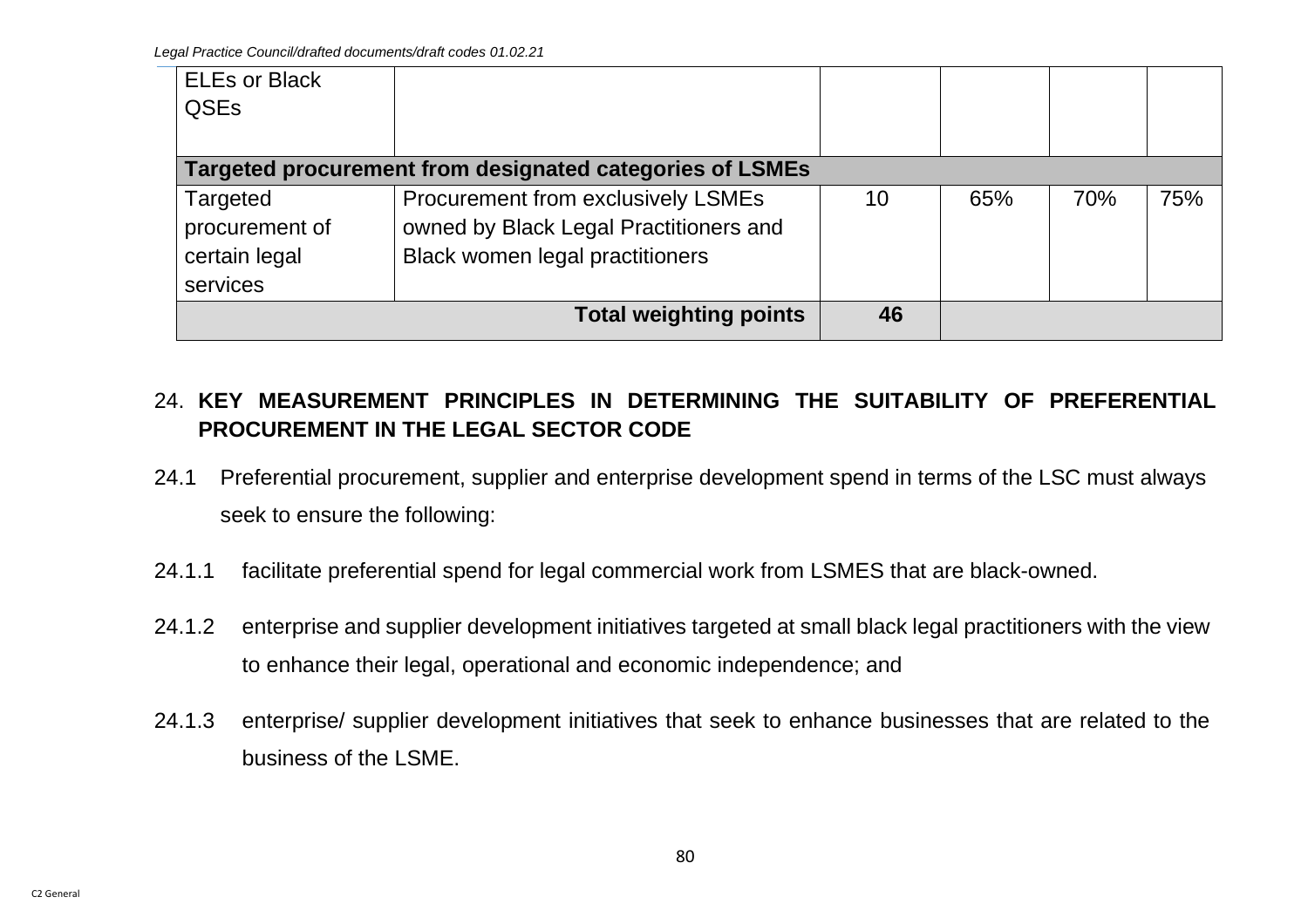| <b>ELEs or Black</b> |                                                          |    |     |     |     |
|----------------------|----------------------------------------------------------|----|-----|-----|-----|
| <b>QSEs</b>          |                                                          |    |     |     |     |
|                      |                                                          |    |     |     |     |
|                      | Targeted procurement from designated categories of LSMEs |    |     |     |     |
| Targeted             | Procurement from exclusively LSMEs                       | 10 | 65% | 70% | 75% |
| procurement of       | owned by Black Legal Practitioners and                   |    |     |     |     |
| certain legal        | <b>Black women legal practitioners</b>                   |    |     |     |     |
| services             |                                                          |    |     |     |     |
|                      | <b>Total weighting points</b>                            | 46 |     |     |     |

# 24. **KEY MEASUREMENT PRINCIPLES IN DETERMINING THE SUITABILITY OF PREFERENTIAL PROCUREMENT IN THE LEGAL SECTOR CODE**

- 24.1 Preferential procurement, supplier and enterprise development spend in terms of the LSC must always seek to ensure the following:
- 24.1.1 facilitate preferential spend for legal commercial work from LSMES that are black-owned.
- 24.1.2 enterprise and supplier development initiatives targeted at small black legal practitioners with the view to enhance their legal, operational and economic independence; and
- 24.1.3 enterprise/ supplier development initiatives that seek to enhance businesses that are related to the business of the LSME.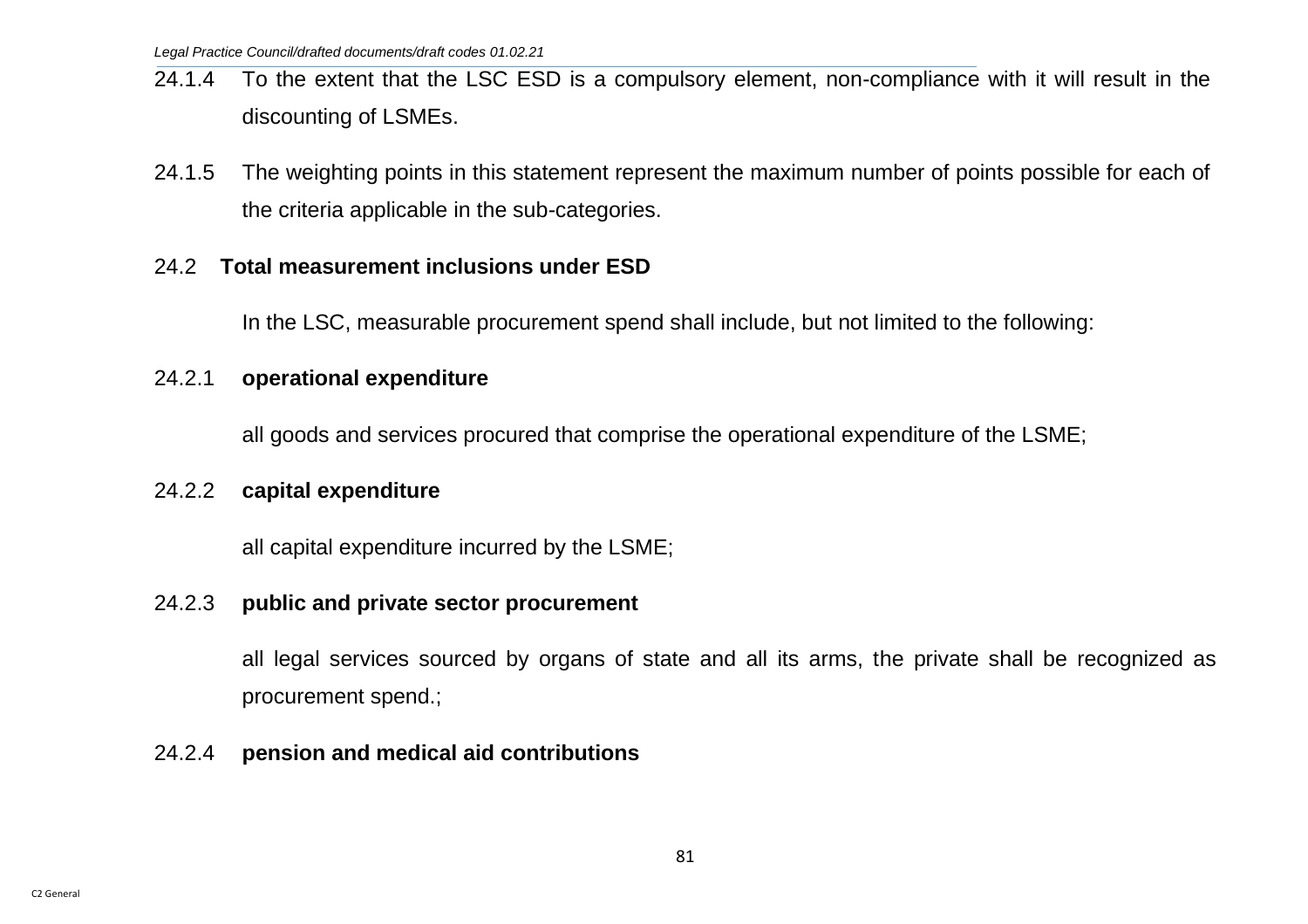- 24.1.4 To the extent that the LSC ESD is a compulsory element, non-compliance with it will result in the discounting of LSMEs.
- 24.1.5 The weighting points in this statement represent the maximum number of points possible for each of the criteria applicable in the sub-categories.

#### 24.2 **Total measurement inclusions under ESD**

In the LSC, measurable procurement spend shall include, but not limited to the following:

#### 24.2.1 **operational expenditure**

all goods and services procured that comprise the operational expenditure of the LSME;

#### 24.2.2 **capital expenditure**

all capital expenditure incurred by the LSME;

#### 24.2.3 **public and private sector procurement**

all legal services sourced by organs of state and all its arms, the private shall be recognized as procurement spend.;

### 24.2.4 **pension and medical aid contributions**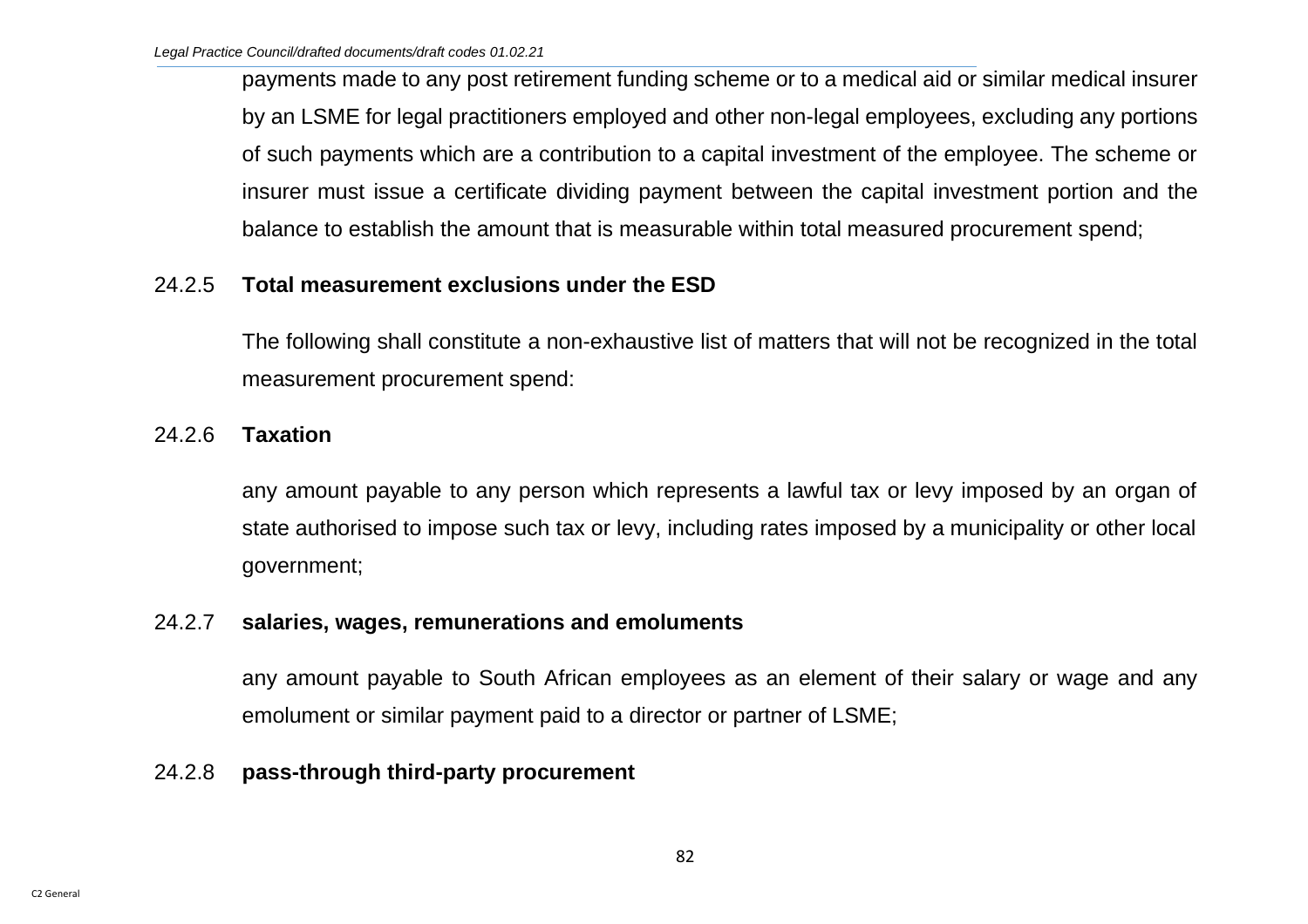payments made to any post retirement funding scheme or to a medical aid or similar medical insurer by an LSME for legal practitioners employed and other non-legal employees, excluding any portions of such payments which are a contribution to a capital investment of the employee. The scheme or insurer must issue a certificate dividing payment between the capital investment portion and the balance to establish the amount that is measurable within total measured procurement spend;

#### 24.2.5 **Total measurement exclusions under the ESD**

The following shall constitute a non-exhaustive list of matters that will not be recognized in the total measurement procurement spend:

### 24.2.6 **Taxation**

any amount payable to any person which represents a lawful tax or levy imposed by an organ of state authorised to impose such tax or levy, including rates imposed by a municipality or other local government;

### 24.2.7 **salaries, wages, remunerations and emoluments**

any amount payable to South African employees as an element of their salary or wage and any emolument or similar payment paid to a director or partner of LSME;

### 24.2.8 **pass-through third-party procurement**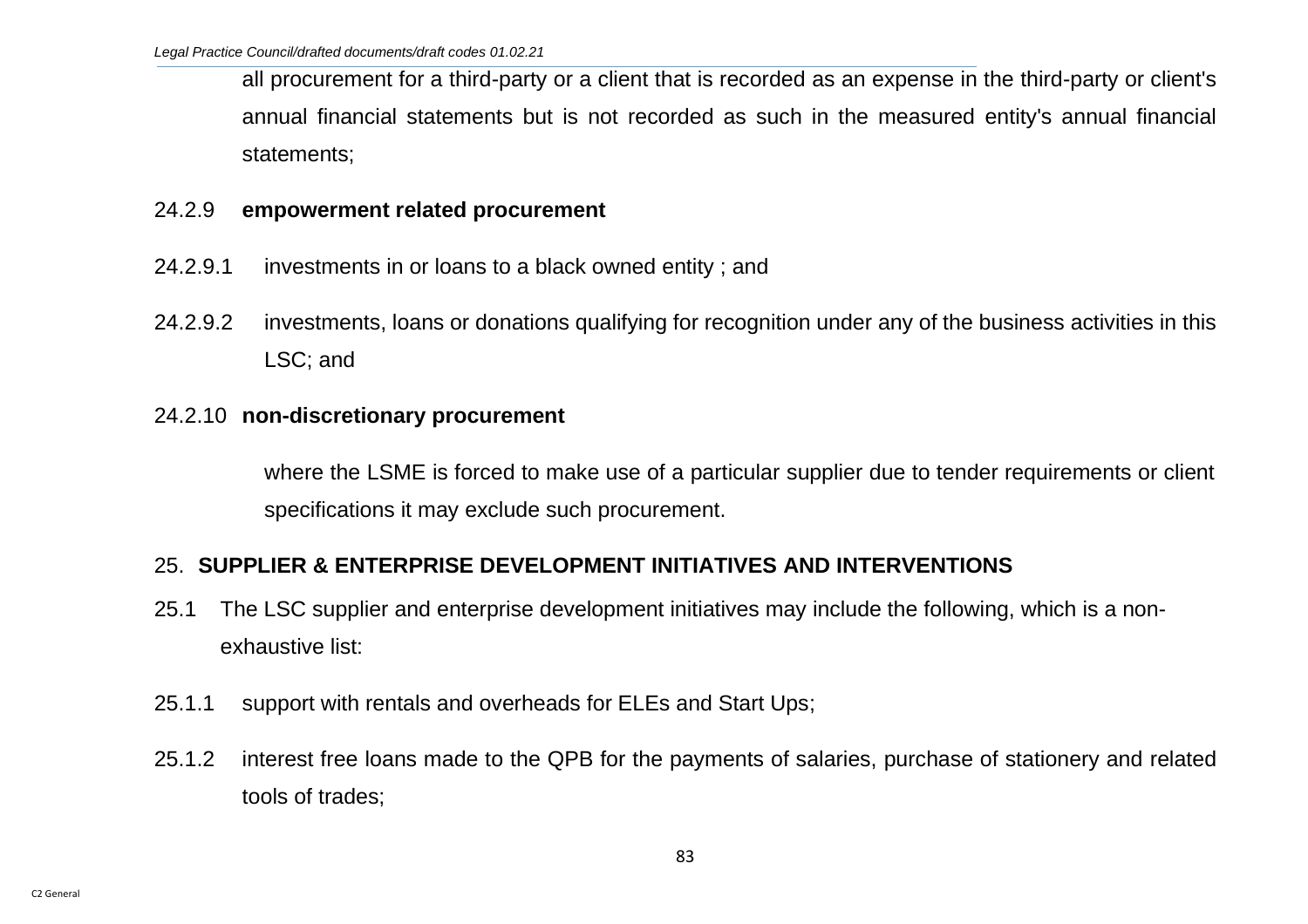all procurement for a third-party or a client that is recorded as an expense in the third-party or client's annual financial statements but is not recorded as such in the measured entity's annual financial statements;

#### 24.2.9 **empowerment related procurement**

- 24.2.9.1 investments in or loans to a black owned entity ; and
- 24.2.9.2 investments, loans or donations qualifying for recognition under any of the business activities in this LSC; and

#### 24.2.10 **non-discretionary procurement**

where the LSME is forced to make use of a particular supplier due to tender requirements or client specifications it may exclude such procurement.

### 25. **SUPPLIER & ENTERPRISE DEVELOPMENT INITIATIVES AND INTERVENTIONS**

- 25.1 The LSC supplier and enterprise development initiatives may include the following, which is a nonexhaustive list:
- 25.1.1 support with rentals and overheads for ELEs and Start Ups;
- 25.1.2 interest free loans made to the QPB for the payments of salaries, purchase of stationery and related tools of trades;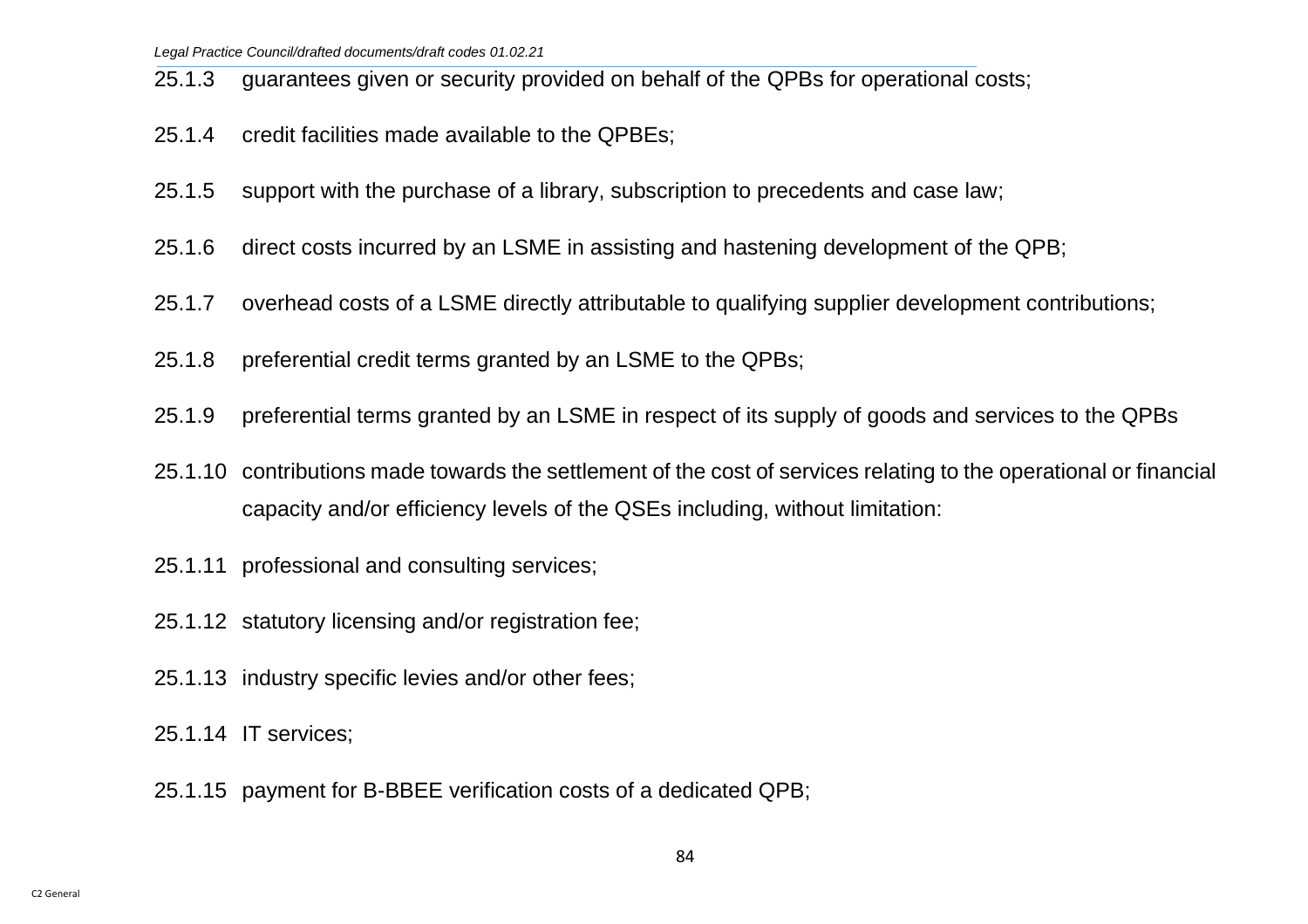25.1.3 guarantees given or security provided on behalf of the QPBs for operational costs;

- 25.1.4 credit facilities made available to the QPBEs;
- 25.1.5 support with the purchase of a library, subscription to precedents and case law;
- 25.1.6 direct costs incurred by an LSME in assisting and hastening development of the QPB;
- 25.1.7 overhead costs of a LSME directly attributable to qualifying supplier development contributions;
- 25.1.8 preferential credit terms granted by an LSME to the QPBs;
- 25.1.9 preferential terms granted by an LSME in respect of its supply of goods and services to the QPBs
- 25.1.10 contributions made towards the settlement of the cost of services relating to the operational or financial capacity and/or efficiency levels of the QSEs including, without limitation:
- 25.1.11 professional and consulting services;
- 25.1.12 statutory licensing and/or registration fee;
- 25.1.13 industry specific levies and/or other fees;
- 25.1.14 IT services;
- 25.1.15 payment for B-BBEE verification costs of a dedicated QPB;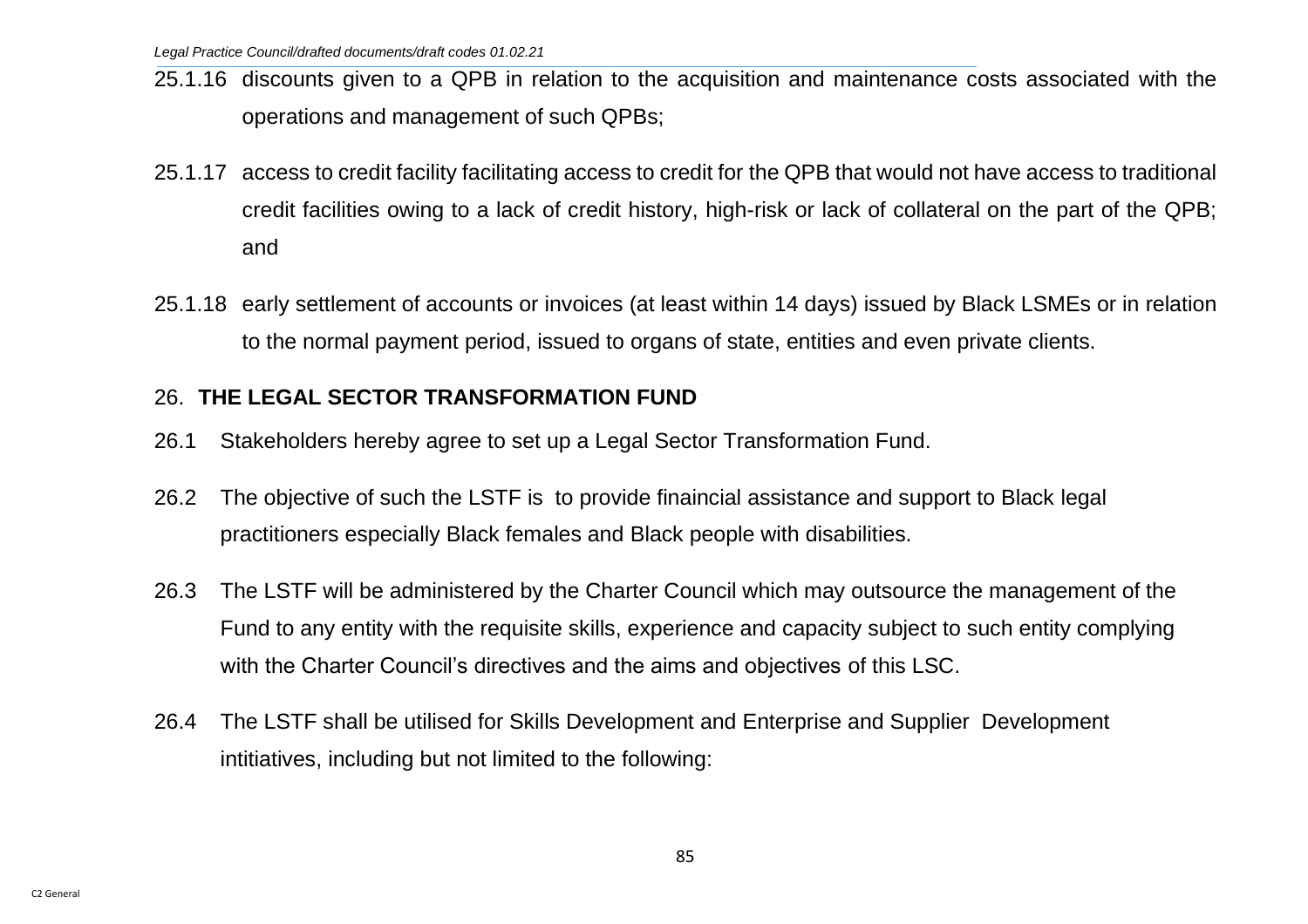- 25.1.16 discounts given to a QPB in relation to the acquisition and maintenance costs associated with the operations and management of such QPBs;
- 25.1.17 access to credit facility facilitating access to credit for the QPB that would not have access to traditional credit facilities owing to a lack of credit history, high-risk or lack of collateral on the part of the QPB; and
- 25.1.18 early settlement of accounts or invoices (at least within 14 days) issued by Black LSMEs or in relation to the normal payment period, issued to organs of state, entities and even private clients.

## 26. **THE LEGAL SECTOR TRANSFORMATION FUND**

- 26.1 Stakeholders hereby agree to set up a Legal Sector Transformation Fund.
- 26.2 The objective of such the LSTF is to provide finaincial assistance and support to Black legal practitioners especially Black females and Black people with disabilities.
- 26.3 The LSTF will be administered by the Charter Council which may outsource the management of the Fund to any entity with the requisite skills, experience and capacity subject to such entity complying with the Charter Council's directives and the aims and objectives of this LSC.
- 26.4 The LSTF shall be utilised for Skills Development and Enterprise and Supplier Development intitiatives, including but not limited to the following: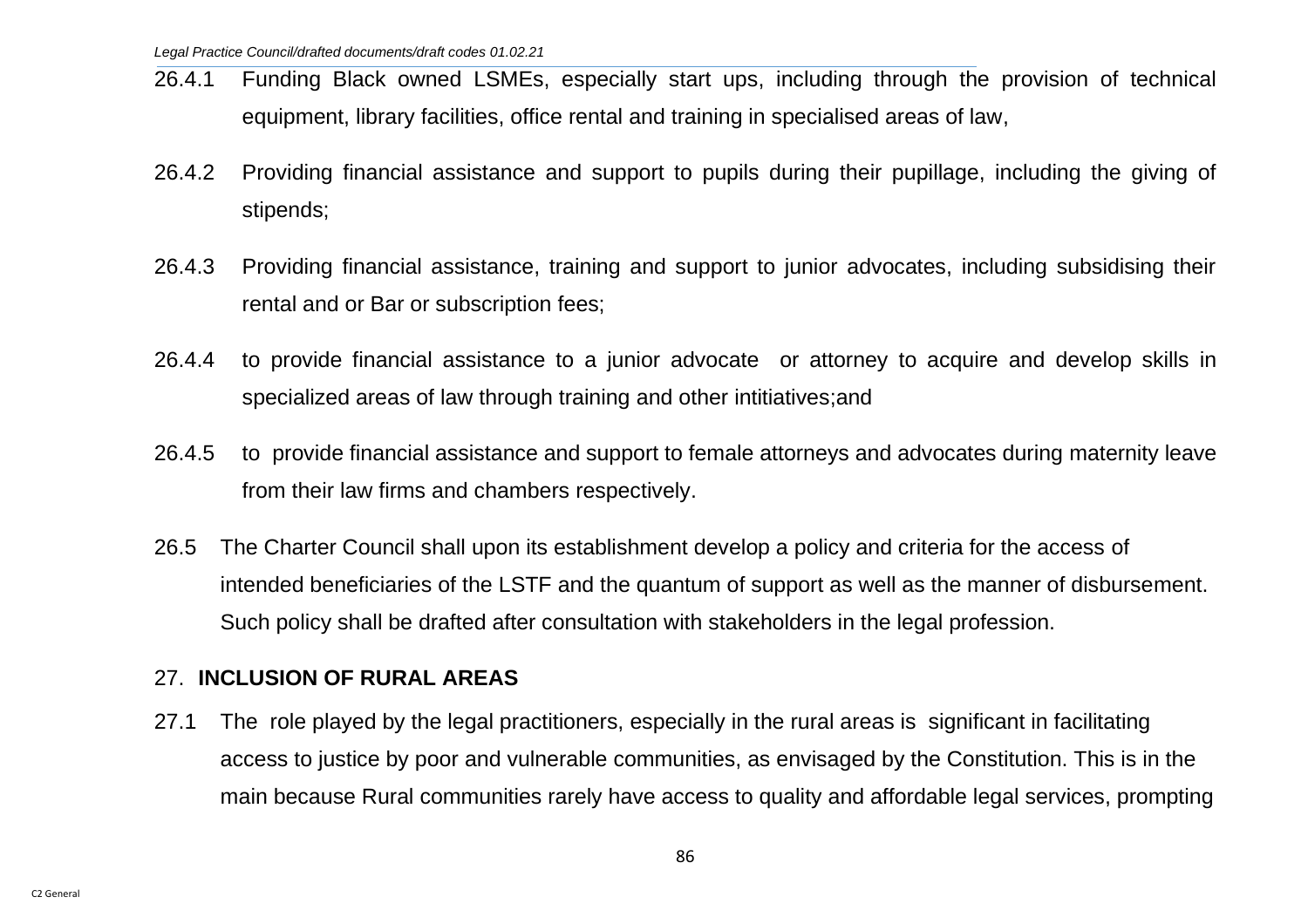- 26.4.1 Funding Black owned LSMEs, especially start ups, including through the provision of technical equipment, library facilities, office rental and training in specialised areas of law,
- 26.4.2 Providing financial assistance and support to pupils during their pupillage, including the giving of stipends;
- 26.4.3 Providing financial assistance, training and support to junior advocates, including subsidising their rental and or Bar or subscription fees;
- 26.4.4 to provide financial assistance to a junior advocate or attorney to acquire and develop skills in specialized areas of law through training and other intitiatives;and
- 26.4.5 to provide financial assistance and support to female attorneys and advocates during maternity leave from their law firms and chambers respectively.
- 26.5 The Charter Council shall upon its establishment develop a policy and criteria for the access of intended beneficiaries of the LSTF and the quantum of support as well as the manner of disbursement. Such policy shall be drafted after consultation with stakeholders in the legal profession.

### 27. **INCLUSION OF RURAL AREAS**

27.1 The role played by the legal practitioners, especially in the rural areas is significant in facilitating access to justice by poor and vulnerable communities, as envisaged by the Constitution. This is in the main because Rural communities rarely have access to quality and affordable legal services, prompting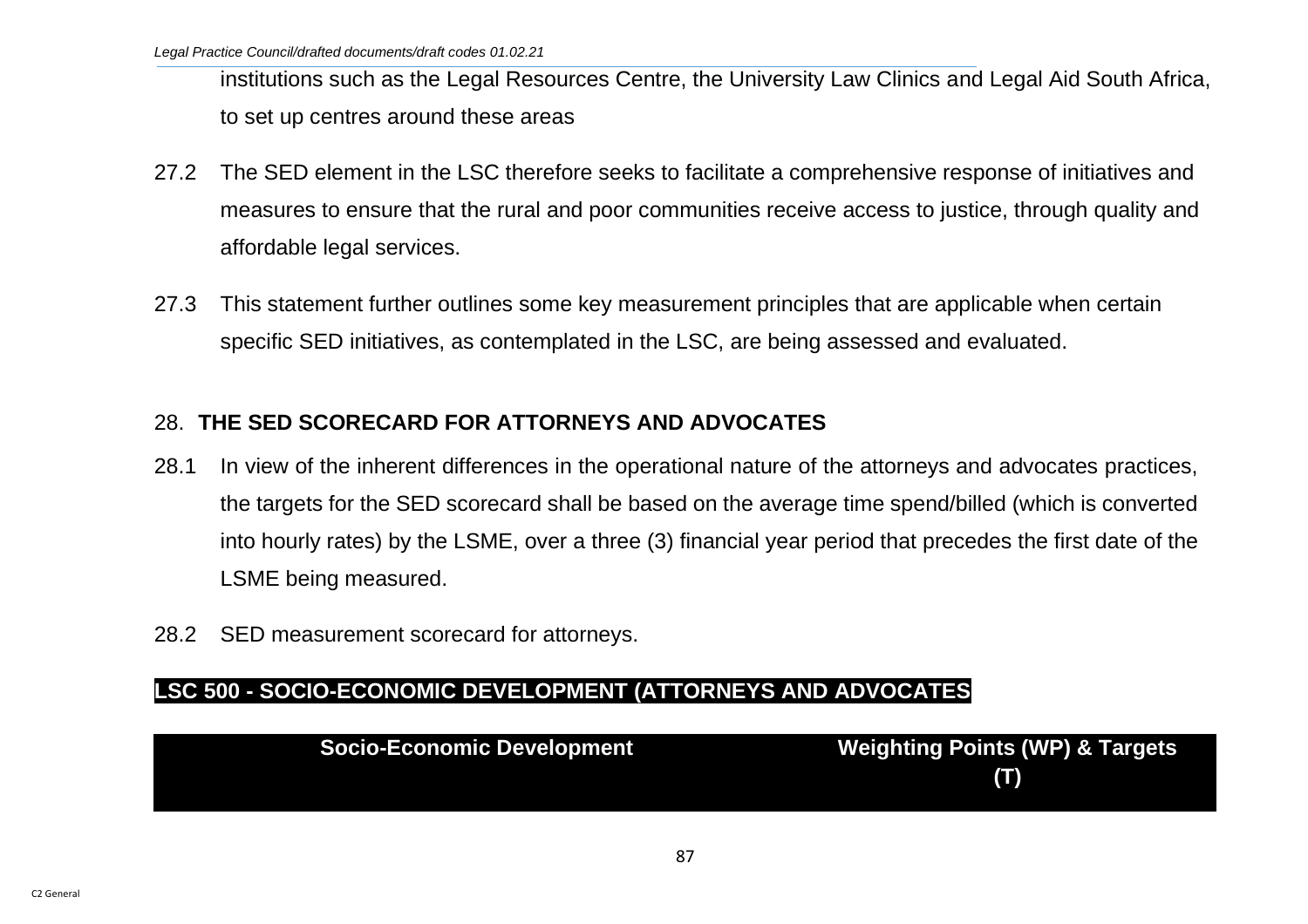institutions such as the Legal Resources Centre, the University Law Clinics and Legal Aid South Africa, to set up centres around these areas

- 27.2 The SED element in the LSC therefore seeks to facilitate a comprehensive response of initiatives and measures to ensure that the rural and poor communities receive access to justice, through quality and affordable legal services.
- 27.3 This statement further outlines some key measurement principles that are applicable when certain specific SED initiatives, as contemplated in the LSC, are being assessed and evaluated.

# 28. **THE SED SCORECARD FOR ATTORNEYS AND ADVOCATES**

- 28.1 In view of the inherent differences in the operational nature of the attorneys and advocates practices, the targets for the SED scorecard shall be based on the average time spend/billed (which is converted into hourly rates) by the LSME, over a three (3) financial year period that precedes the first date of the LSME being measured.
- 28.2 SED measurement scorecard for attorneys.

### **LSC 500 - SOCIO-ECONOMIC DEVELOPMENT (ATTORNEYS AND ADVOCATES**

| Socio-Economic Development | <b>Weighting Points (WP) &amp; Targets</b> |
|----------------------------|--------------------------------------------|
|                            | (T)                                        |
|                            |                                            |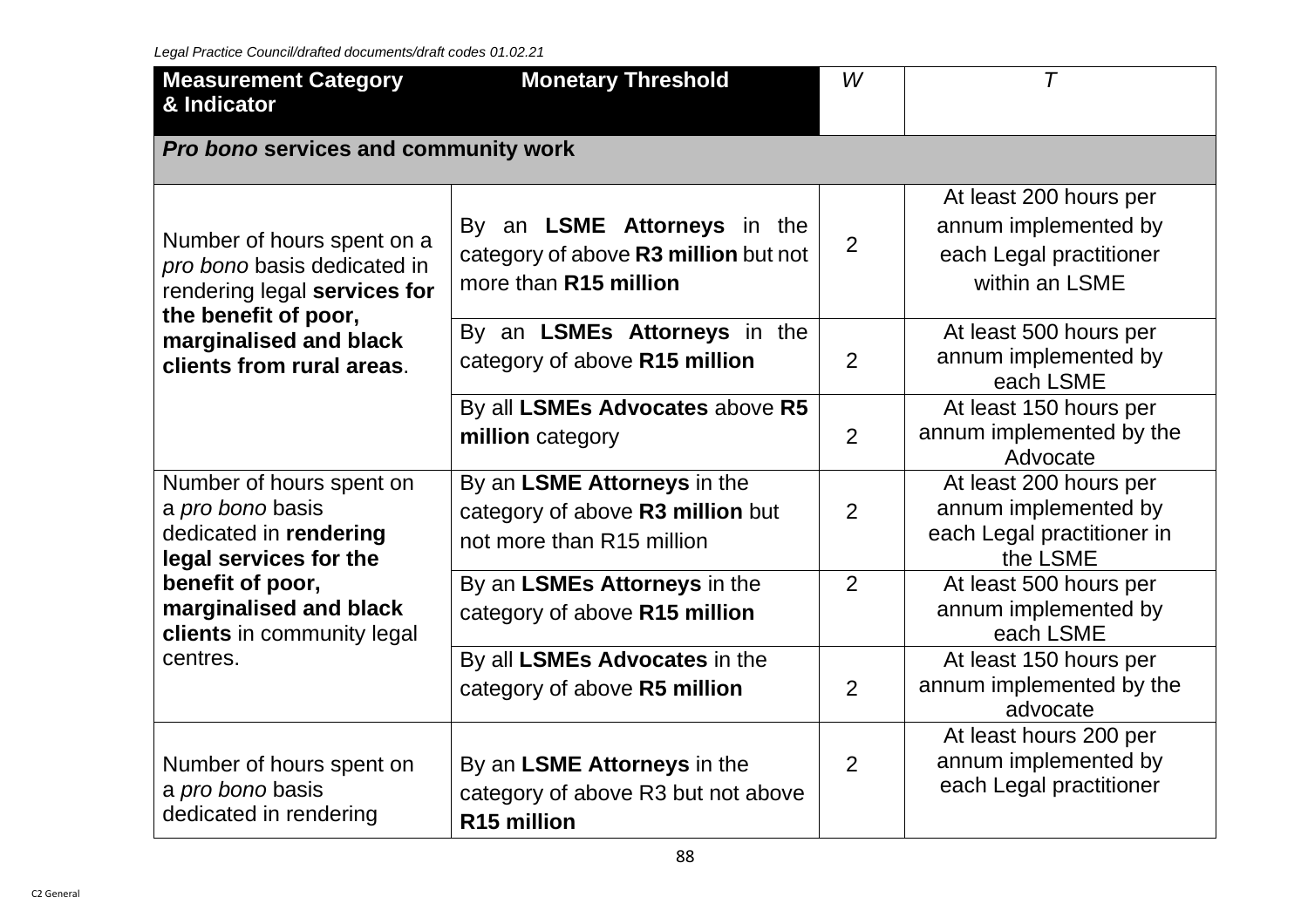| <b>Measurement Category</b><br>& Indicator                                                                                                                               | <b>Monetary Threshold</b>                                                                           | W              | T                                                                                           |  |  |  |  |  |
|--------------------------------------------------------------------------------------------------------------------------------------------------------------------------|-----------------------------------------------------------------------------------------------------|----------------|---------------------------------------------------------------------------------------------|--|--|--|--|--|
|                                                                                                                                                                          | Pro bono services and community work                                                                |                |                                                                                             |  |  |  |  |  |
| Number of hours spent on a<br>pro bono basis dedicated in<br>rendering legal services for<br>the benefit of poor,<br>marginalised and black<br>clients from rural areas. | By an <b>LSME Attorneys</b> in the<br>category of above R3 million but not<br>more than R15 million | $\overline{2}$ | At least 200 hours per<br>annum implemented by<br>each Legal practitioner<br>within an LSME |  |  |  |  |  |
|                                                                                                                                                                          | By an LSMEs Attorneys in the<br>category of above R15 million                                       | $\overline{2}$ | At least 500 hours per<br>annum implemented by<br>each LSME                                 |  |  |  |  |  |
|                                                                                                                                                                          | By all LSMEs Advocates above R5<br>million category                                                 | $\overline{2}$ | At least 150 hours per<br>annum implemented by the<br>Advocate                              |  |  |  |  |  |
| Number of hours spent on<br>a pro bono basis<br>dedicated in rendering<br>legal services for the                                                                         | By an LSME Attorneys in the<br>category of above R3 million but<br>not more than R15 million        | $\overline{2}$ | At least 200 hours per<br>annum implemented by<br>each Legal practitioner in<br>the LSME    |  |  |  |  |  |
| benefit of poor,<br>marginalised and black<br>clients in community legal<br>centres.                                                                                     | By an LSMEs Attorneys in the<br>category of above R15 million                                       | 2              | At least 500 hours per<br>annum implemented by<br>each LSME                                 |  |  |  |  |  |
|                                                                                                                                                                          | By all LSMEs Advocates in the<br>category of above R5 million                                       | 2              | At least 150 hours per<br>annum implemented by the<br>advocate                              |  |  |  |  |  |
| Number of hours spent on<br>a pro bono basis<br>dedicated in rendering                                                                                                   | By an LSME Attorneys in the<br>category of above R3 but not above<br>R <sub>15</sub> million        | 2              | At least hours 200 per<br>annum implemented by<br>each Legal practitioner                   |  |  |  |  |  |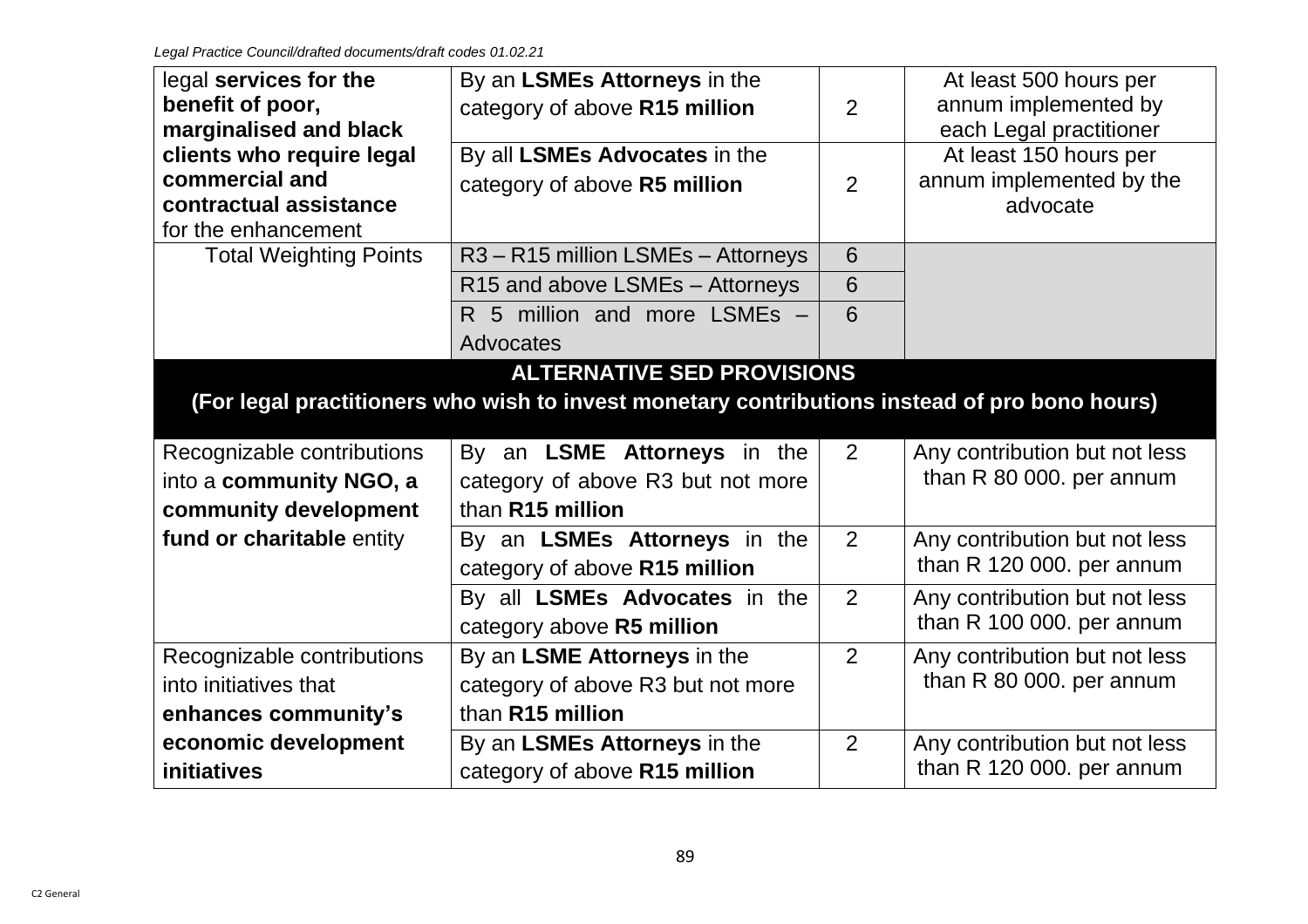| legal services for the<br>benefit of poor,<br>marginalised and black                         | By an LSMEs Attorneys in the<br>category of above R15 million                                 | 2               | At least 500 hours per<br>annum implemented by<br>each Legal practitioner |
|----------------------------------------------------------------------------------------------|-----------------------------------------------------------------------------------------------|-----------------|---------------------------------------------------------------------------|
| clients who require legal<br>commercial and<br>contractual assistance<br>for the enhancement | By all LSMEs Advocates in the<br>category of above R5 million                                 | $\overline{2}$  | At least 150 hours per<br>annum implemented by the<br>advocate            |
| <b>Total Weighting Points</b>                                                                | R3-R15 million LSMEs-Attorneys                                                                | $6\phantom{1}6$ |                                                                           |
|                                                                                              | R15 and above LSMEs - Attorneys                                                               | 6               |                                                                           |
|                                                                                              | R 5 million and more LSMEs -                                                                  | 6               |                                                                           |
|                                                                                              | Advocates                                                                                     |                 |                                                                           |
|                                                                                              | <b>ALTERNATIVE SED PROVISIONS</b>                                                             |                 |                                                                           |
|                                                                                              | (For legal practitioners who wish to invest monetary contributions instead of pro bono hours) |                 |                                                                           |
| Recognizable contributions<br>into a community NGO, a<br>community development               | By an LSME Attorneys in the<br>category of above R3 but not more<br>than R15 million          | 2               | Any contribution but not less<br>than R 80 000. per annum                 |
| fund or charitable entity                                                                    | By an LSMEs Attorneys in the<br>category of above R15 million                                 | 2               | Any contribution but not less<br>than R 120 000. per annum                |
|                                                                                              | By all LSMEs Advocates in the<br>category above R5 million                                    | 2               | Any contribution but not less<br>than R 100 000. per annum                |
| Recognizable contributions                                                                   | By an LSME Attorneys in the                                                                   | 2               | Any contribution but not less                                             |
| into initiatives that                                                                        | category of above R3 but not more                                                             |                 | than R 80 000. per annum                                                  |
| enhances community's                                                                         |                                                                                               |                 |                                                                           |
|                                                                                              | than R15 million                                                                              |                 |                                                                           |
| economic development                                                                         | By an LSMEs Attorneys in the                                                                  | 2               | Any contribution but not less<br>than R 120 000. per annum                |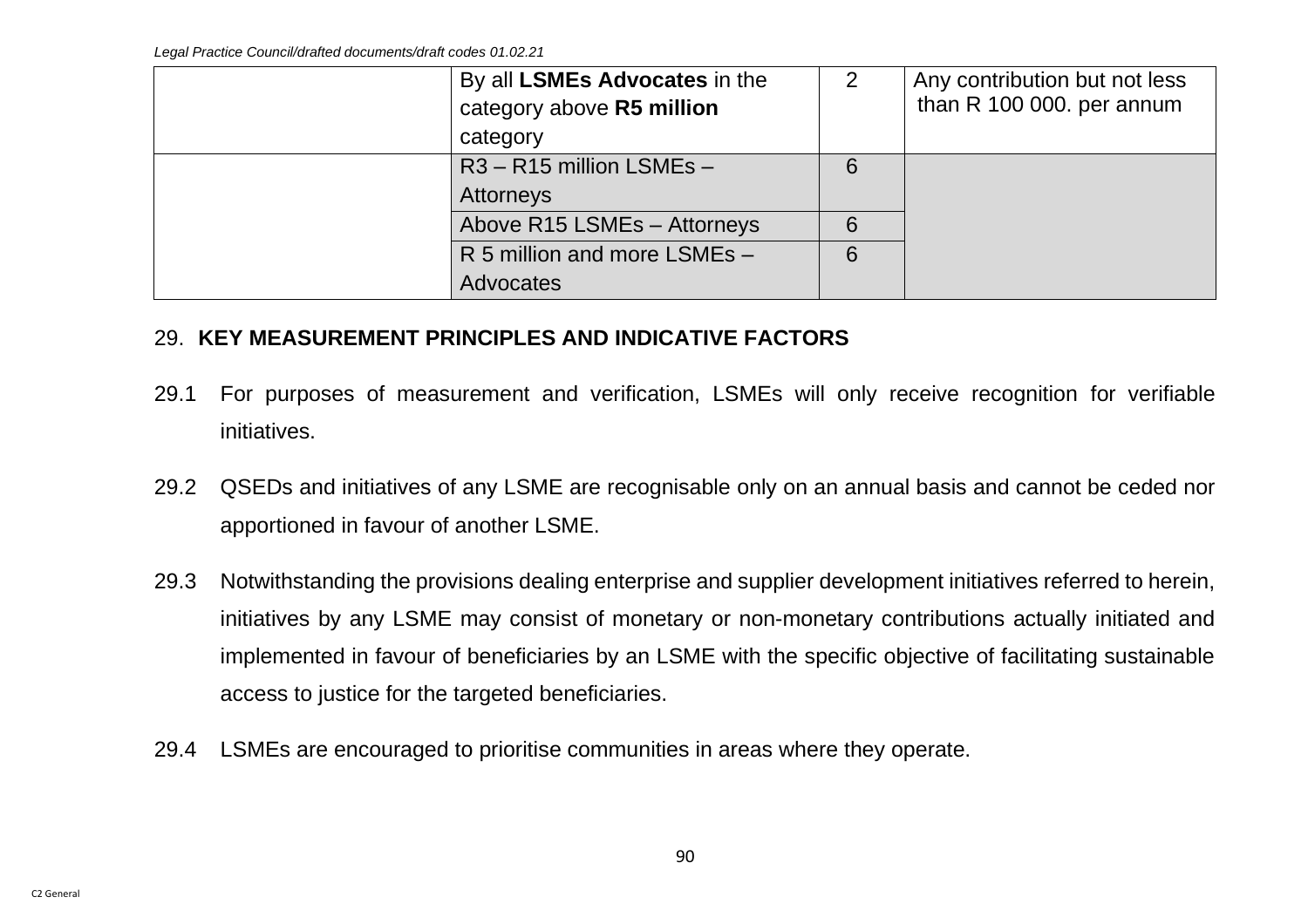| By all LSMEs Advocates in the | 2 | Any contribution but not less |
|-------------------------------|---|-------------------------------|
| category above R5 million     |   | than R 100 000. per annum     |
| category                      |   |                               |
| $R3 - R15$ million LSMEs $-$  | 6 |                               |
| Attorneys                     |   |                               |
| Above R15 LSMEs - Attorneys   | 6 |                               |
| R 5 million and more LSMEs -  | 6 |                               |
| Advocates                     |   |                               |

## 29. **KEY MEASUREMENT PRINCIPLES AND INDICATIVE FACTORS**

- 29.1 For purposes of measurement and verification, LSMEs will only receive recognition for verifiable initiatives.
- 29.2 QSEDs and initiatives of any LSME are recognisable only on an annual basis and cannot be ceded nor apportioned in favour of another LSME.
- 29.3 Notwithstanding the provisions dealing enterprise and supplier development initiatives referred to herein, initiatives by any LSME may consist of monetary or non-monetary contributions actually initiated and implemented in favour of beneficiaries by an LSME with the specific objective of facilitating sustainable access to justice for the targeted beneficiaries.
- 29.4 LSMEs are encouraged to prioritise communities in areas where they operate.